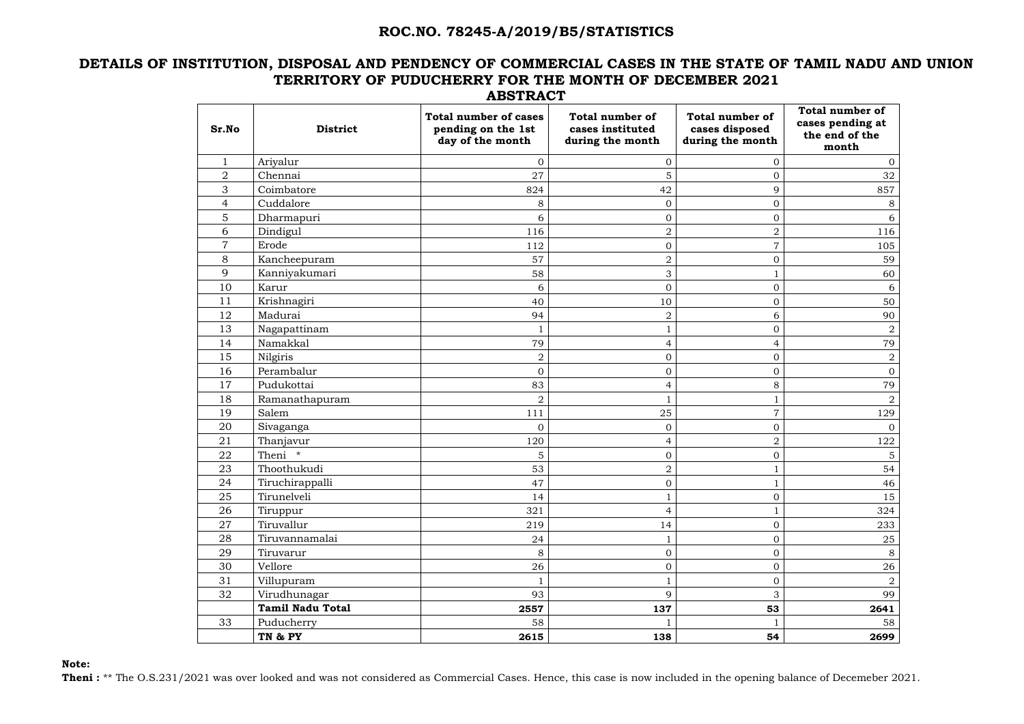#### **DETAILS OF INSTITUTION, DISPOSAL AND PENDENCY OF COMMERCIAL CASES IN THE STATE OF TAMIL NADU AND UNION TERRITORY OF PUDUCHERRY FOR THE MONTH OF DECEMBER 2021 ABSTRACT**

| Sr.No          | <b>District</b>         | <b>Total number of cases</b><br>pending on the 1st<br>day of the month | <b>Total number of</b><br>cases instituted<br>during the month | <b>Total number of</b><br>cases disposed<br>during the month | <b>Total number of</b><br>cases pending at<br>the end of the<br>month |
|----------------|-------------------------|------------------------------------------------------------------------|----------------------------------------------------------------|--------------------------------------------------------------|-----------------------------------------------------------------------|
|                | Ariyalur                | $\mathbf{0}$                                                           | $\overline{O}$                                                 | 0                                                            | 0                                                                     |
| $\overline{2}$ | Chennai                 | 27                                                                     | 5                                                              | 0                                                            | 32                                                                    |
| 3              | Coimbatore              | 824                                                                    | 42                                                             | 9                                                            | 857                                                                   |
| 4              | Cuddalore               | 8                                                                      | $\overline{0}$                                                 | $\overline{0}$                                               | 8                                                                     |
| 5              | Dharmapuri              | 6                                                                      | $\overline{0}$                                                 | $\overline{0}$                                               | 6                                                                     |
| 6              | Dindigul                | 116                                                                    | $\overline{2}$                                                 | $\overline{2}$                                               | 116                                                                   |
| $\overline{7}$ | Erode                   | 112                                                                    | $\overline{0}$                                                 | $\overline{7}$                                               | 105                                                                   |
| 8              | Kancheepuram            | 57                                                                     | $\overline{2}$                                                 | $\overline{0}$                                               | 59                                                                    |
| 9              | Kanniyakumari           | 58                                                                     | 3                                                              |                                                              | 60                                                                    |
| 10             | Karur                   | 6                                                                      | $\overline{0}$                                                 | $\overline{0}$                                               | 6                                                                     |
| 11             | Krishnagiri             | 40                                                                     | 10                                                             | $\overline{0}$                                               | 50                                                                    |
| 12             | Madurai                 | 94                                                                     | $\overline{2}$                                                 | 6                                                            | 90                                                                    |
| 13             | Nagapattinam            | $\mathbf{1}$                                                           | $\mathbf{1}$                                                   | $\mathbf 0$                                                  | $\overline{2}$                                                        |
| 14             | Namakkal                | 79                                                                     | $\overline{4}$                                                 | 4                                                            | 79                                                                    |
| 15             | Nilgiris                | $\boldsymbol{2}$                                                       | $\boldsymbol{0}$                                               | $\overline{0}$                                               | $\overline{2}$                                                        |
| 16             | Perambalur              | $\mathbf{0}$                                                           | $\overline{0}$                                                 | $\overline{O}$                                               | $\overline{O}$                                                        |
| 17             | Pudukottai              | 83                                                                     | 4                                                              | 8                                                            | 79                                                                    |
| 18             | Ramanathapuram          | $\overline{2}$                                                         |                                                                |                                                              | $\overline{2}$                                                        |
| 19             | Salem                   | 111                                                                    | 25                                                             | $\overline{7}$                                               | 129                                                                   |
| 20             | Sivaganga               | $\mathbf 0$                                                            | $\overline{0}$                                                 | 0                                                            | $\overline{0}$                                                        |
| 21             | Thanjavur               | 120                                                                    | $\overline{4}$                                                 | $\overline{2}$                                               | 122                                                                   |
| 22             | Theni *                 | 5                                                                      | $\boldsymbol{0}$                                               | $\overline{0}$                                               | $5\phantom{.}$                                                        |
| 23             | Thoothukudi             | 53                                                                     | $\overline{2}$                                                 |                                                              | 54                                                                    |
| 24             | Tiruchirappalli         | 47                                                                     | $\overline{0}$                                                 | $\mathbf{1}$                                                 | 46                                                                    |
| 25             | Tirunelveli             | 14                                                                     | $\mathbf{1}$                                                   | $\overline{0}$                                               | 15                                                                    |
| 26             | Tiruppur                | 321                                                                    | $\overline{4}$                                                 | $\mathbf{1}$                                                 | 324                                                                   |
| 27             | Tiruvallur              | 219                                                                    | 14                                                             | $\overline{0}$                                               | 233                                                                   |
| 28             | Tiruvannamalai          | 24                                                                     | $\mathbf{1}$                                                   | $\overline{0}$                                               | 25                                                                    |
| 29             | Tiruvarur               | 8                                                                      | $\overline{0}$                                                 | $\mathbf{0}$                                                 | 8                                                                     |
| 30             | Vellore                 | 26                                                                     | $\overline{0}$                                                 | $\overline{0}$                                               | 26                                                                    |
| 31             | Villupuram              | $\mathbf{1}$                                                           | $\mathbf{1}$                                                   | $\overline{0}$                                               | $\overline{a}$                                                        |
| 32             | Virudhunagar            | 93                                                                     | 9                                                              | 3                                                            | 99                                                                    |
|                | <b>Tamil Nadu Total</b> | 2557                                                                   | 137                                                            | 53                                                           | 2641                                                                  |
| 33             | Puducherry              | 58                                                                     | $\mathbf{1}$                                                   |                                                              | 58                                                                    |
|                | TN & PY                 | 2615                                                                   | 138                                                            | 54                                                           | 2699                                                                  |

**Note:**

Theni : \*\* The O.S.231/2021 was over looked and was not considered as Commercial Cases. Hence, this case is now included in the opening balance of Decemeber 2021.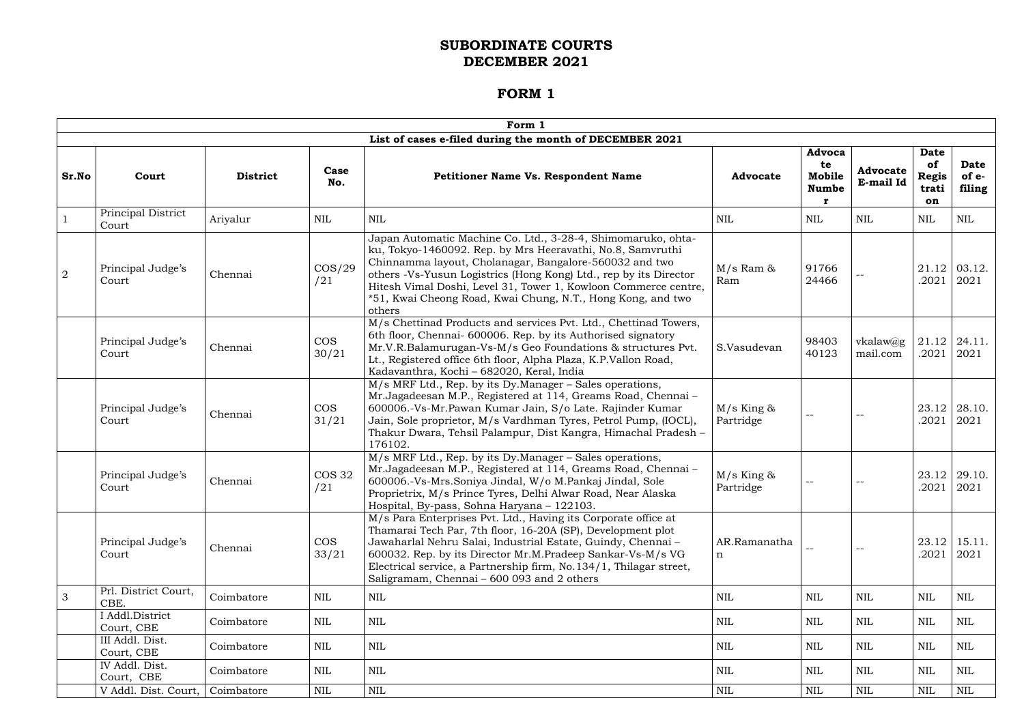|                |                               |                 |                      | Form 1                                                                                                                                                                                                                                                                                                                                                                                                |                             |                                               |                               |                                                  |                                |
|----------------|-------------------------------|-----------------|----------------------|-------------------------------------------------------------------------------------------------------------------------------------------------------------------------------------------------------------------------------------------------------------------------------------------------------------------------------------------------------------------------------------------------------|-----------------------------|-----------------------------------------------|-------------------------------|--------------------------------------------------|--------------------------------|
|                |                               |                 |                      | List of cases e-filed during the month of DECEMBER 2021                                                                                                                                                                                                                                                                                                                                               |                             |                                               |                               |                                                  |                                |
| Sr.No          | Court                         | <b>District</b> | Case<br>No.          | <b>Petitioner Name Vs. Respondent Name</b>                                                                                                                                                                                                                                                                                                                                                            | <b>Advocate</b>             | <b>Advoca</b><br>te<br>Mobile<br><b>Numbe</b> | <b>Advocate</b><br>E-mail Id  | <b>Date</b><br>of<br><b>Regis</b><br>trati<br>on | <b>Date</b><br>of e-<br>filing |
|                | Principal District<br>Court   | Ariyalur        | $\mbox{NIL}$         | <b>NIL</b>                                                                                                                                                                                                                                                                                                                                                                                            | <b>NIL</b>                  | NIL                                           | NIL                           | $\mbox{NIL}$                                     | <b>NIL</b>                     |
| $\overline{2}$ | Principal Judge's<br>Court    | Chennai         | $\cos/29$<br>/21     | Japan Automatic Machine Co. Ltd., 3-28-4, Shimomaruko, ohta-<br>ku, Tokyo-1460092. Rep. by Mrs Heeravathi, No.8, Samvruthi<br>Chinnamma layout, Cholanagar, Bangalore-560032 and two<br>others -Vs-Yusun Logistrics (Hong Kong) Ltd., rep by its Director<br>Hitesh Vimal Doshi, Level 31, Tower 1, Kowloon Commerce centre,<br>*51, Kwai Cheong Road, Kwai Chung, N.T., Hong Kong, and two<br>others | $M/s$ Ram $\&$<br>Ram       | 91766<br>24466                                |                               | .2021                                            | $21.12 \mid 03.12.$<br>2021    |
|                | Principal Judge's<br>Court    | Chennai         | <b>COS</b><br>30/21  | M/s Chettinad Products and services Pvt. Ltd., Chettinad Towers,<br>6th floor, Chennai- 600006. Rep. by its Authorised signatory<br>Mr.V.R.Balamurugan-Vs-M/s Geo Foundations & structures Pvt.<br>Lt., Registered office 6th floor, Alpha Plaza, K.P.Vallon Road,<br>Kadavanthra, Kochi - 682020, Keral, India                                                                                       | S.Vasudevan                 | 98403<br>40123                                | $v$ kalaw $(a)$ g<br>mail.com | .2021                                            | $21.12$   24.11.<br>2021       |
|                | Principal Judge's<br>Court    | Chennai         | <b>COS</b><br>31/21  | M/s MRF Ltd., Rep. by its Dy.Manager - Sales operations,<br>Mr. Jagadeesan M.P., Registered at 114, Greams Road, Chennai -<br>600006.-Vs-Mr.Pawan Kumar Jain, S/o Late. Rajinder Kumar<br>Jain, Sole proprietor, M/s Vardhman Tyres, Petrol Pump, (IOCL),<br>Thakur Dwara, Tehsil Palampur, Dist Kangra, Himachal Pradesh -<br>176102.                                                                | $M/s$ King &<br>Partridge   |                                               |                               | .2021                                            | $23.12$   28.10.<br>2021       |
|                | Principal Judge's<br>Court    | Chennai         | <b>COS 32</b><br>/21 | M/s MRF Ltd., Rep. by its Dy.Manager - Sales operations,<br>Mr.Jagadeesan M.P., Registered at 114, Greams Road, Chennai-<br>600006.-Vs-Mrs.Soniya Jindal, W/o M.Pankaj Jindal, Sole<br>Proprietrix, M/s Prince Tyres, Delhi Alwar Road, Near Alaska<br>Hospital, By-pass, Sohna Haryana - 122103.                                                                                                     | $M/s$ King &<br>Partridge   | $-$                                           | $\sim$ $-$                    | 23.12<br>.2021                                   | 29.10.<br>2021                 |
|                | Principal Judge's<br>Court    | Chennai         | <b>COS</b><br>33/21  | M/s Para Enterprises Pvt. Ltd., Having its Corporate office at<br>Thamarai Tech Par, 7th floor, 16-20A (SP), Development plot<br>Jawaharlal Nehru Salai, Industrial Estate, Guindy, Chennai -<br>600032. Rep. by its Director Mr.M.Pradeep Sankar-Vs-M/s VG<br>Electrical service, a Partnership firm, No.134/1, Thilagar street,<br>Saligramam, Chennai - 600 093 and 2 others                       | AR.Ramanatha<br>$\mathbf n$ |                                               |                               | .2021                                            | $23.12$   15.11.<br>2021       |
| 3              | Prl. District Court,<br>CBE.  | Coimbatore      | NIL                  | NIL                                                                                                                                                                                                                                                                                                                                                                                                   | NIL                         | NIL                                           | NIL                           | $\mbox{NIL}$                                     | NIL                            |
|                | I Addl.District<br>Court, CBE | Coimbatore      | $\mbox{NIL}$         | <b>NIL</b>                                                                                                                                                                                                                                                                                                                                                                                            | <b>NIL</b>                  | NIL                                           | NIL                           | $\mbox{NIL}$                                     | <b>NIL</b>                     |
|                | III Addl. Dist.<br>Court, CBE | Coimbatore      | NIL                  | <b>NIL</b>                                                                                                                                                                                                                                                                                                                                                                                            | <b>NIL</b>                  | NIL                                           | <b>NIL</b>                    | $\mbox{NIL}$                                     | NIL                            |
|                | IV Addl. Dist.<br>Court, CBE  | Coimbatore      | $\mbox{NIL}$         | <b>NIL</b>                                                                                                                                                                                                                                                                                                                                                                                            | <b>NIL</b>                  | NIL                                           | NIL                           | $\mbox{NIL}$                                     | NIL                            |
|                | V Addl. Dist. Court,          | Coimbatore      | $\mbox{NIL}$         | <b>NIL</b>                                                                                                                                                                                                                                                                                                                                                                                            | <b>NIL</b>                  | NIL                                           | NIL                           | $\mbox{NIL}$                                     | NIL                            |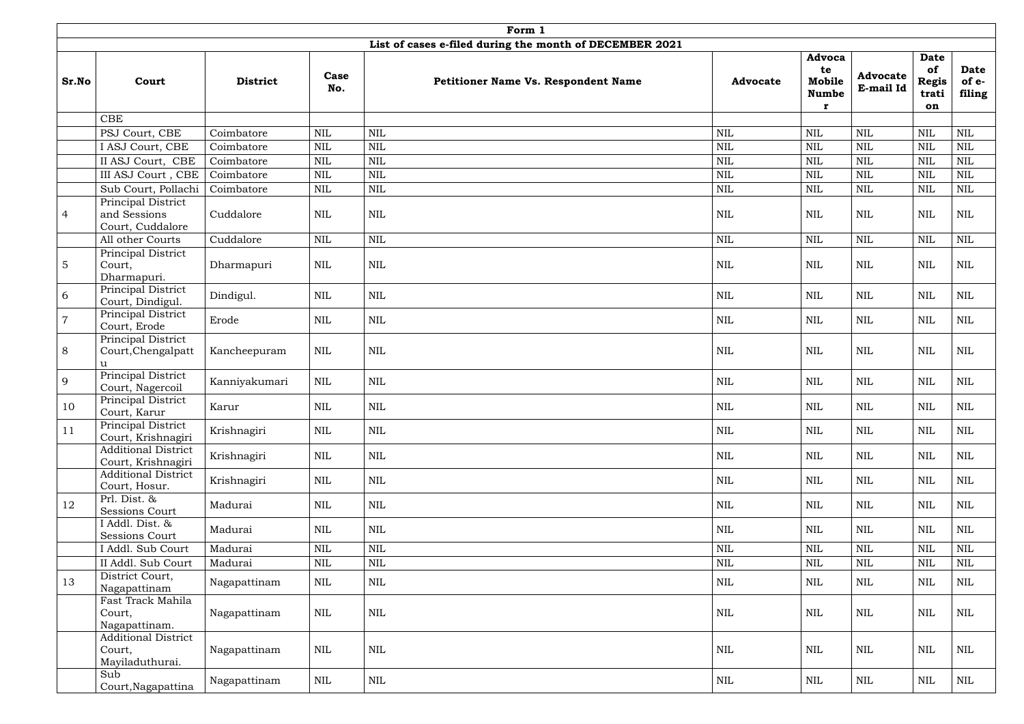|                |                                                         |                 |              | Form 1                                                  |                 |                                             |                              |                                                  |                         |
|----------------|---------------------------------------------------------|-----------------|--------------|---------------------------------------------------------|-----------------|---------------------------------------------|------------------------------|--------------------------------------------------|-------------------------|
|                |                                                         |                 |              | List of cases e-filed during the month of DECEMBER 2021 |                 |                                             |                              |                                                  |                         |
| Sr.No          | Court                                                   | <b>District</b> | Case<br>No.  | <b>Petitioner Name Vs. Respondent Name</b>              | <b>Advocate</b> | Advoca<br>te<br>Mobile<br><b>Numbe</b><br>r | <b>Advocate</b><br>E-mail Id | <b>Date</b><br>of<br><b>Regis</b><br>trati<br>on | Date<br>of e-<br>filing |
|                | <b>CBE</b>                                              |                 |              |                                                         |                 |                                             |                              |                                                  |                         |
|                | PSJ Court, CBE                                          | Coimbatore      | $\mbox{NIL}$ | NIL                                                     | <b>NIL</b>      | <b>NIL</b>                                  | <b>NIL</b>                   | <b>NIL</b>                                       | <b>NIL</b>              |
|                | I ASJ Court, CBE                                        | Coimbatore      | $\mbox{NIL}$ | $\mbox{NIL}$                                            | $\mbox{NIL}$    | <b>NIL</b>                                  | <b>NIL</b>                   | <b>NIL</b>                                       | <b>NIL</b>              |
|                | II ASJ Court, CBE                                       | Coimbatore      | <b>NIL</b>   | $\mbox{NIL}$                                            | <b>NIL</b>      | <b>NIL</b>                                  | <b>NIL</b>                   | <b>NIL</b>                                       | <b>NIL</b>              |
|                | III ASJ Court , CBE                                     | Coimbatore      | $\mbox{NIL}$ | $\mbox{NIL}$                                            | <b>NIL</b>      | <b>NIL</b>                                  | <b>NIL</b>                   | <b>NIL</b>                                       | <b>NIL</b>              |
|                | Sub Court, Pollachi                                     | Coimbatore      | <b>NIL</b>   | <b>NIL</b>                                              | $\mbox{NIL}$    | <b>NIL</b>                                  | <b>NIL</b>                   | <b>NIL</b>                                       | <b>NIL</b>              |
| $\overline{4}$ | Principal District<br>and Sessions<br>Court, Cuddalore  | Cuddalore       | <b>NIL</b>   | <b>NIL</b>                                              | $\mbox{NIL}$    | <b>NIL</b>                                  | <b>NIL</b>                   | $\mbox{NIL}$                                     | <b>NIL</b>              |
|                | All other Courts                                        | Cuddalore       | $\mbox{NIL}$ | $\mbox{NIL}$                                            | <b>NIL</b>      | <b>NIL</b>                                  | <b>NIL</b>                   | <b>NIL</b>                                       | <b>NIL</b>              |
| $\overline{5}$ | Principal District<br>Court,<br>Dharmapuri.             | Dharmapuri      | <b>NIL</b>   | <b>NIL</b>                                              | $\mbox{NIL}$    | <b>NIL</b>                                  | <b>NIL</b>                   | <b>NIL</b>                                       | $\mbox{NIL}$            |
| 6              | Principal District<br>Court, Dindigul.                  | Dindigul.       | <b>NIL</b>   | $\mbox{NIL}$                                            | $\mbox{NIL}$    | <b>NIL</b>                                  | <b>NIL</b>                   | $\mbox{NIL}$                                     | $\mbox{NIL}$            |
| $\overline{7}$ | Principal District<br>Court, Erode                      | Erode           | <b>NIL</b>   | <b>NIL</b>                                              | <b>NIL</b>      | <b>NIL</b>                                  | <b>NIL</b>                   | <b>NIL</b>                                       | $\mbox{NIL}$            |
| 8              | Principal District<br>Court, Chengalpatt<br>u           | Kancheepuram    | NIL          | $\mbox{NIL}$                                            | <b>NIL</b>      | $\mbox{NIL}$                                | <b>NIL</b>                   | $\mbox{NIL}$                                     | $\mbox{NIL}$            |
| 9              | Principal District<br>Court, Nagercoil                  | Kanniyakumari   | $\mbox{NIL}$ | $\mbox{NIL}$                                            | <b>NIL</b>      | $\mbox{NIL}$                                | <b>NIL</b>                   | $\mbox{NIL}$                                     | $\mbox{NIL}$            |
| 10             | Principal District<br>Court, Karur                      | Karur           | $\mbox{NIL}$ | $\mbox{NIL}$                                            | $\mbox{NIL}$    | $\mbox{NIL}$                                | <b>NIL</b>                   | $\mbox{NIL}$                                     | NIL                     |
| 11             | Principal District<br>Court, Krishnagiri                | Krishnagiri     | NIL          | $\mbox{NIL}$                                            | <b>NIL</b>      | NIL                                         | NIL                          | NIL                                              | NIL                     |
|                | Additional District<br>Court, Krishnagiri               | Krishnagiri     | NIL          | $\mbox{NIL}$                                            | <b>NIL</b>      | NIL                                         | NIL                          | $\mbox{NIL}$                                     | <b>NIL</b>              |
|                | <b>Additional District</b><br>Court, Hosur.             | Krishnagiri     | NIL          | $\mbox{NIL}$                                            | $\mbox{NIL}$    | NIL                                         | NIL                          | $\mbox{NIL}$                                     | NIL                     |
| 12             | Prl. Dist. &<br>Sessions Court                          | Madurai         | <b>NIL</b>   | <b>NIL</b>                                              | <b>NIL</b>      | NIL                                         | NIL                          | $\mbox{NIL}$                                     | <b>NIL</b>              |
|                | I Addl. Dist. &<br>Sessions Court                       | Madurai         | NIL          | NIL                                                     | NIL             | NIL                                         | NIL                          | <b>NIL</b>                                       | NIL                     |
|                | Addl. Sub Court                                         | Madurai         | $\mbox{NIL}$ | $\mbox{NIL}$                                            | $\mbox{NIL}$    | <b>NIL</b>                                  | <b>NIL</b>                   | <b>NIL</b>                                       | <b>NIL</b>              |
|                | II Addl. Sub Court                                      | Madurai         | $\mbox{NIL}$ | $\mbox{NIL}$                                            | $\mbox{NIL}$    | <b>NIL</b>                                  | <b>NIL</b>                   | <b>NIL</b>                                       | <b>NIL</b>              |
| 13             | District Court,<br>Nagapattinam                         | Nagapattinam    | NIL          | NIL                                                     | <b>NIL</b>      | NIL                                         | NIL                          | $\mbox{NIL}$                                     | <b>NIL</b>              |
|                | Fast Track Mahila<br>Court,<br>Nagapattinam.            | Nagapattinam    | <b>NIL</b>   | NIL                                                     | <b>NIL</b>      | NIL                                         | <b>NIL</b>                   | $\mbox{NIL}$                                     | NIL                     |
|                | <b>Additional District</b><br>Court,<br>Mayiladuthurai. | Nagapattinam    | $\mbox{NIL}$ | $\mbox{NIL}$                                            | $\mbox{NIL}$    | <b>NIL</b>                                  | <b>NIL</b>                   | $\mbox{NIL}$                                     | $\mbox{NIL}$            |
|                | Sub<br>Court, Nagapattina                               | Nagapattinam    | $\mbox{NIL}$ | $\mbox{NIL}$                                            | $\mbox{NIL}$    | NIL                                         | NIL                          | $\mbox{NIL}$                                     | NIL                     |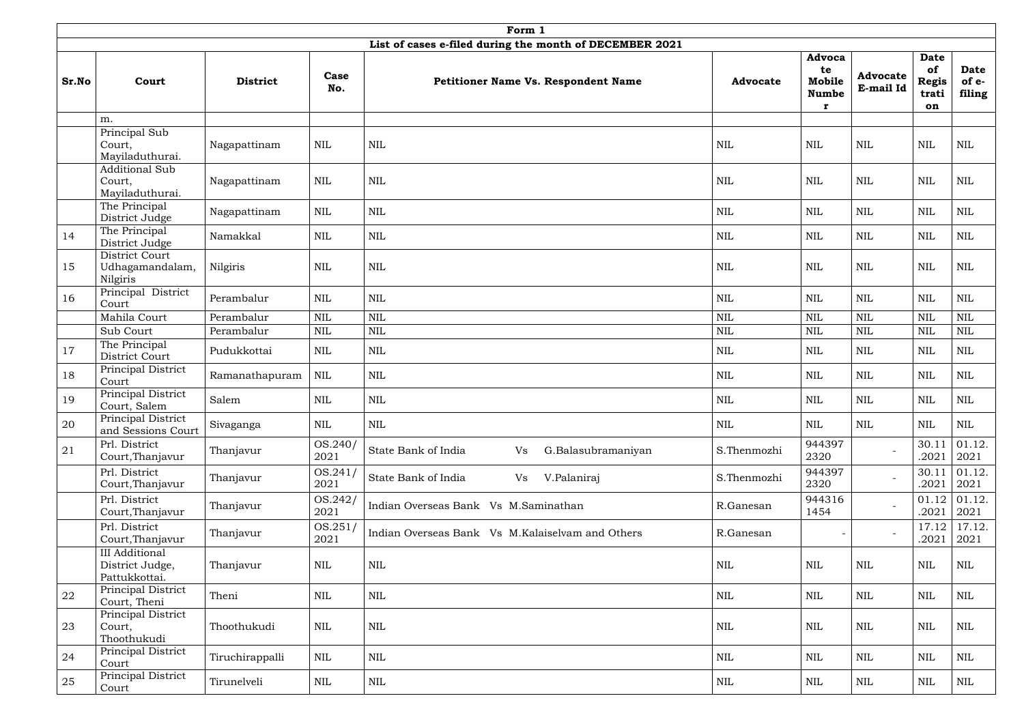| Form 1 |                                                           |                 |                 |                                                         |                 |                                             |                              |                                                  |                                |  |  |  |
|--------|-----------------------------------------------------------|-----------------|-----------------|---------------------------------------------------------|-----------------|---------------------------------------------|------------------------------|--------------------------------------------------|--------------------------------|--|--|--|
|        |                                                           |                 |                 | List of cases e-filed during the month of DECEMBER 2021 |                 |                                             |                              |                                                  |                                |  |  |  |
| Sr.No  | Court                                                     | <b>District</b> | Case<br>No.     | <b>Petitioner Name Vs. Respondent Name</b>              | <b>Advocate</b> | Advoca<br>te<br>Mobile<br><b>Numbe</b><br>r | <b>Advocate</b><br>E-mail Id | <b>Date</b><br>of<br><b>Regis</b><br>trati<br>on | <b>Date</b><br>of e-<br>filing |  |  |  |
|        | m.                                                        |                 |                 |                                                         |                 |                                             |                              |                                                  |                                |  |  |  |
|        | Principal Sub<br>Court,<br>Mayiladuthurai.                | Nagapattinam    | <b>NIL</b>      | $\mbox{NIL}$                                            | <b>NIL</b>      | <b>NIL</b>                                  | <b>NIL</b>                   | <b>NIL</b>                                       | <b>NIL</b>                     |  |  |  |
|        | <b>Additional Sub</b><br>Court,<br>Mayiladuthurai.        | Nagapattinam    | $\mbox{NIL}$    | $\mbox{NIL}$                                            | <b>NIL</b>      | <b>NIL</b>                                  | <b>NIL</b>                   | <b>NIL</b>                                       | $\mbox{NIL}$                   |  |  |  |
|        | The Principal<br>District Judge                           | Nagapattinam    | $\mbox{NIL}$    | $\mbox{NIL}$                                            | <b>NIL</b>      | <b>NIL</b>                                  | $\mbox{NIL}$                 | $\mbox{NIL}$                                     | $\mbox{NIL}$                   |  |  |  |
| 14     | The Principal<br>District Judge                           | Namakkal        | <b>NIL</b>      | $\mbox{NIL}$                                            | <b>NIL</b>      | <b>NIL</b>                                  | <b>NIL</b>                   | <b>NIL</b>                                       | <b>NIL</b>                     |  |  |  |
| 15     | District Court<br>Udhagamandalam,<br>Nilgiris             | Nilgiris        | <b>NIL</b>      | $\mbox{NIL}$                                            | NIL             | NIL                                         | NIL                          | <b>NIL</b>                                       | $\textsc{nil}$                 |  |  |  |
| 16     | Principal District<br>Court                               | Perambalur      | <b>NIL</b>      | $\mbox{NIL}$                                            | <b>NIL</b>      | <b>NIL</b>                                  | NIL                          | <b>NIL</b>                                       | <b>NIL</b>                     |  |  |  |
|        | Mahila Court                                              | Perambalur      | $\mbox{NIL}$    | $\mbox{NIL}$                                            | $\mbox{NIL}$    | <b>NIL</b>                                  | <b>NIL</b>                   | NIL                                              | <b>NIL</b>                     |  |  |  |
|        | Sub Court                                                 | Perambalur      | <b>NIL</b>      | $\mbox{NIL}$                                            | $\text{NIL}$    | <b>NIL</b>                                  | <b>NIL</b>                   | <b>NIL</b>                                       | <b>NIL</b>                     |  |  |  |
| 17     | The Principal<br>District Court                           | Pudukkottai     | <b>NIL</b>      | $\mbox{NIL}$                                            | <b>NIL</b>      | NIL                                         | NIL                          | <b>NIL</b>                                       | <b>NIL</b>                     |  |  |  |
| 18     | Principal District<br>Court                               | Ramanathapuram  | <b>NIL</b>      | $\mbox{NIL}$                                            | <b>NIL</b>      | NIL                                         | <b>NIL</b>                   | <b>NIL</b>                                       | <b>NIL</b>                     |  |  |  |
| 19     | Principal District<br>Court, Salem                        | Salem           | $\mbox{NIL}$    | $\mbox{NIL}$                                            | $\mbox{NIL}$    | <b>NIL</b>                                  | <b>NIL</b>                   | $\mbox{NIL}$                                     | $\mbox{NIL}$                   |  |  |  |
| 20     | Principal District<br>and Sessions Court                  | Sivaganga       | $\mbox{NIL}$    | $\mbox{NIL}$                                            | <b>NIL</b>      | <b>NIL</b>                                  | <b>NIL</b>                   | $\mbox{NIL}$                                     | <b>NIL</b>                     |  |  |  |
| 21     | Prl. District<br>Court, Thanjavur                         | Thanjavur       | OS.240/<br>2021 | State Bank of India<br>G.Balasubramaniyan<br>Vs         | S.Thenmozhi     | 944397<br>2320                              |                              | 30.11<br>.2021                                   | 01.12.<br>2021                 |  |  |  |
|        | Prl. District<br>Court, Thanjavur                         | Thanjavur       | OS.241/<br>2021 | State Bank of India<br>V.Palaniraj<br>Vs                | S.Thenmozhi     | 944397<br>2320                              |                              | 30.11<br>.2021                                   | 01.12.<br>2021                 |  |  |  |
|        | Prl. District<br>Court, Thanjavur                         | Thanjavur       | OS.242/<br>2021 | Indian Overseas Bank Vs M.Saminathan                    | R.Ganesan       | 944316<br>1454                              |                              | 01.12<br>.2021                                   | 01.12.<br>2021                 |  |  |  |
|        | Prl. District<br>Court, Thanjavur                         | Thanjavur       | OS.251/<br>2021 | Indian Overseas Bank Vs M.Kalaiselvam and Others        | R.Ganesan       |                                             |                              | 17.12<br>.2021                                   | 17.12.<br>2021                 |  |  |  |
|        | <b>III</b> Additional<br>District Judge,<br>Pattukkottai. | Thanjavur       | $\mbox{NIL}$    | $\mbox{NIL}$                                            | $\mbox{NIL}$    | <b>NIL</b>                                  | NIL                          | NIL                                              | NIL                            |  |  |  |
| 22     | Principal District<br>Court, Theni                        | Theni           | <b>NIL</b>      | $\mbox{NIL}$                                            | <b>NIL</b>      | NIL                                         | <b>NIL</b>                   | <b>NIL</b>                                       | NIL                            |  |  |  |
| 23     | Principal District<br>Court,<br>Thoothukudi               | Thoothukudi     | $\mbox{NIL}$    | $\mbox{NIL}$                                            | NIL             | NIL                                         | NIL                          | <b>NIL</b>                                       | <b>NIL</b>                     |  |  |  |
| 24     | Principal District<br>Court                               | Tiruchirappalli | $\text{NIL}$    | $\mbox{NIL}$                                            | NIL             | NIL                                         | NIL                          | <b>NIL</b>                                       | <b>NIL</b>                     |  |  |  |
| 25     | Principal District<br>Court                               | Tirunelveli     | <b>NIL</b>      | $\mbox{NIL}$                                            | NIL             | NIL                                         | <b>NIL</b>                   | $\mbox{NIL}$                                     | NIL                            |  |  |  |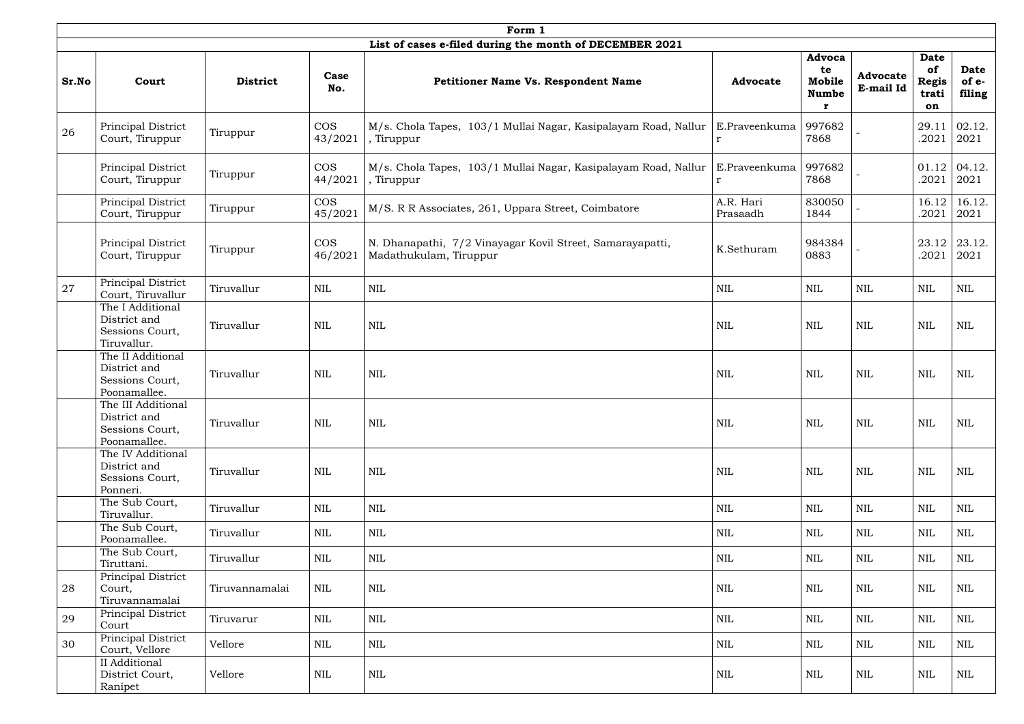|       | Form 1                                                                |                 |                       |                                                                                     |                              |                                             |                              |                                                  |                                |  |  |  |  |
|-------|-----------------------------------------------------------------------|-----------------|-----------------------|-------------------------------------------------------------------------------------|------------------------------|---------------------------------------------|------------------------------|--------------------------------------------------|--------------------------------|--|--|--|--|
|       |                                                                       |                 |                       | List of cases e-filed during the month of DECEMBER 2021                             |                              |                                             |                              |                                                  |                                |  |  |  |  |
| Sr.No | Court                                                                 | <b>District</b> | Case<br>No.           | <b>Petitioner Name Vs. Respondent Name</b>                                          | <b>Advocate</b>              | Advoca<br>te<br>Mobile<br><b>Numbe</b><br>r | <b>Advocate</b><br>E-mail Id | <b>Date</b><br>of<br><b>Regis</b><br>trati<br>on | <b>Date</b><br>of e-<br>filing |  |  |  |  |
| 26    | Principal District<br>Court, Tiruppur                                 | Tiruppur        | <b>COS</b><br>43/2021 | M/s. Chola Tapes, 103/1 Mullai Nagar, Kasipalayam Road, Nallur<br>, Tiruppur        | E.Praveenkuma<br>$\mathbf r$ | 997682<br>7868                              |                              | 29.11<br>.2021                                   | 02.12.<br>2021                 |  |  |  |  |
|       | Principal District<br>Court, Tiruppur                                 | Tiruppur        | <b>COS</b><br>44/2021 | M/s. Chola Tapes, 103/1 Mullai Nagar, Kasipalayam Road, Nallur<br>, Tiruppur        | E.Praveenkuma<br>r           | 997682<br>7868                              |                              | 01.12<br>.2021                                   | 04.12.<br>2021                 |  |  |  |  |
|       | Principal District<br>Court, Tiruppur                                 | Tiruppur        | <b>COS</b><br>45/2021 | M/S. R R Associates, 261, Uppara Street, Coimbatore                                 | A.R. Hari<br>Prasaadh        | 830050<br>1844                              |                              | 16.12<br>.2021                                   | 16.12.<br>2021                 |  |  |  |  |
|       | Principal District<br>Court, Tiruppur                                 | Tiruppur        | <b>COS</b><br>46/2021 | N. Dhanapathi, 7/2 Vinayagar Kovil Street, Samarayapatti,<br>Madathukulam, Tiruppur | K.Sethuram                   | 984384<br>0883                              |                              | 23.12<br>.2021                                   | 23.12.<br>2021                 |  |  |  |  |
| 27    | Principal District<br>Court, Tiruvallur                               | Tiruvallur      | NIL                   | <b>NIL</b>                                                                          | NIL                          | NIL                                         | <b>NIL</b>                   | <b>NIL</b>                                       | NIL                            |  |  |  |  |
|       | The I Additional<br>District and<br>Sessions Court,<br>Tiruvallur.    | Tiruvallur      | <b>NIL</b>            | <b>NIL</b>                                                                          | <b>NIL</b>                   | <b>NIL</b>                                  | <b>NIL</b>                   | <b>NIL</b>                                       | <b>NIL</b>                     |  |  |  |  |
|       | The II Additional<br>District and<br>Sessions Court,<br>Poonamallee.  | Tiruvallur      | $\text{NIL}$          | <b>NIL</b>                                                                          | <b>NIL</b>                   | <b>NIL</b>                                  | <b>NIL</b>                   | NIL                                              | <b>NIL</b>                     |  |  |  |  |
|       | The III Additional<br>District and<br>Sessions Court,<br>Poonamallee. | Tiruvallur      | <b>NIL</b>            | <b>NIL</b>                                                                          | <b>NIL</b>                   | <b>NIL</b>                                  | <b>NIL</b>                   | $\mbox{NIL}$                                     | <b>NIL</b>                     |  |  |  |  |
|       | The IV Additional<br>District and<br>Sessions Court,<br>Ponneri.      | Tiruvallur      | NIL                   | <b>NIL</b>                                                                          | NIL                          | <b>NIL</b>                                  | <b>NIL</b>                   | <b>NIL</b>                                       | NIL                            |  |  |  |  |
|       | The Sub Court,<br>Tiruvallur.                                         | Tiruvallur      | $\mbox{NIL}$          | $\mbox{NIL}$                                                                        | $\mbox{NIL}$                 | <b>NIL</b>                                  | <b>NIL</b>                   | $\mbox{NIL}$                                     | <b>NIL</b>                     |  |  |  |  |
|       | The Sub Court,<br>Poonamallee.                                        | Tiruvallur      | NIL                   | $\mbox{NIL}$                                                                        | $\mbox{NIL}$                 | NIL                                         | <b>NIL</b>                   | <b>NIL</b>                                       | <b>NIL</b>                     |  |  |  |  |
|       | The Sub Court,<br>Tiruttani.                                          | Tiruvallur      | NIL                   | $\mbox{NIL}$                                                                        | $\mbox{NIL}$                 | NIL                                         | $\mbox{NIL}$                 | $\mbox{NIL}$                                     | <b>NIL</b>                     |  |  |  |  |
| 28    | Principal District<br>Court,<br>Tiruvannamalai                        | Tiruvannamalai  | $\mbox{NIL}$          | $\mbox{NIL}$                                                                        | $\mbox{NIL}$                 | <b>NIL</b>                                  | <b>NIL</b>                   | $\mbox{NIL}$                                     | NIL                            |  |  |  |  |
| 29    | Principal District<br>Court                                           | Tiruvarur       | <b>NIL</b>            | $\mbox{NIL}$                                                                        | <b>NIL</b>                   | NIL                                         | <b>NIL</b>                   | $\mbox{NIL}$                                     | <b>NIL</b>                     |  |  |  |  |
| 30    | Principal District<br>Court, Vellore                                  | Vellore         | NIL                   | NIL                                                                                 | <b>NIL</b>                   | NIL                                         | <b>NIL</b>                   | <b>NIL</b>                                       | $\rm NIL$                      |  |  |  |  |
|       | II Additional<br>District Court,<br>Ranipet                           | Vellore         | NIL                   | NIL                                                                                 | NIL                          | NIL                                         | NIL                          | NIL                                              | NIL                            |  |  |  |  |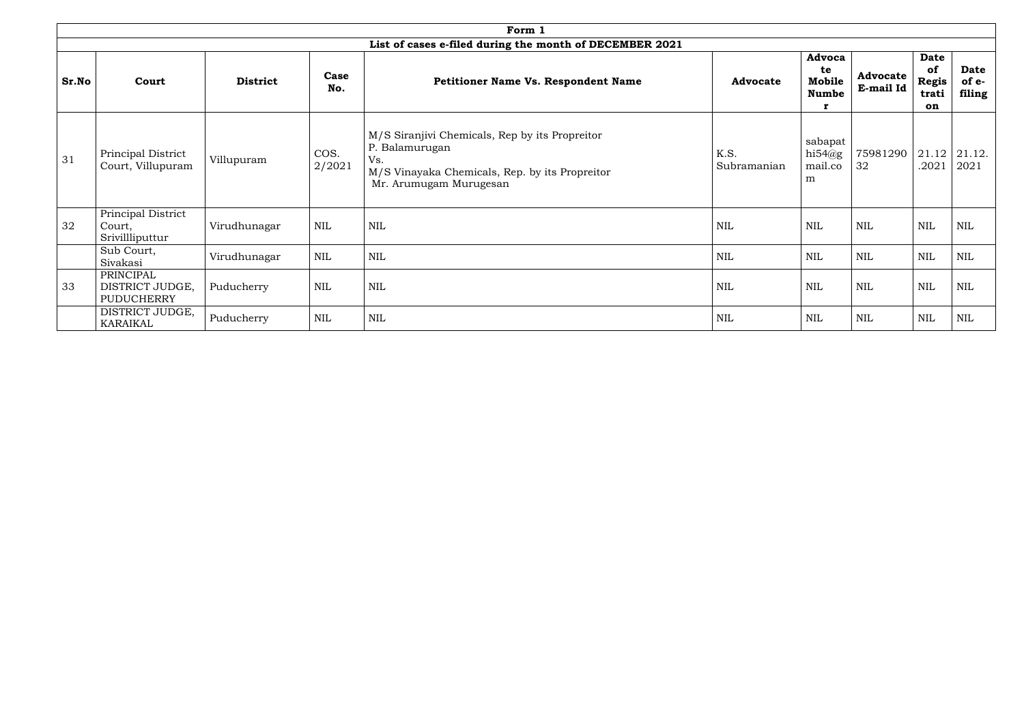|       |                                                 |                 |                | Form 1                                                                                                                                              |                     |                                        |                              |                                                  |                                |
|-------|-------------------------------------------------|-----------------|----------------|-----------------------------------------------------------------------------------------------------------------------------------------------------|---------------------|----------------------------------------|------------------------------|--------------------------------------------------|--------------------------------|
|       |                                                 |                 |                | List of cases e-filed during the month of DECEMBER 2021                                                                                             |                     |                                        |                              |                                                  |                                |
| Sr.No | Court                                           | <b>District</b> | Case<br>No.    | <b>Petitioner Name Vs. Respondent Name</b>                                                                                                          | <b>Advocate</b>     | Advoca<br>te<br>Mobile<br><b>Numbe</b> | <b>Advocate</b><br>E-mail Id | <b>Date</b><br>of<br><b>Regis</b><br>trati<br>on | <b>Date</b><br>of e-<br>filing |
| 31    | Principal District<br>Court, Villupuram         | Villupuram      | COS.<br>2/2021 | M/S Siranjivi Chemicals, Rep by its Propreitor<br>P. Balamurugan<br>Vs.<br>M/S Vinayaka Chemicals, Rep. by its Propreitor<br>Mr. Arumugam Murugesan | K.S.<br>Subramanian | sabapat<br>hi $54$ @g<br>mail.co<br>m  | 75981290<br>32               | 21.12<br>.2021                                   | 21.12.<br>2021                 |
| 32    | Principal District<br>Court,<br>Srivillliputtur | Virudhunagar    | <b>NIL</b>     | <b>NIL</b>                                                                                                                                          | <b>NIL</b>          | <b>NIL</b>                             | <b>NIL</b>                   | <b>NIL</b>                                       | <b>NIL</b>                     |
|       | Sub Court,<br>Sivakasi                          | Virudhunagar    | <b>NIL</b>     | <b>NIL</b>                                                                                                                                          | <b>NIL</b>          | NIL                                    | <b>NIL</b>                   | <b>NIL</b>                                       | <b>NIL</b>                     |
| 33    | PRINCIPAL<br>DISTRICT JUDGE,<br>PUDUCHERRY      | Puducherry      | NIL            | <b>NIL</b>                                                                                                                                          | <b>NIL</b>          | <b>NIL</b>                             | <b>NIL</b>                   | <b>NIL</b>                                       | <b>NIL</b>                     |
|       | DISTRICT JUDGE,<br><b>KARAIKAL</b>              | Puducherry      | <b>NIL</b>     | <b>NIL</b>                                                                                                                                          | $\mbox{NIL}$        | <b>NIL</b>                             | <b>NIL</b>                   | <b>NIL</b>                                       | NIL                            |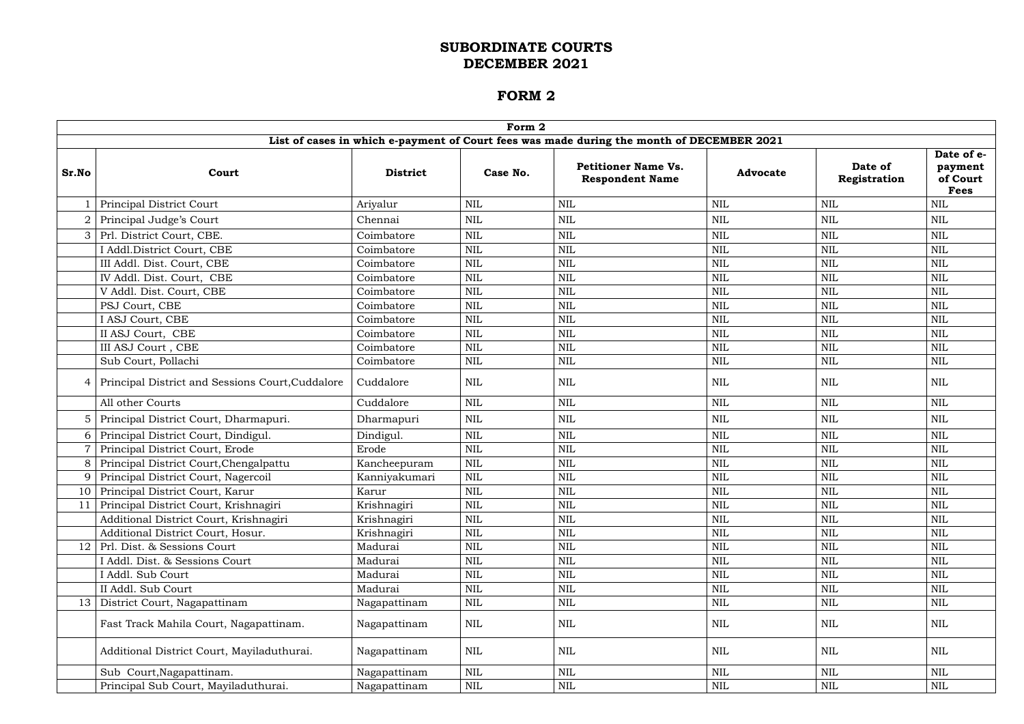|                 |                                                  |                 | Form 2       |                                                                                           |                 |                         |                                                  |
|-----------------|--------------------------------------------------|-----------------|--------------|-------------------------------------------------------------------------------------------|-----------------|-------------------------|--------------------------------------------------|
|                 |                                                  |                 |              | List of cases in which e-payment of Court fees was made during the month of DECEMBER 2021 |                 |                         |                                                  |
| Sr.No           | Court                                            | <b>District</b> | Case No.     | <b>Petitioner Name Vs.</b><br><b>Respondent Name</b>                                      | <b>Advocate</b> | Date of<br>Registration | Date of e-<br>payment<br>of Court<br><b>Fees</b> |
|                 | Principal District Court                         | Ariyalur        | $\mbox{NIL}$ | <b>NIL</b>                                                                                | <b>NIL</b>      | $\mbox{NIL}$            | <b>NIL</b>                                       |
|                 | Principal Judge's Court                          | Chennai         | $\mbox{NIL}$ | NIL                                                                                       | NIL             | <b>NIL</b>              | <b>NIL</b>                                       |
| 3               | Prl. District Court, CBE.                        | Coimbatore      | <b>NIL</b>   | <b>NIL</b>                                                                                | <b>NIL</b>      | <b>NIL</b>              | <b>NIL</b>                                       |
|                 | I Addl.District Court, CBE                       | Coimbatore      | <b>NIL</b>   | <b>NIL</b>                                                                                | <b>NIL</b>      | <b>NIL</b>              | <b>NIL</b>                                       |
|                 | III Addl. Dist. Court, CBE                       | Coimbatore      | $\mbox{NIL}$ | <b>NIL</b>                                                                                | <b>NIL</b>      | $\mbox{NIL}$            | <b>NIL</b>                                       |
|                 | IV Addl. Dist. Court, CBE                        | Coimbatore      | <b>NIL</b>   | <b>NIL</b>                                                                                | <b>NIL</b>      | $\mbox{NIL}$            | <b>NIL</b>                                       |
|                 | V Addl. Dist. Court, CBE                         | Coimbatore      | <b>NIL</b>   | <b>NIL</b>                                                                                | <b>NIL</b>      | <b>NIL</b>              | <b>NIL</b>                                       |
|                 | PSJ Court, CBE                                   | Coimbatore      | <b>NIL</b>   | <b>NIL</b>                                                                                | <b>NIL</b>      | $\mbox{NIL}$            | <b>NIL</b>                                       |
|                 | I ASJ Court, CBE                                 | Coimbatore      | <b>NIL</b>   | <b>NIL</b>                                                                                | <b>NIL</b>      | <b>NIL</b>              | <b>NIL</b>                                       |
|                 | II ASJ Court, CBE                                | Coimbatore      | <b>NIL</b>   | <b>NIL</b>                                                                                | <b>NIL</b>      | <b>NIL</b>              | <b>NIL</b>                                       |
|                 | III ASJ Court, CBE                               | Coimbatore      | <b>NIL</b>   | <b>NIL</b>                                                                                | <b>NIL</b>      | <b>NIL</b>              | <b>NIL</b>                                       |
|                 | Sub Court, Pollachi                              | Coimbatore      | $\mbox{NIL}$ | NIL                                                                                       | <b>NIL</b>      | <b>NIL</b>              | NIL                                              |
| 4               | Principal District and Sessions Court, Cuddalore | Cuddalore       | $\mbox{NIL}$ | NIL                                                                                       | NIL             | <b>NIL</b>              | NIL                                              |
|                 | All other Courts                                 | Cuddalore       | <b>NIL</b>   | <b>NIL</b>                                                                                | <b>NIL</b>      | <b>NIL</b>              | <b>NIL</b>                                       |
| 5.              | Principal District Court, Dharmapuri.            | Dharmapuri      | $\mbox{NIL}$ | NIL                                                                                       | NIL             | $\mbox{NIL}$            | $\text{NIL}$                                     |
| 6               | Principal District Court, Dindigul.              | Dindigul.       | <b>NIL</b>   | <b>NIL</b>                                                                                | <b>NIL</b>      | <b>NIL</b>              | <b>NIL</b>                                       |
|                 | Principal District Court, Erode                  | Erode           | <b>NIL</b>   | <b>NIL</b>                                                                                | <b>NIL</b>      | <b>NIL</b>              | NIL                                              |
| 8               | Principal District Court, Chengalpattu           | Kancheepuram    | <b>NIL</b>   | <b>NIL</b>                                                                                | <b>NIL</b>      | <b>NIL</b>              | <b>NIL</b>                                       |
| 9               | Principal District Court, Nagercoil              | Kanniyakumari   | <b>NIL</b>   | <b>NIL</b>                                                                                | <b>NIL</b>      | <b>NIL</b>              | <b>NIL</b>                                       |
| 10              | Principal District Court, Karur                  | Karur           | <b>NIL</b>   | NIL                                                                                       | <b>NIL</b>      | <b>NIL</b>              | <b>NIL</b>                                       |
|                 | 11 Principal District Court, Krishnagiri         | Krishnagiri     | NIL          | <b>NIL</b>                                                                                | <b>NIL</b>      | $\mbox{NIL}$            | $\mbox{NIL}$                                     |
|                 | Additional District Court, Krishnagiri           | Krishnagiri     | <b>NIL</b>   | <b>NIL</b>                                                                                | NIL             | <b>NIL</b>              | <b>NIL</b>                                       |
|                 | Additional District Court, Hosur.                | Krishnagiri     | $\mbox{NIL}$ | <b>NIL</b>                                                                                | <b>NIL</b>      | $\mbox{NIL}$            | <b>NIL</b>                                       |
|                 | 12   Prl. Dist. & Sessions Court                 | Madurai         | $\mbox{NIL}$ | NIL                                                                                       | NIL             | $\mbox{NIL}$            | NIL                                              |
|                 | I Addl. Dist. & Sessions Court                   | Madurai         | $\mbox{NIL}$ | <b>NIL</b>                                                                                | <b>NIL</b>      | $\mbox{NIL}$            | $\text{NIL}$                                     |
|                 | I Addl. Sub Court                                | Madurai         | <b>NIL</b>   | <b>NIL</b>                                                                                | <b>NIL</b>      | $\mbox{NIL}$            | $\text{NIL}$                                     |
|                 | II Addl. Sub Court                               | Madurai         | <b>NIL</b>   | <b>NIL</b>                                                                                | <b>NIL</b>      | $\mbox{NIL}$            | <b>NIL</b>                                       |
| 13 <sup>1</sup> | District Court, Nagapattinam                     | Nagapattinam    | NIL          | NIL                                                                                       | NIL             | <b>NIL</b>              | NIL                                              |
|                 | Fast Track Mahila Court, Nagapattinam.           | Nagapattinam    | $\mbox{NIL}$ | NIL                                                                                       | <b>NIL</b>      | <b>NIL</b>              | NIL                                              |
|                 | Additional District Court, Mayiladuthurai.       | Nagapattinam    | <b>NIL</b>   | NIL                                                                                       | NIL             | <b>NIL</b>              | NIL                                              |
|                 | Sub Court, Nagapattinam.                         | Nagapattinam    | $\mbox{NIL}$ | <b>NIL</b>                                                                                | <b>NIL</b>      | $\mbox{NIL}$            | <b>NIL</b>                                       |
|                 | Principal Sub Court, Mayiladuthurai.             | Nagapattinam    | NIL          | NIL                                                                                       | <b>NIL</b>      | NIL                     | $\text{NIL}$                                     |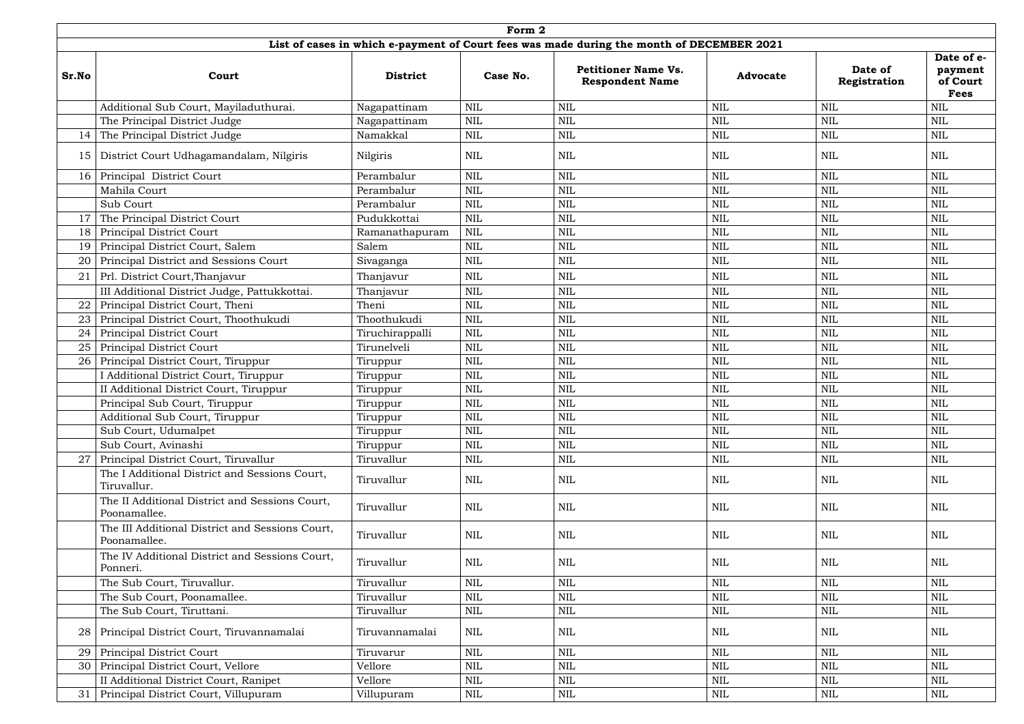|       | Form 2<br>List of cases in which e-payment of Court fees was made during the month of DECEMBER 2021 |                 |              |                                                      |                 |                         |                                                  |  |  |  |  |  |  |
|-------|-----------------------------------------------------------------------------------------------------|-----------------|--------------|------------------------------------------------------|-----------------|-------------------------|--------------------------------------------------|--|--|--|--|--|--|
|       |                                                                                                     |                 |              |                                                      |                 |                         |                                                  |  |  |  |  |  |  |
| Sr.No | Court                                                                                               | <b>District</b> | Case No.     | <b>Petitioner Name Vs.</b><br><b>Respondent Name</b> | <b>Advocate</b> | Date of<br>Registration | Date of e-<br>payment<br>of Court<br><b>Fees</b> |  |  |  |  |  |  |
|       | Additional Sub Court, Mayiladuthurai.                                                               | Nagapattinam    | <b>NIL</b>   | <b>NIL</b>                                           | NIL             | <b>NIL</b>              | <b>NIL</b>                                       |  |  |  |  |  |  |
|       | The Principal District Judge                                                                        | Nagapattinam    | <b>NIL</b>   | <b>NIL</b>                                           | <b>NIL</b>      | <b>NIL</b>              | NIL                                              |  |  |  |  |  |  |
| 14    | The Principal District Judge                                                                        | Namakkal        | <b>NIL</b>   | <b>NIL</b>                                           | <b>NIL</b>      | $\mbox{NIL}$            | $\mbox{NIL}$                                     |  |  |  |  |  |  |
| 15    | District Court Udhagamandalam, Nilgiris                                                             | Nilgiris        | <b>NIL</b>   | <b>NIL</b>                                           | NIL             | $\mbox{NIL}$            | <b>NIL</b>                                       |  |  |  |  |  |  |
| 16    | Principal District Court                                                                            | Perambalur      | <b>NIL</b>   | <b>NIL</b>                                           | NIL             | <b>NIL</b>              | <b>NIL</b>                                       |  |  |  |  |  |  |
|       | Mahila Court                                                                                        | Perambalur      | <b>NIL</b>   | <b>NIL</b>                                           | <b>NIL</b>      | $\mbox{NIL}$            | <b>NIL</b>                                       |  |  |  |  |  |  |
|       | Sub Court                                                                                           | Perambalur      | <b>NIL</b>   | NIL                                                  | NIL             | <b>NIL</b>              | <b>NIL</b>                                       |  |  |  |  |  |  |
| 17    | The Principal District Court                                                                        | Pudukkottai     | <b>NIL</b>   | <b>NIL</b>                                           | <b>NIL</b>      | $\mbox{NIL}$            | <b>NIL</b>                                       |  |  |  |  |  |  |
| 18    | <b>Principal District Court</b>                                                                     | Ramanathapuram  | <b>NIL</b>   | <b>NIL</b>                                           | NIL             | $\mbox{NIL}$            | <b>NIL</b>                                       |  |  |  |  |  |  |
| 19    | Principal District Court, Salem                                                                     | Salem           | <b>NIL</b>   | <b>NIL</b>                                           | NIL             | <b>NIL</b>              | NIL                                              |  |  |  |  |  |  |
| 20    | Principal District and Sessions Court                                                               | Sivaganga       | <b>NIL</b>   | <b>NIL</b>                                           | NIL             | <b>NIL</b>              | NIL                                              |  |  |  |  |  |  |
| 21    | Prl. District Court, Thanjavur                                                                      | Thanjavur       | <b>NIL</b>   | <b>NIL</b>                                           | <b>NIL</b>      | $\mbox{NIL}$            | <b>NIL</b>                                       |  |  |  |  |  |  |
|       | III Additional District Judge, Pattukkottai.                                                        | Thanjavur       | <b>NIL</b>   | <b>NIL</b>                                           | <b>NIL</b>      | <b>NIL</b>              | <b>NIL</b>                                       |  |  |  |  |  |  |
| 22    | Principal District Court, Theni                                                                     | Theni           | <b>NIL</b>   | <b>NIL</b>                                           | <b>NIL</b>      | $\mbox{NIL}$            | <b>NIL</b>                                       |  |  |  |  |  |  |
| 23    | Principal District Court, Thoothukudi                                                               | Thoothukudi     | <b>NIL</b>   | <b>NIL</b>                                           | <b>NIL</b>      | $\mbox{NIL}$            | <b>NIL</b>                                       |  |  |  |  |  |  |
| 24    | Principal District Court                                                                            | Tiruchirappalli | <b>NIL</b>   | <b>NIL</b>                                           | <b>NIL</b>      | $\mbox{NIL}$            | <b>NIL</b>                                       |  |  |  |  |  |  |
| 25    | Principal District Court                                                                            | Tirunelveli     | <b>NIL</b>   | <b>NIL</b>                                           | <b>NIL</b>      | <b>NIL</b>              | <b>NIL</b>                                       |  |  |  |  |  |  |
| 26    | Principal District Court, Tiruppur                                                                  | Tiruppur        | <b>NIL</b>   | <b>NIL</b>                                           | <b>NIL</b>      | <b>NIL</b>              | <b>NIL</b>                                       |  |  |  |  |  |  |
|       | I Additional District Court, Tiruppur                                                               | Tiruppur        | <b>NIL</b>   | <b>NIL</b>                                           | <b>NIL</b>      | <b>NIL</b>              | <b>NIL</b>                                       |  |  |  |  |  |  |
|       | II Additional District Court, Tiruppur                                                              | Tiruppur        | <b>NIL</b>   | <b>NIL</b>                                           | <b>NIL</b>      | <b>NIL</b>              | <b>NIL</b>                                       |  |  |  |  |  |  |
|       | Principal Sub Court, Tiruppur                                                                       | Tiruppur        | <b>NIL</b>   | <b>NIL</b>                                           | NIL             | <b>NIL</b>              | <b>NIL</b>                                       |  |  |  |  |  |  |
|       | Additional Sub Court, Tiruppur                                                                      | Tiruppur        | <b>NIL</b>   | <b>NIL</b>                                           | <b>NIL</b>      | $\mbox{NIL}$            | $\mbox{NIL}$                                     |  |  |  |  |  |  |
|       | Sub Court, Udumalpet                                                                                | Tiruppur        | <b>NIL</b>   | NIL                                                  | NIL             | <b>NIL</b>              | NIL                                              |  |  |  |  |  |  |
|       | Sub Court, Avinashi                                                                                 | Tiruppur        | <b>NIL</b>   | <b>NIL</b>                                           | <b>NIL</b>      | <b>NIL</b>              | <b>NIL</b>                                       |  |  |  |  |  |  |
| 27    | Principal District Court, Tiruvallur                                                                | Tiruvallur      | <b>NIL</b>   | <b>NIL</b>                                           | <b>NIL</b>      | $\mbox{NIL}$            | $\mbox{NIL}$                                     |  |  |  |  |  |  |
|       | The I Additional District and Sessions Court,<br>Tiruvallur.                                        | Tiruvallur      | <b>NIL</b>   | NIL                                                  | NIL             | <b>NIL</b>              | NIL                                              |  |  |  |  |  |  |
|       | The II Additional District and Sessions Court,<br>Poonamallee.                                      | Tiruvallur      | <b>NIL</b>   | <b>NIL</b>                                           | NIL             | <b>NIL</b>              | <b>NIL</b>                                       |  |  |  |  |  |  |
|       | The III Additional District and Sessions Court,<br>Poonamallee.                                     | Tiruvallur      | <b>NIL</b>   | NIL                                                  | NIL             | <b>NIL</b>              | NIL                                              |  |  |  |  |  |  |
|       | The IV Additional District and Sessions Court,<br>Ponneri.                                          | Tiruvallur      | <b>NIL</b>   | <b>NIL</b>                                           | NIL             | <b>NIL</b>              | <b>NIL</b>                                       |  |  |  |  |  |  |
|       | The Sub Court, Tiruvallur.                                                                          | Tiruvallur      | <b>NIL</b>   | <b>NIL</b>                                           | <b>NIL</b>      | $\mbox{NIL}$            | <b>NIL</b>                                       |  |  |  |  |  |  |
|       | The Sub Court, Poonamallee.                                                                         | Tiruvallur      | <b>NIL</b>   | NIL                                                  | NIL             | $\mbox{NIL}$            | <b>NIL</b>                                       |  |  |  |  |  |  |
|       | The Sub Court, Tiruttani.                                                                           | Tiruvallur      | <b>NIL</b>   | <b>NIL</b>                                           | <b>NIL</b>      | <b>NIL</b>              | <b>NIL</b>                                       |  |  |  |  |  |  |
| 28    | Principal District Court, Tiruvannamalai                                                            | Tiruvannamalai  | NIL          | <b>NIL</b>                                           | NIL             | <b>NIL</b>              | NIL                                              |  |  |  |  |  |  |
| 29    | Principal District Court                                                                            | Tiruvarur       | <b>NIL</b>   | <b>NIL</b>                                           | <b>NIL</b>      | <b>NIL</b>              | <b>NIL</b>                                       |  |  |  |  |  |  |
| 30    | Principal District Court, Vellore                                                                   | Vellore         | <b>NIL</b>   | NIL                                                  | <b>NIL</b>      | $\mbox{NIL}$            | <b>NIL</b>                                       |  |  |  |  |  |  |
|       | II Additional District Court, Ranipet                                                               | Vellore         | <b>NIL</b>   | <b>NIL</b>                                           | NIL             | $\mbox{NIL}$            | <b>NIL</b>                                       |  |  |  |  |  |  |
| 31    | Principal District Court, Villupuram                                                                | Villupuram      | $\mbox{NIL}$ | NIL                                                  | NIL             | <b>NIL</b>              | <b>NIL</b>                                       |  |  |  |  |  |  |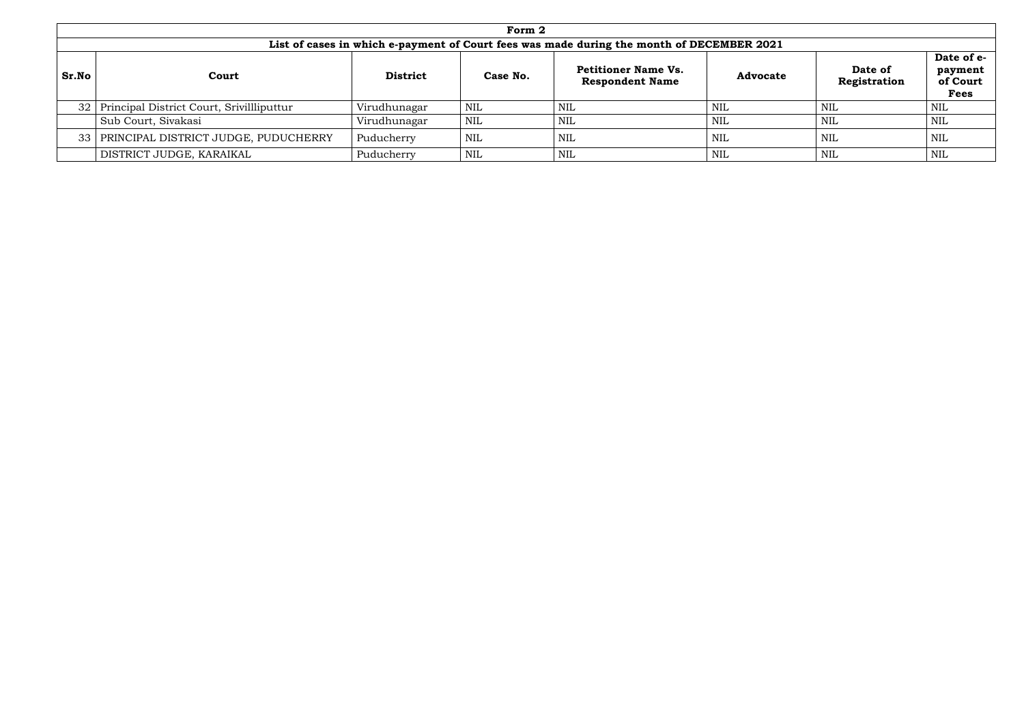|       | Form 2                                                                                    |                 |            |                                                      |                 |                         |                                                  |  |  |  |  |
|-------|-------------------------------------------------------------------------------------------|-----------------|------------|------------------------------------------------------|-----------------|-------------------------|--------------------------------------------------|--|--|--|--|
|       | List of cases in which e-payment of Court fees was made during the month of DECEMBER 2021 |                 |            |                                                      |                 |                         |                                                  |  |  |  |  |
| Sr.No | Court                                                                                     | <b>District</b> | Case No.   | <b>Petitioner Name Vs.</b><br><b>Respondent Name</b> | <b>Advocate</b> | Date of<br>Registration | Date of e-<br>payment<br>of Court<br><b>Fees</b> |  |  |  |  |
|       | 32   Principal District Court, Srivilliputtur                                             | Virudhunagar    | NIL        | NIL                                                  | NIL             | <b>NIL</b>              | <b>NIL</b>                                       |  |  |  |  |
|       | Sub Court, Sivakasi                                                                       | Virudhunagar    | <b>NIL</b> | NIL                                                  | NIL             | <b>NIL</b>              | NIL                                              |  |  |  |  |
|       | 33   PRINCIPAL DISTRICT JUDGE, PUDUCHERRY                                                 | Puducherry      | <b>NIL</b> | NIL                                                  | NIL             | <b>NIL</b>              | NIL                                              |  |  |  |  |
|       | DISTRICT JUDGE, KARAIKAL                                                                  | Puducherry      | <b>NIL</b> | NIL                                                  | NIL             | <b>NIL</b>              | NIL                                              |  |  |  |  |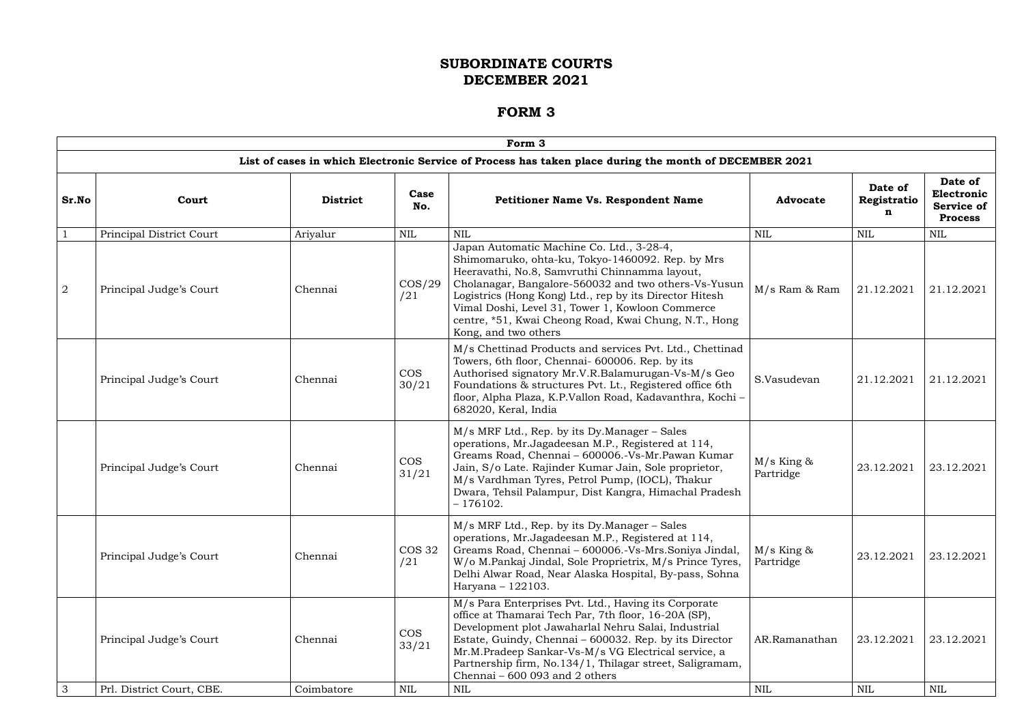|                | Form 3                    |                 |                      |                                                                                                                                                                                                                                                                                                                                                                                                        |                           |                             |                                                              |  |  |  |  |  |
|----------------|---------------------------|-----------------|----------------------|--------------------------------------------------------------------------------------------------------------------------------------------------------------------------------------------------------------------------------------------------------------------------------------------------------------------------------------------------------------------------------------------------------|---------------------------|-----------------------------|--------------------------------------------------------------|--|--|--|--|--|
|                |                           |                 |                      | List of cases in which Electronic Service of Process has taken place during the month of DECEMBER 2021                                                                                                                                                                                                                                                                                                 |                           |                             |                                                              |  |  |  |  |  |
| Sr.No          | Court                     | <b>District</b> | Case<br>No.          | <b>Petitioner Name Vs. Respondent Name</b>                                                                                                                                                                                                                                                                                                                                                             | <b>Advocate</b>           | Date of<br>Registratio<br>n | Date of<br>Electronic<br><b>Service of</b><br><b>Process</b> |  |  |  |  |  |
|                | Principal District Court  | Ariyalur        | <b>NIL</b>           | <b>NIL</b>                                                                                                                                                                                                                                                                                                                                                                                             | <b>NIL</b>                | <b>NIL</b>                  | <b>NIL</b>                                                   |  |  |  |  |  |
| $\overline{a}$ | Principal Judge's Court   | Chennai         | $\cos/29$<br>/21     | Japan Automatic Machine Co. Ltd., 3-28-4,<br>Shimomaruko, ohta-ku, Tokyo-1460092. Rep. by Mrs<br>Heeravathi, No.8, Samvruthi Chinnamma layout,<br>Cholanagar, Bangalore-560032 and two others-Vs-Yusun<br>Logistrics (Hong Kong) Ltd., rep by its Director Hitesh<br>Vimal Doshi, Level 31, Tower 1, Kowloon Commerce<br>centre, *51, Kwai Cheong Road, Kwai Chung, N.T., Hong<br>Kong, and two others | M/s Ram & Ram             | 21.12.2021                  | 21.12.2021                                                   |  |  |  |  |  |
|                | Principal Judge's Court   | Chennai         | <b>COS</b><br>30/21  | M/s Chettinad Products and services Pvt. Ltd., Chettinad<br>Towers, 6th floor, Chennai-600006. Rep. by its<br>Authorised signatory Mr.V.R.Balamurugan-Vs-M/s Geo<br>Foundations & structures Pvt. Lt., Registered office 6th<br>floor, Alpha Plaza, K.P.Vallon Road, Kadavanthra, Kochi -<br>682020, Keral, India                                                                                      | S.Vasudevan               | 21.12.2021                  | 21.12.2021                                                   |  |  |  |  |  |
|                | Principal Judge's Court   | Chennai         | <b>COS</b><br>31/21  | M/s MRF Ltd., Rep. by its Dy.Manager - Sales<br>operations, Mr.Jagadeesan M.P., Registered at 114,<br>Greams Road, Chennai - 600006.-Vs-Mr.Pawan Kumar<br>Jain, S/o Late. Rajinder Kumar Jain, Sole proprietor,<br>M/s Vardhman Tyres, Petrol Pump, (IOCL), Thakur<br>Dwara, Tehsil Palampur, Dist Kangra, Himachal Pradesh<br>$-176102.$                                                              | $M/s$ King &<br>Partridge | 23.12.2021                  | 23.12.2021                                                   |  |  |  |  |  |
|                | Principal Judge's Court   | Chennai         | <b>COS 32</b><br>/21 | M/s MRF Ltd., Rep. by its Dy.Manager – Sales<br>operations, Mr.Jagadeesan M.P., Registered at 114,<br>Greams Road, Chennai - 600006.-Vs-Mrs.Soniya Jindal,<br>W/o M.Pankaj Jindal, Sole Proprietrix, M/s Prince Tyres,<br>Delhi Alwar Road, Near Alaska Hospital, By-pass, Sohna<br>Haryana - 122103.                                                                                                  | $M/s$ King &<br>Partridge | 23.12.2021                  | 23.12.2021                                                   |  |  |  |  |  |
|                | Principal Judge's Court   | Chennai         | <b>COS</b><br>33/21  | M/s Para Enterprises Pvt. Ltd., Having its Corporate<br>office at Thamarai Tech Par, 7th floor, 16-20A (SP),<br>Development plot Jawaharlal Nehru Salai, Industrial<br>Estate, Guindy, Chennai – 600032. Rep. by its Director<br>Mr.M.Pradeep Sankar-Vs-M/s VG Electrical service, a<br>Partnership firm, No.134/1, Thilagar street, Saligramam,<br>Chennai - 600 093 and 2 others                     | AR.Ramanathan             | 23.12.2021                  | 23.12.2021                                                   |  |  |  |  |  |
| 3              | Prl. District Court, CBE. | Coimbatore      | NIL                  | NIL                                                                                                                                                                                                                                                                                                                                                                                                    | NIL                       | NIL                         | <b>NIL</b>                                                   |  |  |  |  |  |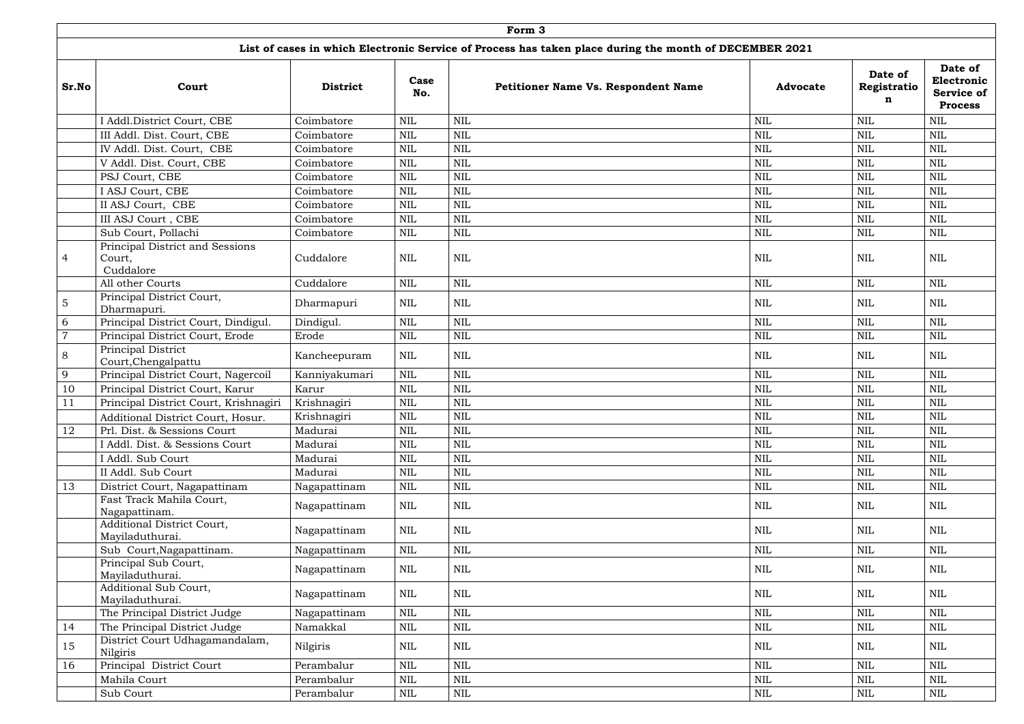|                | Form 3                                                 |                 |              |                                                                                                        |                 |                             |                                                       |  |  |  |  |
|----------------|--------------------------------------------------------|-----------------|--------------|--------------------------------------------------------------------------------------------------------|-----------------|-----------------------------|-------------------------------------------------------|--|--|--|--|
|                |                                                        |                 |              | List of cases in which Electronic Service of Process has taken place during the month of DECEMBER 2021 |                 |                             |                                                       |  |  |  |  |
| Sr.No          | Court                                                  | <b>District</b> | Case<br>No.  | <b>Petitioner Name Vs. Respondent Name</b>                                                             | <b>Advocate</b> | Date of<br>Registratio<br>n | Date of<br>Electronic<br>Service of<br><b>Process</b> |  |  |  |  |
|                | I Addl.District Court, CBE                             | Coimbatore      | $\mbox{NIL}$ | $\mbox{NIL}$                                                                                           | <b>NIL</b>      | <b>NIL</b>                  | <b>NIL</b>                                            |  |  |  |  |
|                | III Addl. Dist. Court, CBE                             | Coimbatore      | $\text{NIL}$ | NIL                                                                                                    | <b>NIL</b>      | <b>NIL</b>                  | <b>NIL</b>                                            |  |  |  |  |
|                | IV Addl. Dist. Court, CBE                              | Coimbatore      | $\mbox{NIL}$ | $\mbox{NIL}$                                                                                           | <b>NIL</b>      | <b>NIL</b>                  | <b>NIL</b>                                            |  |  |  |  |
|                | V Addl. Dist. Court, CBE                               | Coimbatore      | $\mbox{NIL}$ | $\mbox{NIL}$                                                                                           | $\mbox{NIL}$    | $\mbox{NIL}$                | <b>NIL</b>                                            |  |  |  |  |
|                | PSJ Court, CBE                                         | Coimbatore      | $\mbox{NIL}$ | $\mbox{NIL}$                                                                                           | <b>NIL</b>      | <b>NIL</b>                  | <b>NIL</b>                                            |  |  |  |  |
|                | I ASJ Court, CBE                                       | Coimbatore      | $\mbox{NIL}$ | $\mbox{NIL}$                                                                                           | <b>NIL</b>      | $\mbox{NIL}$                | <b>NIL</b>                                            |  |  |  |  |
|                | II ASJ Court, CBE                                      | Coimbatore      | <b>NIL</b>   | $\mbox{NIL}$                                                                                           | <b>NIL</b>      | <b>NIL</b>                  | <b>NIL</b>                                            |  |  |  |  |
|                | III ASJ Court, CBE                                     | Coimbatore      | <b>NIL</b>   | $\mbox{NIL}$                                                                                           | <b>NIL</b>      | $\mbox{NIL}$                | <b>NIL</b>                                            |  |  |  |  |
|                | Sub Court, Pollachi                                    | Coimbatore      | $\mbox{NIL}$ | $\mbox{NIL}$                                                                                           | <b>NIL</b>      | $\mbox{NIL}$                | <b>NIL</b>                                            |  |  |  |  |
| $\overline{4}$ | Principal District and Sessions<br>Court,<br>Cuddalore | Cuddalore       | NIL          | <b>NIL</b>                                                                                             | <b>NIL</b>      | <b>NIL</b>                  | <b>NIL</b>                                            |  |  |  |  |
|                | All other Courts                                       | Cuddalore       | $\mbox{NIL}$ | $\mbox{NIL}$                                                                                           | <b>NIL</b>      | $\mbox{NIL}$                | <b>NIL</b>                                            |  |  |  |  |
| $\overline{5}$ | Principal District Court,<br>Dharmapuri.               | Dharmapuri      | NIL          | <b>NIL</b>                                                                                             | <b>NIL</b>      | <b>NIL</b>                  | NIL                                                   |  |  |  |  |
| 6              | Principal District Court, Dindigul.                    | Dindigul.       | $\mbox{NIL}$ | $\mbox{NIL}$                                                                                           | <b>NIL</b>      | $\mbox{NIL}$                | $\mbox{NIL}$                                          |  |  |  |  |
| $\overline{7}$ | Principal District Court, Erode                        | Erode           | $\mbox{NIL}$ | <b>NIL</b>                                                                                             | <b>NIL</b>      | $\mbox{NIL}$                | <b>NIL</b>                                            |  |  |  |  |
| 8              | Principal District<br>Court, Chengalpattu              | Kancheepuram    | NIL          | <b>NIL</b>                                                                                             | NIL             | <b>NIL</b>                  | <b>NIL</b>                                            |  |  |  |  |
| 9              | Principal District Court, Nagercoil                    | Kanniyakumari   | $\mbox{NIL}$ | $\mbox{NIL}$                                                                                           | <b>NIL</b>      | $\mbox{NIL}$                | <b>NIL</b>                                            |  |  |  |  |
| 10             | Principal District Court, Karur                        | Karur           | NIL          | <b>NIL</b>                                                                                             | <b>NIL</b>      | <b>NIL</b>                  | <b>NIL</b>                                            |  |  |  |  |
| 11             | Principal District Court, Krishnagiri                  | Krishnagiri     | $\mbox{NIL}$ | <b>NIL</b>                                                                                             | <b>NIL</b>      | <b>NIL</b>                  | <b>NIL</b>                                            |  |  |  |  |
|                | Additional District Court, Hosur.                      | Krishnagiri     | $\mbox{NIL}$ | $\mbox{NIL}$                                                                                           | NIL             | $\mbox{NIL}$                | <b>NIL</b>                                            |  |  |  |  |
| 12             | Prl. Dist. & Sessions Court                            | Madurai         | $\mbox{NIL}$ | $\mbox{NIL}$                                                                                           | $\mbox{NIL}$    | $\mbox{NIL}$                | <b>NIL</b>                                            |  |  |  |  |
|                | I Addl. Dist. & Sessions Court                         | Madurai         | $\mbox{NIL}$ | NIL                                                                                                    | NIL             | $\mbox{NIL}$                | <b>NIL</b>                                            |  |  |  |  |
|                | I Addl. Sub Court                                      | Madurai         | $\mbox{NIL}$ | $\mbox{NIL}$                                                                                           | NIL             | <b>NIL</b>                  | <b>NIL</b>                                            |  |  |  |  |
|                | II Addl. Sub Court                                     | Madurai         | <b>NIL</b>   | $\mbox{NIL}$                                                                                           | <b>NIL</b>      | $\mbox{NIL}$                | <b>NIL</b>                                            |  |  |  |  |
| 13             | District Court, Nagapattinam                           | Nagapattinam    | $\mbox{NIL}$ | $\mbox{NIL}$                                                                                           | $\mbox{NIL}$    | $\mbox{NIL}$                | $\mbox{NIL}$                                          |  |  |  |  |
|                | Fast Track Mahila Court,<br>Nagapattinam.              | Nagapattinam    | NIL          | $\mbox{NIL}$                                                                                           | <b>NIL</b>      | NIL                         | <b>NIL</b>                                            |  |  |  |  |
|                | Additional District Court,<br>Mayiladuthurai.          | Nagapattinam    | $\rm NIL$    | <b>NIL</b>                                                                                             | NIL             | NIL                         | <b>NIL</b>                                            |  |  |  |  |
|                | Sub Court, Nagapattinam.                               | Nagapattinam    | $\mbox{NIL}$ | $\mbox{NIL}$                                                                                           | $\mbox{NIL}$    | $\mbox{NIL}$                | $\mbox{NIL}$                                          |  |  |  |  |
|                | Principal Sub Court,<br>Mayiladuthurai.                | Nagapattinam    | NIL          | $\mbox{NIL}$                                                                                           | NIL             | $\mbox{NIL}$                | <b>NIL</b>                                            |  |  |  |  |
|                | Additional Sub Court,<br>Mayiladuthurai.               | Nagapattinam    | <b>NIL</b>   | $\mbox{NIL}$                                                                                           | <b>NIL</b>      | <b>NIL</b>                  | $\mbox{NIL}$                                          |  |  |  |  |
|                | The Principal District Judge                           | Nagapattinam    | $\mbox{NIL}$ | $\mbox{NIL}$                                                                                           | <b>NIL</b>      | $\mbox{NIL}$                | <b>NIL</b>                                            |  |  |  |  |
| 14             | The Principal District Judge                           | Namakkal        | <b>NIL</b>   | $\mbox{NIL}$                                                                                           | $\mbox{NIL}$    | $\mbox{NIL}$                | <b>NIL</b>                                            |  |  |  |  |
| 15             | District Court Udhagamandalam,<br>Nilgiris             | Nilgiris        | NIL          | $\mbox{NIL}$                                                                                           | NIL             | $\mbox{NIL}$                | <b>NIL</b>                                            |  |  |  |  |
| 16             | Principal District Court                               | Perambalur      | $\mbox{NIL}$ | $\mbox{NIL}$                                                                                           | <b>NIL</b>      | $\mbox{NIL}$                | <b>NIL</b>                                            |  |  |  |  |
|                | Mahila Court                                           | Perambalur      | $\mbox{NIL}$ | $\mbox{NIL}$                                                                                           | $\mbox{NIL}$    | <b>NIL</b>                  | $\mbox{NIL}$                                          |  |  |  |  |
|                | Sub Court                                              | Perambalur      | NIL          | $\mbox{NIL}$                                                                                           | $\mbox{NIL}$    | $\mbox{NIL}$                | $\mbox{NIL}$                                          |  |  |  |  |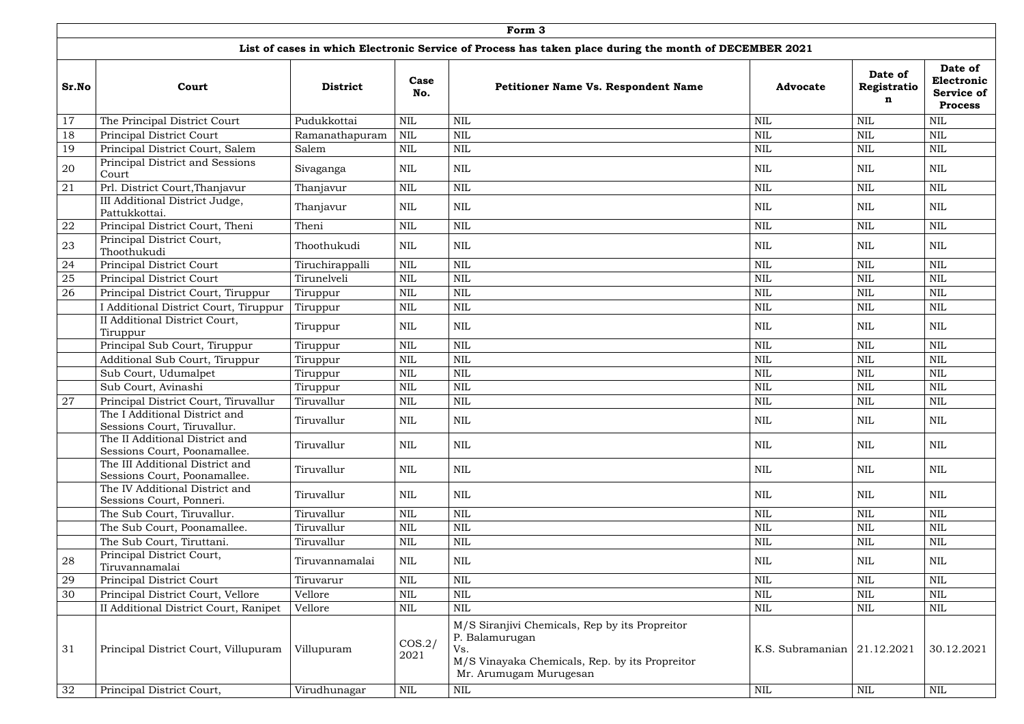|       | Form <sub>3</sub>                                               |                 |                |                                                                                                                                                     |                               |                             |                                                              |  |  |  |  |  |
|-------|-----------------------------------------------------------------|-----------------|----------------|-----------------------------------------------------------------------------------------------------------------------------------------------------|-------------------------------|-----------------------------|--------------------------------------------------------------|--|--|--|--|--|
|       |                                                                 |                 |                | List of cases in which Electronic Service of Process has taken place during the month of DECEMBER 2021                                              |                               |                             |                                                              |  |  |  |  |  |
| Sr.No | Court                                                           | <b>District</b> | Case<br>No.    | <b>Petitioner Name Vs. Respondent Name</b>                                                                                                          | <b>Advocate</b>               | Date of<br>Registratio<br>n | Date of<br>Electronic<br><b>Service of</b><br><b>Process</b> |  |  |  |  |  |
| 17    | The Principal District Court                                    | Pudukkottai     | <b>NIL</b>     | <b>NIL</b>                                                                                                                                          | <b>NIL</b>                    | <b>NIL</b>                  | <b>NIL</b>                                                   |  |  |  |  |  |
| 18    | Principal District Court                                        | Ramanathapuram  | $\mbox{NIL}$   | <b>NIL</b>                                                                                                                                          | <b>NIL</b>                    | $\mbox{NIL}$                | <b>NIL</b>                                                   |  |  |  |  |  |
| 19    | Principal District Court, Salem                                 | Salem           | <b>NIL</b>     | $\mbox{NIL}$                                                                                                                                        | $\mbox{NIL}$                  | <b>NIL</b>                  | <b>NIL</b>                                                   |  |  |  |  |  |
| 20    | Principal District and Sessions<br>Court                        | Sivaganga       | NIL            | $\mbox{NIL}$                                                                                                                                        | $\mbox{NIL}$                  | <b>NIL</b>                  | <b>NIL</b>                                                   |  |  |  |  |  |
| 21    | Prl. District Court, Thanjavur                                  | Thanjavur       | <b>NIL</b>     | <b>NIL</b>                                                                                                                                          | <b>NIL</b>                    | <b>NIL</b>                  | <b>NIL</b>                                                   |  |  |  |  |  |
|       | III Additional District Judge,<br>Pattukkottai.                 | Thanjavur       | <b>NIL</b>     | $\mbox{NIL}$                                                                                                                                        | $\mbox{NIL}$                  | NIL                         | <b>NIL</b>                                                   |  |  |  |  |  |
| 22    | Principal District Court, Theni                                 | Theni           | <b>NIL</b>     | <b>NIL</b>                                                                                                                                          | $\mbox{NIL}$                  | <b>NIL</b>                  | <b>NIL</b>                                                   |  |  |  |  |  |
| 23    | Principal District Court,<br>Thoothukudi                        | Thoothukudi     | <b>NIL</b>     | <b>NIL</b>                                                                                                                                          | <b>NIL</b>                    | NIL                         | NIL                                                          |  |  |  |  |  |
| 24    | Principal District Court                                        | Tiruchirappalli | $\mbox{NIL}$   | <b>NIL</b>                                                                                                                                          | <b>NIL</b>                    | <b>NIL</b>                  | <b>NIL</b>                                                   |  |  |  |  |  |
| 25    | Principal District Court                                        | Tirunelveli     | $\mbox{NIL}$   | <b>NIL</b>                                                                                                                                          | <b>NIL</b>                    | <b>NIL</b>                  | $\mbox{NIL}$                                                 |  |  |  |  |  |
| 26    | Principal District Court, Tiruppur                              | Tiruppur        | <b>NIL</b>     | $\mbox{NIL}$                                                                                                                                        | $\mbox{NIL}$                  | <b>NIL</b>                  | $\mbox{NIL}$                                                 |  |  |  |  |  |
|       | I Additional District Court, Tiruppur                           | Tiruppur        | $\mbox{NIL}$   | <b>NIL</b>                                                                                                                                          | <b>NIL</b>                    | $\mbox{NIL}$                | <b>NIL</b>                                                   |  |  |  |  |  |
|       | II Additional District Court,<br>Tiruppur                       | Tiruppur        | <b>NIL</b>     | $\mbox{NIL}$                                                                                                                                        | <b>NIL</b>                    | <b>NIL</b>                  | <b>NIL</b>                                                   |  |  |  |  |  |
|       | Principal Sub Court, Tiruppur                                   | Tiruppur        | <b>NIL</b>     | <b>NIL</b>                                                                                                                                          | <b>NIL</b>                    | <b>NIL</b>                  | <b>NIL</b>                                                   |  |  |  |  |  |
|       | Additional Sub Court, Tiruppur                                  | Tiruppur        | <b>NIL</b>     | <b>NIL</b>                                                                                                                                          | <b>NIL</b>                    | <b>NIL</b>                  | <b>NIL</b>                                                   |  |  |  |  |  |
|       | Sub Court, Udumalpet                                            | Tiruppur        | <b>NIL</b>     | <b>NIL</b>                                                                                                                                          | <b>NIL</b>                    | <b>NIL</b>                  | <b>NIL</b>                                                   |  |  |  |  |  |
|       | Sub Court, Avinashi                                             | Tiruppur        | <b>NIL</b>     | <b>NIL</b>                                                                                                                                          | <b>NIL</b>                    | <b>NIL</b>                  | <b>NIL</b>                                                   |  |  |  |  |  |
| 27    | Principal District Court, Tiruvallur                            | Tiruvallur      | NIL            | <b>NIL</b>                                                                                                                                          | <b>NIL</b>                    | NIL                         | $\text{NIL}$                                                 |  |  |  |  |  |
|       | The I Additional District and<br>Sessions Court, Tiruvallur.    | Tiruvallur      | NIL            | <b>NIL</b>                                                                                                                                          | $\mbox{NIL}$                  | <b>NIL</b>                  | NIL                                                          |  |  |  |  |  |
|       | The II Additional District and<br>Sessions Court, Poonamallee.  | Tiruvallur      | <b>NIL</b>     | <b>NIL</b>                                                                                                                                          | <b>NIL</b>                    | <b>NIL</b>                  | <b>NIL</b>                                                   |  |  |  |  |  |
|       | The III Additional District and<br>Sessions Court, Poonamallee. | Tiruvallur      | NIL            | $\mbox{NIL}$                                                                                                                                        | $\mbox{NIL}$                  | NIL                         | NIL                                                          |  |  |  |  |  |
|       | The IV Additional District and<br>Sessions Court, Ponneri.      | Tiruvallur      | NIL            | NIL                                                                                                                                                 | <b>NIL</b>                    | NIL                         | NIL                                                          |  |  |  |  |  |
|       | The Sub Court, Tiruvallur.                                      | Tiruvallur      | <b>NIL</b>     | $\mbox{NIL}$                                                                                                                                        | <b>NIL</b>                    | <b>NIL</b>                  | $\mbox{NIL}$                                                 |  |  |  |  |  |
|       | The Sub Court, Poonamallee.                                     | Tiruvallur      | $\mbox{NIL}$   | <b>NIL</b>                                                                                                                                          | <b>NIL</b>                    | <b>NIL</b>                  | <b>NIL</b>                                                   |  |  |  |  |  |
|       | The Sub Court, Tiruttani.                                       | Tiruvallur      | $\mbox{NIL}$   | <b>NIL</b>                                                                                                                                          | <b>NIL</b>                    | NIL                         | <b>NIL</b>                                                   |  |  |  |  |  |
| 28    | Principal District Court,<br>Tiruvannamalai                     | Tiruvannamalai  | <b>NIL</b>     | <b>NIL</b>                                                                                                                                          | <b>NIL</b>                    | NIL                         | NIL                                                          |  |  |  |  |  |
| 29    | Principal District Court                                        | Tiruvarur       | <b>NIL</b>     | <b>NIL</b>                                                                                                                                          | <b>NIL</b>                    | <b>NIL</b>                  | <b>NIL</b>                                                   |  |  |  |  |  |
| 30    | Principal District Court, Vellore                               | Vellore         | <b>NIL</b>     | $\mbox{NIL}$                                                                                                                                        | <b>NIL</b>                    | <b>NIL</b>                  | $\mbox{NIL}$                                                 |  |  |  |  |  |
|       | II Additional District Court, Ranipet                           | Vellore         | $\mbox{NIL}$   | <b>NIL</b>                                                                                                                                          | <b>NIL</b>                    | <b>NIL</b>                  | <b>NIL</b>                                                   |  |  |  |  |  |
| 31    | Principal District Court, Villupuram                            | Villupuram      | COS.2/<br>2021 | M/S Siranjivi Chemicals, Rep by its Propreitor<br>P. Balamurugan<br>Vs.<br>M/S Vinayaka Chemicals, Rep. by its Propreitor<br>Mr. Arumugam Murugesan | K.S. Subramanian $21.12.2021$ |                             | 30.12.2021                                                   |  |  |  |  |  |
| 32    | Principal District Court,                                       | Virudhunagar    | $\mbox{NIL}$   | $\mbox{NIL}$                                                                                                                                        | <b>NIL</b>                    | NIL                         | $\mbox{NIL}$                                                 |  |  |  |  |  |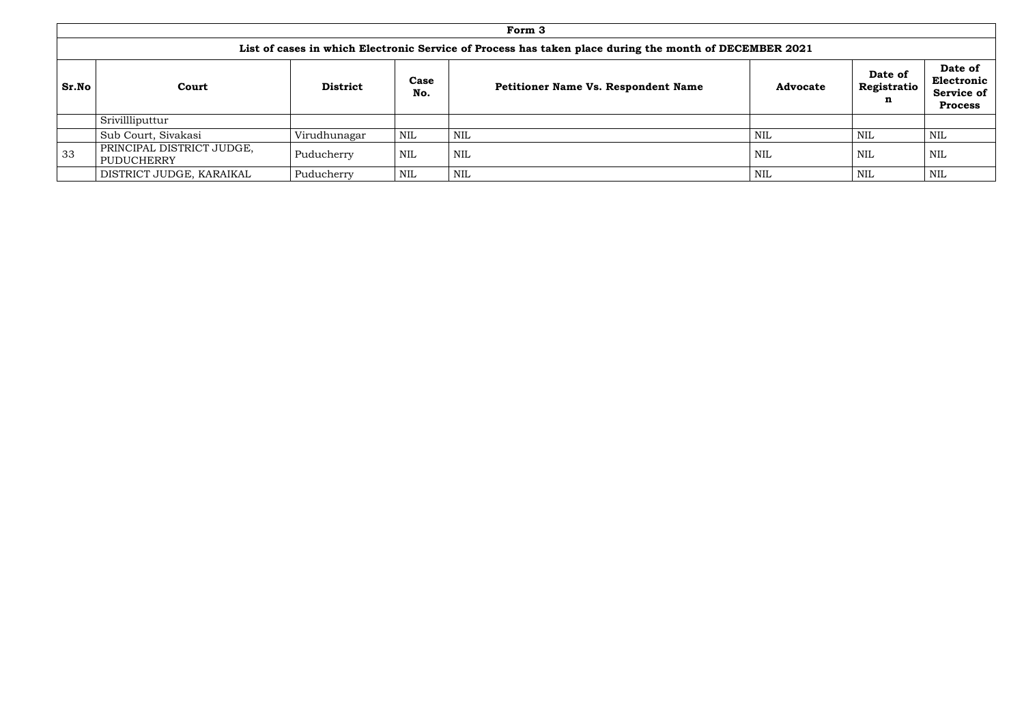|            | Form 3                                                                                                 |                 |             |                                            |                 |                                       |                                                              |  |  |  |  |  |  |
|------------|--------------------------------------------------------------------------------------------------------|-----------------|-------------|--------------------------------------------|-----------------|---------------------------------------|--------------------------------------------------------------|--|--|--|--|--|--|
|            | List of cases in which Electronic Service of Process has taken place during the month of DECEMBER 2021 |                 |             |                                            |                 |                                       |                                                              |  |  |  |  |  |  |
| Sr.No      | Court                                                                                                  | <b>District</b> | Case<br>No. | <b>Petitioner Name Vs. Respondent Name</b> | <b>Advocate</b> | Date of<br>Registratio<br>$\mathbf n$ | Date of<br>Electronic<br><b>Service of</b><br><b>Process</b> |  |  |  |  |  |  |
|            | Srivillliputtur                                                                                        |                 |             |                                            |                 |                                       |                                                              |  |  |  |  |  |  |
|            | Sub Court, Sivakasi                                                                                    | Virudhunagar    | NIL         | <b>NIL</b>                                 | <b>NIL</b>      | <b>NIL</b>                            | NIL                                                          |  |  |  |  |  |  |
| $\vert$ 33 | PRINCIPAL DISTRICT JUDGE,<br>PUDUCHERRY                                                                | Puducherry      | <b>NIL</b>  | NIL                                        | NIL             | <b>NIL</b>                            | NIL                                                          |  |  |  |  |  |  |
|            | DISTRICT JUDGE, KARAIKAL                                                                               | Puducherry      | <b>NIL</b>  | <b>NIL</b>                                 | <b>NIL</b>      | <b>NIL</b>                            | NIL                                                          |  |  |  |  |  |  |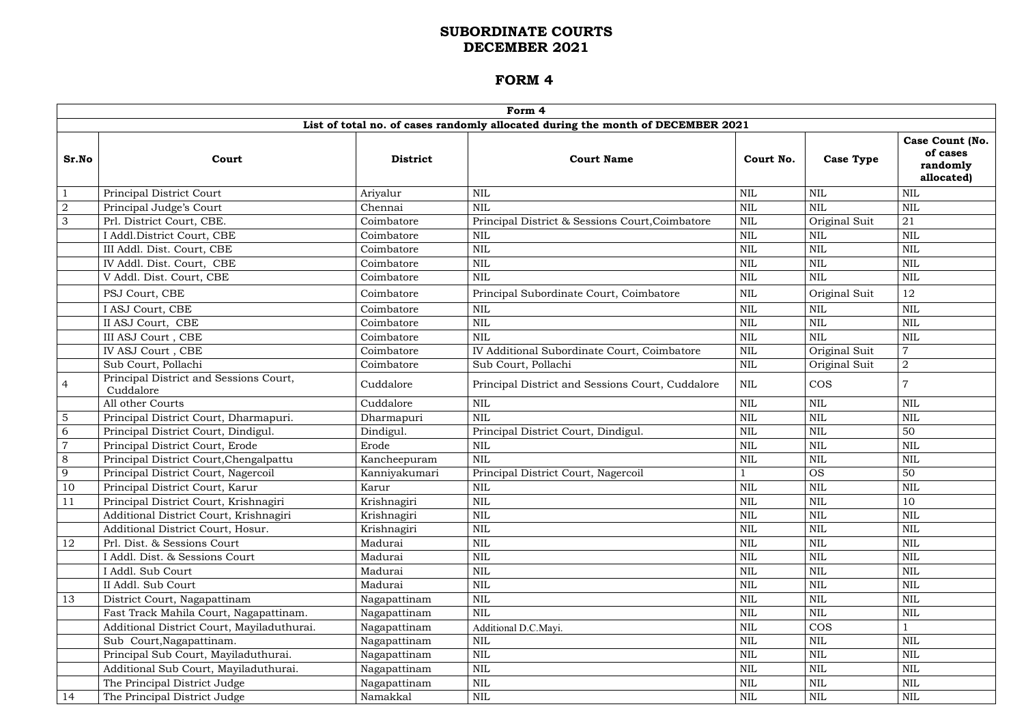|                | Form 4                                              |                 |                                                                                 |              |                  |                                                              |  |  |  |  |  |  |
|----------------|-----------------------------------------------------|-----------------|---------------------------------------------------------------------------------|--------------|------------------|--------------------------------------------------------------|--|--|--|--|--|--|
|                |                                                     |                 | List of total no. of cases randomly allocated during the month of DECEMBER 2021 |              |                  |                                                              |  |  |  |  |  |  |
| Sr.No          | Court                                               | <b>District</b> | <b>Court Name</b>                                                               | Court No.    | <b>Case Type</b> | <b>Case Count (No.</b><br>of cases<br>randomly<br>allocated) |  |  |  |  |  |  |
| $\mathbf{1}$   | Principal District Court                            | Ariyalur        | <b>NIL</b>                                                                      | $\mbox{NIL}$ | <b>NIL</b>       | $\mbox{NIL}$                                                 |  |  |  |  |  |  |
| $\overline{2}$ | Principal Judge's Court                             | Chennai         | <b>NIL</b>                                                                      | <b>NIL</b>   | <b>NIL</b>       | $\mbox{NIL}$                                                 |  |  |  |  |  |  |
| 3              | Prl. District Court, CBE.                           | Coimbatore      | Principal District & Sessions Court, Coimbatore                                 | $\mbox{NIL}$ | Original Suit    | 21                                                           |  |  |  |  |  |  |
|                | I Addl.District Court, CBE                          | Coimbatore      | NIL                                                                             | <b>NIL</b>   | NIL              | $\mbox{NIL}$                                                 |  |  |  |  |  |  |
|                | III Addl. Dist. Court, CBE                          | Coimbatore      | <b>NIL</b>                                                                      | <b>NIL</b>   | <b>NIL</b>       | <b>NIL</b>                                                   |  |  |  |  |  |  |
|                | IV Addl. Dist. Court, CBE                           | Coimbatore      | <b>NIL</b>                                                                      | <b>NIL</b>   | <b>NIL</b>       | <b>NIL</b>                                                   |  |  |  |  |  |  |
|                | V Addl. Dist. Court, CBE                            | Coimbatore      | <b>NIL</b>                                                                      | <b>NIL</b>   | NIL              | $\mbox{NIL}$                                                 |  |  |  |  |  |  |
|                | PSJ Court, CBE                                      | Coimbatore      | Principal Subordinate Court, Coimbatore                                         | <b>NIL</b>   | Original Suit    | 12                                                           |  |  |  |  |  |  |
|                | I ASJ Court, CBE                                    | Coimbatore      | <b>NIL</b>                                                                      | <b>NIL</b>   | <b>NIL</b>       | $\mbox{NIL}$                                                 |  |  |  |  |  |  |
|                | II ASJ Court, CBE                                   | Coimbatore      | $\mbox{NIL}$                                                                    | <b>NIL</b>   | <b>NIL</b>       | $\mbox{NIL}$                                                 |  |  |  |  |  |  |
|                | III ASJ Court, CBE                                  | Coimbatore      | <b>NIL</b>                                                                      | <b>NIL</b>   | <b>NIL</b>       | $\mbox{NIL}$                                                 |  |  |  |  |  |  |
|                | IV ASJ Court, CBE                                   | Coimbatore      | IV Additional Subordinate Court, Coimbatore                                     | $\text{NIL}$ | Original Suit    | $\overline{7}$                                               |  |  |  |  |  |  |
|                | Sub Court, Pollachi                                 | Coimbatore      | Sub Court, Pollachi                                                             | <b>NIL</b>   | Original Suit    | $\overline{2}$                                               |  |  |  |  |  |  |
| $\overline{4}$ | Principal District and Sessions Court,<br>Cuddalore | Cuddalore       | Principal District and Sessions Court, Cuddalore                                | <b>NIL</b>   | <b>COS</b>       |                                                              |  |  |  |  |  |  |
|                | All other Courts                                    | Cuddalore       | $\mbox{NIL}$                                                                    | <b>NIL</b>   | NIL              | <b>NIL</b>                                                   |  |  |  |  |  |  |
| $\overline{5}$ | Principal District Court, Dharmapuri.               | Dharmapuri      | <b>NIL</b>                                                                      | <b>NIL</b>   | <b>NIL</b>       | <b>NIL</b>                                                   |  |  |  |  |  |  |
| 6              | Principal District Court, Dindigul.                 | Dindigul.       | Principal District Court, Dindigul.                                             | <b>NIL</b>   | NIL              | 50                                                           |  |  |  |  |  |  |
| $\overline{7}$ | Principal District Court, Erode                     | Erode           | <b>NIL</b>                                                                      | <b>NIL</b>   | <b>NIL</b>       | NIL                                                          |  |  |  |  |  |  |
| 8              | Principal District Court, Chengalpattu              | Kancheepuram    | <b>NIL</b>                                                                      | <b>NIL</b>   | <b>NIL</b>       | <b>NIL</b>                                                   |  |  |  |  |  |  |
| 9              | Principal District Court, Nagercoil                 | Kanniyakumari   | Principal District Court, Nagercoil                                             |              | <b>OS</b>        | 50                                                           |  |  |  |  |  |  |
| 10             | Principal District Court, Karur                     | Karur           | NIL                                                                             | $\mbox{NIL}$ | $\mbox{NIL}$     | $\mbox{NIL}$                                                 |  |  |  |  |  |  |
| 11             | Principal District Court, Krishnagiri               | Krishnagiri     | $\mbox{NIL}$                                                                    | <b>NIL</b>   | <b>NIL</b>       | 10                                                           |  |  |  |  |  |  |
|                | Additional District Court, Krishnagiri              | Krishnagiri     | $\mbox{NIL}$                                                                    | $\mbox{NIL}$ | <b>NIL</b>       | $\mbox{NIL}$                                                 |  |  |  |  |  |  |
|                | Additional District Court, Hosur.                   | Krishnagiri     | NIL                                                                             | NIL          | NIL              | $\mbox{NIL}$                                                 |  |  |  |  |  |  |
| 12             | Prl. Dist. & Sessions Court                         | Madurai         | $\mbox{NIL}$                                                                    | <b>NIL</b>   | <b>NIL</b>       | $\mbox{NIL}$                                                 |  |  |  |  |  |  |
|                | I Addl. Dist. & Sessions Court                      | Madurai         | $\mbox{NIL}$                                                                    | $\mbox{NIL}$ | <b>NIL</b>       | $\mbox{NIL}$                                                 |  |  |  |  |  |  |
|                | I Addl. Sub Court                                   | Madurai         | $\mbox{NIL}$                                                                    | <b>NIL</b>   | NIL              | $\mbox{NIL}$                                                 |  |  |  |  |  |  |
|                | II Addl. Sub Court                                  | Madurai         | <b>NIL</b>                                                                      | <b>NIL</b>   | NIL              | <b>NIL</b>                                                   |  |  |  |  |  |  |
| 13             | District Court, Nagapattinam                        | Nagapattinam    | $\mbox{NIL}$                                                                    | $\mbox{NIL}$ | <b>NIL</b>       | $\mbox{NIL}$                                                 |  |  |  |  |  |  |
|                | Fast Track Mahila Court, Nagapattinam.              | Nagapattinam    | <b>NIL</b>                                                                      | $\mbox{NIL}$ | <b>NIL</b>       | $\mbox{NIL}$                                                 |  |  |  |  |  |  |
|                | Additional District Court, Mayiladuthurai.          | Nagapattinam    | Additional D.C.Mayi.                                                            | <b>NIL</b>   | <b>COS</b>       |                                                              |  |  |  |  |  |  |
|                | Sub Court, Nagapattinam.                            | Nagapattinam    | <b>NIL</b>                                                                      | $\mbox{NIL}$ | <b>NIL</b>       | <b>NIL</b>                                                   |  |  |  |  |  |  |
|                | Principal Sub Court, Mayiladuthurai.                | Nagapattinam    | $\mbox{NIL}$                                                                    | $\mbox{NIL}$ | <b>NIL</b>       | $\mbox{NIL}$                                                 |  |  |  |  |  |  |
|                | Additional Sub Court, Mayiladuthurai.               | Nagapattinam    | <b>NIL</b>                                                                      | NIL          | NIL              | $\mbox{NIL}$                                                 |  |  |  |  |  |  |
|                | The Principal District Judge                        | Nagapattinam    | NIL                                                                             | NIL          | NIL              | $\mbox{NIL}$                                                 |  |  |  |  |  |  |
| 14             | The Principal District Judge                        | Namakkal        | $\mbox{NIL}$                                                                    | $\mbox{NIL}$ | <b>NIL</b>       | $\mbox{NIL}$                                                 |  |  |  |  |  |  |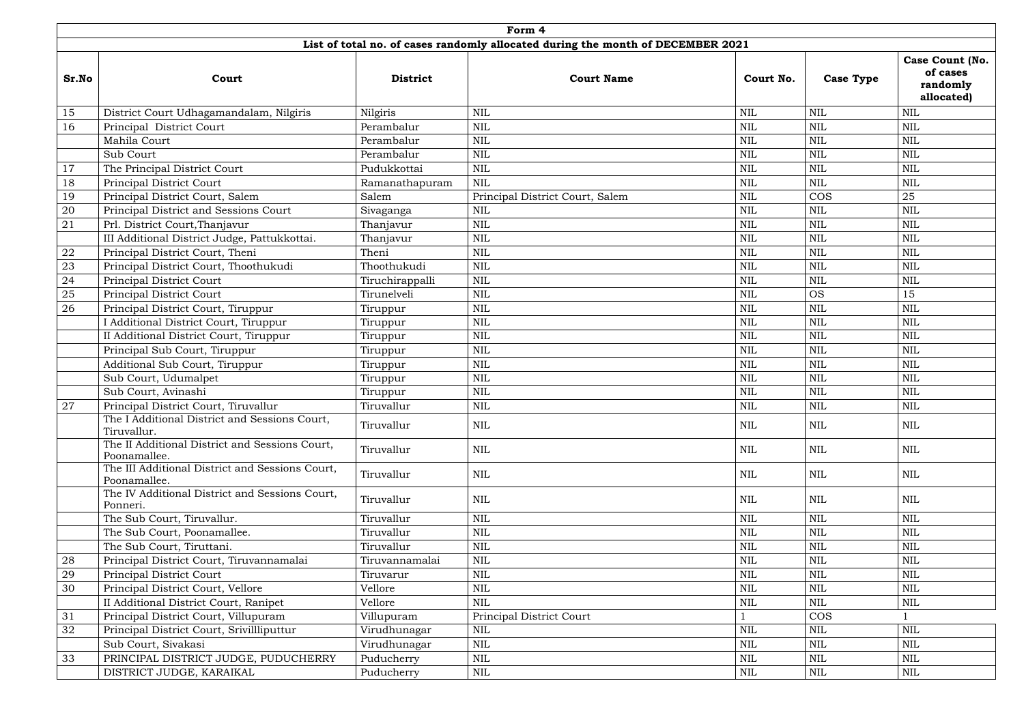|            | Form 4                                                          |                 |                                                                                 |              |                  |                                                       |  |  |  |  |  |  |  |
|------------|-----------------------------------------------------------------|-----------------|---------------------------------------------------------------------------------|--------------|------------------|-------------------------------------------------------|--|--|--|--|--|--|--|
|            |                                                                 |                 | List of total no. of cases randomly allocated during the month of DECEMBER 2021 |              |                  |                                                       |  |  |  |  |  |  |  |
| Sr.No      | Court                                                           | <b>District</b> | <b>Court Name</b>                                                               | Court No.    | <b>Case Type</b> | Case Count (No.<br>of cases<br>randomly<br>allocated) |  |  |  |  |  |  |  |
| 15         | District Court Udhagamandalam, Nilgiris                         | Nilgiris        | <b>NIL</b>                                                                      | <b>NIL</b>   | <b>NIL</b>       | <b>NIL</b>                                            |  |  |  |  |  |  |  |
| 16         | Principal District Court                                        | Perambalur      | $\mbox{NIL}$                                                                    | $\mbox{NIL}$ | <b>NIL</b>       | <b>NIL</b>                                            |  |  |  |  |  |  |  |
|            | Mahila Court                                                    | Perambalur      | $\mbox{NIL}$                                                                    | <b>NIL</b>   | <b>NIL</b>       | $\mbox{NIL}$                                          |  |  |  |  |  |  |  |
|            | Sub Court                                                       | Perambalur      | <b>NIL</b>                                                                      | $\mbox{NIL}$ | <b>NIL</b>       | $\mbox{NIL}$                                          |  |  |  |  |  |  |  |
| 17         | The Principal District Court                                    | Pudukkottai     | <b>NIL</b>                                                                      | NIL          | <b>NIL</b>       | $\mbox{NIL}$                                          |  |  |  |  |  |  |  |
| 18         | Principal District Court                                        | Ramanathapuram  | <b>NIL</b>                                                                      | <b>NIL</b>   | <b>NIL</b>       | <b>NIL</b>                                            |  |  |  |  |  |  |  |
| 19         | Principal District Court, Salem                                 | Salem           | Principal District Court, Salem                                                 | $\mbox{NIL}$ | <b>COS</b>       | 25                                                    |  |  |  |  |  |  |  |
| 20         | Principal District and Sessions Court                           | Sivaganga       | <b>NIL</b>                                                                      | <b>NIL</b>   | <b>NIL</b>       | $\mbox{NIL}$                                          |  |  |  |  |  |  |  |
| 21         | Prl. District Court, Thanjavur                                  | Thanjavur       | <b>NIL</b>                                                                      | <b>NIL</b>   | <b>NIL</b>       | <b>NIL</b>                                            |  |  |  |  |  |  |  |
|            | III Additional District Judge, Pattukkottai.                    | Thanjavur       | <b>NIL</b>                                                                      | NIL          | NIL              | <b>NIL</b>                                            |  |  |  |  |  |  |  |
| ${\bf 22}$ | Principal District Court, Theni                                 | Theni           | <b>NIL</b>                                                                      | $\mbox{NIL}$ | <b>NIL</b>       | <b>NIL</b>                                            |  |  |  |  |  |  |  |
| 23         | Principal District Court, Thoothukudi                           | Thoothukudi     | <b>NIL</b>                                                                      | <b>NIL</b>   | <b>NIL</b>       | <b>NIL</b>                                            |  |  |  |  |  |  |  |
| 24         | Principal District Court                                        | Tiruchirappalli | <b>NIL</b>                                                                      | $\mbox{NIL}$ | <b>NIL</b>       | <b>NIL</b>                                            |  |  |  |  |  |  |  |
| 25         | Principal District Court                                        | Tirunelveli     | <b>NIL</b>                                                                      | <b>NIL</b>   | <b>OS</b>        | 15                                                    |  |  |  |  |  |  |  |
| 26         | Principal District Court, Tiruppur                              | Tiruppur        | <b>NIL</b>                                                                      | <b>NIL</b>   | NIL              | <b>NIL</b>                                            |  |  |  |  |  |  |  |
|            | I Additional District Court, Tiruppur                           | Tiruppur        | <b>NIL</b>                                                                      | <b>NIL</b>   | <b>NIL</b>       | <b>NIL</b>                                            |  |  |  |  |  |  |  |
|            | II Additional District Court, Tiruppur                          | Tiruppur        | <b>NIL</b>                                                                      | <b>NIL</b>   | <b>NIL</b>       | <b>NIL</b>                                            |  |  |  |  |  |  |  |
|            | Principal Sub Court, Tiruppur                                   | Tiruppur        | $\mbox{NIL}$                                                                    | $\mbox{NIL}$ | <b>NIL</b>       | $\mbox{NIL}$                                          |  |  |  |  |  |  |  |
|            | Additional Sub Court, Tiruppur                                  | Tiruppur        | $\mbox{NIL}$                                                                    | <b>NIL</b>   | <b>NIL</b>       | <b>NIL</b>                                            |  |  |  |  |  |  |  |
|            | Sub Court, Udumalpet                                            | Tiruppur        | <b>NIL</b>                                                                      | <b>NIL</b>   | <b>NIL</b>       | <b>NIL</b>                                            |  |  |  |  |  |  |  |
|            | Sub Court, Avinashi                                             | Tiruppur        | <b>NIL</b>                                                                      | <b>NIL</b>   | <b>NIL</b>       | <b>NIL</b>                                            |  |  |  |  |  |  |  |
| 27         | Principal District Court, Tiruvallur                            | Tiruvallur      | <b>NIL</b>                                                                      | <b>NIL</b>   | <b>NIL</b>       | NIL                                                   |  |  |  |  |  |  |  |
|            | The I Additional District and Sessions Court,<br>Tiruvallur.    | Tiruvallur      | <b>NIL</b>                                                                      | $\mbox{NIL}$ | NIL              | NIL                                                   |  |  |  |  |  |  |  |
|            | The II Additional District and Sessions Court,<br>Poonamallee.  | Tiruvallur      | <b>NIL</b>                                                                      | <b>NIL</b>   | NIL              | NIL                                                   |  |  |  |  |  |  |  |
|            | The III Additional District and Sessions Court,<br>Poonamallee. | Tiruvallur      | <b>NIL</b>                                                                      | NIL          | <b>NIL</b>       | NIL                                                   |  |  |  |  |  |  |  |
|            | The IV Additional District and Sessions Court,<br>Ponneri.      | Tiruvallur      | <b>NIL</b>                                                                      | NIL          | NIL              | NIL                                                   |  |  |  |  |  |  |  |
|            | The Sub Court, Tiruvallur.                                      | Tiruvallur      | <b>NIL</b>                                                                      | <b>NIL</b>   | <b>NIL</b>       | <b>NIL</b>                                            |  |  |  |  |  |  |  |
|            | The Sub Court, Poonamallee.                                     | Tiruvallur      | <b>NIL</b>                                                                      | <b>NIL</b>   | <b>NIL</b>       | NIL                                                   |  |  |  |  |  |  |  |
|            | The Sub Court, Tiruttani.                                       | Tiruvallur      | <b>NIL</b>                                                                      | <b>NIL</b>   | <b>NIL</b>       | <b>NIL</b>                                            |  |  |  |  |  |  |  |
| 28         | Principal District Court, Tiruvannamalai                        | Tiruvannamalai  | <b>NIL</b>                                                                      | NIL          | NIL              | NIL                                                   |  |  |  |  |  |  |  |
| 29         | Principal District Court                                        | Tiruvarur       | NIL                                                                             | $\mbox{NIL}$ | NIL              | <b>NIL</b>                                            |  |  |  |  |  |  |  |
| 30         | Principal District Court, Vellore                               | Vellore         | $\mbox{NIL}$                                                                    | <b>NIL</b>   | <b>NIL</b>       | <b>NIL</b>                                            |  |  |  |  |  |  |  |
|            | II Additional District Court, Ranipet                           | Vellore         | <b>NIL</b>                                                                      | <b>NIL</b>   | <b>NIL</b>       | <b>NIL</b>                                            |  |  |  |  |  |  |  |
| 31         | Principal District Court, Villupuram                            | Villupuram      | <b>Principal District Court</b>                                                 |              | <b>COS</b>       |                                                       |  |  |  |  |  |  |  |
| 32         | Principal District Court, Srivillliputtur                       | Virudhunagar    | <b>NIL</b>                                                                      | <b>NIL</b>   | <b>NIL</b>       | NIL                                                   |  |  |  |  |  |  |  |
|            | Sub Court, Sivakasi                                             | Virudhunagar    | $\mbox{NIL}$                                                                    | <b>NIL</b>   | <b>NIL</b>       | <b>NIL</b>                                            |  |  |  |  |  |  |  |
| 33         | PRINCIPAL DISTRICT JUDGE, PUDUCHERRY                            | Puducherry      | NIL                                                                             | <b>NIL</b>   | NIL              | NIL                                                   |  |  |  |  |  |  |  |
|            | DISTRICT JUDGE, KARAIKAL                                        | Puducherry      | NIL                                                                             | NIL          | NIL              | NIL                                                   |  |  |  |  |  |  |  |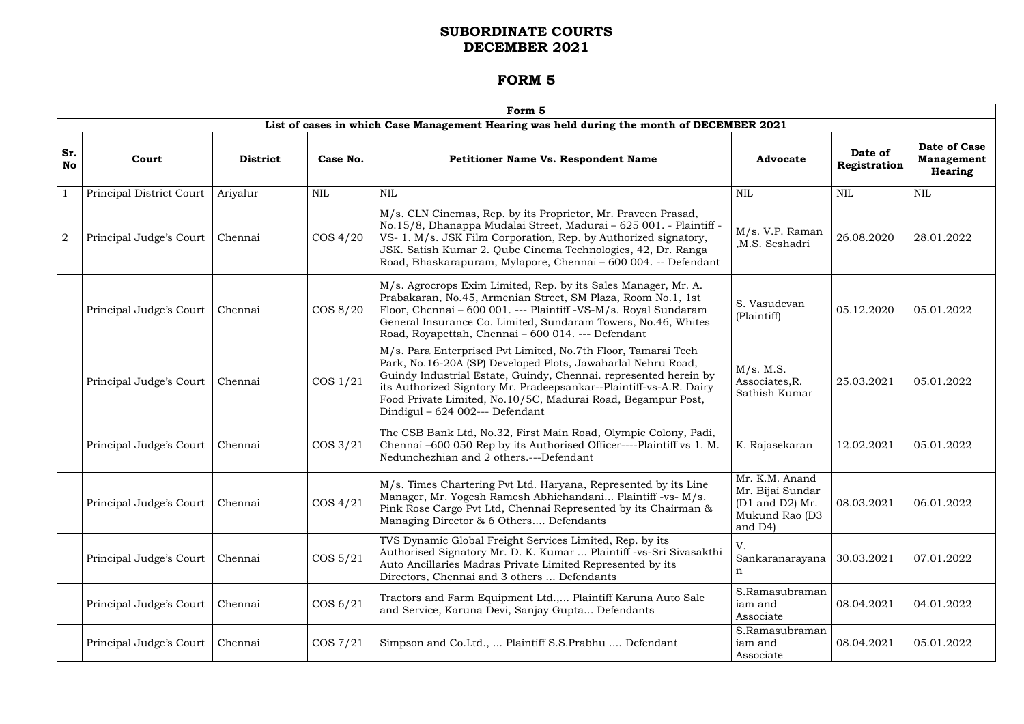|                  | Form 5                   |                 |             |                                                                                                                                                                                                                                                                                                                                                                            |                                                                                    |                         |                                                            |  |  |  |  |  |
|------------------|--------------------------|-----------------|-------------|----------------------------------------------------------------------------------------------------------------------------------------------------------------------------------------------------------------------------------------------------------------------------------------------------------------------------------------------------------------------------|------------------------------------------------------------------------------------|-------------------------|------------------------------------------------------------|--|--|--|--|--|
|                  |                          |                 |             | List of cases in which Case Management Hearing was held during the month of DECEMBER 2021                                                                                                                                                                                                                                                                                  |                                                                                    |                         |                                                            |  |  |  |  |  |
| Sr.<br><b>No</b> | Court                    | <b>District</b> | Case No.    | <b>Petitioner Name Vs. Respondent Name</b>                                                                                                                                                                                                                                                                                                                                 | <b>Advocate</b>                                                                    | Date of<br>Registration | <b>Date of Case</b><br><b>Management</b><br><b>Hearing</b> |  |  |  |  |  |
|                  | Principal District Court | Ariyalur        | <b>NIL</b>  | <b>NIL</b>                                                                                                                                                                                                                                                                                                                                                                 | <b>NIL</b>                                                                         | <b>NIL</b>              | <b>NIL</b>                                                 |  |  |  |  |  |
| $\overline{2}$   | Principal Judge's Court  | Chennai         | $\cos 4/20$ | M/s. CLN Cinemas, Rep. by its Proprietor, Mr. Praveen Prasad,<br>No.15/8, Dhanappa Mudalai Street, Madurai - 625 001. - Plaintiff -<br>VS- 1. M/s. JSK Film Corporation, Rep. by Authorized signatory,<br>JSK. Satish Kumar 2. Qube Cinema Technologies, 42, Dr. Ranga<br>Road, Bhaskarapuram, Mylapore, Chennai - 600 004. -- Defendant                                   | M/s. V.P. Raman<br>M.S. Seshadri                                                   | 26.08.2020              | 28.01.2022                                                 |  |  |  |  |  |
|                  | Principal Judge's Court  | Chennai         | $\cos 8/20$ | M/s. Agrocrops Exim Limited, Rep. by its Sales Manager, Mr. A.<br>Prabakaran, No.45, Armenian Street, SM Plaza, Room No.1, 1st<br>Floor, Chennai - 600 001. --- Plaintiff -VS-M/s. Royal Sundaram<br>General Insurance Co. Limited, Sundaram Towers, No.46, Whites<br>Road, Royapettah, Chennai - 600 014. --- Defendant                                                   | S. Vasudevan<br>(Plaintiff)                                                        | 05.12.2020              | 05.01.2022                                                 |  |  |  |  |  |
|                  | Principal Judge's Court  | Chennai         | $\cos 1/21$ | M/s. Para Enterprised Pvt Limited, No.7th Floor, Tamarai Tech<br>Park, No.16-20A (SP) Developed Plots, Jawaharlal Nehru Road,<br>Guindy Industrial Estate, Guindy, Chennai. represented herein by<br>its Authorized Signtory Mr. Pradeepsankar--Plaintiff-vs-A.R. Dairy<br>Food Private Limited, No.10/5C, Madurai Road, Begampur Post,<br>Dindigul – 624 002--- Defendant | M/s. M.S.<br>Associates, R.<br>Sathish Kumar                                       | 25.03.2021              | 05.01.2022                                                 |  |  |  |  |  |
|                  | Principal Judge's Court  | Chennai         | $\cos 3/21$ | The CSB Bank Ltd, No.32, First Main Road, Olympic Colony, Padi,<br>Chennai -600 050 Rep by its Authorised Officer----Plaintiff vs 1. M.<br>Nedunchezhian and 2 others.---Defendant                                                                                                                                                                                         | K. Rajasekaran                                                                     | 12.02.2021              | 05.01.2022                                                 |  |  |  |  |  |
|                  | Principal Judge's Court  | Chennai         | $\cos 4/21$ | M/s. Times Chartering Pvt Ltd. Haryana, Represented by its Line<br>Manager, Mr. Yogesh Ramesh Abhichandani Plaintiff -vs- M/s.<br>Pink Rose Cargo Pvt Ltd, Chennai Represented by its Chairman &<br>Managing Director & 6 Others Defendants                                                                                                                                | Mr. K.M. Anand<br>Mr. Bijai Sundar<br>(D1 and D2) Mr.<br>Mukund Rao (D3<br>and D4) | 08.03.2021              | 06.01.2022                                                 |  |  |  |  |  |
|                  | Principal Judge's Court  | Chennai         | $\cos 5/21$ | TVS Dynamic Global Freight Services Limited, Rep. by its<br>Authorised Signatory Mr. D. K. Kumar  Plaintiff -vs-Sri Sivasakthi<br>Auto Ancillaries Madras Private Limited Represented by its<br>Directors, Chennai and 3 others  Defendants                                                                                                                                | V.<br>Sankaranarayana<br>n                                                         | 30.03.2021              | 07.01.2022                                                 |  |  |  |  |  |
|                  | Principal Judge's Court  | Chennai         | COS 6/21    | Tractors and Farm Equipment Ltd., Plaintiff Karuna Auto Sale<br>and Service, Karuna Devi, Sanjay Gupta Defendants                                                                                                                                                                                                                                                          | S.Ramasubraman<br>iam and<br>Associate                                             | 08.04.2021              | 04.01.2022                                                 |  |  |  |  |  |
|                  | Principal Judge's Court  | Chennai         | $\cos 7/21$ | Simpson and Co.Ltd.,  Plaintiff S.S.Prabhu  Defendant                                                                                                                                                                                                                                                                                                                      | S.Ramasubraman<br>iam and<br>Associate                                             | 08.04.2021              | 05.01.2022                                                 |  |  |  |  |  |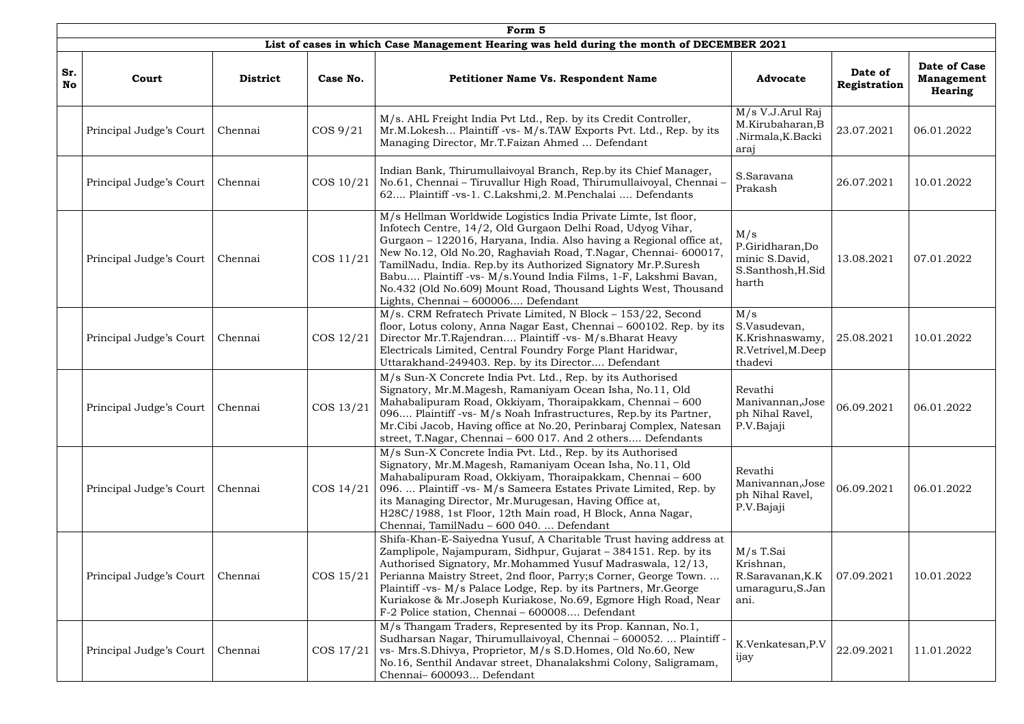|                  | Form 5                            |                 |              |                                                                                                                                                                                                                                                                                                                                                                                                                                                                                                                     |                                                                         |                         |                                                     |  |  |  |  |  |
|------------------|-----------------------------------|-----------------|--------------|---------------------------------------------------------------------------------------------------------------------------------------------------------------------------------------------------------------------------------------------------------------------------------------------------------------------------------------------------------------------------------------------------------------------------------------------------------------------------------------------------------------------|-------------------------------------------------------------------------|-------------------------|-----------------------------------------------------|--|--|--|--|--|
|                  |                                   |                 |              | List of cases in which Case Management Hearing was held during the month of DECEMBER 2021                                                                                                                                                                                                                                                                                                                                                                                                                           |                                                                         |                         |                                                     |  |  |  |  |  |
| Sr.<br><b>No</b> | Court                             | <b>District</b> | Case No.     | Petitioner Name Vs. Respondent Name                                                                                                                                                                                                                                                                                                                                                                                                                                                                                 | <b>Advocate</b>                                                         | Date of<br>Registration | <b>Date of Case</b><br><b>Management</b><br>Hearing |  |  |  |  |  |
|                  | Principal Judge's Court           | Chennai         | $\cos 9/21$  | M/s. AHL Freight India Pvt Ltd., Rep. by its Credit Controller,<br>Mr.M.Lokesh Plaintiff -vs- M/s.TAW Exports Pvt. Ltd., Rep. by its<br>Managing Director, Mr.T.Faizan Ahmed  Defendant                                                                                                                                                                                                                                                                                                                             | M/s V.J.Arul Raj<br>M.Kirubaharan, B<br>Nirmala, K. Backi.<br>araj      | 23.07.2021              | 06.01.2022                                          |  |  |  |  |  |
|                  | Principal Judge's Court           | Chennai         | COS 10/21    | Indian Bank, Thirumullaivoyal Branch, Rep.by its Chief Manager,<br>No.61, Chennai - Tiruvallur High Road, Thirumullaivoyal, Chennai -<br>62 Plaintiff-vs-1. C.Lakshmi, 2. M.Penchalai  Defendants                                                                                                                                                                                                                                                                                                                   | S.Saravana<br>Prakash                                                   | 26.07.2021              | 10.01.2022                                          |  |  |  |  |  |
|                  | Principal Judge's Court           | Chennai         | COS 11/21    | M/s Hellman Worldwide Logistics India Private Limte, Ist floor,<br>Infotech Centre, 14/2, Old Gurgaon Delhi Road, Udyog Vihar,<br>Gurgaon - 122016, Haryana, India. Also having a Regional office at,<br>New No.12, Old No.20, Raghaviah Road, T.Nagar, Chennai-600017,<br>TamilNadu, India. Rep.by its Authorized Signatory Mr.P.Suresh<br>Babu Plaintiff -vs- M/s. Yound India Films, 1-F, Lakshmi Bavan,<br>No.432 (Old No.609) Mount Road, Thousand Lights West, Thousand<br>Lights, Chennai - 600006 Defendant | M/s<br>P.Giridharan,Do<br>minic S.David,<br>S.Santhosh, H.Sid<br>harth  | 13.08.2021              | 07.01.2022                                          |  |  |  |  |  |
|                  | Principal Judge's Court           | Chennai         | $\cos 12/21$ | M/s. CRM Refratech Private Limited, N Block - 153/22, Second<br>floor, Lotus colony, Anna Nagar East, Chennai - 600102. Rep. by its<br>Director Mr.T.Rajendran Plaintiff -vs- M/s.Bharat Heavy<br>Electricals Limited, Central Foundry Forge Plant Haridwar,<br>Uttarakhand-249403. Rep. by its Director Defendant                                                                                                                                                                                                  | M/s<br>S.Vasudevan,<br>K.Krishnaswamy,<br>R.Vetrivel, M.Deep<br>thadevi | 25.08.2021              | 10.01.2022                                          |  |  |  |  |  |
|                  | Principal Judge's Court   Chennai |                 | COS 13/21    | M/s Sun-X Concrete India Pvt. Ltd., Rep. by its Authorised<br>Signatory, Mr.M.Magesh, Ramaniyam Ocean Isha, No.11, Old<br>Mahabalipuram Road, Okkiyam, Thoraipakkam, Chennai - 600<br>096 Plaintiff -vs- M/s Noah Infrastructures, Rep.by its Partner,<br>Mr.Cibi Jacob, Having office at No.20, Perinbaraj Complex, Natesan<br>street, T.Nagar, Chennai - 600 017. And 2 others Defendants                                                                                                                         | Revathi<br>Manivannan,Jose<br>ph Nihal Ravel,<br>P.V.Bajaji             | 06.09.2021              | 06.01.2022                                          |  |  |  |  |  |
|                  | Principal Judge's Court           | Chennai         | COS 14/21    | M/s Sun-X Concrete India Pvt. Ltd., Rep. by its Authorised<br>Signatory, Mr.M.Magesh, Ramaniyam Ocean Isha, No.11, Old<br>Mahabalipuram Road, Okkiyam, Thoraipakkam, Chennai - 600<br>096.  Plaintiff -vs- M/s Sameera Estates Private Limited, Rep. by<br>its Managing Director, Mr.Murugesan, Having Office at,<br>H28C/1988, 1st Floor, 12th Main road, H Block, Anna Nagar,<br>Chennai, TamilNadu - 600 040.  Defendant                                                                                         | Revathi<br>Manivannan, Jose<br>ph Nihal Ravel,<br>P.V.Bajaji            | 06.09.2021              | 06.01.2022                                          |  |  |  |  |  |
|                  | Principal Judge's Court           | Chennai         | COS 15/21    | Shifa-Khan-E-Saiyedna Yusuf, A Charitable Trust having address at<br>Zamplipole, Najampuram, Sidhpur, Gujarat - 384151. Rep. by its<br>Authorised Signatory, Mr. Mohammed Yusuf Madraswala, 12/13,<br>Perianna Maistry Street, 2nd floor, Parry; sCorner, George Town.<br>Plaintiff -vs- M/s Palace Lodge, Rep. by its Partners, Mr. George<br>Kuriakose & Mr.Joseph Kuriakose, No.69, Egmore High Road, Near<br>F-2 Police station, Chennai - 600008 Defendant                                                     | M/s T.Sai<br>Krishnan,<br>R.Saravanan, K.K<br>umaraguru, S.Jan<br>ani.  | 07.09.2021              | 10.01.2022                                          |  |  |  |  |  |
|                  | Principal Judge's Court           | Chennai         | COS 17/21    | M/s Thangam Traders, Represented by its Prop. Kannan, No.1,<br>Sudharsan Nagar, Thirumullaivoyal, Chennai - 600052.  Plaintiff<br>vs- Mrs.S.Dhivya, Proprietor, M/s S.D.Homes, Old No.60, New<br>No.16, Senthil Andavar street, Dhanalakshmi Colony, Saligramam,<br>Chennai-600093 Defendant                                                                                                                                                                                                                        | K.Venkatesan, P.V<br>ijay                                               | 22.09.2021              | 11.01.2022                                          |  |  |  |  |  |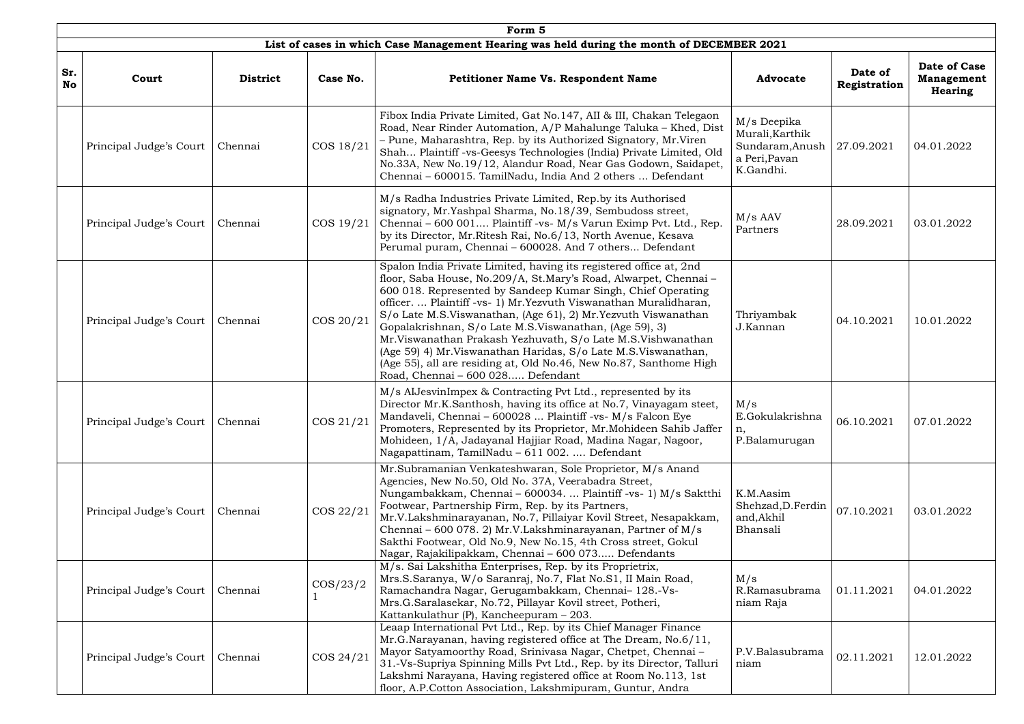|                  | Form 5                  |                 |             |                                                                                                                                                                                                                                                                                                                                                                                                                                                                                                                                                                                                                                                       |                                                                                 |                         |                                                     |  |  |  |  |
|------------------|-------------------------|-----------------|-------------|-------------------------------------------------------------------------------------------------------------------------------------------------------------------------------------------------------------------------------------------------------------------------------------------------------------------------------------------------------------------------------------------------------------------------------------------------------------------------------------------------------------------------------------------------------------------------------------------------------------------------------------------------------|---------------------------------------------------------------------------------|-------------------------|-----------------------------------------------------|--|--|--|--|
|                  |                         |                 |             | List of cases in which Case Management Hearing was held during the month of DECEMBER 2021                                                                                                                                                                                                                                                                                                                                                                                                                                                                                                                                                             |                                                                                 |                         |                                                     |  |  |  |  |
| Sr.<br><b>No</b> | Court                   | <b>District</b> | Case No.    | Petitioner Name Vs. Respondent Name                                                                                                                                                                                                                                                                                                                                                                                                                                                                                                                                                                                                                   | <b>Advocate</b>                                                                 | Date of<br>Registration | Date of Case<br><b>Management</b><br><b>Hearing</b> |  |  |  |  |
|                  | Principal Judge's Court | Chennai         | COS 18/21   | Fibox India Private Limited, Gat No.147, AII & III, Chakan Telegaon<br>Road, Near Rinder Automation, A/P Mahalunge Taluka - Khed, Dist<br>– Pune, Maharashtra, Rep. by its Authorized Signatory, Mr.Viren<br>Shah Plaintiff -vs-Geesys Technologies (India) Private Limited, Old<br>No.33A, New No.19/12, Alandur Road, Near Gas Godown, Saidapet,<br>Chennai - 600015. TamilNadu, India And 2 others  Defendant                                                                                                                                                                                                                                      | M/s Deepika<br>Murali, Karthik<br>Sundaram, Anush<br>a Peri, Pavan<br>K.Gandhi. | 27.09.2021              | 04.01.2022                                          |  |  |  |  |
|                  | Principal Judge's Court | Chennai         | COS 19/21   | M/s Radha Industries Private Limited, Rep.by its Authorised<br>signatory, Mr.Yashpal Sharma, No.18/39, Sembudoss street,<br>Chennai - 600 001 Plaintiff -vs- M/s Varun Eximp Pvt. Ltd., Rep.<br>by its Director, Mr.Ritesh Rai, No.6/13, North Avenue, Kesava<br>Perumal puram, Chennai - 600028. And 7 others Defendant                                                                                                                                                                                                                                                                                                                              | $M/s$ AAV<br>Partners                                                           | 28.09.2021              | 03.01.2022                                          |  |  |  |  |
|                  | Principal Judge's Court | Chennai         | COS 20/21   | Spalon India Private Limited, having its registered office at, 2nd<br>floor, Saba House, No.209/A, St.Mary's Road, Alwarpet, Chennai -<br>600 018. Represented by Sandeep Kumar Singh, Chief Operating<br>officer.  Plaintiff -vs- 1) Mr. Yezvuth Viswanathan Muralidharan,<br>S/o Late M.S.Viswanathan, (Age 61), 2) Mr.Yezvuth Viswanathan<br>Gopalakrishnan, S/o Late M.S.Viswanathan, (Age 59), 3)<br>Mr. Viswanathan Prakash Yezhuvath, S/o Late M.S. Vishwanathan<br>(Age 59) 4) Mr. Viswanathan Haridas, S/o Late M.S. Viswanathan,<br>(Age 55), all are residing at, Old No.46, New No.87, Santhome High<br>Road, Chennai - 600 028 Defendant | Thriyambak<br>J.Kannan                                                          | 04.10.2021              | 10.01.2022                                          |  |  |  |  |
|                  | Principal Judge's Court | Chennai         | COS 21/21   | M/s AlJesvinImpex & Contracting Pvt Ltd., represented by its<br>Director Mr.K.Santhosh, having its office at No.7, Vinayagam steet,<br>Mandaveli, Chennai - 600028  Plaintiff -vs- M/s Falcon Eye<br>Promoters, Represented by its Proprietor, Mr. Mohideen Sahib Jaffer<br>Mohideen, 1/A, Jadayanal Hajjiar Road, Madina Nagar, Nagoor,<br>Nagapattinam, TamilNadu – 611 002.  Defendant                                                                                                                                                                                                                                                             | M/s<br>E.Gokulakrishna<br>n,<br>P.Balamurugan                                   | 06.10.2021              | 07.01.2022                                          |  |  |  |  |
|                  | Principal Judge's Court | Chennai         | COS 22/21   | Mr.Subramanian Venkateshwaran, Sole Proprietor, M/s Anand<br>Agencies, New No.50, Old No. 37A, Veerabadra Street,<br>Nungambakkam, Chennai – 600034.  Plaintiff -vs- 1) M/s Saktthi<br>Footwear, Partnership Firm, Rep. by its Partners,<br>Mr.V.Lakshminarayanan, No.7, Pillaiyar Kovil Street, Nesapakkam,<br>Chennai - 600 078. 2) Mr.V.Lakshminarayanan, Partner of M/s<br>Sakthi Footwear, Old No.9, New No.15, 4th Cross street, Gokul<br>Nagar, Rajakilipakkam, Chennai - 600 073 Defendants                                                                                                                                                   | K.M.Aasim<br>Shehzad, D. Ferdin<br>and, Akhil<br>Bhansali                       | 07.10.2021              | 03.01.2022                                          |  |  |  |  |
|                  | Principal Judge's Court | Chennai         | $\cos/23/2$ | M/s. Sai Lakshitha Enterprises, Rep. by its Proprietrix,<br>Mrs.S.Saranya, W/o Saranraj, No.7, Flat No.S1, II Main Road,<br>Ramachandra Nagar, Gerugambakkam, Chennai- 128.-Vs-<br>Mrs.G.Saralasekar, No.72, Pillayar Kovil street, Potheri,<br>Kattankulathur $(P)$ , Kancheepuram $-203$ .                                                                                                                                                                                                                                                                                                                                                          | M/s<br>R.Ramasubrama<br>niam Raja                                               | 01.11.2021              | 04.01.2022                                          |  |  |  |  |
|                  | Principal Judge's Court | Chennai         | COS 24/21   | Leaap International Pvt Ltd., Rep. by its Chief Manager Finance<br>Mr.G.Narayanan, having registered office at The Dream, No.6/11,<br>Mayor Satyamoorthy Road, Srinivasa Nagar, Chetpet, Chennai -<br>31.-Vs-Supriya Spinning Mills Pvt Ltd., Rep. by its Director, Talluri<br>Lakshmi Narayana, Having registered office at Room No.113, 1st<br>floor, A.P.Cotton Association, Lakshmipuram, Guntur, Andra                                                                                                                                                                                                                                           | P.V.Balasubrama<br>niam                                                         | 02.11.2021              | 12.01.2022                                          |  |  |  |  |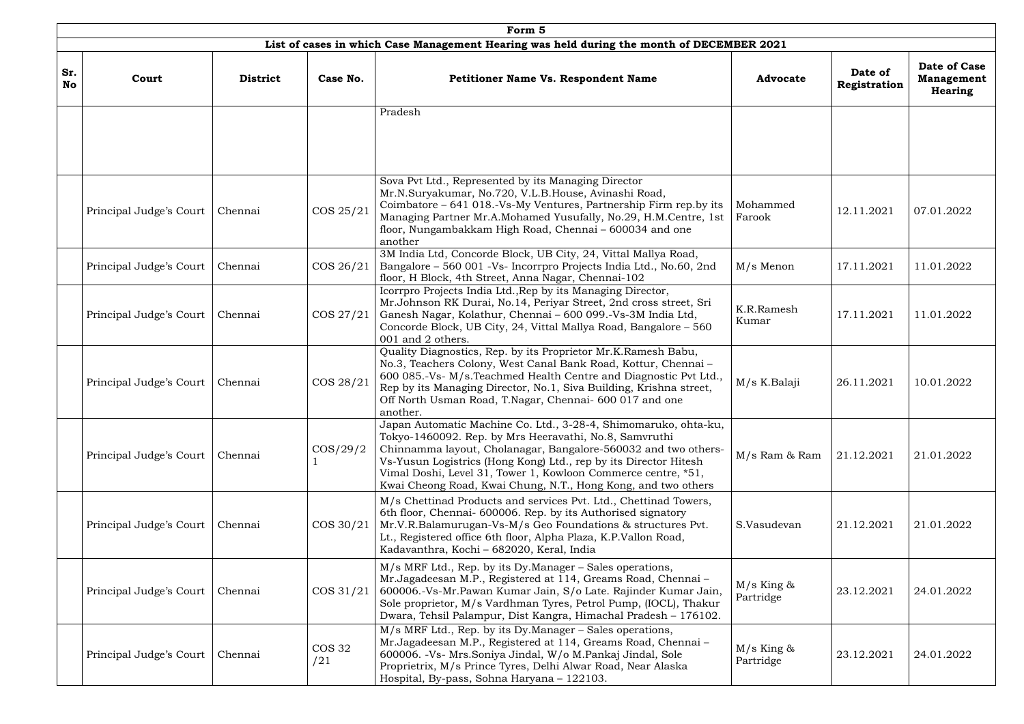|                  | Form 5<br>List of cases in which Case Management Hearing was held during the month of DECEMBER 2021 |                 |                      |                                                                                                                                                                                                                                                                                                                                                                                                   |                           |                         |                                                     |  |  |  |  |  |
|------------------|-----------------------------------------------------------------------------------------------------|-----------------|----------------------|---------------------------------------------------------------------------------------------------------------------------------------------------------------------------------------------------------------------------------------------------------------------------------------------------------------------------------------------------------------------------------------------------|---------------------------|-------------------------|-----------------------------------------------------|--|--|--|--|--|
| Sr.<br><b>No</b> | Court                                                                                               | <b>District</b> | Case No.             | <b>Petitioner Name Vs. Respondent Name</b>                                                                                                                                                                                                                                                                                                                                                        | <b>Advocate</b>           | Date of<br>Registration | Date of Case<br><b>Management</b><br><b>Hearing</b> |  |  |  |  |  |
|                  |                                                                                                     |                 |                      | Pradesh                                                                                                                                                                                                                                                                                                                                                                                           |                           |                         |                                                     |  |  |  |  |  |
|                  | Principal Judge's Court                                                                             | Chennai         | COS 25/21            | Sova Pvt Ltd., Represented by its Managing Director<br>Mr.N.Suryakumar, No.720, V.L.B.House, Avinashi Road,<br>Coimbatore – 641 018.-Vs-My Ventures, Partnership Firm rep.by its<br>Managing Partner Mr.A.Mohamed Yusufally, No.29, H.M.Centre, 1st<br>floor, Nungambakkam High Road, Chennai - 600034 and one<br>another                                                                         | Mohammed<br>Farook        | 12.11.2021              | 07.01.2022                                          |  |  |  |  |  |
|                  | Principal Judge's Court                                                                             | Chennai         | COS 26/21            | 3M India Ltd, Concorde Block, UB City, 24, Vittal Mallya Road,<br>Bangalore - 560 001 - Vs- Incorrpro Projects India Ltd., No.60, 2nd<br>floor, H Block, 4th Street, Anna Nagar, Chennai-102                                                                                                                                                                                                      | M/s Menon                 | 17.11.2021              | 11.01.2022                                          |  |  |  |  |  |
|                  | Principal Judge's Court                                                                             | Chennai         | COS 27/21            | Icorrpro Projects India Ltd., Rep by its Managing Director,<br>Mr.Johnson RK Durai, No.14, Periyar Street, 2nd cross street, Sri<br>Ganesh Nagar, Kolathur, Chennai - 600 099.-Vs-3M India Ltd,<br>Concorde Block, UB City, 24, Vittal Mallya Road, Bangalore - 560<br>001 and 2 others.                                                                                                          | K.R.Ramesh<br>Kumar       | 17.11.2021              | 11.01.2022                                          |  |  |  |  |  |
|                  | Principal Judge's Court                                                                             | Chennai         | COS 28/21            | Quality Diagnostics, Rep. by its Proprietor Mr.K.Ramesh Babu,<br>No.3, Teachers Colony, West Canal Bank Road, Kottur, Chennai-<br>600 085.-Vs- M/s. Teachmed Health Centre and Diagnostic Pvt Ltd.,<br>Rep by its Managing Director, No.1, Siva Building, Krishna street,<br>Off North Usman Road, T.Nagar, Chennai- 600 017 and one<br>another.                                                  | M/s K.Balaji              | 26.11.2021              | 10.01.2022                                          |  |  |  |  |  |
|                  | Principal Judge's Court                                                                             | Chennai         | $\cos/29/2$          | Japan Automatic Machine Co. Ltd., 3-28-4, Shimomaruko, ohta-ku,<br>Tokyo-1460092. Rep. by Mrs Heeravathi, No.8, Samvruthi<br>Chinnamma layout, Cholanagar, Bangalore-560032 and two others-<br>Vs-Yusun Logistrics (Hong Kong) Ltd., rep by its Director Hitesh<br>Vimal Doshi, Level 31, Tower 1, Kowloon Commerce centre, *51,<br>Kwai Cheong Road, Kwai Chung, N.T., Hong Kong, and two others | M/s Ram & Ram             | 21.12.2021              | 21.01.2022                                          |  |  |  |  |  |
|                  | Principal Judge's Court                                                                             | Chennai         | COS 30/21            | M/s Chettinad Products and services Pvt. Ltd., Chettinad Towers,<br>6th floor, Chennai- 600006. Rep. by its Authorised signatory<br>Mr.V.R.Balamurugan-Vs-M/s Geo Foundations & structures Pvt.<br>Lt., Registered office 6th floor, Alpha Plaza, K.P.Vallon Road,<br>Kadavanthra, Kochi - 682020, Keral, India                                                                                   | S.Vasudevan               | 21.12.2021              | 21.01.2022                                          |  |  |  |  |  |
|                  | Principal Judge's Court                                                                             | Chennai         | COS 31/21            | M/s MRF Ltd., Rep. by its Dy.Manager - Sales operations,<br>Mr.Jagadeesan M.P., Registered at 114, Greams Road, Chennai-<br>600006.-Vs-Mr.Pawan Kumar Jain, S/o Late. Rajinder Kumar Jain,<br>Sole proprietor, M/s Vardhman Tyres, Petrol Pump, (IOCL), Thakur<br>Dwara, Tehsil Palampur, Dist Kangra, Himachal Pradesh - 176102.                                                                 | $M/s$ King &<br>Partridge | 23.12.2021              | 24.01.2022                                          |  |  |  |  |  |
|                  | Principal Judge's Court                                                                             | Chennai         | <b>COS 32</b><br>/21 | M/s MRF Ltd., Rep. by its Dy.Manager - Sales operations,<br>Mr.Jagadeesan M.P., Registered at 114, Greams Road, Chennai -<br>600006. - Vs- Mrs. Soniya Jindal, W/o M. Pankaj Jindal, Sole<br>Proprietrix, M/s Prince Tyres, Delhi Alwar Road, Near Alaska<br>Hospital, By-pass, Sohna Haryana - 122103.                                                                                           | $M/s$ King &<br>Partridge | 23.12.2021              | 24.01.2022                                          |  |  |  |  |  |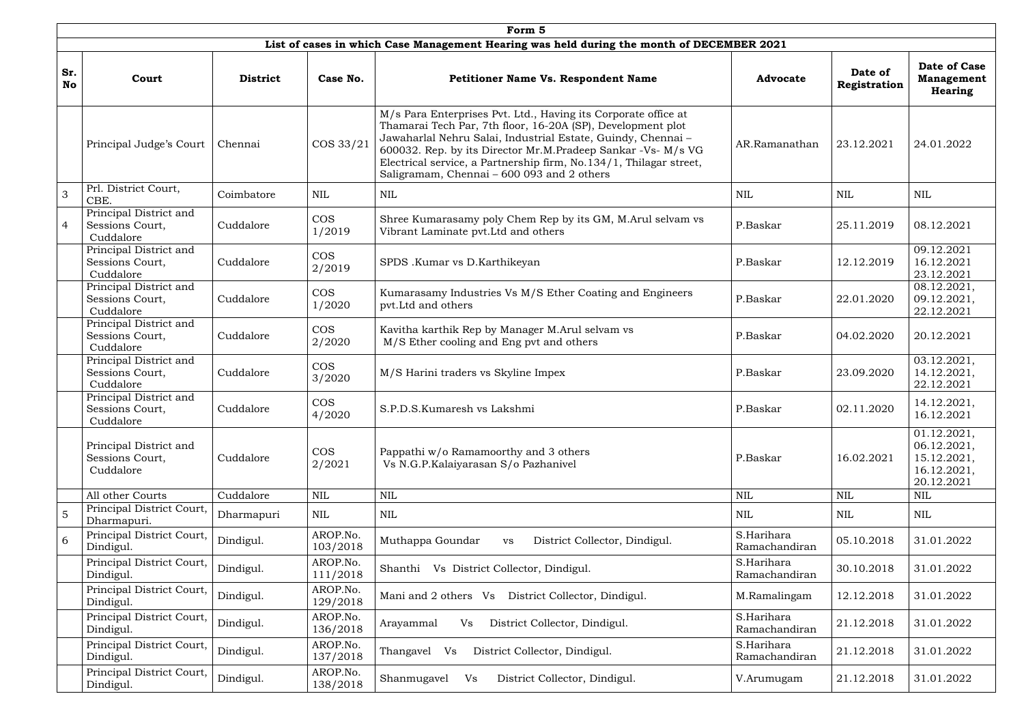|                  |                                                        |                 |                      | Form 5                                                                                                                                                                                                                                                                                                                                                                           |                             |                         |                                                                        |
|------------------|--------------------------------------------------------|-----------------|----------------------|----------------------------------------------------------------------------------------------------------------------------------------------------------------------------------------------------------------------------------------------------------------------------------------------------------------------------------------------------------------------------------|-----------------------------|-------------------------|------------------------------------------------------------------------|
|                  |                                                        |                 |                      | List of cases in which Case Management Hearing was held during the month of DECEMBER 2021                                                                                                                                                                                                                                                                                        |                             |                         |                                                                        |
| Sr.<br><b>No</b> | Court                                                  | <b>District</b> | Case No.             | <b>Petitioner Name Vs. Respondent Name</b>                                                                                                                                                                                                                                                                                                                                       | <b>Advocate</b>             | Date of<br>Registration | Date of Case<br><b>Management</b><br><b>Hearing</b>                    |
|                  | Principal Judge's Court                                | Chennai         | COS 33/21            | M/s Para Enterprises Pvt. Ltd., Having its Corporate office at<br>Thamarai Tech Par, 7th floor, 16-20A (SP), Development plot<br>Jawaharlal Nehru Salai, Industrial Estate, Guindy, Chennai-<br>600032. Rep. by its Director Mr.M.Pradeep Sankar -Vs- M/s VG<br>Electrical service, a Partnership firm, No.134/1, Thilagar street,<br>Saligramam, Chennai - 600 093 and 2 others | AR.Ramanathan               | 23.12.2021              | 24.01.2022                                                             |
| $\overline{3}$   | Prl. District Court,<br>CBE.                           | Coimbatore      | $\mbox{NIL}$         | NIL                                                                                                                                                                                                                                                                                                                                                                              | <b>NIL</b>                  | <b>NIL</b>              | <b>NIL</b>                                                             |
| $\overline{4}$   | Principal District and<br>Sessions Court,<br>Cuddalore | Cuddalore       | <b>COS</b><br>1/2019 | Shree Kumarasamy poly Chem Rep by its GM, M.Arul selvam vs<br>Vibrant Laminate pvt. Ltd and others                                                                                                                                                                                                                                                                               | P.Baskar                    | 25.11.2019              | 08.12.2021                                                             |
|                  | Principal District and<br>Sessions Court,<br>Cuddalore | Cuddalore       | <b>COS</b><br>2/2019 | SPDS .Kumar vs D.Karthikeyan                                                                                                                                                                                                                                                                                                                                                     | P.Baskar                    | 12.12.2019              | 09.12.2021<br>16.12.2021<br>23.12.2021                                 |
|                  | Principal District and<br>Sessions Court,<br>Cuddalore | Cuddalore       | <b>COS</b><br>1/2020 | Kumarasamy Industries Vs M/S Ether Coating and Engineers<br>pvt.Ltd and others                                                                                                                                                                                                                                                                                                   | P.Baskar                    | 22.01.2020              | 08.12.2021,<br>09.12.2021,<br>22.12.2021                               |
|                  | Principal District and<br>Sessions Court,<br>Cuddalore | Cuddalore       | <b>COS</b><br>2/2020 | Kavitha karthik Rep by Manager M.Arul selvam vs<br>M/S Ether cooling and Eng pvt and others                                                                                                                                                                                                                                                                                      | P.Baskar                    | 04.02.2020              | 20.12.2021                                                             |
|                  | Principal District and<br>Sessions Court,<br>Cuddalore | Cuddalore       | <b>COS</b><br>3/2020 | M/S Harini traders vs Skyline Impex                                                                                                                                                                                                                                                                                                                                              | P.Baskar                    | 23.09.2020              | 03.12.2021,<br>14.12.2021,<br>22.12.2021                               |
|                  | Principal District and<br>Sessions Court,<br>Cuddalore | Cuddalore       | <b>COS</b><br>4/2020 | S.P.D.S.Kumaresh vs Lakshmi                                                                                                                                                                                                                                                                                                                                                      | P.Baskar                    | 02.11.2020              | 14.12.2021,<br>16.12.2021                                              |
|                  | Principal District and<br>Sessions Court,<br>Cuddalore | Cuddalore       | <b>COS</b><br>2/2021 | Pappathi w/o Ramamoorthy and 3 others<br>Vs N.G.P.Kalaiyarasan S/o Pazhanivel                                                                                                                                                                                                                                                                                                    | P.Baskar                    | 16.02.2021              | 01.12.2021,<br>06.12.2021,<br>15.12.2021,<br>16.12.2021,<br>20.12.2021 |
|                  | All other Courts                                       | Cuddalore       | $\mbox{NIL}$         | NIL                                                                                                                                                                                                                                                                                                                                                                              | <b>NIL</b>                  | <b>NIL</b>              | $\mbox{NIL}$                                                           |
| 5                | Principal District Court,<br>Dharmapuri.               | Dharmapuri      | NIL                  | <b>NIL</b>                                                                                                                                                                                                                                                                                                                                                                       | NIL                         | NIL                     | NIL                                                                    |
| 6                | Principal District Court,<br>Dindigul.                 | Dindigul.       | AROP.No.<br>103/2018 | Muthappa Goundar<br>District Collector, Dindigul.<br>VS                                                                                                                                                                                                                                                                                                                          | S.Harihara<br>Ramachandiran | 05.10.2018              | 31.01.2022                                                             |
|                  | Principal District Court,<br>Dindigul.                 | Dindigul.       | AROP.No.<br>111/2018 | Vs District Collector, Dindigul.<br>Shanthi                                                                                                                                                                                                                                                                                                                                      | S.Harihara<br>Ramachandiran | 30.10.2018              | 31.01.2022                                                             |
|                  | Principal District Court,<br>Dindigul.                 | Dindigul.       | AROP.No.<br>129/2018 | District Collector, Dindigul.<br>Mani and 2 others Vs                                                                                                                                                                                                                                                                                                                            | M.Ramalingam                | 12.12.2018              | 31.01.2022                                                             |
|                  | Principal District Court,<br>Dindigul.                 | Dindigul.       | AROP.No.<br>136/2018 | District Collector, Dindigul.<br>Arayammal<br>Vs                                                                                                                                                                                                                                                                                                                                 | S.Harihara<br>Ramachandiran | 21.12.2018              | 31.01.2022                                                             |
|                  | Principal District Court,<br>Dindigul.                 | Dindigul.       | AROP.No.<br>137/2018 | District Collector, Dindigul.<br>Thangavel Vs                                                                                                                                                                                                                                                                                                                                    | S.Harihara<br>Ramachandiran | 21.12.2018              | 31.01.2022                                                             |
|                  | Principal District Court,<br>Dindigul.                 | Dindigul.       | AROP.No.<br>138/2018 | Shanmugavel<br>Vs<br>District Collector, Dindigul.                                                                                                                                                                                                                                                                                                                               | V.Arumugam                  | 21.12.2018              | 31.01.2022                                                             |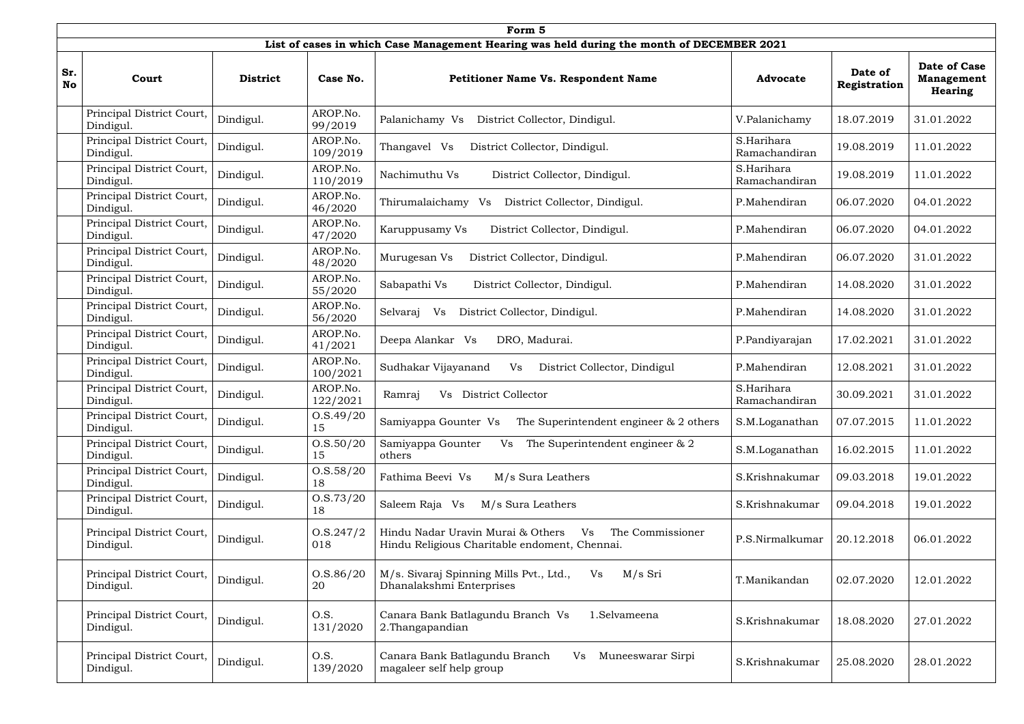|                  |                                        | Form 5          |                      |                                                                                                              |                             |                         |                                                            |  |  |  |  |  |  |
|------------------|----------------------------------------|-----------------|----------------------|--------------------------------------------------------------------------------------------------------------|-----------------------------|-------------------------|------------------------------------------------------------|--|--|--|--|--|--|
|                  |                                        |                 |                      | List of cases in which Case Management Hearing was held during the month of DECEMBER 2021                    |                             |                         |                                                            |  |  |  |  |  |  |
| Sr.<br><b>No</b> | Court                                  | <b>District</b> | Case No.             | <b>Petitioner Name Vs. Respondent Name</b>                                                                   | <b>Advocate</b>             | Date of<br>Registration | <b>Date of Case</b><br><b>Management</b><br><b>Hearing</b> |  |  |  |  |  |  |
|                  | Principal District Court,<br>Dindigul. | Dindigul.       | AROP.No.<br>99/2019  | Palanichamy Vs<br>District Collector, Dindigul.                                                              | V.Palanichamy               | 18.07.2019              | 31.01.2022                                                 |  |  |  |  |  |  |
|                  | Principal District Court,<br>Dindigul. | Dindigul.       | AROP.No.<br>109/2019 | Thangavel Vs<br>District Collector, Dindigul.                                                                | S.Harihara<br>Ramachandiran | 19.08.2019              | 11.01.2022                                                 |  |  |  |  |  |  |
|                  | Principal District Court,<br>Dindigul. | Dindigul.       | AROP.No.<br>110/2019 | Nachimuthu Vs<br>District Collector, Dindigul.                                                               | S.Harihara<br>Ramachandiran | 19.08.2019              | 11.01.2022                                                 |  |  |  |  |  |  |
|                  | Principal District Court,<br>Dindigul. | Dindigul.       | AROP.No.<br>46/2020  | Thirumalaichamy<br>District Collector, Dindigul.<br>Vs                                                       | P.Mahendiran                | 06.07.2020              | 04.01.2022                                                 |  |  |  |  |  |  |
|                  | Principal District Court,<br>Dindigul. | Dindigul.       | AROP.No.<br>47/2020  | District Collector, Dindigul.<br>Karuppusamy Vs                                                              | P.Mahendiran                | 06.07.2020              | 04.01.2022                                                 |  |  |  |  |  |  |
|                  | Principal District Court,<br>Dindigul. | Dindigul.       | AROP.No.<br>48/2020  | District Collector, Dindigul.<br>Murugesan Vs                                                                | P.Mahendiran                | 06.07.2020              | 31.01.2022                                                 |  |  |  |  |  |  |
|                  | Principal District Court,<br>Dindigul. | Dindigul.       | AROP.No.<br>55/2020  | Sabapathi Vs<br>District Collector, Dindigul.                                                                | P.Mahendiran                | 14.08.2020              | 31.01.2022                                                 |  |  |  |  |  |  |
|                  | Principal District Court,<br>Dindigul. | Dindigul.       | AROP.No.<br>56/2020  | District Collector, Dindigul.<br>Selvaraj<br>Vs                                                              | P.Mahendiran                | 14.08.2020              | 31.01.2022                                                 |  |  |  |  |  |  |
|                  | Principal District Court,<br>Dindigul. | Dindigul.       | AROP.No.<br>41/2021  | Deepa Alankar Vs<br>DRO, Madurai.                                                                            | P.Pandiyarajan              | 17.02.2021              | 31.01.2022                                                 |  |  |  |  |  |  |
|                  | Principal District Court,<br>Dindigul. | Dindigul.       | AROP.No.<br>100/2021 | Sudhakar Vijayanand<br>Vs<br>District Collector, Dindigul                                                    | P.Mahendiran                | 12.08.2021              | 31.01.2022                                                 |  |  |  |  |  |  |
|                  | Principal District Court,<br>Dindigul. | Dindigul.       | AROP.No.<br>122/2021 | <b>District Collector</b><br>Ramraj<br>Vs                                                                    | S.Harihara<br>Ramachandiran | 30.09.2021              | 31.01.2022                                                 |  |  |  |  |  |  |
|                  | Principal District Court,<br>Dindigul. | Dindigul.       | O.S.49/20<br>15      | Samiyappa Gounter Vs<br>The Superintendent engineer $\&$ 2 others                                            | S.M.Loganathan              | 07.07.2015              | 11.01.2022                                                 |  |  |  |  |  |  |
|                  | Principal District Court,<br>Dindigul. | Dindigul.       | 0. S. 50/20<br>15    | Samiyappa Gounter<br>The Superintendent engineer & 2<br>Vs<br>others                                         | S.M.Loganathan              | 16.02.2015              | 11.01.2022                                                 |  |  |  |  |  |  |
|                  | Principal District Court,<br>Dindigul. | Dindigul.       | 0. S. 58/20<br>18    | Fathima Beevi Vs<br>M/s Sura Leathers                                                                        | S.Krishnakumar              | 09.03.2018              | 19.01.2022                                                 |  |  |  |  |  |  |
|                  | Principal District Court,<br>Dindigul. | Dindigul.       | 0. S. 73/20<br>18    | Saleem Raja Vs<br>M/s Sura Leathers                                                                          | S.Krishnakumar              | 09.04.2018              | 19.01.2022                                                 |  |  |  |  |  |  |
|                  | Principal District Court,<br>Dindigul. | Dindigul.       | O.S.247/2<br>018     | Hindu Nadar Uravin Murai & Others<br>The Commissioner<br>Vs<br>Hindu Religious Charitable endoment, Chennai. | P.S.Nirmalkumar             | 20.12.2018              | 06.01.2022                                                 |  |  |  |  |  |  |
|                  | Principal District Court,<br>Dindigul. | Dindigul.       | 0. S. 86/20<br>20    | M/s. Sivaraj Spinning Mills Pvt., Ltd.,<br>M/s Sri<br>Vs<br>Dhanalakshmi Enterprises                         | T.Manikandan                | 02.07.2020              | 12.01.2022                                                 |  |  |  |  |  |  |
|                  | Principal District Court,<br>Dindigul. | Dindigul.       | O.S.<br>131/2020     | Canara Bank Batlagundu Branch Vs<br>1.Selvameena<br>2. Thangapandian                                         | S.Krishnakumar              | 18.08.2020              | 27.01.2022                                                 |  |  |  |  |  |  |
|                  | Principal District Court,<br>Dindigul. | Dindigul.       | O.S.<br>139/2020     | Canara Bank Batlagundu Branch<br>Vs<br>Muneeswarar Sirpi<br>magaleer self help group                         | S.Krishnakumar              | 25.08.2020              | 28.01.2022                                                 |  |  |  |  |  |  |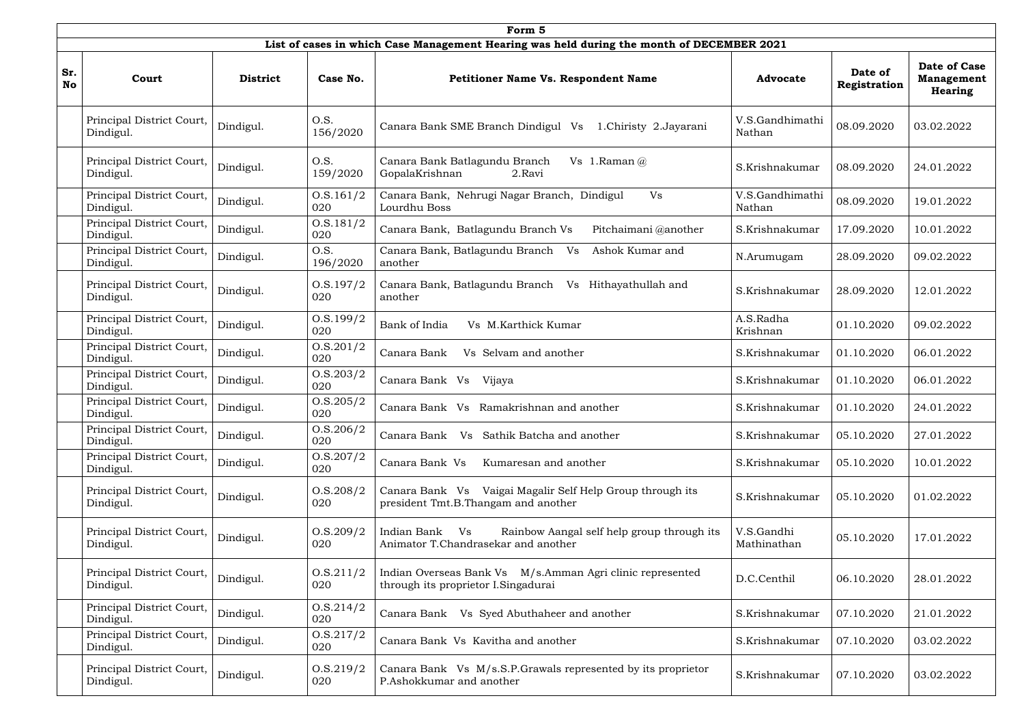|                  |                                        |                 |                      | Form 5                                                                                                  |                           |                         |                                              |
|------------------|----------------------------------------|-----------------|----------------------|---------------------------------------------------------------------------------------------------------|---------------------------|-------------------------|----------------------------------------------|
|                  |                                        |                 |                      | List of cases in which Case Management Hearing was held during the month of DECEMBER 2021               |                           |                         |                                              |
| Sr.<br><b>No</b> | Court                                  | <b>District</b> | Case No.             | <b>Petitioner Name Vs. Respondent Name</b>                                                              | <b>Advocate</b>           | Date of<br>Registration | Date of Case<br><b>Management</b><br>Hearing |
|                  | Principal District Court,<br>Dindigul. | Dindigul.       | O.S.<br>156/2020     | Canara Bank SME Branch Dindigul Vs<br>1.Chiristy 2.Jayarani                                             | V.S.Gandhimathi<br>Nathan | 08.09.2020              | 03.02.2022                                   |
|                  | Principal District Court,<br>Dindigul. | Dindigul.       | O.S.<br>159/2020     | Canara Bank Batlagundu Branch<br>Vs 1. Raman $(a)$<br>GopalaKrishnan<br>2.Ravi                          | S.Krishnakumar            | 08.09.2020              | 24.01.2022                                   |
|                  | Principal District Court,<br>Dindigul. | Dindigul.       | 0. S. 161/2<br>020   | Canara Bank, Nehrugi Nagar Branch, Dindigul<br>Vs<br>Lourdhu Boss                                       | V.S.Gandhimathi<br>Nathan | 08.09.2020              | 19.01.2022                                   |
|                  | Principal District Court,<br>Dindigul. | Dindigul.       | 0. S. 181/2<br>020   | Canara Bank, Batlagundu Branch Vs<br>Pitchaimani @another                                               | S.Krishnakumar            | 17.09.2020              | 10.01.2022                                   |
|                  | Principal District Court,<br>Dindigul. | Dindigul.       | O.S.<br>196/2020     | Canara Bank, Batlagundu Branch Vs<br>Ashok Kumar and<br>another                                         | N.Arumugam                | 28.09.2020              | 09.02.2022                                   |
|                  | Principal District Court,<br>Dindigul. | Dindigul.       | 0. S. 197/2<br>020   | Canara Bank, Batlagundu Branch Vs Hithayathullah and<br>another                                         | S.Krishnakumar            | 28.09.2020              | 12.01.2022                                   |
|                  | Principal District Court,<br>Dindigul. | Dindigul.       | 0. S. 199/2<br>020   | Vs M.Karthick Kumar<br>Bank of India                                                                    | A.S.Radha<br>Krishnan     | 01.10.2020              | 09.02.2022                                   |
|                  | Principal District Court,<br>Dindigul. | Dindigul.       | 0. S. 201/2<br>020   | Vs Selvam and another<br>Canara Bank                                                                    | S.Krishnakumar            | 01.10.2020              | 06.01.2022                                   |
|                  | Principal District Court,<br>Dindigul. | Dindigul.       | 0. S. 203/2<br>020   | Canara Bank Vs Vijaya                                                                                   | S.Krishnakumar            | 01.10.2020              | 06.01.2022                                   |
|                  | Principal District Court,<br>Dindigul. | Dindigul.       | 0. S. 205 / 2<br>020 | Canara Bank Vs Ramakrishnan and another                                                                 | S.Krishnakumar            | 01.10.2020              | 24.01.2022                                   |
|                  | Principal District Court,<br>Dindigul. | Dindigul.       | 0. S. 206/2<br>020   | Vs Sathik Batcha and another<br>Canara Bank                                                             | S.Krishnakumar            | 05.10.2020              | 27.01.2022                                   |
|                  | Principal District Court,<br>Dindigul. | Dindigul.       | 0. S. 207/2<br>020   | Canara Bank Vs<br>Kumaresan and another                                                                 | S.Krishnakumar            | 05.10.2020              | 10.01.2022                                   |
|                  | Principal District Court,<br>Dindigul. | Dindigul.       | 0.5.208/2<br>020     | Canara Bank Vs Vaigai Magalir Self Help Group through its<br>president Tmt.B.Thangam and another        | S.Krishnakumar            | 05.10.2020              | 01.02.2022                                   |
|                  | Principal District Court,<br>Dindigul. | Dindigul.       | O.S.209/2<br>020     | Rainbow Aangal self help group through its<br>Indian Bank<br>V s<br>Animator T.Chandrasekar and another | V.S.Gandhi<br>Mathinathan | 05.10.2020              | 17.01.2022                                   |
|                  | Principal District Court,<br>Dindigul. | Dindigul.       | 0.5.211/2<br>020     | Indian Overseas Bank Vs M/s.Amman Agri clinic represented<br>through its proprietor I. Singadurai       | D.C.Centhil               | 06.10.2020              | 28.01.2022                                   |
|                  | Principal District Court,<br>Dindigul. | Dindigul.       | 0. S. 214/2<br>020   | Canara Bank Vs Syed Abuthaheer and another                                                              | S.Krishnakumar            | 07.10.2020              | 21.01.2022                                   |
|                  | Principal District Court,<br>Dindigul. | Dindigul.       | 0. S. 217/2<br>020   | Canara Bank Vs Kavitha and another                                                                      | S.Krishnakumar            | 07.10.2020              | 03.02.2022                                   |
|                  | Principal District Court,<br>Dindigul. | Dindigul.       | 0.5.219/2<br>020     | Canara Bank Vs M/s.S.P.Grawals represented by its proprietor<br>P.Ashokkumar and another                | S.Krishnakumar            | 07.10.2020              | 03.02.2022                                   |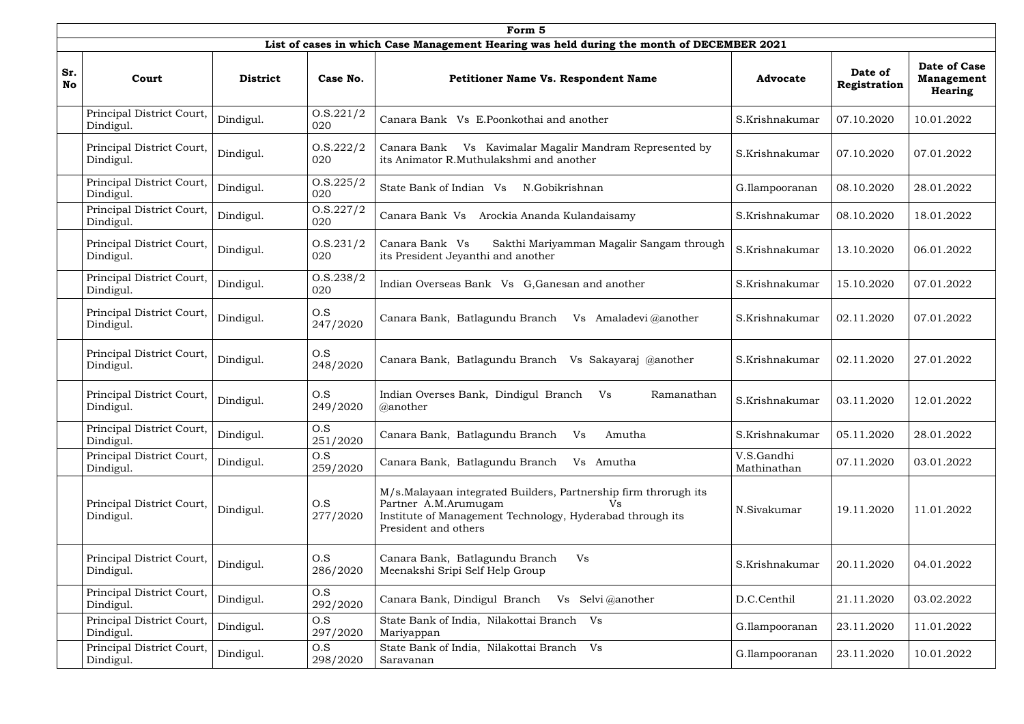|                  |                                        |                 |                      | Form 5                                                                                                                                                                             |                           |                         |                                                            |
|------------------|----------------------------------------|-----------------|----------------------|------------------------------------------------------------------------------------------------------------------------------------------------------------------------------------|---------------------------|-------------------------|------------------------------------------------------------|
|                  |                                        |                 |                      | List of cases in which Case Management Hearing was held during the month of DECEMBER 2021                                                                                          |                           |                         |                                                            |
| Sr.<br><b>No</b> | Court                                  | <b>District</b> | Case No.             | <b>Petitioner Name Vs. Respondent Name</b>                                                                                                                                         | <b>Advocate</b>           | Date of<br>Registration | <b>Date of Case</b><br><b>Management</b><br><b>Hearing</b> |
|                  | Principal District Court,<br>Dindigul. | Dindigul.       | 0. S. 221/2<br>020   | Canara Bank Vs E.Poonkothai and another                                                                                                                                            | S.Krishnakumar            | 07.10.2020              | 10.01.2022                                                 |
|                  | Principal District Court,<br>Dindigul. | Dindigul.       | 0.5.222/2<br>020     | Vs Kavimalar Magalir Mandram Represented by<br>Canara Bank<br>its Animator R.Muthulakshmi and another                                                                              | S.Krishnakumar            | 07.10.2020              | 07.01.2022                                                 |
|                  | Principal District Court,<br>Dindigul. | Dindigul.       | 0. S. 225 / 2<br>020 | State Bank of Indian Vs<br>N.Gobikrishnan                                                                                                                                          | G.Ilampooranan            | 08.10.2020              | 28.01.2022                                                 |
|                  | Principal District Court,<br>Dindigul. | Dindigul.       | 0. S. 227/2<br>020   | Canara Bank Vs<br>Arockia Ananda Kulandaisamy                                                                                                                                      | S.Krishnakumar            | 08.10.2020              | 18.01.2022                                                 |
|                  | Principal District Court,<br>Dindigul. | Dindigul.       | 0.5.231/2<br>020     | Sakthi Mariyamman Magalir Sangam through<br>Canara Bank Vs<br>its President Jeyanthi and another                                                                                   | S.Krishnakumar            | 13.10.2020              | 06.01.2022                                                 |
|                  | Principal District Court,<br>Dindigul. | Dindigul.       | 0.5.238/2<br>020     | Indian Overseas Bank Vs G, Ganesan and another                                                                                                                                     | S.Krishnakumar            | 15.10.2020              | 07.01.2022                                                 |
|                  | Principal District Court,<br>Dindigul. | Dindigul.       | O.S<br>247/2020      | Canara Bank, Batlagundu Branch<br>Vs Amaladevi @another                                                                                                                            | S.Krishnakumar            | 02.11.2020              | 07.01.2022                                                 |
|                  | Principal District Court,<br>Dindigul. | Dindigul.       | O.S<br>248/2020      | Canara Bank, Batlagundu Branch<br>Vs Sakayaraj @another                                                                                                                            | S.Krishnakumar            | 02.11.2020              | 27.01.2022                                                 |
|                  | Principal District Court,<br>Dindigul. | Dindigul.       | O.S<br>249/2020      | Indian Overses Bank, Dindigul Branch<br>Vs<br>Ramanathan<br>@another                                                                                                               | S.Krishnakumar            | 03.11.2020              | 12.01.2022                                                 |
|                  | Principal District Court,<br>Dindigul. | Dindigul.       | O.S<br>251/2020      | Canara Bank, Batlagundu Branch<br>Vs<br>Amutha                                                                                                                                     | S.Krishnakumar            | 05.11.2020              | 28.01.2022                                                 |
|                  | Principal District Court,<br>Dindigul. | Dindigul.       | O.S<br>259/2020      | Canara Bank, Batlagundu Branch<br>Vs Amutha                                                                                                                                        | V.S.Gandhi<br>Mathinathan | 07.11.2020              | 03.01.2022                                                 |
|                  | Principal District Court,<br>Dindigul. | Dindigul.       | O.S<br>277/2020      | M/s.Malayaan integrated Builders, Partnership firm throrugh its<br>Partner A.M.Arumugam<br>Vs<br>Institute of Management Technology, Hyderabad through its<br>President and others | N.Sivakumar               | 19.11.2020              | 11.01.2022                                                 |
|                  | Principal District Court,<br>Dindigul. | Dindigul.       | O.S<br>286/2020      | Canara Bank, Batlagundu Branch<br>Vs<br>Meenakshi Sripi Self Help Group                                                                                                            | S.Krishnakumar            | 20.11.2020              | 04.01.2022                                                 |
|                  | Principal District Court,<br>Dindigul. | Dindigul.       | O.S<br>292/2020      | Canara Bank, Dindigul Branch<br>Vs Selvi @another                                                                                                                                  | D.C.Centhil               | 21.11.2020              | 03.02.2022                                                 |
|                  | Principal District Court,<br>Dindigul. | Dindigul.       | O.S<br>297/2020      | State Bank of India, Nilakottai Branch Vs<br>Mariyappan                                                                                                                            | G.Ilampooranan            | 23.11.2020              | 11.01.2022                                                 |
|                  | Principal District Court,<br>Dindigul. | Dindigul.       | O.S<br>298/2020      | State Bank of India, Nilakottai Branch Vs<br>Saravanan                                                                                                                             | G.Ilampooranan            | 23.11.2020              | 10.01.2022                                                 |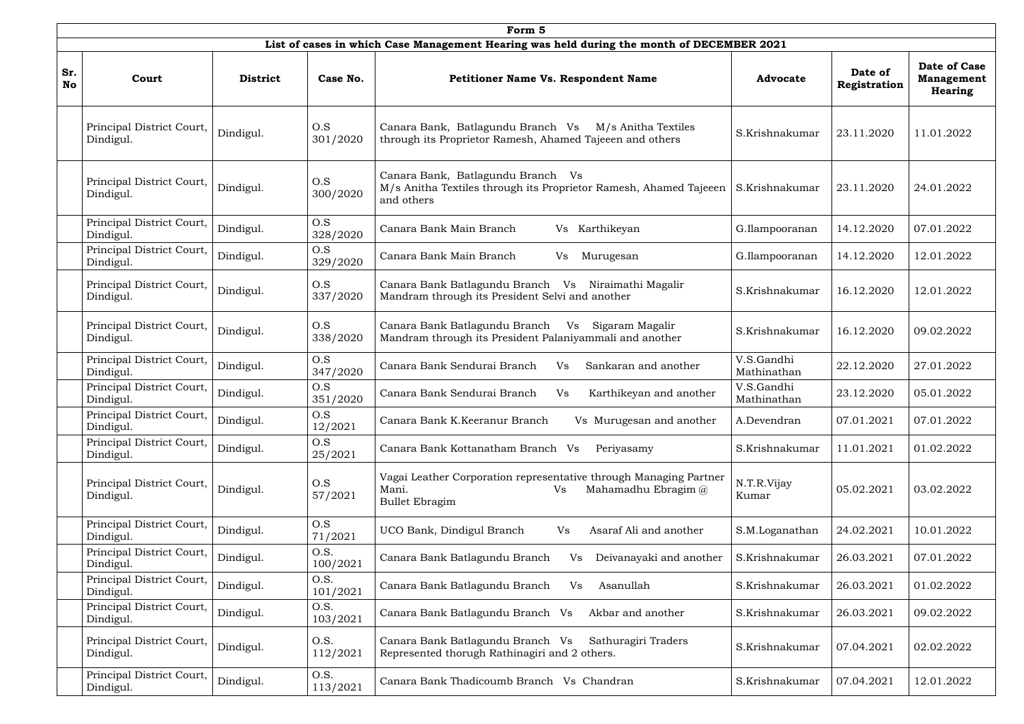|                  |                                        |                 |                  | Form 5                                                                                                                    |                           |                         |                                                            |
|------------------|----------------------------------------|-----------------|------------------|---------------------------------------------------------------------------------------------------------------------------|---------------------------|-------------------------|------------------------------------------------------------|
|                  |                                        |                 |                  | List of cases in which Case Management Hearing was held during the month of DECEMBER 2021                                 |                           |                         |                                                            |
| Sr.<br><b>No</b> | Court                                  | <b>District</b> | Case No.         | <b>Petitioner Name Vs. Respondent Name</b>                                                                                | <b>Advocate</b>           | Date of<br>Registration | <b>Date of Case</b><br><b>Management</b><br><b>Hearing</b> |
|                  | Principal District Court,<br>Dindigul. | Dindigul.       | O.S<br>301/2020  | Canara Bank, Batlagundu Branch Vs<br>M/s Anitha Textiles<br>through its Proprietor Ramesh, Ahamed Tajeeen and others      | S.Krishnakumar            | 23.11.2020              | 11.01.2022                                                 |
|                  | Principal District Court,<br>Dindigul. | Dindigul.       | O.S<br>300/2020  | Canara Bank, Batlagundu Branch<br>Vs<br>M/s Anitha Textiles through its Proprietor Ramesh, Ahamed Tajeeen<br>and others   | S.Krishnakumar            | 23.11.2020              | 24.01.2022                                                 |
|                  | Principal District Court,<br>Dindigul. | Dindigul.       | O.S<br>328/2020  | Canara Bank Main Branch<br>Vs Karthikeyan                                                                                 | G.Ilampooranan            | 14.12.2020              | 07.01.2022                                                 |
|                  | Principal District Court,<br>Dindigul. | Dindigul.       | O.S<br>329/2020  | Canara Bank Main Branch<br>Vs<br>Murugesan                                                                                | G.Ilampooranan            | 14.12.2020              | 12.01.2022                                                 |
|                  | Principal District Court,<br>Dindigul. | Dindigul.       | O.S<br>337/2020  | Canara Bank Batlagundu Branch Vs Niraimathi Magalir<br>Mandram through its President Selvi and another                    | S.Krishnakumar            | 16.12.2020              | 12.01.2022                                                 |
|                  | Principal District Court,<br>Dindigul. | Dindigul.       | O.S<br>338/2020  | Canara Bank Batlagundu Branch<br>Vs Sigaram Magalir<br>Mandram through its President Palaniyammali and another            | S.Krishnakumar            | 16.12.2020              | 09.02.2022                                                 |
|                  | Principal District Court,<br>Dindigul. | Dindigul.       | O.S<br>347/2020  | Canara Bank Sendurai Branch<br><b>Vs</b><br>Sankaran and another                                                          | V.S.Gandhi<br>Mathinathan | 22.12.2020              | 27.01.2022                                                 |
|                  | Principal District Court,<br>Dindigul. | Dindigul.       | O.S<br>351/2020  | Canara Bank Sendurai Branch<br>Vs<br>Karthikeyan and another                                                              | V.S.Gandhi<br>Mathinathan | 23.12.2020              | 05.01.2022                                                 |
|                  | Principal District Court,<br>Dindigul. | Dindigul.       | O.S<br>12/2021   | Canara Bank K.Keeranur Branch<br>Vs Murugesan and another                                                                 | A.Devendran               | 07.01.2021              | 07.01.2022                                                 |
|                  | Principal District Court,<br>Dindigul. | Dindigul.       | O.S<br>25/2021   | Canara Bank Kottanatham Branch Vs<br>Periyasamy                                                                           | S.Krishnakumar            | 11.01.2021              | 01.02.2022                                                 |
|                  | Principal District Court,<br>Dindigul. | Dindigul.       | O.S<br>57/2021   | Vagai Leather Corporation representative through Managing Partner<br>Mahamadhu Ebragim @<br>Mani.<br>Vs<br>Bullet Ebragim | N.T.R.Vijay<br>Kumar      | 05.02.2021              | 03.02.2022                                                 |
|                  | Principal District Court,<br>Dindigul. | Dindigul.       | O.S<br>71/2021   | UCO Bank, Dindigul Branch<br>Asaraf Ali and another<br>Vs                                                                 | S.M.Loganathan            | 24.02.2021              | 10.01.2022                                                 |
|                  | Principal District Court,<br>Dindigul. | Dindigul.       | O.S.<br>100/2021 | Canara Bank Batlagundu Branch<br>Deivanayaki and another<br>V <sub>S</sub>                                                | S.Krishnakumar            | 26.03.2021              | 07.01.2022                                                 |
|                  | Principal District Court,<br>Dindigul. | Dindigul.       | O.S.<br>101/2021 | Canara Bank Batlagundu Branch<br>Vs<br>Asanullah                                                                          | S.Krishnakumar            | 26.03.2021              | 01.02.2022                                                 |
|                  | Principal District Court,<br>Dindigul. | Dindigul.       | O.S.<br>103/2021 | Canara Bank Batlagundu Branch Vs<br>Akbar and another                                                                     | S.Krishnakumar            | 26.03.2021              | 09.02.2022                                                 |
|                  | Principal District Court,<br>Dindigul. | Dindigul.       | O.S.<br>112/2021 | Canara Bank Batlagundu Branch Vs<br>Sathuragiri Traders<br>Represented thorugh Rathinagiri and 2 others.                  | S.Krishnakumar            | 07.04.2021              | 02.02.2022                                                 |
|                  | Principal District Court,<br>Dindigul. | Dindigul.       | O.S.<br>113/2021 | Canara Bank Thadicoumb Branch Vs Chandran                                                                                 | S.Krishnakumar            | 07.04.2021              | 12.01.2022                                                 |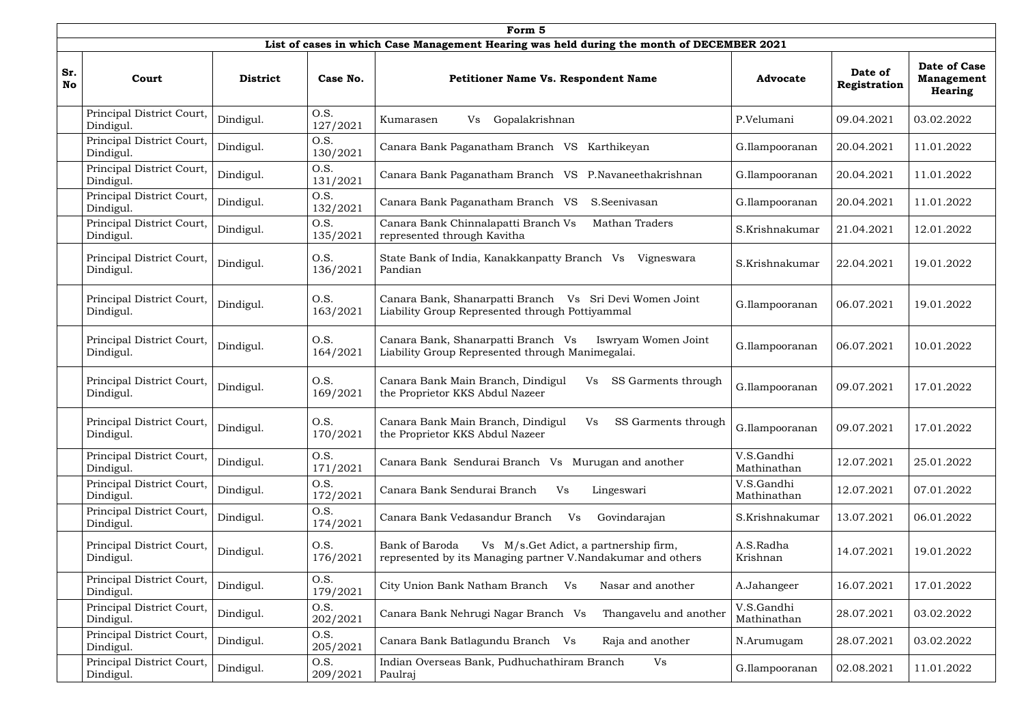|                  | Form 5                                 |                 |                  |                                                                                                                        |                           |                         |                                              |  |  |  |  |  |
|------------------|----------------------------------------|-----------------|------------------|------------------------------------------------------------------------------------------------------------------------|---------------------------|-------------------------|----------------------------------------------|--|--|--|--|--|
|                  |                                        |                 |                  | List of cases in which Case Management Hearing was held during the month of DECEMBER 2021                              |                           |                         |                                              |  |  |  |  |  |
| Sr.<br><b>No</b> | Court                                  | <b>District</b> | Case No.         | <b>Petitioner Name Vs. Respondent Name</b>                                                                             | <b>Advocate</b>           | Date of<br>Registration | Date of Case<br><b>Management</b><br>Hearing |  |  |  |  |  |
|                  | Principal District Court,<br>Dindigul. | Dindigul.       | O.S.<br>127/2021 | Gopalakrishnan<br>Vs<br>Kumarasen                                                                                      | P.Velumani                | 09.04.2021              | 03.02.2022                                   |  |  |  |  |  |
|                  | Principal District Court,<br>Dindigul. | Dindigul.       | O.S.<br>130/2021 | Canara Bank Paganatham Branch VS Karthikeyan                                                                           | G.Ilampooranan            | 20.04.2021              | 11.01.2022                                   |  |  |  |  |  |
|                  | Principal District Court,<br>Dindigul. | Dindigul.       | O.S.<br>131/2021 | Canara Bank Paganatham Branch VS P.Navaneethakrishnan                                                                  | G.Ilampooranan            | 20.04.2021              | 11.01.2022                                   |  |  |  |  |  |
|                  | Principal District Court,<br>Dindigul. | Dindigul.       | O.S.<br>132/2021 | Canara Bank Paganatham Branch VS<br>S.Seenivasan                                                                       | G.Ilampooranan            | 20.04.2021              | 11.01.2022                                   |  |  |  |  |  |
|                  | Principal District Court,<br>Dindigul. | Dindigul.       | O.S.<br>135/2021 | Mathan Traders<br>Canara Bank Chinnalapatti Branch Vs<br>represented through Kavitha                                   | S.Krishnakumar            | 21.04.2021              | 12.01.2022                                   |  |  |  |  |  |
|                  | Principal District Court,<br>Dindigul. | Dindigul.       | O.S.<br>136/2021 | State Bank of India, Kanakkanpatty Branch Vs<br>Vigneswara<br>Pandian                                                  | S.Krishnakumar            | 22.04.2021              | 19.01.2022                                   |  |  |  |  |  |
|                  | Principal District Court,<br>Dindigul. | Dindigul.       | O.S.<br>163/2021 | Canara Bank, Shanarpatti Branch Vs Sri Devi Women Joint<br>Liability Group Represented through Pottiyammal             | G.Ilampooranan            | 06.07.2021              | 19.01.2022                                   |  |  |  |  |  |
|                  | Principal District Court,<br>Dindigul. | Dindigul.       | O.S.<br>164/2021 | Canara Bank, Shanarpatti Branch Vs<br>Iswryam Women Joint<br>Liability Group Represented through Manimegalai.          | G.Ilampooranan            | 06.07.2021              | 10.01.2022                                   |  |  |  |  |  |
|                  | Principal District Court,<br>Dindigul. | Dindigul.       | O.S.<br>169/2021 | Canara Bank Main Branch, Dindigul<br>Vs<br>SS Garments through<br>the Proprietor KKS Abdul Nazeer                      | G.Ilampooranan            | 09.07.2021              | 17.01.2022                                   |  |  |  |  |  |
|                  | Principal District Court,<br>Dindigul. | Dindigul.       | O.S.<br>170/2021 | Canara Bank Main Branch, Dindigul<br>SS Garments through<br>Vs<br>the Proprietor KKS Abdul Nazeer                      | G.Ilampooranan            | 09.07.2021              | 17.01.2022                                   |  |  |  |  |  |
|                  | Principal District Court,<br>Dindigul. | Dindigul.       | O.S.<br>171/2021 | Canara Bank Sendurai Branch Vs Murugan and another                                                                     | V.S.Gandhi<br>Mathinathan | 12.07.2021              | 25.01.2022                                   |  |  |  |  |  |
|                  | Principal District Court,<br>Dindigul. | Dindigul.       | O.S.<br>172/2021 | Canara Bank Sendurai Branch<br>Vs<br>Lingeswari                                                                        | V.S.Gandhi<br>Mathinathan | 12.07.2021              | 07.01.2022                                   |  |  |  |  |  |
|                  | Principal District Court,<br>Dindigul. | Dindigul.       | O.S.<br>174/2021 | Canara Bank Vedasandur Branch<br><b>Vs</b><br>Govindarajan                                                             | S.Krishnakumar            | 13.07.2021              | 06.01.2022                                   |  |  |  |  |  |
|                  | Principal District Court,<br>Dindigul. | Dindigul.       | O.S.<br>176/2021 | Vs M/s.Get Adict, a partnership firm,<br>Bank of Baroda<br>represented by its Managing partner V.Nandakumar and others | A.S.Radha<br>Krishnan     | 14.07.2021              | 19.01.2022                                   |  |  |  |  |  |
|                  | Principal District Court,<br>Dindigul. | Dindigul.       | O.S.<br>179/2021 | City Union Bank Natham Branch<br>Vs<br>Nasar and another                                                               | A.Jahangeer               | 16.07.2021              | 17.01.2022                                   |  |  |  |  |  |
|                  | Principal District Court,<br>Dindigul. | Dindigul.       | O.S.<br>202/2021 | Canara Bank Nehrugi Nagar Branch Vs<br>Thangavelu and another                                                          | V.S.Gandhi<br>Mathinathan | 28.07.2021              | 03.02.2022                                   |  |  |  |  |  |
|                  | Principal District Court,<br>Dindigul. | Dindigul.       | O.S.<br>205/2021 | Canara Bank Batlagundu Branch Vs<br>Raja and another                                                                   | N.Arumugam                | 28.07.2021              | 03.02.2022                                   |  |  |  |  |  |
|                  | Principal District Court,<br>Dindigul. | Dindigul.       | O.S.<br>209/2021 | Indian Overseas Bank, Pudhuchathiram Branch<br>Vs<br>Paulraj                                                           | G.Ilampooranan            | 02.08.2021              | 11.01.2022                                   |  |  |  |  |  |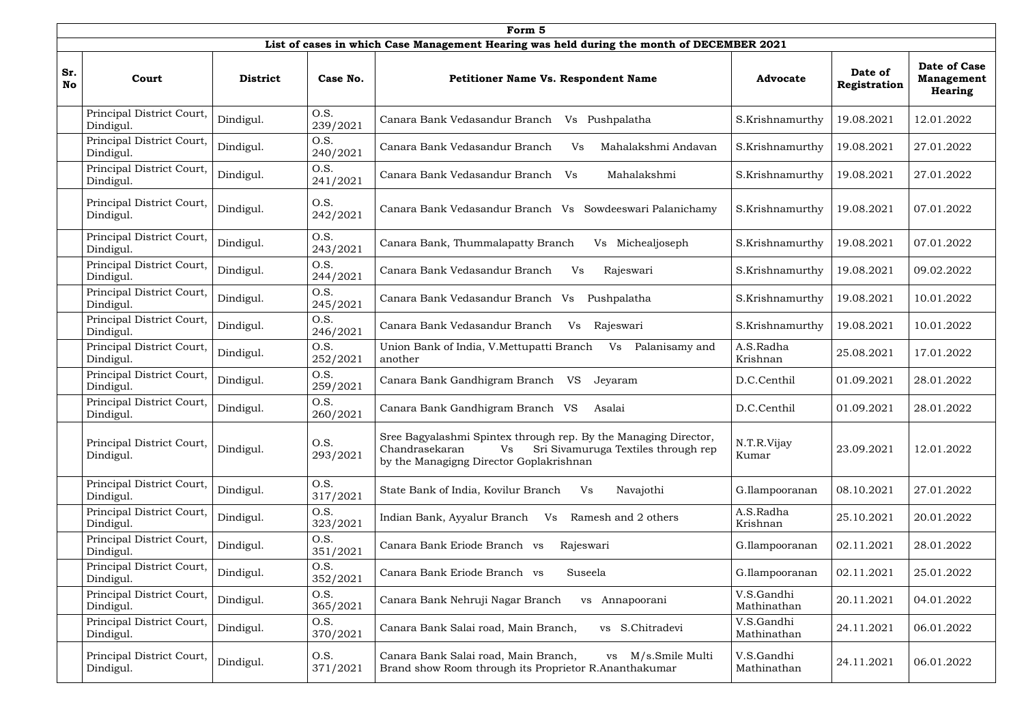|                  | Form 5                                 |                 |                  |                                                                                                                                                                           |                           |                         |                                                            |  |  |  |  |  |
|------------------|----------------------------------------|-----------------|------------------|---------------------------------------------------------------------------------------------------------------------------------------------------------------------------|---------------------------|-------------------------|------------------------------------------------------------|--|--|--|--|--|
|                  |                                        |                 |                  | List of cases in which Case Management Hearing was held during the month of DECEMBER 2021                                                                                 |                           |                         |                                                            |  |  |  |  |  |
| Sr.<br><b>No</b> | Court                                  | <b>District</b> | Case No.         | <b>Petitioner Name Vs. Respondent Name</b>                                                                                                                                | <b>Advocate</b>           | Date of<br>Registration | <b>Date of Case</b><br><b>Management</b><br><b>Hearing</b> |  |  |  |  |  |
|                  | Principal District Court,<br>Dindigul. | Dindigul.       | O.S.<br>239/2021 | Canara Bank Vedasandur Branch<br>Vs Pushpalatha                                                                                                                           | S.Krishnamurthy           | 19.08.2021              | 12.01.2022                                                 |  |  |  |  |  |
|                  | Principal District Court,<br>Dindigul. | Dindigul.       | O.S.<br>240/2021 | Canara Bank Vedasandur Branch<br>Mahalakshmi Andavan<br>Vs                                                                                                                | S.Krishnamurthy           | 19.08.2021              | 27.01.2022                                                 |  |  |  |  |  |
|                  | Principal District Court,<br>Dindigul. | Dindigul.       | O.S.<br>241/2021 | Canara Bank Vedasandur Branch Vs<br>Mahalakshmi                                                                                                                           | S.Krishnamurthy           | 19.08.2021              | 27.01.2022                                                 |  |  |  |  |  |
|                  | Principal District Court,<br>Dindigul. | Dindigul.       | O.S.<br>242/2021 | Canara Bank Vedasandur Branch Vs Sowdeeswari Palanichamy                                                                                                                  | S.Krishnamurthy           | 19.08.2021              | 07.01.2022                                                 |  |  |  |  |  |
|                  | Principal District Court,<br>Dindigul. | Dindigul.       | O.S.<br>243/2021 | Canara Bank, Thummalapatty Branch<br>Michealjoseph<br>Vs                                                                                                                  | S.Krishnamurthy           | 19.08.2021              | 07.01.2022                                                 |  |  |  |  |  |
|                  | Principal District Court,<br>Dindigul. | Dindigul.       | O.S.<br>244/2021 | Canara Bank Vedasandur Branch<br>Vs<br>Rajeswari                                                                                                                          | S.Krishnamurthy           | 19.08.2021              | 09.02.2022                                                 |  |  |  |  |  |
|                  | Principal District Court,<br>Dindigul. | Dindigul.       | O.S.<br>245/2021 | Canara Bank Vedasandur Branch Vs<br>Pushpalatha                                                                                                                           | S.Krishnamurthy           | 19.08.2021              | 10.01.2022                                                 |  |  |  |  |  |
|                  | Principal District Court,<br>Dindigul. | Dindigul.       | O.S.<br>246/2021 | Canara Bank Vedasandur Branch<br>Rajeswari<br>V <sub>S</sub>                                                                                                              | S.Krishnamurthy           | 19.08.2021              | 10.01.2022                                                 |  |  |  |  |  |
|                  | Principal District Court,<br>Dindigul. | Dindigul.       | O.S.<br>252/2021 | Union Bank of India, V.Mettupatti Branch<br>Palanisamy and<br>$V$ s<br>another                                                                                            | A.S.Radha<br>Krishnan     | 25.08.2021              | 17.01.2022                                                 |  |  |  |  |  |
|                  | Principal District Court,<br>Dindigul. | Dindigul.       | O.S.<br>259/2021 | Canara Bank Gandhigram Branch VS<br>Jeyaram                                                                                                                               | D.C.Centhil               | 01.09.2021              | 28.01.2022                                                 |  |  |  |  |  |
|                  | Principal District Court,<br>Dindigul. | Dindigul.       | O.S.<br>260/2021 | Canara Bank Gandhigram Branch VS Asalai                                                                                                                                   | D.C.Centhil               | 01.09.2021              | 28.01.2022                                                 |  |  |  |  |  |
|                  | Principal District Court,<br>Dindigul. | Dindigul.       | O.S.<br>293/2021 | Sree Bagyalashmi Spintex through rep. By the Managing Director,<br>Sri Sivamuruga Textiles through rep<br>Vs<br>Chandrasekaran<br>by the Managigng Director Goplakrishnan | N.T.R.Vijay<br>Kumar      | 23.09.2021              | 12.01.2022                                                 |  |  |  |  |  |
|                  | Principal District Court,<br>Dindigul. | Dindigul.       | O.S.<br>317/2021 | State Bank of India, Kovilur Branch<br>Navajothi<br>Vs                                                                                                                    | G.Ilampooranan            | 08.10.2021              | 27.01.2022                                                 |  |  |  |  |  |
|                  | Principal District Court,<br>Dindigul. | Dindigul.       | O.S.<br>323/2021 | Indian Bank, Ayyalur Branch<br>Ramesh and 2 others<br>Vs                                                                                                                  | A.S.Radha<br>Krishnan     | 25.10.2021              | 20.01.2022                                                 |  |  |  |  |  |
|                  | Principal District Court,<br>Dindigul. | Dindigul.       | O.S.<br>351/2021 | Canara Bank Eriode Branch vs<br>Rajeswari                                                                                                                                 | G.Ilampooranan            | 02.11.2021              | 28.01.2022                                                 |  |  |  |  |  |
|                  | Principal District Court,<br>Dindigul. | Dindigul.       | O.S.<br>352/2021 | Canara Bank Eriode Branch vs<br>Suseela                                                                                                                                   | G.Ilampooranan            | 02.11.2021              | 25.01.2022                                                 |  |  |  |  |  |
|                  | Principal District Court,<br>Dindigul. | Dindigul.       | O.S.<br>365/2021 | Canara Bank Nehruji Nagar Branch<br>Annapoorani<br><b>VS</b>                                                                                                              | V.S.Gandhi<br>Mathinathan | 20.11.2021              | 04.01.2022                                                 |  |  |  |  |  |
|                  | Principal District Court,<br>Dindigul. | Dindigul.       | O.S.<br>370/2021 | Canara Bank Salai road, Main Branch,<br>vs S.Chitradevi                                                                                                                   | V.S.Gandhi<br>Mathinathan | 24.11.2021              | 06.01.2022                                                 |  |  |  |  |  |
|                  | Principal District Court,<br>Dindigul. | Dindigul.       | O.S.<br>371/2021 | Canara Bank Salai road, Main Branch,<br>vs M/s.Smile Multi<br>Brand show Room through its Proprietor R.Ananthakumar                                                       | V.S.Gandhi<br>Mathinathan | 24.11.2021              | 06.01.2022                                                 |  |  |  |  |  |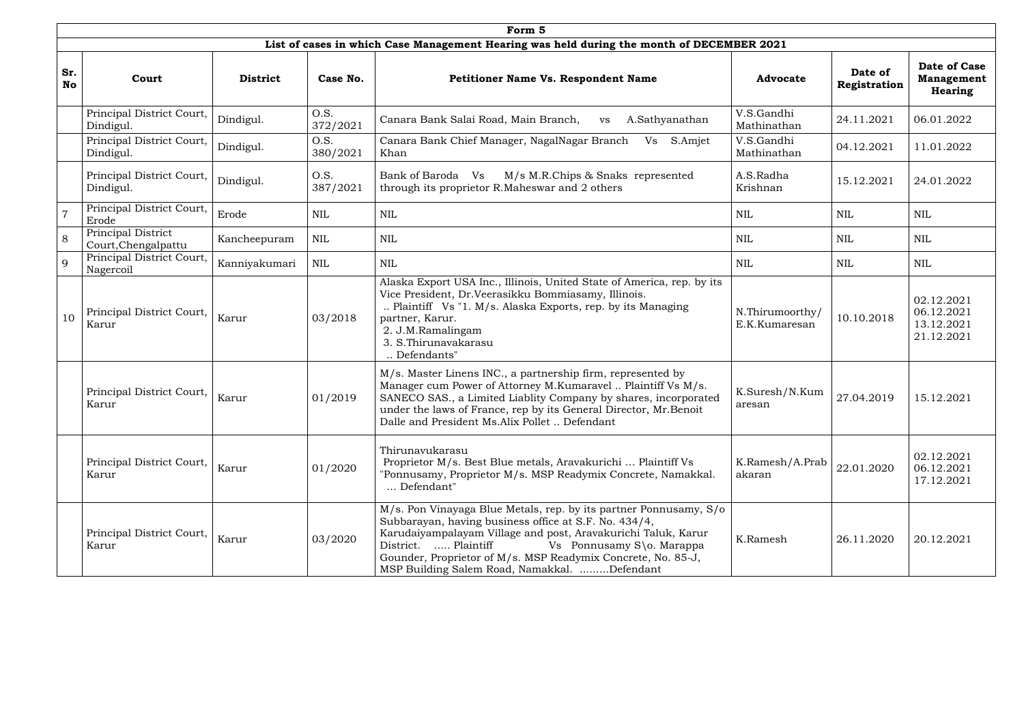|                  | Form 5                                    |                 |                  |                                                                                                                                                                                                                                                                                                                                                                  |                                  |                         |                                                      |  |  |  |
|------------------|-------------------------------------------|-----------------|------------------|------------------------------------------------------------------------------------------------------------------------------------------------------------------------------------------------------------------------------------------------------------------------------------------------------------------------------------------------------------------|----------------------------------|-------------------------|------------------------------------------------------|--|--|--|
|                  |                                           |                 |                  | List of cases in which Case Management Hearing was held during the month of DECEMBER 2021                                                                                                                                                                                                                                                                        |                                  |                         |                                                      |  |  |  |
| Sr.<br><b>No</b> | Court                                     | <b>District</b> | Case No.         | Petitioner Name Vs. Respondent Name                                                                                                                                                                                                                                                                                                                              | <b>Advocate</b>                  | Date of<br>Registration | Date of Case<br><b>Management</b><br><b>Hearing</b>  |  |  |  |
|                  | Principal District Court,<br>Dindigul.    | Dindigul.       | O.S.<br>372/2021 | Canara Bank Salai Road, Main Branch,<br>A.Sathyanathan<br><b>VS</b>                                                                                                                                                                                                                                                                                              | V.S.Gandhi<br>Mathinathan        | 24.11.2021              | 06.01.2022                                           |  |  |  |
|                  | Principal District Court,<br>Dindigul.    | Dindigul.       | O.S.<br>380/2021 | Canara Bank Chief Manager, NagalNagar Branch<br>S.Amjet<br>Vs<br>Khan                                                                                                                                                                                                                                                                                            | V.S.Gandhi<br>Mathinathan        | 04.12.2021              | 11.01.2022                                           |  |  |  |
|                  | Principal District Court,<br>Dindigul.    | Dindigul.       | O.S.<br>387/2021 | M/s M.R.Chips & Snaks represented<br>Bank of Baroda Vs<br>through its proprietor R.Maheswar and 2 others                                                                                                                                                                                                                                                         | A.S.Radha<br>Krishnan            | 15.12.2021              | 24.01.2022                                           |  |  |  |
|                  | Principal District Court,<br>Erode        | Erode           | NIL              | <b>NIL</b>                                                                                                                                                                                                                                                                                                                                                       | <b>NIL</b>                       | <b>NIL</b>              | <b>NIL</b>                                           |  |  |  |
| 8                | Principal District<br>Court, Chengalpattu | Kancheepuram    | <b>NIL</b>       | <b>NIL</b>                                                                                                                                                                                                                                                                                                                                                       | <b>NIL</b>                       | <b>NIL</b>              | NIL                                                  |  |  |  |
| $\mathbf{Q}$     | Principal District Court,<br>Nagercoil    | Kanniyakumari   | NIL              | <b>NIL</b>                                                                                                                                                                                                                                                                                                                                                       | <b>NIL</b>                       | <b>NIL</b>              | NIL                                                  |  |  |  |
| 10               | Principal District Court,<br>Karur        | Karur           | 03/2018          | Alaska Export USA Inc., Illinois, United State of America, rep. by its<br>Vice President, Dr.Veerasikku Bommiasamy, Illinois.<br>Plaintiff Vs "1. M/s. Alaska Exports, rep. by its Managing<br>partner, Karur.<br>2. J.M.Ramalingam<br>3. S. Thirunavakarasu<br>Defendants"                                                                                      | N.Thirumoorthy/<br>E.K.Kumaresan | 10.10.2018              | 02.12.2021<br>06.12.2021<br>13.12.2021<br>21.12.2021 |  |  |  |
|                  | Principal District Court,<br>Karur        | Karur           | 01/2019          | M/s. Master Linens INC., a partnership firm, represented by<br>Manager cum Power of Attorney M.Kumaravel  Plaintiff Vs M/s.<br>SANECO SAS., a Limited Liablity Company by shares, incorporated<br>under the laws of France, rep by its General Director, Mr. Benoit<br>Dalle and President Ms.Alix Pollet  Defendant                                             | K.Suresh/N.Kum<br>aresan         | 27.04.2019              | 15.12.2021                                           |  |  |  |
|                  | Principal District Court,<br>Karur        | Karur           | 01/2020          | Thirunavukarasu<br>Proprietor M/s. Best Blue metals, Aravakurichi  Plaintiff Vs<br>"Ponnusamy, Proprietor M/s. MSP Readymix Concrete, Namakkal.<br>Defendant"                                                                                                                                                                                                    | K.Ramesh/A.Prab<br>akaran        | 22.01.2020              | 02.12.2021<br>06.12.2021<br>17.12.2021               |  |  |  |
|                  | Principal District Court,<br>Karur        | Karur           | 03/2020          | M/s. Pon Vinayaga Blue Metals, rep. by its partner Ponnusamy, S/o<br>Subbarayan, having business office at S.F. No. 434/4,<br>Karudaiyampalayam Village and post, Aravakurichi Taluk, Karur<br>District.  Plaintiff<br>Vs Ponnusamy S\o. Marappa<br>Gounder, Proprietor of M/s. MSP Readymix Concrete, No. 85-J,<br>MSP Building Salem Road, Namakkal. Defendant | K.Ramesh                         | 26.11.2020              | 20.12.2021                                           |  |  |  |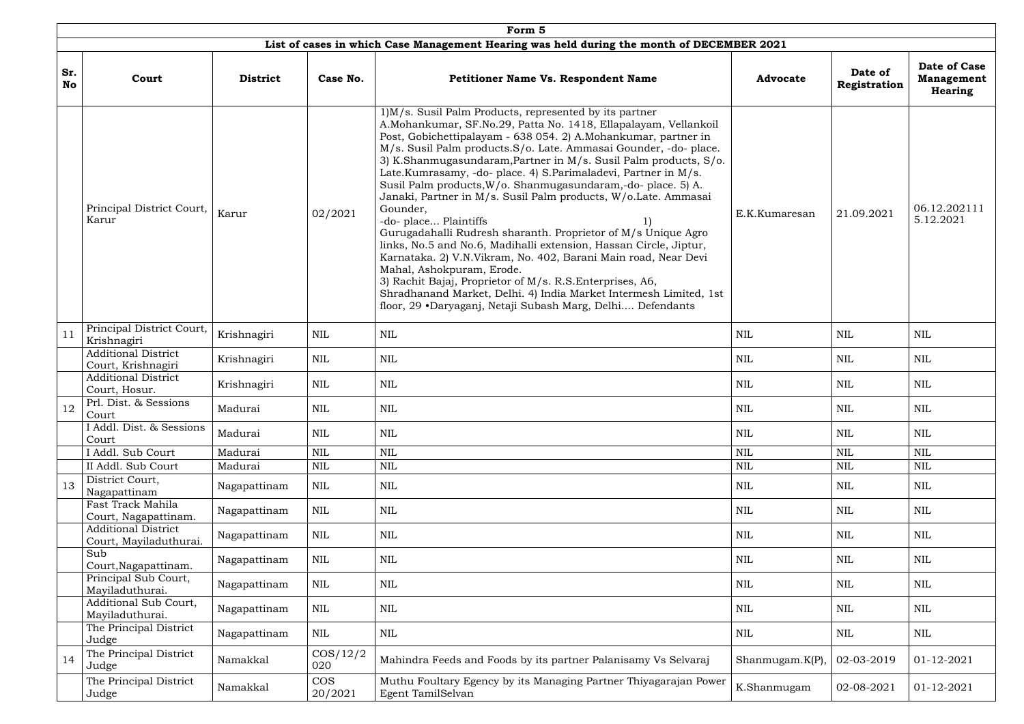|                  | Form 5                                               |                 |                       |                                                                                                                                                                                                                                                                                                                                                                                                                                                                                                                                                                                                                                                                                                                                                                                                                                                                                                                                                                                                                   |                     |                         |                                                     |  |  |  |  |  |
|------------------|------------------------------------------------------|-----------------|-----------------------|-------------------------------------------------------------------------------------------------------------------------------------------------------------------------------------------------------------------------------------------------------------------------------------------------------------------------------------------------------------------------------------------------------------------------------------------------------------------------------------------------------------------------------------------------------------------------------------------------------------------------------------------------------------------------------------------------------------------------------------------------------------------------------------------------------------------------------------------------------------------------------------------------------------------------------------------------------------------------------------------------------------------|---------------------|-------------------------|-----------------------------------------------------|--|--|--|--|--|
|                  |                                                      |                 |                       | List of cases in which Case Management Hearing was held during the month of DECEMBER 2021                                                                                                                                                                                                                                                                                                                                                                                                                                                                                                                                                                                                                                                                                                                                                                                                                                                                                                                         |                     |                         |                                                     |  |  |  |  |  |
| Sr.<br><b>No</b> | Court                                                | <b>District</b> | Case No.              | <b>Petitioner Name Vs. Respondent Name</b>                                                                                                                                                                                                                                                                                                                                                                                                                                                                                                                                                                                                                                                                                                                                                                                                                                                                                                                                                                        | <b>Advocate</b>     | Date of<br>Registration | Date of Case<br><b>Management</b><br><b>Hearing</b> |  |  |  |  |  |
|                  | Principal District Court,<br>Karur                   | Karur           | 02/2021               | 1)M/s. Susil Palm Products, represented by its partner<br>A.Mohankumar, SF.No.29, Patta No. 1418, Ellapalayam, Vellankoil<br>Post, Gobichettipalayam - 638 054. 2) A.Mohankumar, partner in<br>M/s. Susil Palm products. S/o. Late. Ammasai Gounder, -do- place.<br>3) K.Shanmugasundaram, Partner in M/s. Susil Palm products, S/o.<br>Late.Kumrasamy, -do- place. 4) S.Parimaladevi, Partner in M/s.<br>Susil Palm products, W/o. Shanmugasundaram,-do- place. 5) A.<br>Janaki, Partner in M/s. Susil Palm products, W/o.Late. Ammasai<br>Gounder,<br>-do-place Plaintiffs<br>Gurugadahalli Rudresh sharanth. Proprietor of M/s Unique Agro<br>links, No.5 and No.6, Madihalli extension, Hassan Circle, Jiptur,<br>Karnataka. 2) V.N.Vikram, No. 402, Barani Main road, Near Devi<br>Mahal, Ashokpuram, Erode.<br>3) Rachit Bajaj, Proprietor of M/s. R.S. Enterprises, A6,<br>Shradhanand Market, Delhi. 4) India Market Intermesh Limited, 1st<br>floor, 29 •Daryaganj, Netaji Subash Marg, Delhi Defendants | E.K.Kumaresan       | 21.09.2021              | 06.12.202111<br>5.12.2021                           |  |  |  |  |  |
| 11               | Principal District Court,<br>Krishnagiri             | Krishnagiri     | NIL                   | NIL                                                                                                                                                                                                                                                                                                                                                                                                                                                                                                                                                                                                                                                                                                                                                                                                                                                                                                                                                                                                               | <b>NIL</b>          | <b>NIL</b>              | <b>NIL</b>                                          |  |  |  |  |  |
|                  | <b>Additional District</b><br>Court, Krishnagiri     | Krishnagiri     | <b>NIL</b>            | NIL                                                                                                                                                                                                                                                                                                                                                                                                                                                                                                                                                                                                                                                                                                                                                                                                                                                                                                                                                                                                               | NIL                 | <b>NIL</b>              | NIL                                                 |  |  |  |  |  |
|                  | <b>Additional District</b><br>Court, Hosur.          | Krishnagiri     | NIL                   | <b>NIL</b>                                                                                                                                                                                                                                                                                                                                                                                                                                                                                                                                                                                                                                                                                                                                                                                                                                                                                                                                                                                                        | NIL                 | <b>NIL</b>              | NIL                                                 |  |  |  |  |  |
| 12               | Prl. Dist. & Sessions<br>Court                       | Madurai         | $\mbox{NIL}$          | <b>NIL</b>                                                                                                                                                                                                                                                                                                                                                                                                                                                                                                                                                                                                                                                                                                                                                                                                                                                                                                                                                                                                        | <b>NIL</b>          | <b>NIL</b>              | $\mbox{NIL}$                                        |  |  |  |  |  |
|                  | I Addl. Dist. & Sessions<br>Court                    | Madurai         | <b>NIL</b>            | <b>NIL</b>                                                                                                                                                                                                                                                                                                                                                                                                                                                                                                                                                                                                                                                                                                                                                                                                                                                                                                                                                                                                        | NIL                 | <b>NIL</b>              | <b>NIL</b>                                          |  |  |  |  |  |
|                  | I Addl. Sub Court                                    | Madurai         | $\mbox{NIL}$          | <b>NIL</b>                                                                                                                                                                                                                                                                                                                                                                                                                                                                                                                                                                                                                                                                                                                                                                                                                                                                                                                                                                                                        | <b>NIL</b>          | <b>NIL</b>              | <b>NIL</b>                                          |  |  |  |  |  |
|                  | II Addl. Sub Court                                   | Madurai         | <b>NIL</b>            | <b>NIL</b>                                                                                                                                                                                                                                                                                                                                                                                                                                                                                                                                                                                                                                                                                                                                                                                                                                                                                                                                                                                                        | NIL                 | NIL                     | <b>NIL</b>                                          |  |  |  |  |  |
| 13               | District Court,<br>Nagapattinam                      | Nagapattinam    | NIL                   | <b>NIL</b>                                                                                                                                                                                                                                                                                                                                                                                                                                                                                                                                                                                                                                                                                                                                                                                                                                                                                                                                                                                                        | NIL                 | NIL                     | <b>NIL</b>                                          |  |  |  |  |  |
|                  | Fast Track Mahila<br>Court, Nagapattinam.            | Nagapattinam    | <b>NIL</b>            | <b>NIL</b>                                                                                                                                                                                                                                                                                                                                                                                                                                                                                                                                                                                                                                                                                                                                                                                                                                                                                                                                                                                                        | <b>NIL</b>          | <b>NIL</b>              | <b>NIL</b>                                          |  |  |  |  |  |
|                  | <b>Additional District</b><br>Court, Mayiladuthurai. | Nagapattinam    | <b>NIL</b>            | <b>NIL</b>                                                                                                                                                                                                                                                                                                                                                                                                                                                                                                                                                                                                                                                                                                                                                                                                                                                                                                                                                                                                        | NIL                 | <b>NIL</b>              | <b>NIL</b>                                          |  |  |  |  |  |
|                  | Sub<br>Court, Nagapattinam.                          | Nagapattinam    | <b>NIL</b>            | <b>NIL</b>                                                                                                                                                                                                                                                                                                                                                                                                                                                                                                                                                                                                                                                                                                                                                                                                                                                                                                                                                                                                        | <b>NIL</b>          | <b>NIL</b>              | <b>NIL</b>                                          |  |  |  |  |  |
|                  | Principal Sub Court,<br>Mayiladuthurai.              | Nagapattinam    | NIL                   | <b>NIL</b>                                                                                                                                                                                                                                                                                                                                                                                                                                                                                                                                                                                                                                                                                                                                                                                                                                                                                                                                                                                                        | <b>NIL</b>          | <b>NIL</b>              | NIL                                                 |  |  |  |  |  |
|                  | Additional Sub Court,<br>Mayiladuthurai.             | Nagapattinam    | $\mbox{NIL}$          | <b>NIL</b>                                                                                                                                                                                                                                                                                                                                                                                                                                                                                                                                                                                                                                                                                                                                                                                                                                                                                                                                                                                                        | NIL                 | <b>NIL</b>              | <b>NIL</b>                                          |  |  |  |  |  |
|                  | The Principal District<br>Judge                      | Nagapattinam    | <b>NIL</b>            | <b>NIL</b>                                                                                                                                                                                                                                                                                                                                                                                                                                                                                                                                                                                                                                                                                                                                                                                                                                                                                                                                                                                                        | <b>NIL</b>          | NIL                     | <b>NIL</b>                                          |  |  |  |  |  |
| 14               | The Principal District<br>Judge                      | Namakkal        | $\cos/12/2$<br>020    | Mahindra Feeds and Foods by its partner Palanisamy Vs Selvaraj                                                                                                                                                                                                                                                                                                                                                                                                                                                                                                                                                                                                                                                                                                                                                                                                                                                                                                                                                    | Shanmugam. $K(P)$ , | 02-03-2019              | 01-12-2021                                          |  |  |  |  |  |
|                  | The Principal District<br>Judge                      | Namakkal        | <b>COS</b><br>20/2021 | Muthu Foultary Egency by its Managing Partner Thiyagarajan Power<br>Egent TamilSelvan                                                                                                                                                                                                                                                                                                                                                                                                                                                                                                                                                                                                                                                                                                                                                                                                                                                                                                                             | K.Shanmugam         | 02-08-2021              | 01-12-2021                                          |  |  |  |  |  |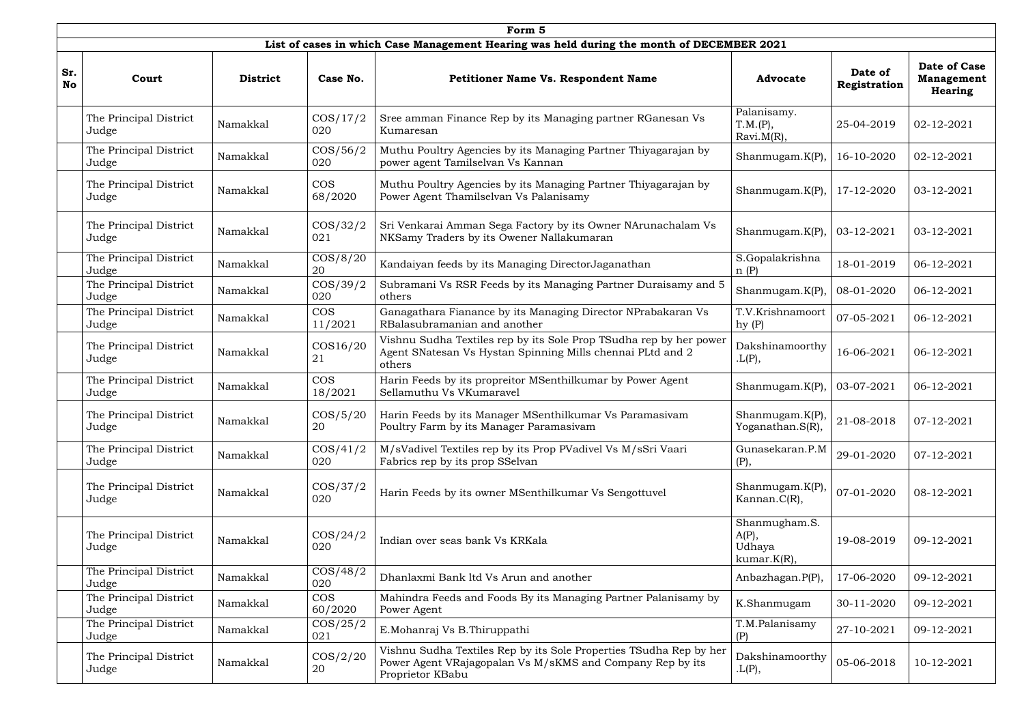|                  | Form 5                          |                 |                         |                                                                                                                                                     |                                                       |                         |                                              |  |  |  |  |  |
|------------------|---------------------------------|-----------------|-------------------------|-----------------------------------------------------------------------------------------------------------------------------------------------------|-------------------------------------------------------|-------------------------|----------------------------------------------|--|--|--|--|--|
|                  |                                 |                 |                         | List of cases in which Case Management Hearing was held during the month of DECEMBER 2021                                                           |                                                       |                         |                                              |  |  |  |  |  |
| Sr.<br><b>No</b> | Court                           | <b>District</b> | Case No.                | <b>Petitioner Name Vs. Respondent Name</b>                                                                                                          | <b>Advocate</b>                                       | Date of<br>Registration | Date of Case<br><b>Management</b><br>Hearing |  |  |  |  |  |
|                  | The Principal District<br>Judge | Namakkal        | $\cos/17/2$<br>020      | Sree amman Finance Rep by its Managing partner RGanesan Vs<br>Kumaresan                                                                             | Palanisamy.<br>T.M.(P),<br>$Ravi.M(R)$ ,              | 25-04-2019              | 02-12-2021                                   |  |  |  |  |  |
|                  | The Principal District<br>Judge | Namakkal        | $\cos/56/2$<br>020      | Muthu Poultry Agencies by its Managing Partner Thiyagarajan by<br>power agent Tamilselvan Vs Kannan                                                 | Shanmugam.K(P),                                       | 16-10-2020              | 02-12-2021                                   |  |  |  |  |  |
|                  | The Principal District<br>Judge | Namakkal        | <b>COS</b><br>68/2020   | Muthu Poultry Agencies by its Managing Partner Thiyagarajan by<br>Power Agent Thamilselvan Vs Palanisamy                                            | Shanmugam.K(P),                                       | 17-12-2020              | 03-12-2021                                   |  |  |  |  |  |
|                  | The Principal District<br>Judge | Namakkal        | $\cos/32/2$<br>021      | Sri Venkarai Amman Sega Factory by its Owner NArunachalam Vs<br>NKSamy Traders by its Owener Nallakumaran                                           | Shanmugam.K(P),                                       | $03 - 12 - 2021$        | 03-12-2021                                   |  |  |  |  |  |
|                  | The Principal District<br>Judge | Namakkal        | $\cos/8/20$<br>20       | Kandaiyan feeds by its Managing Director Jaganathan                                                                                                 | S.Gopalakrishna<br>n(P)                               | 18-01-2019              | 06-12-2021                                   |  |  |  |  |  |
|                  | The Principal District<br>Judge | Namakkal        | $\cos/39/2$<br>020      | Subramani Vs RSR Feeds by its Managing Partner Duraisamy and 5<br>others                                                                            | Shanmugam. $K(P)$                                     | 08-01-2020              | 06-12-2021                                   |  |  |  |  |  |
|                  | The Principal District<br>Judge | Namakkal        | <b>COS</b><br>11/2021   | Ganagathara Fianance by its Managing Director NPrabakaran Vs<br>RBalasubramanian and another                                                        | T.V.Krishnamoort<br>hy(P)                             | 07-05-2021              | 06-12-2021                                   |  |  |  |  |  |
|                  | The Principal District<br>Judge | Namakkal        | $\text{COS}16/20$<br>21 | Vishnu Sudha Textiles rep by its Sole Prop TSudha rep by her power<br>Agent SNatesan Vs Hystan Spinning Mills chennai PLtd and 2<br>others          | Dakshinamoorthy<br>L(P),                              | 16-06-2021              | 06-12-2021                                   |  |  |  |  |  |
|                  | The Principal District<br>Judge | Namakkal        | <b>COS</b><br>18/2021   | Harin Feeds by its propreitor MSenthilkumar by Power Agent<br>Sellamuthu Vs VKumaravel                                                              | Shanmugam. $K(P)$ ,                                   | 03-07-2021              | 06-12-2021                                   |  |  |  |  |  |
|                  | The Principal District<br>Judge | Namakkal        | $\cos/5/20$<br>20       | Harin Feeds by its Manager MSenthilkumar Vs Paramasivam<br>Poultry Farm by its Manager Paramasivam                                                  | Shanmugam.K(P),<br>Yoganathan.S(R),                   | 21-08-2018              | 07-12-2021                                   |  |  |  |  |  |
|                  | The Principal District<br>Judge | Namakkal        | $\cos/41/2$<br>020      | M/sVadivel Textiles rep by its Prop PVadivel Vs M/sSri Vaari<br>Fabrics rep by its prop SSelvan                                                     | Gunasekaran.P.M<br>(P),                               | 29-01-2020              | 07-12-2021                                   |  |  |  |  |  |
|                  | The Principal District<br>Judge | Namakkal        | $\cos/37/2$<br>020      | Harin Feeds by its owner MSenthilkumar Vs Sengottuvel                                                                                               | Shanmugam.K(P),<br>Kannan.C(R),                       | 07-01-2020              | 08-12-2021                                   |  |  |  |  |  |
|                  | The Principal District<br>Judge | Namakkal        | $\cos/24/2$<br>020      | Indian over seas bank Vs KRKala                                                                                                                     | Shanmugham.S.<br>$A(P)$ ,<br>Udhaya<br>$kumar.K(R)$ , | 19-08-2019              | 09-12-2021                                   |  |  |  |  |  |
|                  | The Principal District<br>Judge | Namakkal        | $\cos/48/2$<br>020      | Dhanlaxmi Bank ltd Vs Arun and another                                                                                                              | Anbazhagan.P(P),                                      | 17-06-2020              | 09-12-2021                                   |  |  |  |  |  |
|                  | The Principal District<br>Judge | Namakkal        | <b>COS</b><br>60/2020   | Mahindra Feeds and Foods By its Managing Partner Palanisamy by<br>Power Agent                                                                       | K.Shanmugam                                           | 30-11-2020              | 09-12-2021                                   |  |  |  |  |  |
|                  | The Principal District<br>Judge | Namakkal        | $\cos/25/2$<br>021      | E.Mohanraj Vs B.Thiruppathi                                                                                                                         | T.M.Palanisamy<br>(P)                                 | 27-10-2021              | 09-12-2021                                   |  |  |  |  |  |
|                  | The Principal District<br>Judge | Namakkal        | $\cos/2/20$<br>20       | Vishnu Sudha Textiles Rep by its Sole Properties TSudha Rep by her<br>Power Agent VRajagopalan Vs M/sKMS and Company Rep by its<br>Proprietor KBabu | Dakshinamoorthy<br>L(P),                              | 05-06-2018              | 10-12-2021                                   |  |  |  |  |  |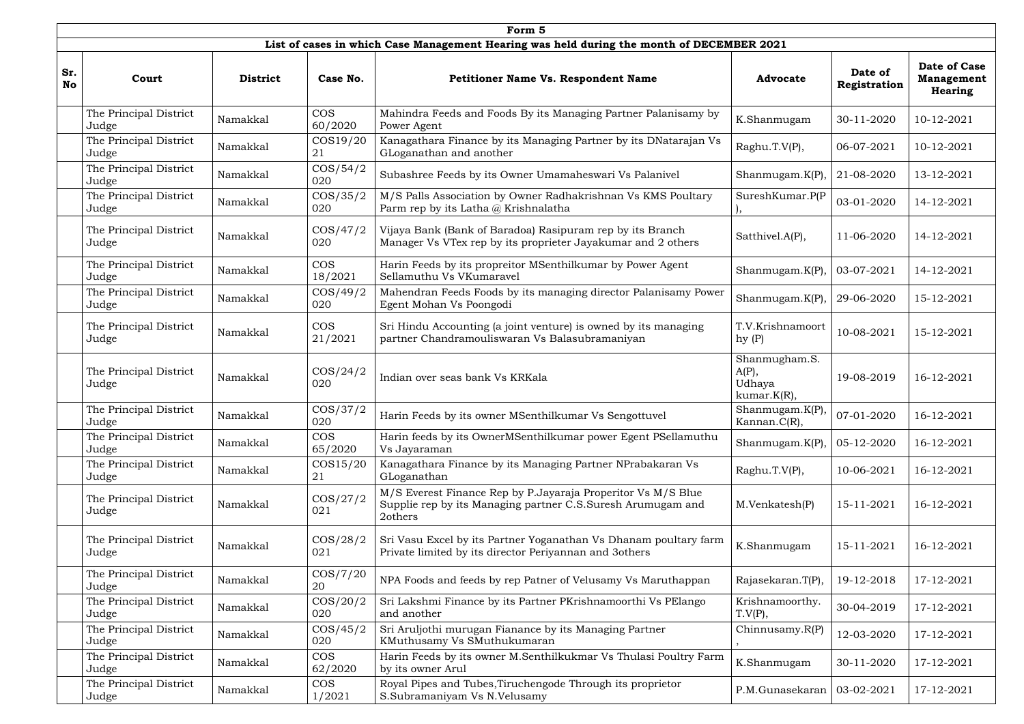|                  | Form 5                          |                 |                       |                                                                                                                                        |                                                    |                         |                                                     |  |  |  |  |
|------------------|---------------------------------|-----------------|-----------------------|----------------------------------------------------------------------------------------------------------------------------------------|----------------------------------------------------|-------------------------|-----------------------------------------------------|--|--|--|--|
|                  |                                 |                 |                       | List of cases in which Case Management Hearing was held during the month of DECEMBER 2021                                              |                                                    |                         |                                                     |  |  |  |  |
| Sr.<br><b>No</b> | Court                           | <b>District</b> | Case No.              | <b>Petitioner Name Vs. Respondent Name</b>                                                                                             | <b>Advocate</b>                                    | Date of<br>Registration | <b>Date of Case</b><br><b>Management</b><br>Hearing |  |  |  |  |
|                  | The Principal District<br>Judge | Namakkal        | <b>COS</b><br>60/2020 | Mahindra Feeds and Foods By its Managing Partner Palanisamy by<br>Power Agent                                                          | K.Shanmugam                                        | 30-11-2020              | 10-12-2021                                          |  |  |  |  |
|                  | The Principal District<br>Judge | Namakkal        | COS19/20<br>21        | Kanagathara Finance by its Managing Partner by its DNatarajan Vs<br>GLoganathan and another                                            | Raghu.T.V(P),                                      | 06-07-2021              | 10-12-2021                                          |  |  |  |  |
|                  | The Principal District<br>Judge | Namakkal        | $\cos/54/2$<br>020    | Subashree Feeds by its Owner Umamaheswari Vs Palanivel                                                                                 | Shanmugam. $K(P)$                                  | 21-08-2020              | 13-12-2021                                          |  |  |  |  |
|                  | The Principal District<br>Judge | Namakkal        | $\cos/35/2$<br>020    | M/S Palls Association by Owner Radhakrishnan Vs KMS Poultary<br>Parm rep by its Latha $\omega$ Krishnalatha                            | SureshKumar.P(P                                    | 03-01-2020              | 14-12-2021                                          |  |  |  |  |
|                  | The Principal District<br>Judge | Namakkal        | $\cos/47/2$<br>020    | Vijaya Bank (Bank of Baradoa) Rasipuram rep by its Branch<br>Manager Vs VTex rep by its proprieter Jayakumar and 2 others              | Satthivel.A(P),                                    | 11-06-2020              | 14-12-2021                                          |  |  |  |  |
|                  | The Principal District<br>Judge | Namakkal        | <b>COS</b><br>18/2021 | Harin Feeds by its propreitor MSenthilkumar by Power Agent<br>Sellamuthu Vs VKumaravel                                                 | Shanmugam. $K(P)$                                  | 03-07-2021              | 14-12-2021                                          |  |  |  |  |
|                  | The Principal District<br>Judge | Namakkal        | $\cos/49/2$<br>020    | Mahendran Feeds Foods by its managing director Palanisamy Power<br>Egent Mohan Vs Poongodi                                             | Shanmugam. $K(P)$                                  | 29-06-2020              | 15-12-2021                                          |  |  |  |  |
|                  | The Principal District<br>Judge | Namakkal        | <b>COS</b><br>21/2021 | Sri Hindu Accounting (a joint venture) is owned by its managing<br>partner Chandramouliswaran Vs Balasubramaniyan                      | T.V.Krishnamoort<br>hy(P)                          | 10-08-2021              | 15-12-2021                                          |  |  |  |  |
|                  | The Principal District<br>Judge | Namakkal        | $\cos/24/2$<br>020    | Indian over seas bank Vs KRKala                                                                                                        | Shanmugham.S.<br>$A(P)$ ,<br>Udhaya<br>kumar.K(R), | 19-08-2019              | 16-12-2021                                          |  |  |  |  |
|                  | The Principal District<br>Judge | Namakkal        | $\cos/37/2$<br>020    | Harin Feeds by its owner MSenthilkumar Vs Sengottuvel                                                                                  | Shanmugam.K(P),<br>Kannan.C(R),                    | 07-01-2020              | 16-12-2021                                          |  |  |  |  |
|                  | The Principal District<br>Judge | Namakkal        | <b>COS</b><br>65/2020 | Harin feeds by its OwnerMSenthilkumar power Egent PSellamuthu<br>Vs Jayaraman                                                          | Shanmugam. $K(P)$                                  | 05-12-2020              | 16-12-2021                                          |  |  |  |  |
|                  | The Principal District<br>Judge | Namakkal        | $\cos 15/20$<br>21    | Kanagathara Finance by its Managing Partner NPrabakaran Vs<br>GLoganathan                                                              | Raghu.T.V(P),                                      | 10-06-2021              | 16-12-2021                                          |  |  |  |  |
|                  | The Principal District<br>Judge | Namakkal        | $\cos/27/2$<br>021    | M/S Everest Finance Rep by P.Jayaraja Properitor Vs M/S Blue<br>Supplie rep by its Managing partner C.S.Suresh Arumugam and<br>2others | M.Venkatesh(P)                                     | 15-11-2021              | 16-12-2021                                          |  |  |  |  |
|                  | The Principal District<br>Judge | Namakkal        | $\cos/28/2$<br>021    | Sri Vasu Excel by its Partner Yoganathan Vs Dhanam poultary farm<br>Private limited by its director Periyannan and 3others             | K.Shanmugam                                        | 15-11-2021              | 16-12-2021                                          |  |  |  |  |
|                  | The Principal District<br>Judge | Namakkal        | $\cos/7/20$<br>20     | NPA Foods and feeds by rep Patner of Velusamy Vs Maruthappan                                                                           | Rajasekaran.T(P)                                   | 19-12-2018              | 17-12-2021                                          |  |  |  |  |
|                  | The Principal District<br>Judge | Namakkal        | $\cos/20/2$<br>020    | Sri Lakshmi Finance by its Partner PKrishnamoorthi Vs PElango<br>and another                                                           | Krishnamoorthy.<br>T.V(P),                         | 30-04-2019              | 17-12-2021                                          |  |  |  |  |
|                  | The Principal District<br>Judge | Namakkal        | $\cos/45/2$<br>020    | Sri Aruljothi murugan Fianance by its Managing Partner<br>KMuthusamy Vs SMuthukumaran                                                  | Chinnusamy. $R(P)$                                 | 12-03-2020              | 17-12-2021                                          |  |  |  |  |
|                  | The Principal District<br>Judge | Namakkal        | <b>COS</b><br>62/2020 | Harin Feeds by its owner M.Senthilkukmar Vs Thulasi Poultry Farm<br>by its owner Arul                                                  | K.Shanmugam                                        | 30-11-2020              | 17-12-2021                                          |  |  |  |  |
|                  | The Principal District<br>Judge | Namakkal        | <b>COS</b><br>1/2021  | Royal Pipes and Tubes, Tiruchengode Through its proprietor<br>S.Subramaniyam Vs N.Velusamy                                             | $P.M.Gunasekaran$   03-02-2021                     |                         | 17-12-2021                                          |  |  |  |  |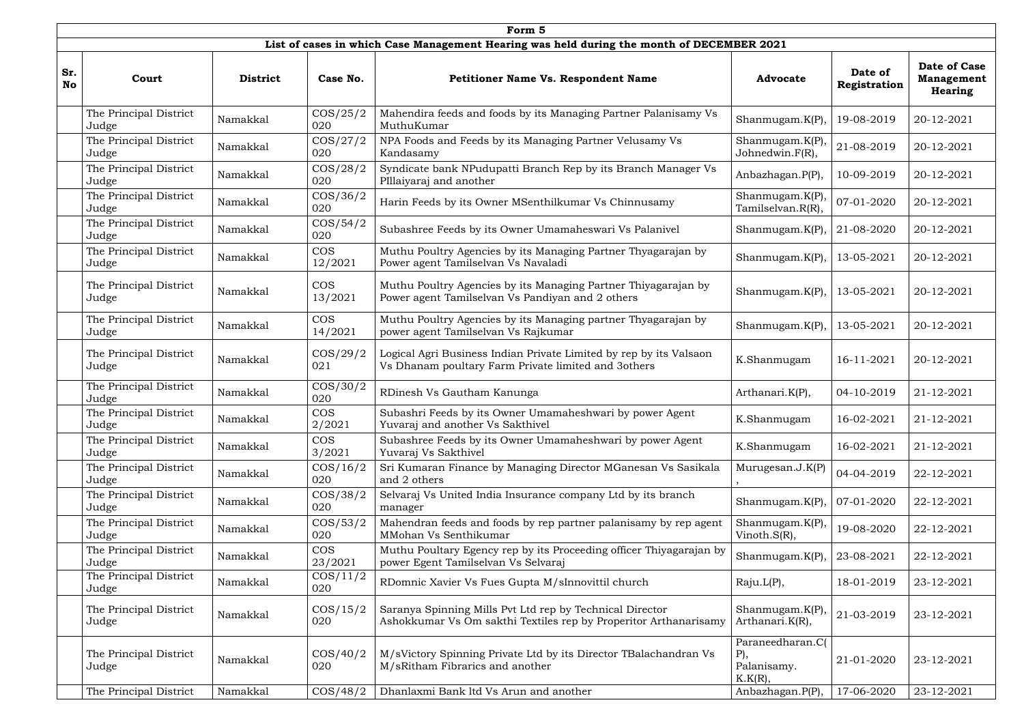|                  | Form 5                          |                 |                       |                                                                                                                              |                                                         |                         |                                                            |  |  |  |  |  |
|------------------|---------------------------------|-----------------|-----------------------|------------------------------------------------------------------------------------------------------------------------------|---------------------------------------------------------|-------------------------|------------------------------------------------------------|--|--|--|--|--|
|                  |                                 |                 |                       | List of cases in which Case Management Hearing was held during the month of DECEMBER 2021                                    |                                                         |                         |                                                            |  |  |  |  |  |
| Sr.<br><b>No</b> | Court                           | <b>District</b> | Case No.              | <b>Petitioner Name Vs. Respondent Name</b>                                                                                   | <b>Advocate</b>                                         | Date of<br>Registration | <b>Date of Case</b><br><b>Management</b><br><b>Hearing</b> |  |  |  |  |  |
|                  | The Principal District<br>Judge | Namakkal        | $\cos/25/2$<br>020    | Mahendira feeds and foods by its Managing Partner Palanisamy Vs<br>MuthuKumar                                                | Shanmugam. $K(P)$                                       | 19-08-2019              | 20-12-2021                                                 |  |  |  |  |  |
|                  | The Principal District<br>Judge | Namakkal        | $\cos/27/2$<br>020    | NPA Foods and Feeds by its Managing Partner Velusamy Vs<br>Kandasamy                                                         | Shanmugam. $K(P)$<br>Johnedwin.F(R),                    | 21-08-2019              | 20-12-2021                                                 |  |  |  |  |  |
|                  | The Principal District<br>Judge | Namakkal        | $\cos/28/2$<br>020    | Syndicate bank NPudupatti Branch Rep by its Branch Manager Vs<br>PIllaiyaraj and another                                     | Anbazhagan.P(P),                                        | 10-09-2019              | 20-12-2021                                                 |  |  |  |  |  |
|                  | The Principal District<br>Judge | Namakkal        | $\cos/36/2$<br>020    | Harin Feeds by its Owner MSenthilkumar Vs Chinnusamy                                                                         | Shanmugam. $K(P)$<br>Tamilselvan.R(R),                  | 07-01-2020              | 20-12-2021                                                 |  |  |  |  |  |
|                  | The Principal District<br>Judge | Namakkal        | $\cos/54/2$<br>020    | Subashree Feeds by its Owner Umamaheswari Vs Palanivel                                                                       | Shanmugam. $K(P)$                                       | 21-08-2020              | 20-12-2021                                                 |  |  |  |  |  |
|                  | The Principal District<br>Judge | Namakkal        | <b>COS</b><br>12/2021 | Muthu Poultry Agencies by its Managing Partner Thyagarajan by<br>Power agent Tamilselvan Vs Navaladi                         | Shanmugam. $K(P)$ ,                                     | 13-05-2021              | 20-12-2021                                                 |  |  |  |  |  |
|                  | The Principal District<br>Judge | Namakkal        | <b>COS</b><br>13/2021 | Muthu Poultry Agencies by its Managing Partner Thiyagarajan by<br>Power agent Tamilselvan Vs Pandiyan and 2 others           | Shanmugam. $K(P)$                                       | 13-05-2021              | 20-12-2021                                                 |  |  |  |  |  |
|                  | The Principal District<br>Judge | Namakkal        | <b>COS</b><br>14/2021 | Muthu Poultry Agencies by its Managing partner Thyagarajan by<br>power agent Tamilselvan Vs Rajkumar                         | Shanmugam. $K(P)$                                       | 13-05-2021              | 20-12-2021                                                 |  |  |  |  |  |
|                  | The Principal District<br>Judge | Namakkal        | $\cos/29/2$<br>021    | Logical Agri Business Indian Private Limited by rep by its Valsaon<br>Vs Dhanam poultary Farm Private limited and 3others    | K.Shanmugam                                             | 16-11-2021              | 20-12-2021                                                 |  |  |  |  |  |
|                  | The Principal District<br>Judge | Namakkal        | $\cos/30/2$<br>020    | RDinesh Vs Gautham Kanunga                                                                                                   | Arthanari.K(P),                                         | 04-10-2019              | 21-12-2021                                                 |  |  |  |  |  |
|                  | The Principal District<br>Judge | Namakkal        | <b>COS</b><br>2/2021  | Subashri Feeds by its Owner Umamaheshwari by power Agent<br>Yuvaraj and another Vs Sakthivel                                 | K.Shanmugam                                             | 16-02-2021              | 21-12-2021                                                 |  |  |  |  |  |
|                  | The Principal District<br>Judge | Namakkal        | <b>COS</b><br>3/2021  | Subashree Feeds by its Owner Umamaheshwari by power Agent<br>Yuvaraj Vs Sakthivel                                            | K.Shanmugam                                             | 16-02-2021              | 21-12-2021                                                 |  |  |  |  |  |
|                  | The Principal District<br>Judge | Namakkal        | $\cos/16/2$<br>020    | Sri Kumaran Finance by Managing Director MGanesan Vs Sasikala<br>and 2 others                                                | Murugesan.J.K(P)                                        | 04-04-2019              | 22-12-2021                                                 |  |  |  |  |  |
|                  | The Principal District<br>Judge | Namakkal        | $\cos/38/2$<br>020    | Selvaraj Vs United India Insurance company Ltd by its branch<br>manager                                                      | Shanmugam. $K(P)$                                       | 07-01-2020              | 22-12-2021                                                 |  |  |  |  |  |
|                  | The Principal District<br>Judge | Namakkal        | $\cos/53/2$<br>020    | Mahendran feeds and foods by rep partner palanisamy by rep agent<br>MMohan Vs Senthikumar                                    | Shanmugam.K(P)<br>Vinoth.S(R),                          | 19-08-2020              | 22-12-2021                                                 |  |  |  |  |  |
|                  | The Principal District<br>Judge | Namakkal        | <b>COS</b><br>23/2021 | Muthu Poultary Egency rep by its Proceeding officer Thiyagarajan by<br>power Egent Tamilselvan Vs Selvaraj                   | Shanmugam. $K(P)$                                       | 23-08-2021              | 22-12-2021                                                 |  |  |  |  |  |
|                  | The Principal District<br>Judge | Namakkal        | $\cos/11/2$<br>020    | RDomnic Xavier Vs Fues Gupta M/sInnovittil church                                                                            | Raju.L(P),                                              | 18-01-2019              | 23-12-2021                                                 |  |  |  |  |  |
|                  | The Principal District<br>Judge | Namakkal        | $\cos/15/2$<br>020    | Saranya Spinning Mills Pvt Ltd rep by Technical Director<br>Ashokkumar Vs Om sakthi Textiles rep by Properitor Arthanarisamy | Shanmugam.K(P)<br>Arthanari.K(R),                       | 21-03-2019              | 23-12-2021                                                 |  |  |  |  |  |
|                  | The Principal District<br>Judge | Namakkal        | $\cos/40/2$<br>020    | M/sVictory Spinning Private Ltd by its Director TBalachandran Vs<br>M/sRitham Fibrarics and another                          | Paraneedharan.C(<br>$P$ ),<br>Palanisamy.<br>$K.K(R)$ , | 21-01-2020              | 23-12-2021                                                 |  |  |  |  |  |
|                  | The Principal District          | Namakkal        | $\cos/48/2$           | Dhanlaxmi Bank ltd Vs Arun and another                                                                                       | Anbazhagan.P(P),                                        | 17-06-2020              | 23-12-2021                                                 |  |  |  |  |  |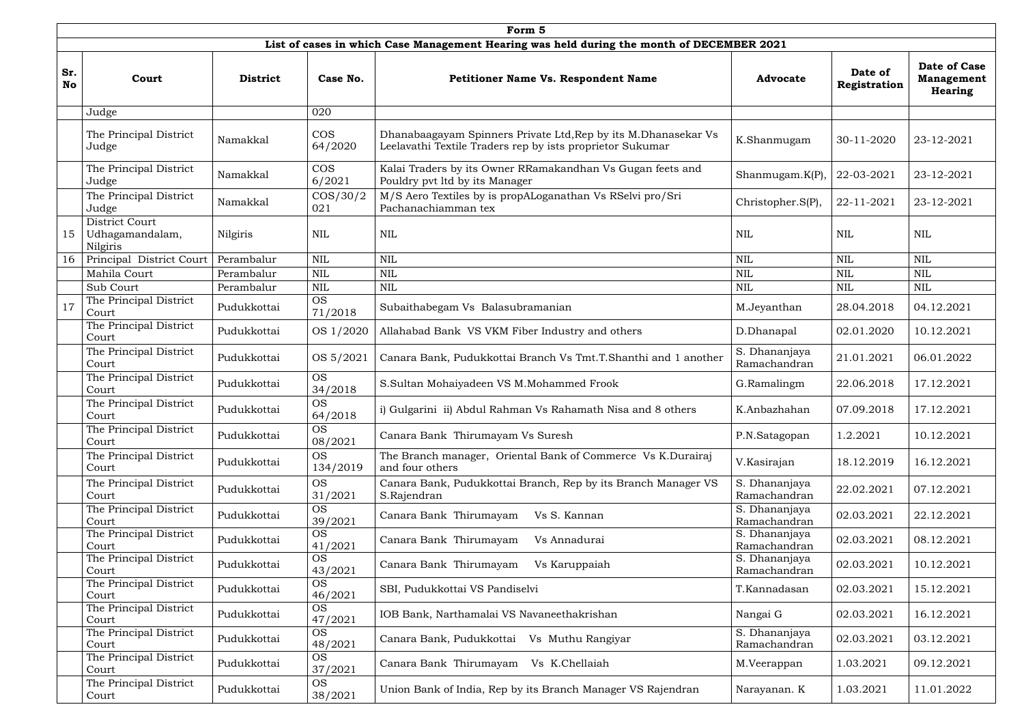|                  | Form 5                                        |                 |                       |                                                                                                                             |                               |                         |                                                            |  |  |  |  |  |
|------------------|-----------------------------------------------|-----------------|-----------------------|-----------------------------------------------------------------------------------------------------------------------------|-------------------------------|-------------------------|------------------------------------------------------------|--|--|--|--|--|
|                  |                                               |                 |                       | List of cases in which Case Management Hearing was held during the month of DECEMBER 2021                                   |                               |                         |                                                            |  |  |  |  |  |
| Sr.<br><b>No</b> | Court                                         | <b>District</b> | Case No.              | <b>Petitioner Name Vs. Respondent Name</b>                                                                                  | <b>Advocate</b>               | Date of<br>Registration | <b>Date of Case</b><br><b>Management</b><br><b>Hearing</b> |  |  |  |  |  |
|                  | Judge                                         |                 | 020                   |                                                                                                                             |                               |                         |                                                            |  |  |  |  |  |
|                  | The Principal District<br>Judge               | Namakkal        | <b>COS</b><br>64/2020 | Dhanabaagayam Spinners Private Ltd, Rep by its M.Dhanasekar Vs<br>Leelavathi Textile Traders rep by ists proprietor Sukumar | K.Shanmugam                   | 30-11-2020              | 23-12-2021                                                 |  |  |  |  |  |
|                  | The Principal District<br>Judge               | Namakkal        | <b>COS</b><br>6/2021  | Kalai Traders by its Owner RRamakandhan Vs Gugan feets and<br>Pouldry pvt ltd by its Manager                                | Shanmugam. $K(P)$             | 22-03-2021              | 23-12-2021                                                 |  |  |  |  |  |
|                  | The Principal District<br>Judge               | Namakkal        | $\cos/30/2$<br>021    | M/S Aero Textiles by is propALoganathan Vs RSelvi pro/Sri<br>Pachanachiamman tex                                            | Christopher.S(P),             | 22-11-2021              | 23-12-2021                                                 |  |  |  |  |  |
| 15               | District Court<br>Udhagamandalam,<br>Nilgiris | Nilgiris        | <b>NIL</b>            | <b>NIL</b>                                                                                                                  | <b>NIL</b>                    | <b>NIL</b>              | <b>NIL</b>                                                 |  |  |  |  |  |
| 16               | Principal District Court                      | Perambalur      | <b>NIL</b>            | $\mbox{NIL}$                                                                                                                | <b>NIL</b>                    | <b>NIL</b>              | $\mbox{NIL}$                                               |  |  |  |  |  |
|                  | Mahila Court                                  | Perambalur      | <b>NIL</b>            | $\mbox{NIL}$                                                                                                                | <b>NIL</b>                    | <b>NIL</b>              | $\mbox{NIL}$                                               |  |  |  |  |  |
|                  | Sub Court                                     | Perambalur      | <b>NIL</b>            | $\mbox{NIL}$                                                                                                                | <b>NIL</b>                    | <b>NIL</b>              | <b>NIL</b>                                                 |  |  |  |  |  |
| 17               | The Principal District<br>Court               | Pudukkottai     | <b>OS</b><br>71/2018  | Subaithabegam Vs Balasubramanian                                                                                            | M.Jeyanthan                   | 28.04.2018              | 04.12.2021                                                 |  |  |  |  |  |
|                  | The Principal District<br>Court               | Pudukkottai     | OS 1/2020             | Allahabad Bank VS VKM Fiber Industry and others                                                                             | D.Dhanapal                    | 02.01.2020              | 10.12.2021                                                 |  |  |  |  |  |
|                  | The Principal District<br>Court               | Pudukkottai     | OS 5/2021             | Canara Bank, Pudukkottai Branch Vs Tmt.T.Shanthi and 1 another                                                              | S. Dhananjaya<br>Ramachandran | 21.01.2021              | 06.01.2022                                                 |  |  |  |  |  |
|                  | The Principal District<br>Court               | Pudukkottai     | <b>OS</b><br>34/2018  | S.Sultan Mohaiyadeen VS M.Mohammed Frook                                                                                    | G.Ramalingm                   | 22.06.2018              | 17.12.2021                                                 |  |  |  |  |  |
|                  | The Principal District<br>Court               | Pudukkottai     | <b>OS</b><br>64/2018  | i) Gulgarini ii) Abdul Rahman Vs Rahamath Nisa and 8 others                                                                 | K.Anbazhahan                  | 07.09.2018              | 17.12.2021                                                 |  |  |  |  |  |
|                  | The Principal District<br>Court               | Pudukkottai     | <b>OS</b><br>08/2021  | Canara Bank Thirumayam Vs Suresh                                                                                            | P.N.Satagopan                 | 1.2.2021                | 10.12.2021                                                 |  |  |  |  |  |
|                  | The Principal District<br>Court               | Pudukkottai     | <b>OS</b><br>134/2019 | The Branch manager, Oriental Bank of Commerce Vs K.Durairaj<br>and four others                                              | V.Kasirajan                   | 18.12.2019              | 16.12.2021                                                 |  |  |  |  |  |
|                  | The Principal District<br>Court               | Pudukkottai     | <b>OS</b><br>31/2021  | Canara Bank, Pudukkottai Branch, Rep by its Branch Manager VS<br>S.Rajendran                                                | S. Dhananjaya<br>Ramachandran | 22.02.2021              | 07.12.2021                                                 |  |  |  |  |  |
|                  | The Principal District<br>Court               | Pudukkottai     | <b>OS</b><br>39/2021  | Canara Bank Thirumayam<br>Vs S. Kannan                                                                                      | S. Dhananjaya<br>Ramachandran | 02.03.2021              | 22.12.2021                                                 |  |  |  |  |  |
|                  | The Principal District<br>Court               | Pudukkottai     | <b>OS</b><br>41/2021  | Canara Bank Thirumayam<br>Vs Annadurai                                                                                      | S. Dhananjaya<br>Ramachandran | 02.03.2021              | 08.12.2021                                                 |  |  |  |  |  |
|                  | The Principal District<br>Court               | Pudukkottai     | <b>OS</b><br>43/2021  | Canara Bank Thirumayam<br>Vs Karuppaiah                                                                                     | S. Dhananjaya<br>Ramachandran | 02.03.2021              | 10.12.2021                                                 |  |  |  |  |  |
|                  | The Principal District<br>Court               | Pudukkottai     | <b>OS</b><br>46/2021  | SBI, Pudukkottai VS Pandiselvi                                                                                              | T.Kannadasan                  | 02.03.2021              | 15.12.2021                                                 |  |  |  |  |  |
|                  | The Principal District<br>Court               | Pudukkottai     | <b>OS</b><br>47/2021  | IOB Bank, Narthamalai VS Navaneethakrishan                                                                                  | Nangai G                      | 02.03.2021              | 16.12.2021                                                 |  |  |  |  |  |
|                  | The Principal District<br>Court               | Pudukkottai     | <b>OS</b><br>48/2021  | Canara Bank, Pudukkottai Vs Muthu Rangiyar                                                                                  | S. Dhananjaya<br>Ramachandran | 02.03.2021              | 03.12.2021                                                 |  |  |  |  |  |
|                  | The Principal District<br>Court               | Pudukkottai     | <b>OS</b><br>37/2021  | Canara Bank Thirumayam<br>Vs K.Chellaiah                                                                                    | M.Veerappan                   | 1.03.2021               | 09.12.2021                                                 |  |  |  |  |  |
|                  | The Principal District<br>Court               | Pudukkottai     | <b>OS</b><br>38/2021  | Union Bank of India, Rep by its Branch Manager VS Rajendran                                                                 | Narayanan. K                  | 1.03.2021               | 11.01.2022                                                 |  |  |  |  |  |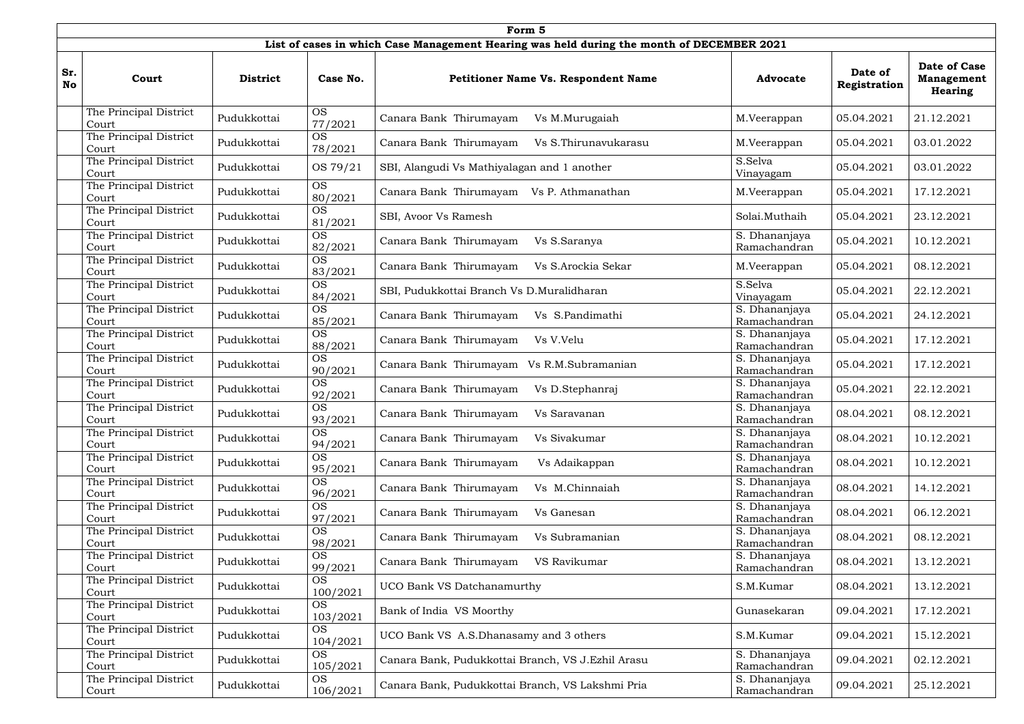|                  | Form 5                          |                 |                       |                                                                                           |                               |                         |                                                     |  |  |  |  |  |
|------------------|---------------------------------|-----------------|-----------------------|-------------------------------------------------------------------------------------------|-------------------------------|-------------------------|-----------------------------------------------------|--|--|--|--|--|
|                  |                                 |                 |                       | List of cases in which Case Management Hearing was held during the month of DECEMBER 2021 |                               |                         |                                                     |  |  |  |  |  |
| Sr.<br><b>No</b> | Court                           | <b>District</b> | Case No.              | <b>Petitioner Name Vs. Respondent Name</b>                                                | <b>Advocate</b>               | Date of<br>Registration | Date of Case<br><b>Management</b><br><b>Hearing</b> |  |  |  |  |  |
|                  | The Principal District<br>Court | Pudukkottai     | <b>OS</b><br>77/2021  | Canara Bank Thirumayam<br>Vs M.Murugaiah                                                  | M.Veerappan                   | 05.04.2021              | 21.12.2021                                          |  |  |  |  |  |
|                  | The Principal District<br>Court | Pudukkottai     | <b>OS</b><br>78/2021  | Canara Bank Thirumayam<br>Vs S.Thirunavukarasu                                            | M.Veerappan                   | 05.04.2021              | 03.01.2022                                          |  |  |  |  |  |
|                  | The Principal District<br>Court | Pudukkottai     | OS 79/21              | SBI, Alangudi Vs Mathiyalagan and 1 another                                               | S.Selva<br>Vinayagam          | 05.04.2021              | 03.01.2022                                          |  |  |  |  |  |
|                  | The Principal District<br>Court | Pudukkottai     | <b>OS</b><br>80/2021  | Canara Bank Thirumayam Vs P. Athmanathan                                                  | M.Veerappan                   | 05.04.2021              | 17.12.2021                                          |  |  |  |  |  |
|                  | The Principal District<br>Court | Pudukkottai     | <b>OS</b><br>81/2021  | SBI, Avoor Vs Ramesh                                                                      | Solai.Muthaih                 | 05.04.2021              | 23.12.2021                                          |  |  |  |  |  |
|                  | The Principal District<br>Court | Pudukkottai     | <b>OS</b><br>82/2021  | Canara Bank Thirumayam<br>Vs S.Saranya                                                    | S. Dhananjaya<br>Ramachandran | 05.04.2021              | 10.12.2021                                          |  |  |  |  |  |
|                  | The Principal District<br>Court | Pudukkottai     | <b>OS</b><br>83/2021  | Canara Bank Thirumayam<br>Vs S.Arockia Sekar                                              | M.Veerappan                   | 05.04.2021              | 08.12.2021                                          |  |  |  |  |  |
|                  | The Principal District<br>Court | Pudukkottai     | <b>OS</b><br>84/2021  | SBI, Pudukkottai Branch Vs D.Muralidharan                                                 | S.Selva<br>Vinayagam          | 05.04.2021              | 22.12.2021                                          |  |  |  |  |  |
|                  | The Principal District<br>Court | Pudukkottai     | <b>OS</b><br>85/2021  | Canara Bank Thirumayam<br>Vs S.Pandimathi                                                 | S. Dhananjaya<br>Ramachandran | 05.04.2021              | 24.12.2021                                          |  |  |  |  |  |
|                  | The Principal District<br>Court | Pudukkottai     | <b>OS</b><br>88/2021  | Canara Bank Thirumayam<br>Vs V.Velu                                                       | S. Dhananjaya<br>Ramachandran | 05.04.2021              | 17.12.2021                                          |  |  |  |  |  |
|                  | The Principal District<br>Court | Pudukkottai     | <b>OS</b><br>90/2021  | Canara Bank Thirumayam Vs R.M.Subramanian                                                 | S. Dhananjaya<br>Ramachandran | 05.04.2021              | 17.12.2021                                          |  |  |  |  |  |
|                  | The Principal District<br>Court | Pudukkottai     | <b>OS</b><br>92/2021  | Canara Bank Thirumayam<br>Vs D.Stephanraj                                                 | S. Dhananjaya<br>Ramachandran | 05.04.2021              | 22.12.2021                                          |  |  |  |  |  |
|                  | The Principal District<br>Court | Pudukkottai     | OS<br>93/2021         | Canara Bank Thirumayam<br>Vs Saravanan                                                    | S. Dhananjaya<br>Ramachandran | 08.04.2021              | 08.12.2021                                          |  |  |  |  |  |
|                  | The Principal District<br>Court | Pudukkottai     | <b>OS</b><br>94/2021  | Canara Bank Thirumayam<br>Vs Sivakumar                                                    | S. Dhananjaya<br>Ramachandran | 08.04.2021              | 10.12.2021                                          |  |  |  |  |  |
|                  | The Principal District<br>Court | Pudukkottai     | <b>OS</b><br>95/2021  | Canara Bank Thirumayam<br>Vs Adaikappan                                                   | S. Dhananjaya<br>Ramachandran | 08.04.2021              | 10.12.2021                                          |  |  |  |  |  |
|                  | The Principal District<br>Court | Pudukkottai     | <b>OS</b><br>96/2021  | Canara Bank Thirumayam<br>Vs M.Chinnaiah                                                  | S. Dhananjaya<br>Ramachandran | 08.04.2021              | 14.12.2021                                          |  |  |  |  |  |
|                  | The Principal District<br>Court | Pudukkottai     | <b>OS</b><br>97/2021  | Canara Bank Thirumayam<br>Vs Ganesan                                                      | S. Dhananjaya<br>Ramachandran | 08.04.2021              | 06.12.2021                                          |  |  |  |  |  |
|                  | The Principal District<br>Court | Pudukkottai     | <b>OS</b><br>98/2021  | Canara Bank Thirumayam<br>Vs Subramanian                                                  | S. Dhananjaya<br>Ramachandran | 08.04.2021              | 08.12.2021                                          |  |  |  |  |  |
|                  | The Principal District<br>Court | Pudukkottai     | <b>OS</b><br>99/2021  | Canara Bank Thirumayam<br>VS Ravikumar                                                    | S. Dhananjaya<br>Ramachandran | 08.04.2021              | 13.12.2021                                          |  |  |  |  |  |
|                  | The Principal District<br>Court | Pudukkottai     | <b>OS</b><br>100/2021 | UCO Bank VS Datchanamurthy                                                                | S.M.Kumar                     | 08.04.2021              | 13.12.2021                                          |  |  |  |  |  |
|                  | The Principal District<br>Court | Pudukkottai     | <b>OS</b><br>103/2021 | Bank of India VS Moorthy                                                                  | Gunasekaran                   | 09.04.2021              | 17.12.2021                                          |  |  |  |  |  |
|                  | The Principal District<br>Court | Pudukkottai     | <b>OS</b><br>104/2021 | UCO Bank VS A.S.Dhanasamy and 3 others                                                    | S.M.Kumar                     | 09.04.2021              | 15.12.2021                                          |  |  |  |  |  |
|                  | The Principal District<br>Court | Pudukkottai     | <b>OS</b><br>105/2021 | Canara Bank, Pudukkottai Branch, VS J.Ezhil Arasu                                         | S. Dhananjaya<br>Ramachandran | 09.04.2021              | 02.12.2021                                          |  |  |  |  |  |
|                  | The Principal District<br>Court | Pudukkottai     | <b>OS</b><br>106/2021 | Canara Bank, Pudukkottai Branch, VS Lakshmi Pria                                          | S. Dhananjaya<br>Ramachandran | 09.04.2021              | 25.12.2021                                          |  |  |  |  |  |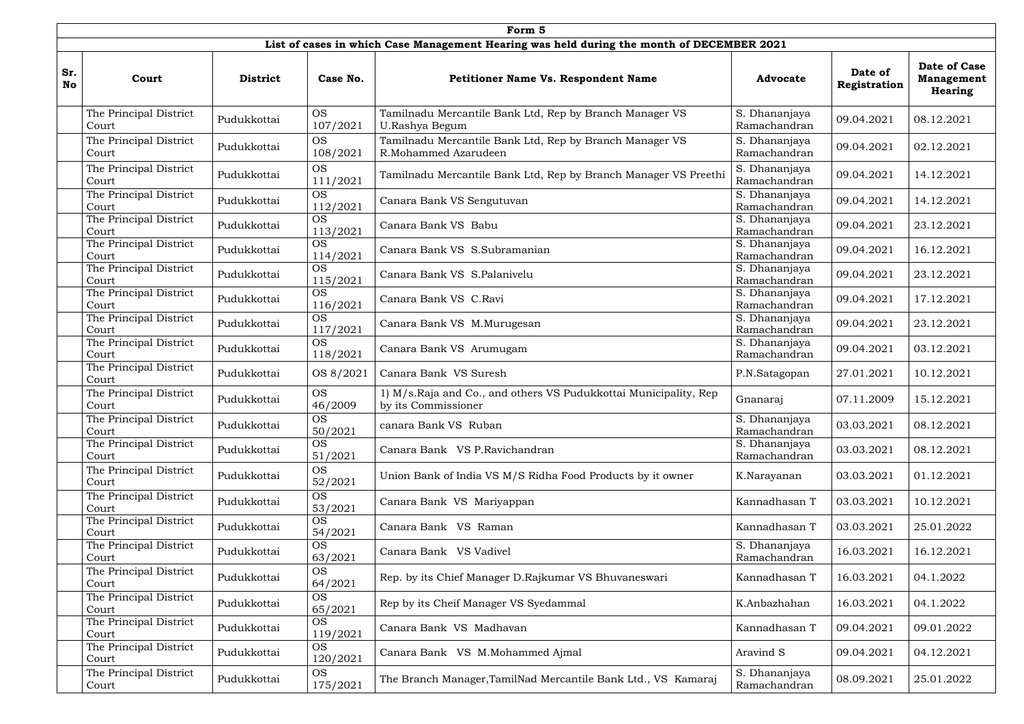|                  | Form 5                          |                 |                                    |                                                                                           |                               |                         |                                                     |  |  |  |  |  |
|------------------|---------------------------------|-----------------|------------------------------------|-------------------------------------------------------------------------------------------|-------------------------------|-------------------------|-----------------------------------------------------|--|--|--|--|--|
|                  |                                 |                 |                                    | List of cases in which Case Management Hearing was held during the month of DECEMBER 2021 |                               |                         |                                                     |  |  |  |  |  |
| Sr.<br><b>No</b> | Court                           | <b>District</b> | Case No.                           | <b>Petitioner Name Vs. Respondent Name</b>                                                | <b>Advocate</b>               | Date of<br>Registration | Date of Case<br><b>Management</b><br><b>Hearing</b> |  |  |  |  |  |
|                  | The Principal District<br>Court | Pudukkottai     | <b>OS</b><br>107/2021              | Tamilnadu Mercantile Bank Ltd, Rep by Branch Manager VS<br>U.Rashya Begum                 | S. Dhananjaya<br>Ramachandran | 09.04.2021              | 08.12.2021                                          |  |  |  |  |  |
|                  | The Principal District<br>Court | Pudukkottai     | <b>OS</b><br>108/2021              | Tamilnadu Mercantile Bank Ltd, Rep by Branch Manager VS<br>R.Mohammed Azarudeen           | S. Dhananjaya<br>Ramachandran | 09.04.2021              | 02.12.2021                                          |  |  |  |  |  |
|                  | The Principal District<br>Court | Pudukkottai     | <b>OS</b><br>111/2021              | Tamilnadu Mercantile Bank Ltd, Rep by Branch Manager VS Preethi                           | S. Dhananjaya<br>Ramachandran | 09.04.2021              | 14.12.2021                                          |  |  |  |  |  |
|                  | The Principal District<br>Court | Pudukkottai     | <b>OS</b><br>112/2021              | Canara Bank VS Sengutuvan                                                                 | S. Dhananjaya<br>Ramachandran | 09.04.2021              | 14.12.2021                                          |  |  |  |  |  |
|                  | The Principal District<br>Court | Pudukkottai     | <b>OS</b><br>113/2021              | Canara Bank VS Babu                                                                       | S. Dhananjaya<br>Ramachandran | 09.04.2021              | 23.12.2021                                          |  |  |  |  |  |
|                  | The Principal District<br>Court | Pudukkottai     | <b>OS</b><br>114/2021              | Canara Bank VS S.Subramanian                                                              | S. Dhananjaya<br>Ramachandran | 09.04.2021              | 16.12.2021                                          |  |  |  |  |  |
|                  | The Principal District<br>Court | Pudukkottai     | <b>OS</b><br>115/2021              | Canara Bank VS S.Palanivelu                                                               | S. Dhananjaya<br>Ramachandran | 09.04.2021              | 23.12.2021                                          |  |  |  |  |  |
|                  | The Principal District<br>Court | Pudukkottai     | <b>OS</b><br>116/2021              | Canara Bank VS C.Ravi                                                                     | S. Dhananjaya<br>Ramachandran | 09.04.2021              | 17.12.2021                                          |  |  |  |  |  |
|                  | The Principal District<br>Court | Pudukkottai     | <b>OS</b><br>117/2021<br><b>OS</b> | Canara Bank VS M.Murugesan                                                                | S. Dhananjaya<br>Ramachandran | 09.04.2021              | 23.12.2021                                          |  |  |  |  |  |
|                  | The Principal District<br>Court | Pudukkottai     | 118/2021                           | Canara Bank VS Arumugam                                                                   | S. Dhananjaya<br>Ramachandran | 09.04.2021              | 03.12.2021                                          |  |  |  |  |  |
|                  | The Principal District<br>Court | Pudukkottai     | OS 8/2021                          | Canara Bank VS Suresh                                                                     | P.N.Satagopan                 | 27.01.2021              | 10.12.2021                                          |  |  |  |  |  |
|                  | The Principal District<br>Court | Pudukkottai     | <b>OS</b><br>46/2009               | 1) M/s.Raja and Co., and others VS Pudukkottai Municipality, Rep<br>by its Commissioner   | Gnanaraj                      | 07.11.2009              | 15.12.2021                                          |  |  |  |  |  |
|                  | The Principal District<br>Court | Pudukkottai     | <b>OS</b><br>50/2021               | canara Bank VS Ruban                                                                      | S. Dhananjaya<br>Ramachandran | 03.03.2021              | 08.12.2021                                          |  |  |  |  |  |
|                  | The Principal District<br>Court | Pudukkottai     | <b>OS</b><br>51/2021               | Canara Bank VS P.Ravichandran                                                             | S. Dhananjaya<br>Ramachandran | 03.03.2021              | 08.12.2021                                          |  |  |  |  |  |
|                  | The Principal District<br>Court | Pudukkottai     | <b>OS</b><br>52/2021               | Union Bank of India VS M/S Ridha Food Products by it owner                                | K.Narayanan                   | 03.03.2021              | 01.12.2021                                          |  |  |  |  |  |
|                  | The Principal District<br>Court | Pudukkottai     | <b>OS</b><br>53/2021               | Canara Bank VS Mariyappan                                                                 | Kannadhasan T                 | 03.03.2021              | 10.12.2021                                          |  |  |  |  |  |
|                  | The Principal District<br>Court | Pudukkottai     | <b>OS</b><br>54/2021               | Canara Bank VS Raman                                                                      | Kannadhasan T                 | 03.03.2021              | 25.01.2022                                          |  |  |  |  |  |
|                  | The Principal District<br>Court | Pudukkottai     | <b>OS</b><br>63/2021               | Canara Bank VS Vadivel                                                                    | S. Dhananjaya<br>Ramachandran | 16.03.2021              | 16.12.2021                                          |  |  |  |  |  |
|                  | The Principal District<br>Court | Pudukkottai     | <b>OS</b><br>64/2021               | Rep. by its Chief Manager D.Rajkumar VS Bhuvaneswari                                      | Kannadhasan T                 | 16.03.2021              | 04.1.2022                                           |  |  |  |  |  |
|                  | The Principal District<br>Court | Pudukkottai     | <b>OS</b><br>65/2021               | Rep by its Cheif Manager VS Syedammal                                                     | K.Anbazhahan                  | 16.03.2021              | 04.1.2022                                           |  |  |  |  |  |
|                  | The Principal District<br>Court | Pudukkottai     | <b>OS</b><br>119/2021              | Canara Bank VS Madhavan                                                                   | Kannadhasan T                 | 09.04.2021              | 09.01.2022                                          |  |  |  |  |  |
|                  | The Principal District<br>Court | Pudukkottai     | <b>OS</b><br>120/2021              | Canara Bank VS M.Mohammed Ajmal                                                           | Aravind S                     | 09.04.2021              | 04.12.2021                                          |  |  |  |  |  |
|                  | The Principal District<br>Court | Pudukkottai     | <b>OS</b><br>175/2021              | The Branch Manager, TamilNad Mercantile Bank Ltd., VS Kamaraj                             | S. Dhananjaya<br>Ramachandran | 08.09.2021              | 25.01.2022                                          |  |  |  |  |  |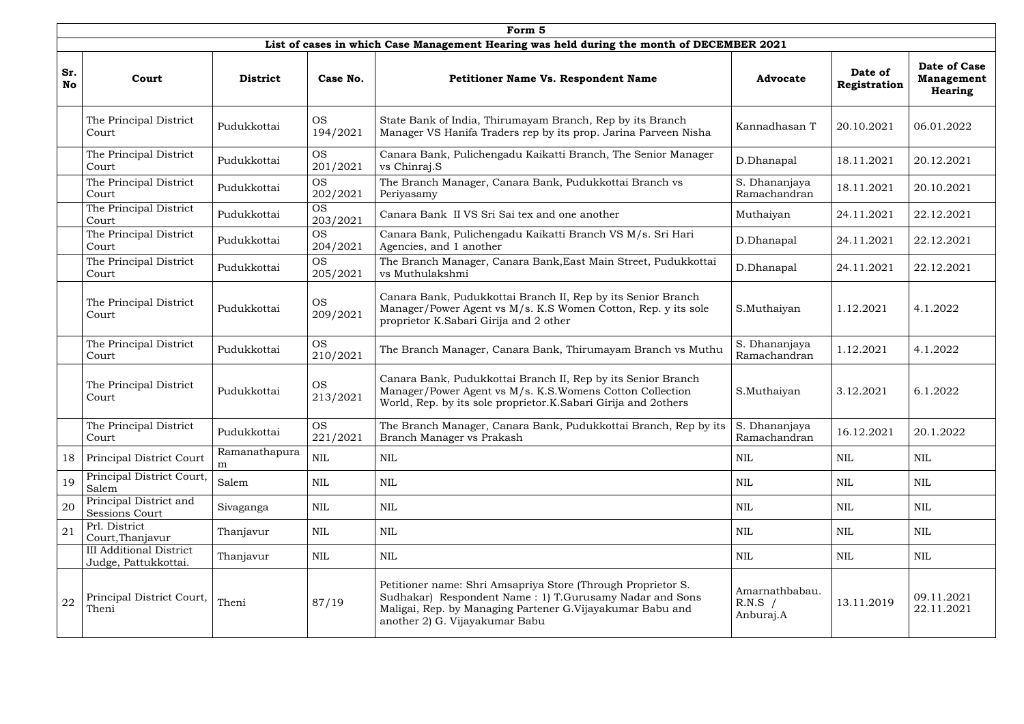|                  | Form 5                                                 |                    |                       |                                                                                                                                                                                                                        |                                          |                         |                                                            |  |  |  |  |  |
|------------------|--------------------------------------------------------|--------------------|-----------------------|------------------------------------------------------------------------------------------------------------------------------------------------------------------------------------------------------------------------|------------------------------------------|-------------------------|------------------------------------------------------------|--|--|--|--|--|
|                  |                                                        |                    |                       | List of cases in which Case Management Hearing was held during the month of DECEMBER 2021                                                                                                                              |                                          |                         |                                                            |  |  |  |  |  |
| Sr.<br><b>No</b> | Court                                                  | <b>District</b>    | Case No.              | <b>Petitioner Name Vs. Respondent Name</b>                                                                                                                                                                             | <b>Advocate</b>                          | Date of<br>Registration | <b>Date of Case</b><br><b>Management</b><br><b>Hearing</b> |  |  |  |  |  |
|                  | The Principal District<br>Court                        | Pudukkottai        | <b>OS</b><br>194/2021 | State Bank of India, Thirumayam Branch, Rep by its Branch<br>Manager VS Hanifa Traders rep by its prop. Jarina Parveen Nisha                                                                                           | Kannadhasan T                            | 20.10.2021              | 06.01.2022                                                 |  |  |  |  |  |
|                  | The Principal District<br>Court                        | Pudukkottai        | <b>OS</b><br>201/2021 | Canara Bank, Pulichengadu Kaikatti Branch, The Senior Manager<br>vs Chinraj.S                                                                                                                                          | D.Dhanapal                               | 18.11.2021              | 20.12.2021                                                 |  |  |  |  |  |
|                  | The Principal District<br>Court                        | Pudukkottai        | <b>OS</b><br>202/2021 | The Branch Manager, Canara Bank, Pudukkottai Branch vs<br>Periyasamy                                                                                                                                                   | S. Dhananjaya<br>Ramachandran            | 18.11.2021              | 20.10.2021                                                 |  |  |  |  |  |
|                  | The Principal District<br>Court                        | Pudukkottai        | <b>OS</b><br>203/2021 | Canara Bank II VS Sri Sai tex and one another                                                                                                                                                                          | Muthaiyan                                | 24.11.2021              | 22.12.2021                                                 |  |  |  |  |  |
|                  | The Principal District<br>Court                        | Pudukkottai        | <b>OS</b><br>204/2021 | Canara Bank, Pulichengadu Kaikatti Branch VS M/s. Sri Hari<br>Agencies, and 1 another                                                                                                                                  | D.Dhanapal                               | 24.11.2021              | 22.12.2021                                                 |  |  |  |  |  |
|                  | The Principal District<br>Court                        | Pudukkottai        | <b>OS</b><br>205/2021 | The Branch Manager, Canara Bank, East Main Street, Pudukkottai<br>vs Muthulakshmi                                                                                                                                      | D.Dhanapal                               | 24.11.2021              | 22.12.2021                                                 |  |  |  |  |  |
|                  | The Principal District<br>Court                        | Pudukkottai        | <b>OS</b><br>209/2021 | Canara Bank, Pudukkottai Branch II, Rep by its Senior Branch<br>Manager/Power Agent vs M/s. K.S Women Cotton, Rep. y its sole<br>proprietor K.Sabari Girija and 2 other                                                | S.Muthaiyan                              | 1.12.2021               | 4.1.2022                                                   |  |  |  |  |  |
|                  | The Principal District<br>Court                        | Pudukkottai        | <b>OS</b><br>210/2021 | The Branch Manager, Canara Bank, Thirumayam Branch vs Muthu                                                                                                                                                            | S. Dhananjaya<br>Ramachandran            | 1.12.2021               | 4.1.2022                                                   |  |  |  |  |  |
|                  | The Principal District<br>Court                        | Pudukkottai        | <b>OS</b><br>213/2021 | Canara Bank, Pudukkottai Branch II, Rep by its Senior Branch<br>Manager/Power Agent vs M/s. K.S. Womens Cotton Collection<br>World, Rep. by its sole proprietor.K.Sabari Girija and 2others                            | S.Muthaiyan                              | 3.12.2021               | 6.1.2022                                                   |  |  |  |  |  |
|                  | The Principal District<br>Court                        | Pudukkottai        | <b>OS</b><br>221/2021 | The Branch Manager, Canara Bank, Pudukkottai Branch, Rep by its<br>Branch Manager vs Prakash                                                                                                                           | S. Dhananjaya<br>Ramachandran            | 16.12.2021              | 20.1.2022                                                  |  |  |  |  |  |
| 18               | Principal District Court                               | Ramanathapura<br>m | $\mbox{NIL}$          | NIL                                                                                                                                                                                                                    | <b>NIL</b>                               | <b>NIL</b>              | <b>NIL</b>                                                 |  |  |  |  |  |
| 19               | Principal District Court,<br>Salem                     | Salem              | NIL                   | <b>NIL</b>                                                                                                                                                                                                             | <b>NIL</b>                               | <b>NIL</b>              | <b>NIL</b>                                                 |  |  |  |  |  |
| 20               | Principal District and<br><b>Sessions Court</b>        | Sivaganga          | <b>NIL</b>            | $\mbox{NIL}$                                                                                                                                                                                                           | <b>NIL</b>                               | <b>NIL</b>              | <b>NIL</b>                                                 |  |  |  |  |  |
| 21               | Prl. District<br>Court, Thanjavur                      | Thanjavur          | <b>NIL</b>            | <b>NIL</b>                                                                                                                                                                                                             | <b>NIL</b>                               | <b>NIL</b>              | <b>NIL</b>                                                 |  |  |  |  |  |
|                  | <b>III Additional District</b><br>Judge, Pattukkottai. | Thanjavur          | <b>NIL</b>            | NIL                                                                                                                                                                                                                    | <b>NIL</b>                               | <b>NIL</b>              | <b>NIL</b>                                                 |  |  |  |  |  |
| 22               | Principal District Court,<br>Theni                     | Theni              | 87/19                 | Petitioner name: Shri Amsapriya Store (Through Proprietor S.<br>Sudhakar) Respondent Name: 1) T.Gurusamy Nadar and Sons<br>Maligai, Rep. by Managing Partener G.Vijayakumar Babu and<br>another 2) G. Vijayakumar Babu | Amarnathbabau.<br>$R.N.S$ /<br>Anburaj.A | 13.11.2019              | 09.11.2021<br>22.11.2021                                   |  |  |  |  |  |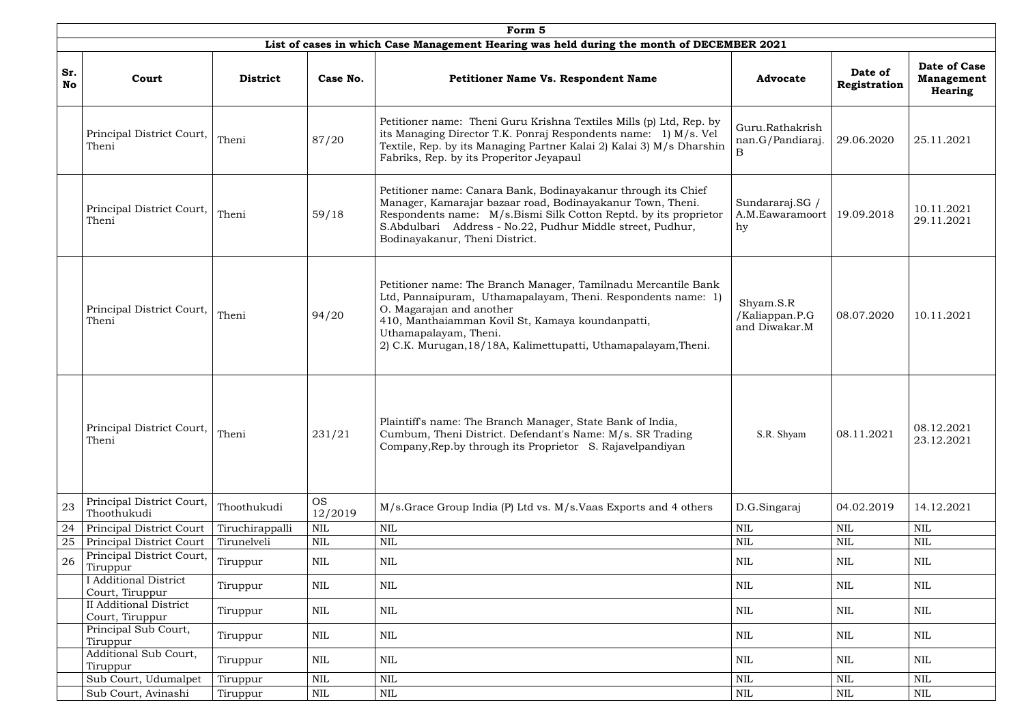|                  | Form 5                                           |                 |                      |                                                                                                                                                                                                                                                                                                           |                                              |                         |                                                     |  |  |  |  |  |
|------------------|--------------------------------------------------|-----------------|----------------------|-----------------------------------------------------------------------------------------------------------------------------------------------------------------------------------------------------------------------------------------------------------------------------------------------------------|----------------------------------------------|-------------------------|-----------------------------------------------------|--|--|--|--|--|
|                  |                                                  |                 |                      | List of cases in which Case Management Hearing was held during the month of DECEMBER 2021                                                                                                                                                                                                                 |                                              |                         |                                                     |  |  |  |  |  |
| Sr.<br><b>No</b> | Court                                            | <b>District</b> | Case No.             | <b>Petitioner Name Vs. Respondent Name</b>                                                                                                                                                                                                                                                                | <b>Advocate</b>                              | Date of<br>Registration | Date of Case<br><b>Management</b><br><b>Hearing</b> |  |  |  |  |  |
|                  | Principal District Court,<br>Theni               | Theni           | 87/20                | Petitioner name: Theni Guru Krishna Textiles Mills (p) Ltd, Rep. by<br>its Managing Director T.K. Ponraj Respondents name: 1) M/s. Vel<br>Textile, Rep. by its Managing Partner Kalai 2) Kalai 3) M/s Dharshin<br>Fabriks, Rep. by its Properitor Jeyapaul                                                | Guru.Rathakrish<br>nan.G/Pandiaraj.<br>B.    | 29.06.2020              | 25.11.2021                                          |  |  |  |  |  |
|                  | Principal District Court,<br>Theni               | Theni           | 59/18                | Petitioner name: Canara Bank, Bodinayakanur through its Chief<br>Manager, Kamarajar bazaar road, Bodinayakanur Town, Theni.<br>Respondents name: M/s.Bismi Silk Cotton Reptd. by its proprietor<br>S.Abdulbari Address - No.22, Pudhur Middle street, Pudhur,<br>Bodinayakanur, Theni District.           | Sundararaj.SG /<br>A.M.Eawaramoort<br>hy     | 19.09.2018              | 10.11.2021<br>29.11.2021                            |  |  |  |  |  |
|                  | Principal District Court,<br>Theni               | Theni           | 94/20                | Petitioner name: The Branch Manager, Tamilnadu Mercantile Bank<br>Ltd, Pannaipuram, Uthamapalayam, Theni. Respondents name: 1)<br>O. Magarajan and another<br>410, Manthaiamman Kovil St, Kamaya koundanpatti,<br>Uthamapalayam, Theni.<br>2) C.K. Murugan, 18/18A, Kalimettupatti, Uthamapalayam, Theni. | Shyam.S.R<br>/Kaliappan.P.G<br>and Diwakar.M | 08.07.2020              | 10.11.2021                                          |  |  |  |  |  |
|                  | Principal District Court,<br>Theni               | Theni           | 231/21               | Plaintiff's name: The Branch Manager, State Bank of India,<br>Cumbum, Theni District. Defendant's Name: M/s. SR Trading<br>Company, Rep.by through its Proprietor S. Rajavelpandiyan                                                                                                                      | S.R. Shyam                                   | 08.11.2021              | 08.12.2021<br>23.12.2021                            |  |  |  |  |  |
| 23               | Principal District Court,<br>Thoothukudi         | Thoothukudi     | <b>OS</b><br>12/2019 | M/s. Grace Group India (P) Ltd vs. M/s. Vaas Exports and 4 others                                                                                                                                                                                                                                         | D.G.Singaraj                                 | 04.02.2019              | 14.12.2021                                          |  |  |  |  |  |
| 24               | Principal District Court                         | Tiruchirappalli | <b>NIL</b>           | $\mbox{NIL}$                                                                                                                                                                                                                                                                                              | $\mbox{NIL}$                                 | $\mbox{NIL}$            | <b>NIL</b>                                          |  |  |  |  |  |
| 25               | Principal District Court                         | Tirunelveli     | <b>NIL</b>           | $\mbox{NIL}$                                                                                                                                                                                                                                                                                              | <b>NIL</b>                                   | $\mbox{NIL}$            | NIL                                                 |  |  |  |  |  |
| 26               | Principal District Court,<br>Tiruppur            | Tiruppur        | <b>NIL</b>           | <b>NIL</b>                                                                                                                                                                                                                                                                                                | <b>NIL</b>                                   | NIL                     | NIL                                                 |  |  |  |  |  |
|                  | <b>Additional District</b><br>Court, Tiruppur    | Tiruppur        | <b>NIL</b>           | NIL                                                                                                                                                                                                                                                                                                       | <b>NIL</b>                                   | NIL                     | NIL                                                 |  |  |  |  |  |
|                  | <b>II Additional District</b><br>Court, Tiruppur | Tiruppur        | <b>NIL</b>           | $\mbox{NIL}$                                                                                                                                                                                                                                                                                              | <b>NIL</b>                                   | $\mbox{NIL}$            | <b>NIL</b>                                          |  |  |  |  |  |
|                  | Principal Sub Court,<br>Tiruppur                 | Tiruppur        | NIL                  | <b>NIL</b>                                                                                                                                                                                                                                                                                                | NIL                                          | NIL                     | NIL                                                 |  |  |  |  |  |
|                  | Additional Sub Court,<br>Tiruppur                | Tiruppur        | <b>NIL</b>           | $\mbox{NIL}$                                                                                                                                                                                                                                                                                              | <b>NIL</b>                                   | $\mbox{NIL}$            | <b>NIL</b>                                          |  |  |  |  |  |
|                  | Sub Court, Udumalpet                             | Tiruppur        | <b>NIL</b>           | $\mbox{NIL}$                                                                                                                                                                                                                                                                                              | <b>NIL</b>                                   | $\mbox{NIL}$            | <b>NIL</b>                                          |  |  |  |  |  |
|                  | Sub Court, Avinashi                              | Tiruppur        | <b>NIL</b>           | $\mbox{NIL}$                                                                                                                                                                                                                                                                                              | <b>NIL</b>                                   | $\mbox{NIL}$            | NIL                                                 |  |  |  |  |  |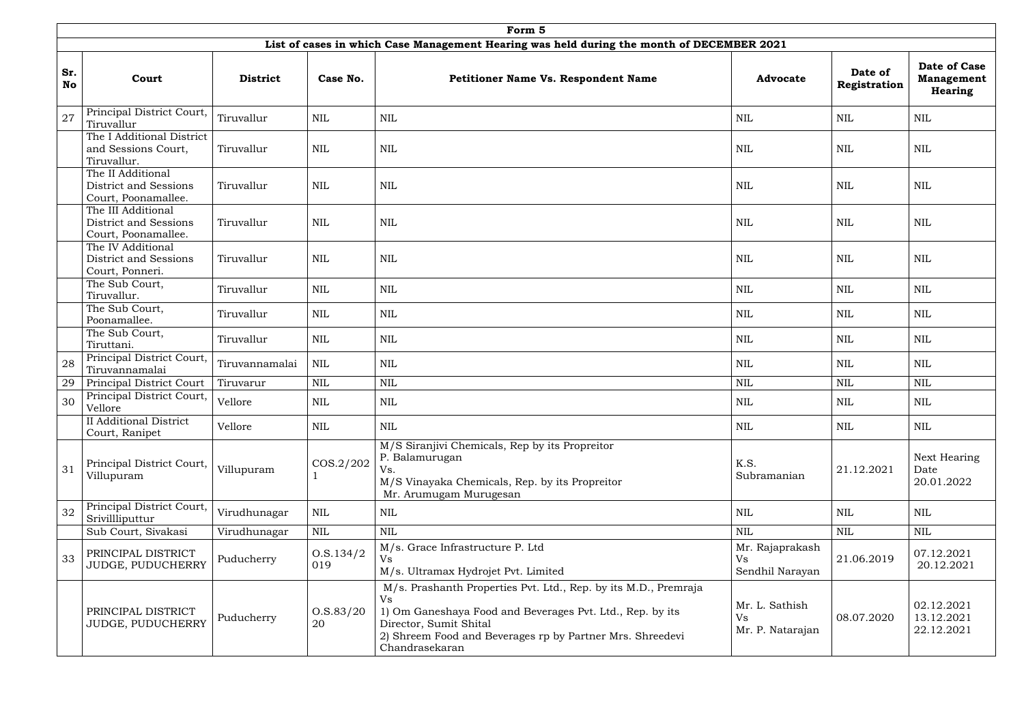|                  | Form 5                                                             |                 |                    |                                                                                                                                                                                                                                                    |                                                 |                         |                                                     |  |  |  |  |
|------------------|--------------------------------------------------------------------|-----------------|--------------------|----------------------------------------------------------------------------------------------------------------------------------------------------------------------------------------------------------------------------------------------------|-------------------------------------------------|-------------------------|-----------------------------------------------------|--|--|--|--|
|                  |                                                                    |                 |                    | List of cases in which Case Management Hearing was held during the month of DECEMBER 2021                                                                                                                                                          |                                                 |                         |                                                     |  |  |  |  |
| Sr.<br><b>No</b> | Court                                                              | <b>District</b> | Case No.           | Petitioner Name Vs. Respondent Name                                                                                                                                                                                                                | <b>Advocate</b>                                 | Date of<br>Registration | Date of Case<br><b>Management</b><br><b>Hearing</b> |  |  |  |  |
| 27               | Principal District Court,<br>Tiruvallur                            | Tiruvallur      | $\mbox{NIL}$       | <b>NIL</b>                                                                                                                                                                                                                                         | NIL                                             | NIL                     | <b>NIL</b>                                          |  |  |  |  |
|                  | The I Additional District<br>and Sessions Court,<br>Tiruvallur.    | Tiruvallur      | $\mbox{NIL}$       | $\mbox{NIL}$                                                                                                                                                                                                                                       | NIL                                             | NIL                     | $\mbox{NIL}$                                        |  |  |  |  |
|                  | The II Additional<br>District and Sessions<br>Court, Poonamallee.  | Tiruvallur      | $\mbox{NIL}$       | <b>NIL</b>                                                                                                                                                                                                                                         | NIL                                             | NIL                     | <b>NIL</b>                                          |  |  |  |  |
|                  | The III Additional<br>District and Sessions<br>Court, Poonamallee. | Tiruvallur      | $\mbox{NIL}$       | $\mbox{NIL}$                                                                                                                                                                                                                                       | <b>NIL</b>                                      | NIL                     | $\mbox{NIL}$                                        |  |  |  |  |
|                  | The IV Additional<br>District and Sessions<br>Court, Ponneri.      | Tiruvallur      | $\mbox{NIL}$       | $\mbox{NIL}$                                                                                                                                                                                                                                       | <b>NIL</b>                                      | <b>NIL</b>              | <b>NIL</b>                                          |  |  |  |  |
|                  | The Sub Court,<br>Tiruvallur.                                      | Tiruvallur      | $\mbox{NIL}$       | $\mbox{NIL}$                                                                                                                                                                                                                                       | <b>NIL</b>                                      | NIL                     | <b>NIL</b>                                          |  |  |  |  |
|                  | The Sub Court,<br>Poonamallee.                                     | Tiruvallur      | <b>NIL</b>         | <b>NIL</b>                                                                                                                                                                                                                                         | <b>NIL</b>                                      | NIL                     | <b>NIL</b>                                          |  |  |  |  |
|                  | The Sub Court,<br>Tiruttani.                                       | Tiruvallur      | <b>NIL</b>         | <b>NIL</b>                                                                                                                                                                                                                                         | NIL                                             | <b>NIL</b>              | <b>NIL</b>                                          |  |  |  |  |
| 28               | Principal District Court,<br>Tiruvannamalai                        | Tiruvannamalai  | <b>NIL</b>         | $\mbox{NIL}$                                                                                                                                                                                                                                       | NIL                                             | NIL                     | NIL                                                 |  |  |  |  |
| 29               | Principal District Court                                           | Tiruvarur       | $\mbox{NIL}$       | $\mbox{NIL}$                                                                                                                                                                                                                                       | $\mbox{NIL}$                                    | $\mbox{NIL}$            | <b>NIL</b>                                          |  |  |  |  |
| 30               | Principal District Court,<br>Vellore                               | Vellore         | $\mbox{NIL}$       | <b>NIL</b>                                                                                                                                                                                                                                         | NIL                                             | NIL                     | <b>NIL</b>                                          |  |  |  |  |
|                  | <b>II</b> Additional District<br>Court, Ranipet                    | Vellore         | $\mbox{NIL}$       | $\mbox{NIL}$                                                                                                                                                                                                                                       | <b>NIL</b>                                      | $\mbox{NIL}$            | <b>NIL</b>                                          |  |  |  |  |
| 31               | Principal District Court,<br>Villupuram                            | Villupuram      | COS.2/202          | M/S Siranjivi Chemicals, Rep by its Propreitor<br>P. Balamurugan<br>Vs.<br>M/S Vinayaka Chemicals, Rep. by its Propreitor<br>Mr. Arumugam Murugesan                                                                                                | K.S.<br>Subramanian                             | 21.12.2021              | Next Hearing<br>Date<br>20.01.2022                  |  |  |  |  |
| 32               | Principal District Court,<br>Srivillliputtur                       | Virudhunagar    | $\mbox{NIL}$       | <b>NIL</b>                                                                                                                                                                                                                                         | <b>NIL</b>                                      | <b>NIL</b>              | <b>NIL</b>                                          |  |  |  |  |
|                  | Sub Court, Sivakasi                                                | Virudhunagar    | $\mbox{NIL}$       | $\mbox{NIL}$                                                                                                                                                                                                                                       | <b>NIL</b>                                      | <b>NIL</b>              | $\mbox{NIL}$                                        |  |  |  |  |
| 33               | PRINCIPAL DISTRICT<br>JUDGE, PUDUCHERRY                            | Puducherry      | 0. S. 134/2<br>019 | M/s. Grace Infrastructure P. Ltd<br><b>Vs</b><br>M/s. Ultramax Hydrojet Pvt. Limited                                                                                                                                                               | Mr. Rajaprakash<br><b>Vs</b><br>Sendhil Narayan | 21.06.2019              | 07.12.2021<br>20.12.2021                            |  |  |  |  |
|                  | PRINCIPAL DISTRICT<br>JUDGE, PUDUCHERRY                            | Puducherry      | O.S.83/20<br>20    | M/s. Prashanth Properties Pvt. Ltd., Rep. by its M.D., Premraja<br><b>Vs</b><br>1) Om Ganeshaya Food and Beverages Pvt. Ltd., Rep. by its<br>Director, Sumit Shital<br>2) Shreem Food and Beverages rp by Partner Mrs. Shreedevi<br>Chandrasekaran | Mr. L. Sathish<br>Vs<br>Mr. P. Natarajan        | 08.07.2020              | 02.12.2021<br>13.12.2021<br>22.12.2021              |  |  |  |  |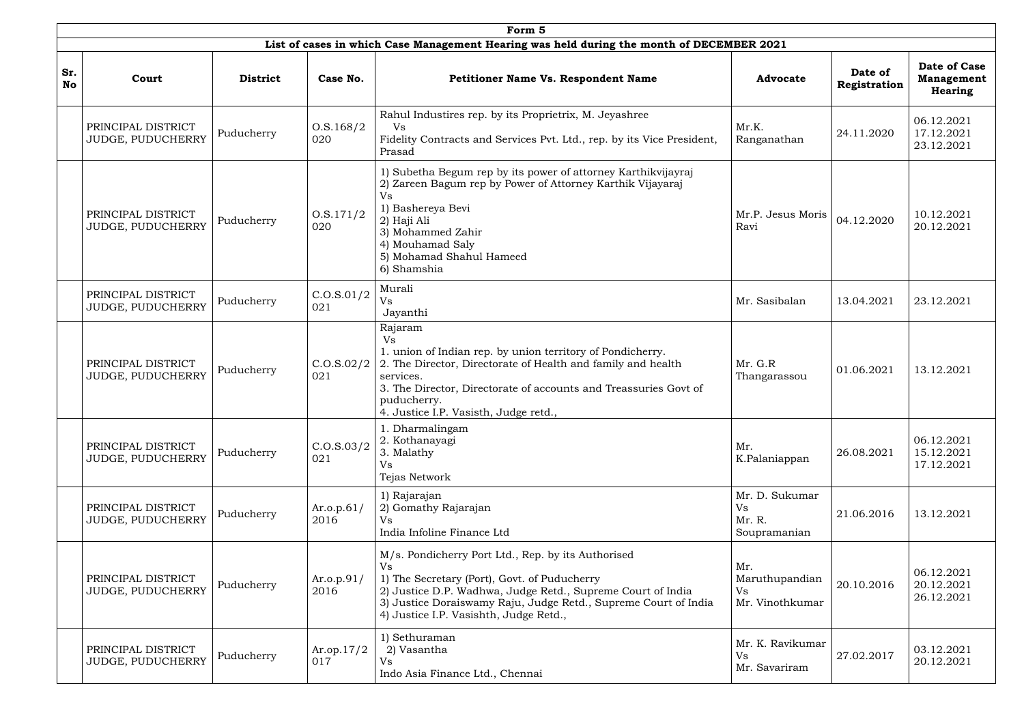|                  | Form 5                                         |                 |                       |                                                                                                                                                                                                                                                                                             |                                                       |                         |                                              |  |  |  |  |
|------------------|------------------------------------------------|-----------------|-----------------------|---------------------------------------------------------------------------------------------------------------------------------------------------------------------------------------------------------------------------------------------------------------------------------------------|-------------------------------------------------------|-------------------------|----------------------------------------------|--|--|--|--|
| Sr.<br><b>No</b> | Court                                          | <b>District</b> | Case No.              | List of cases in which Case Management Hearing was held during the month of DECEMBER 2021<br><b>Petitioner Name Vs. Respondent Name</b>                                                                                                                                                     | <b>Advocate</b>                                       | Date of<br>Registration | Date of Case<br><b>Management</b><br>Hearing |  |  |  |  |
|                  | PRINCIPAL DISTRICT<br>JUDGE, PUDUCHERRY        | Puducherry      | 0. S. 168/2<br>020    | Rahul Industires rep. by its Proprietrix, M. Jeyashree<br>Vs<br>Fidelity Contracts and Services Pvt. Ltd., rep. by its Vice President,<br>Prasad                                                                                                                                            | Mr.K.<br>Ranganathan                                  | 24.11.2020              | 06.12.2021<br>17.12.2021<br>23.12.2021       |  |  |  |  |
|                  | PRINCIPAL DISTRICT<br>JUDGE, PUDUCHERRY        | Puducherry      | 0. S. 171/2<br>020    | 1) Subetha Begum rep by its power of attorney Karthikvijayraj<br>2) Zareen Bagum rep by Power of Attorney Karthik Vijayaraj<br><b>Vs</b><br>1) Bashereya Bevi<br>2) Haji Ali<br>3) Mohammed Zahir<br>4) Mouhamad Saly<br>5) Mohamad Shahul Hameed<br>6) Shamshia                            | Mr.P. Jesus Moris<br>Ravi                             | 04.12.2020              | 10.12.2021<br>20.12.2021                     |  |  |  |  |
|                  | PRINCIPAL DISTRICT<br><b>JUDGE, PUDUCHERRY</b> | Puducherry      | C.0. S.01/2<br>021    | Murali<br><b>Vs</b><br>Jayanthi                                                                                                                                                                                                                                                             | Mr. Sasibalan                                         | 13.04.2021              | 23.12.2021                                   |  |  |  |  |
|                  | PRINCIPAL DISTRICT<br>JUDGE, PUDUCHERRY        | Puducherry      | C.0. S.02/2<br>021    | Rajaram<br><b>Vs</b><br>1. union of Indian rep. by union territory of Pondicherry.<br>2. The Director, Directorate of Health and family and health<br>services.<br>3. The Director, Directorate of accounts and Treassuries Govt of<br>puducherry.<br>4. Justice I.P. Vasisth, Judge retd., | Mr. G.R<br>Thangarassou                               | 01.06.2021              | 13.12.2021                                   |  |  |  |  |
|                  | PRINCIPAL DISTRICT<br>JUDGE, PUDUCHERRY        | Puducherry      | C.0. S.03/2<br>021    | 1. Dharmalingam<br>2. Kothanayagi<br>3. Malathy<br><b>Vs</b><br>Tejas Network                                                                                                                                                                                                               | Mr.<br>K.Palaniappan                                  | 26.08.2021              | 06.12.2021<br>15.12.2021<br>17.12.2021       |  |  |  |  |
|                  | PRINCIPAL DISTRICT<br>JUDGE, PUDUCHERRY        | Puducherry      | Ar.o.p. $61/$<br>2016 | 1) Rajarajan<br>2) Gomathy Rajarajan<br><b>Vs</b><br>India Infoline Finance Ltd                                                                                                                                                                                                             | Mr. D. Sukumar<br><b>Vs</b><br>Mr. R.<br>Soupramanian | 21.06.2016              | 13.12.2021                                   |  |  |  |  |
|                  | PRINCIPAL DISTRICT<br>JUDGE, PUDUCHERRY        | Puducherry      | Ar.o.p.91/<br>2016    | M/s. Pondicherry Port Ltd., Rep. by its Authorised<br><b>Vs</b><br>1) The Secretary (Port), Govt. of Puducherry<br>2) Justice D.P. Wadhwa, Judge Retd., Supreme Court of India<br>3) Justice Doraiswamy Raju, Judge Retd., Supreme Court of India<br>4) Justice I.P. Vasishth, Judge Retd., | Mr.<br>Maruthupandian<br>Vs<br>Mr. Vinothkumar        | 20.10.2016              | 06.12.2021<br>20.12.2021<br>26.12.2021       |  |  |  |  |
|                  | PRINCIPAL DISTRICT<br>JUDGE, PUDUCHERRY        | Puducherry      | Ar.op.17/2<br>017     | 1) Sethuraman<br>2) Vasantha<br>Vs<br>Indo Asia Finance Ltd., Chennai                                                                                                                                                                                                                       | Mr. K. Ravikumar<br><b>Vs</b><br>Mr. Savariram        | 27.02.2017              | 03.12.2021<br>20.12.2021                     |  |  |  |  |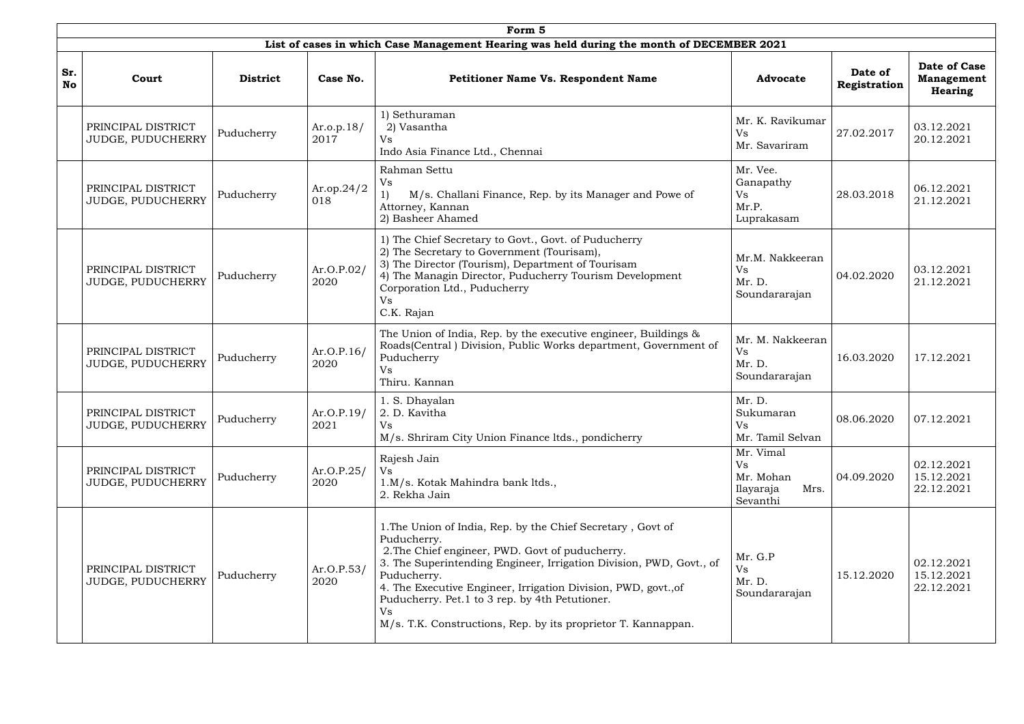|                  | Form 5                                         |                 |                       |                                                                                                                                                                                                                                                                                                                                                                                                                |                                                               |                         |                                                     |  |  |
|------------------|------------------------------------------------|-----------------|-----------------------|----------------------------------------------------------------------------------------------------------------------------------------------------------------------------------------------------------------------------------------------------------------------------------------------------------------------------------------------------------------------------------------------------------------|---------------------------------------------------------------|-------------------------|-----------------------------------------------------|--|--|
|                  |                                                |                 |                       | List of cases in which Case Management Hearing was held during the month of DECEMBER 2021                                                                                                                                                                                                                                                                                                                      |                                                               |                         |                                                     |  |  |
| Sr.<br><b>No</b> | Court                                          | <b>District</b> | Case No.              | <b>Petitioner Name Vs. Respondent Name</b>                                                                                                                                                                                                                                                                                                                                                                     | <b>Advocate</b>                                               | Date of<br>Registration | Date of Case<br><b>Management</b><br><b>Hearing</b> |  |  |
|                  | PRINCIPAL DISTRICT<br>JUDGE, PUDUCHERRY        | Puducherry      | Ar.o.p. $18/$<br>2017 | 1) Sethuraman<br>2) Vasantha<br><b>Vs</b><br>Indo Asia Finance Ltd., Chennai                                                                                                                                                                                                                                                                                                                                   | Mr. K. Ravikumar<br>Vs<br>Mr. Savariram                       | 27.02.2017              | 03.12.2021<br>20.12.2021                            |  |  |
|                  | PRINCIPAL DISTRICT<br>JUDGE, PUDUCHERRY        | Puducherry      | Ar.op.24/2<br>018     | Rahman Settu<br><b>Vs</b><br>M/s. Challani Finance, Rep. by its Manager and Powe of<br>1)<br>Attorney, Kannan<br>2) Basheer Ahamed                                                                                                                                                                                                                                                                             | Mr. Vee.<br>Ganapathy<br>Vs<br>Mr.P.<br>Luprakasam            | 28.03.2018              | 06.12.2021<br>21.12.2021                            |  |  |
|                  | PRINCIPAL DISTRICT<br>JUDGE, PUDUCHERRY        | Puducherry      | Ar.O.P.02/<br>2020    | 1) The Chief Secretary to Govt., Govt. of Puducherry<br>2) The Secretary to Government (Tourisam),<br>3) The Director (Tourism), Department of Tourisam<br>4) The Managin Director, Puducherry Tourism Development<br>Corporation Ltd., Puducherry<br><b>Vs</b><br>C.K. Rajan                                                                                                                                  | Mr.M. Nakkeeran<br>Vs<br>Mr. D.<br>Soundararajan              | 04.02.2020              | 03.12.2021<br>21.12.2021                            |  |  |
|                  | PRINCIPAL DISTRICT<br>JUDGE, PUDUCHERRY        | Puducherry      | Ar.O.P.16/<br>2020    | The Union of India, Rep. by the executive engineer, Buildings &<br>Roads(Central) Division, Public Works department, Government of<br>Puducherry<br>Vs<br>Thiru. Kannan                                                                                                                                                                                                                                        | Mr. M. Nakkeeran<br>Vs<br>Mr. D.<br>Soundararajan             | 16.03.2020              | 17.12.2021                                          |  |  |
|                  | PRINCIPAL DISTRICT<br>JUDGE, PUDUCHERRY        | Puducherry      | Ar.O.P.19/<br>2021    | 1. S. Dhayalan<br>2. D. Kavitha<br><b>Vs</b><br>M/s. Shriram City Union Finance ltds., pondicherry                                                                                                                                                                                                                                                                                                             | Mr. D.<br>Sukumaran<br>Vs<br>Mr. Tamil Selvan                 | 08.06.2020              | 07.12.2021                                          |  |  |
|                  | PRINCIPAL DISTRICT<br>JUDGE, PUDUCHERRY        | Puducherry      | Ar.O.P.25/<br>2020    | Rajesh Jain<br>Vs<br>1.M/s. Kotak Mahindra bank ltds.,<br>2. Rekha Jain                                                                                                                                                                                                                                                                                                                                        | Mr. Vimal<br>Vs<br>Mr. Mohan<br>Ilayaraja<br>Mrs.<br>Sevanthi | 04.09.2020              | 02.12.2021<br>15.12.2021<br>22.12.2021              |  |  |
|                  | PRINCIPAL DISTRICT<br><b>JUDGE, PUDUCHERRY</b> | Puducherry      | Ar.O.P.53/<br>2020    | 1. The Union of India, Rep. by the Chief Secretary, Govt of<br>Puducherry.<br>2. The Chief engineer, PWD. Govt of puducherry.<br>3. The Superintending Engineer, Irrigation Division, PWD, Govt., of<br>Puducherry.<br>4. The Executive Engineer, Irrigation Division, PWD, govt., of<br>Puducherry. Pet.1 to 3 rep. by 4th Petutioner.<br>Vs<br>M/s. T.K. Constructions, Rep. by its proprietor T. Kannappan. | Mr. G.P<br>Vs<br>Mr. D.<br>Soundararajan                      | 15.12.2020              | 02.12.2021<br>15.12.2021<br>22.12.2021              |  |  |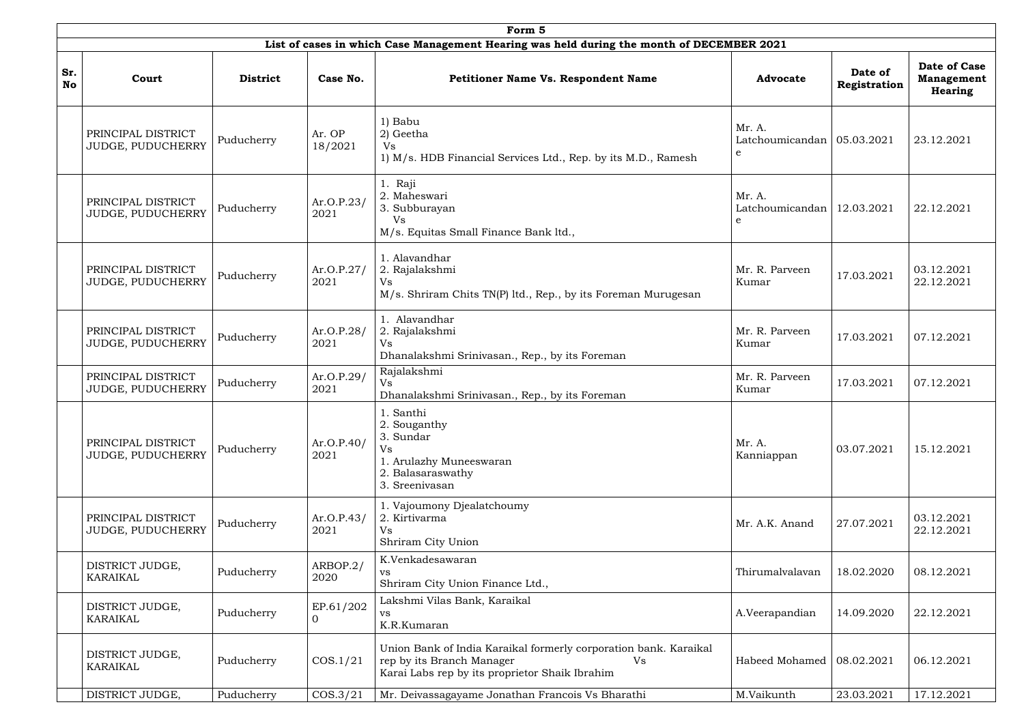|                  | Form 5                                  |                 |                       |                                                                                                                                                       |                                                        |                         |                                              |  |  |  |  |
|------------------|-----------------------------------------|-----------------|-----------------------|-------------------------------------------------------------------------------------------------------------------------------------------------------|--------------------------------------------------------|-------------------------|----------------------------------------------|--|--|--|--|
|                  |                                         |                 |                       | List of cases in which Case Management Hearing was held during the month of DECEMBER 2021                                                             |                                                        |                         |                                              |  |  |  |  |
| Sr.<br><b>No</b> | Court                                   | <b>District</b> | Case No.              | <b>Petitioner Name Vs. Respondent Name</b>                                                                                                            | <b>Advocate</b>                                        | Date of<br>Registration | Date of Case<br><b>Management</b><br>Hearing |  |  |  |  |
|                  | PRINCIPAL DISTRICT<br>JUDGE, PUDUCHERRY | Puducherry      | Ar. OP<br>18/2021     | 1) Babu<br>2) Geetha<br>Vs<br>1) M/s. HDB Financial Services Ltd., Rep. by its M.D., Ramesh                                                           | Mr. A.<br>Latchoumicandan   05.03.2021<br>$\mathbf{e}$ |                         | 23.12.2021                                   |  |  |  |  |
|                  | PRINCIPAL DISTRICT<br>JUDGE, PUDUCHERRY | Puducherry      | Ar.O.P.23/<br>2021    | 1. Raji<br>2. Maheswari<br>3. Subburayan<br>Vs<br>M/s. Equitas Small Finance Bank ltd.,                                                               | Mr. A.<br>Latchoumicandan<br>e                         | 12.03.2021              | 22.12.2021                                   |  |  |  |  |
|                  | PRINCIPAL DISTRICT<br>JUDGE, PUDUCHERRY | Puducherry      | Ar.O.P.27/<br>2021    | 1. Alavandhar<br>2. Rajalakshmi<br><b>Vs</b><br>M/s. Shriram Chits TN(P) ltd., Rep., by its Foreman Murugesan                                         | Mr. R. Parveen<br>Kumar                                | 17.03.2021              | 03.12.2021<br>22.12.2021                     |  |  |  |  |
|                  | PRINCIPAL DISTRICT<br>JUDGE, PUDUCHERRY | Puducherry      | Ar.O.P.28/<br>2021    | 1. Alavandhar<br>2. Rajalakshmi<br><b>Vs</b><br>Dhanalakshmi Srinivasan., Rep., by its Foreman                                                        | Mr. R. Parveen<br>Kumar                                | 17.03.2021              | 07.12.2021                                   |  |  |  |  |
|                  | PRINCIPAL DISTRICT<br>JUDGE, PUDUCHERRY | Puducherry      | Ar.O.P.29/<br>2021    | Rajalakshmi<br><b>Vs</b><br>Dhanalakshmi Srinivasan., Rep., by its Foreman                                                                            | Mr. R. Parveen<br>Kumar                                | 17.03.2021              | 07.12.2021                                   |  |  |  |  |
|                  | PRINCIPAL DISTRICT<br>JUDGE, PUDUCHERRY | Puducherry      | Ar.O.P.40/<br>2021    | 1. Santhi<br>2. Souganthy<br>3. Sundar<br><b>Vs</b><br>1. Arulazhy Muneeswaran<br>2. Balasaraswathy<br>3. Sreenivasan                                 | Mr. A.<br>Kanniappan                                   | 03.07.2021              | 15.12.2021                                   |  |  |  |  |
|                  | PRINCIPAL DISTRICT<br>JUDGE, PUDUCHERRY | Puducherry      | Ar.O.P.43/<br>2021    | 1. Vajoumony Djealatchoumy<br>2. Kirtivarma<br><b>Vs</b><br>Shriram City Union                                                                        | Mr. A.K. Anand                                         | 27.07.2021              | 03.12.2021<br>22.12.2021                     |  |  |  |  |
|                  | DISTRICT JUDGE,<br>KARAIKAL             | Puducherry      | ARBOP.2/<br>2020      | K.Venkadesawaran<br>VS<br>Shriram City Union Finance Ltd.,                                                                                            | Thirumalvalavan                                        | 18.02.2020              | 08.12.2021                                   |  |  |  |  |
|                  | DISTRICT JUDGE,<br>KARAIKAL             | Puducherry      | EP.61/202<br>$\Omega$ | Lakshmi Vilas Bank, Karaikal<br>VS<br>K.R.Kumaran                                                                                                     | A.Veerapandian                                         | 14.09.2020              | 22.12.2021                                   |  |  |  |  |
|                  | DISTRICT JUDGE,<br>KARAIKAL             | Puducherry      | COS.1/21              | Union Bank of India Karaikal formerly corporation bank. Karaikal<br>rep by its Branch Manager<br>Vs<br>Karai Labs rep by its proprietor Shaik Ibrahim | Habeed Mohamed   08.02.2021                            |                         | 06.12.2021                                   |  |  |  |  |
|                  | DISTRICT JUDGE,                         | Puducherry      | COS.3/21              | Mr. Deivassagayame Jonathan Francois Vs Bharathi                                                                                                      | M.Vaikunth                                             | 23.03.2021              | 17.12.2021                                   |  |  |  |  |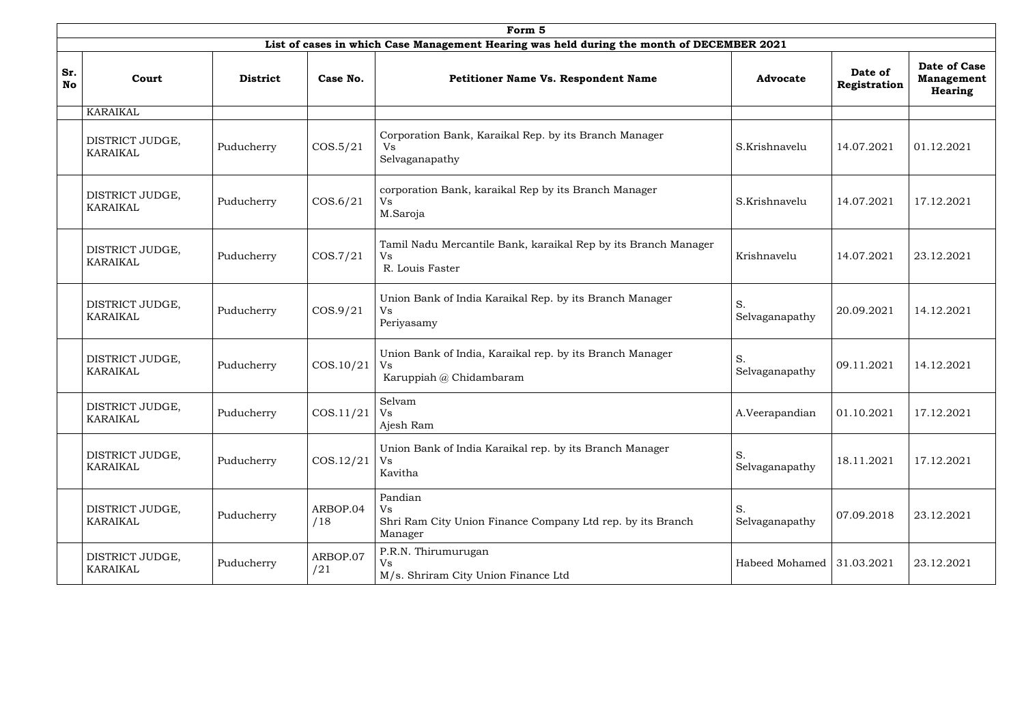|                  | Form 5                             |                 |                     |                                                                                                  |                           |                         |                                                     |  |  |  |  |
|------------------|------------------------------------|-----------------|---------------------|--------------------------------------------------------------------------------------------------|---------------------------|-------------------------|-----------------------------------------------------|--|--|--|--|
|                  |                                    |                 |                     | List of cases in which Case Management Hearing was held during the month of DECEMBER 2021        |                           |                         |                                                     |  |  |  |  |
| Sr.<br><b>No</b> | Court                              | <b>District</b> | Case No.            | <b>Petitioner Name Vs. Respondent Name</b>                                                       | <b>Advocate</b>           | Date of<br>Registration | Date of Case<br><b>Management</b><br><b>Hearing</b> |  |  |  |  |
|                  | <b>KARAIKAL</b>                    |                 |                     |                                                                                                  |                           |                         |                                                     |  |  |  |  |
|                  | DISTRICT JUDGE,<br>KARAIKAL        | Puducherry      | $\cos 5/21$         | Corporation Bank, Karaikal Rep. by its Branch Manager<br>Vs.<br>Selvaganapathy                   | S.Krishnavelu             | 14.07.2021              | 01.12.2021                                          |  |  |  |  |
|                  | DISTRICT JUDGE,<br>KARAIKAL        | Puducherry      | COS.6/21            | corporation Bank, karaikal Rep by its Branch Manager<br>Vs<br>M.Saroja                           | S.Krishnavelu             | 14.07.2021              | 17.12.2021                                          |  |  |  |  |
|                  | DISTRICT JUDGE,<br>KARAIKAL        | Puducherry      | $\cos \frac{7}{21}$ | Tamil Nadu Mercantile Bank, karaikal Rep by its Branch Manager<br>Vs<br>R. Louis Faster          | Krishnavelu               | 14.07.2021              | 23.12.2021                                          |  |  |  |  |
|                  | DISTRICT JUDGE,<br><b>KARAIKAL</b> | Puducherry      | COS.9/21            | Union Bank of India Karaikal Rep. by its Branch Manager<br>Vs<br>Periyasamy                      | S.<br>Selvaganapathy      | 20.09.2021              | 14.12.2021                                          |  |  |  |  |
|                  | DISTRICT JUDGE,<br><b>KARAIKAL</b> | Puducherry      | COS.10/21           | Union Bank of India, Karaikal rep. by its Branch Manager<br><b>Vs</b><br>Karuppiah @ Chidambaram | S.<br>Selvaganapathy      | 09.11.2021              | 14.12.2021                                          |  |  |  |  |
|                  | DISTRICT JUDGE,<br>KARAIKAL        | Puducherry      | $\cos 11/21$        | Selvam<br><b>Vs</b><br>Ajesh Ram                                                                 | A.Veerapandian            | 01.10.2021              | 17.12.2021                                          |  |  |  |  |
|                  | DISTRICT JUDGE,<br><b>KARAIKAL</b> | Puducherry      | COS.12/21           | Union Bank of India Karaikal rep. by its Branch Manager<br>Vs<br>Kavitha                         | S.<br>Selvaganapathy      | 18.11.2021              | 17.12.2021                                          |  |  |  |  |
|                  | DISTRICT JUDGE,<br><b>KARAIKAL</b> | Puducherry      | ARBOP.04<br>/18     | Pandian<br><b>Vs</b><br>Shri Ram City Union Finance Company Ltd rep. by its Branch<br>Manager    | S.<br>Selvaganapathy      | 07.09.2018              | 23.12.2021                                          |  |  |  |  |
|                  | DISTRICT JUDGE,<br>KARAIKAL        | Puducherry      | ARBOP.07<br>/21     | P.R.N. Thirumurugan<br>Vs<br>M/s. Shriram City Union Finance Ltd                                 | Habeed Mohamed 31.03.2021 |                         | 23.12.2021                                          |  |  |  |  |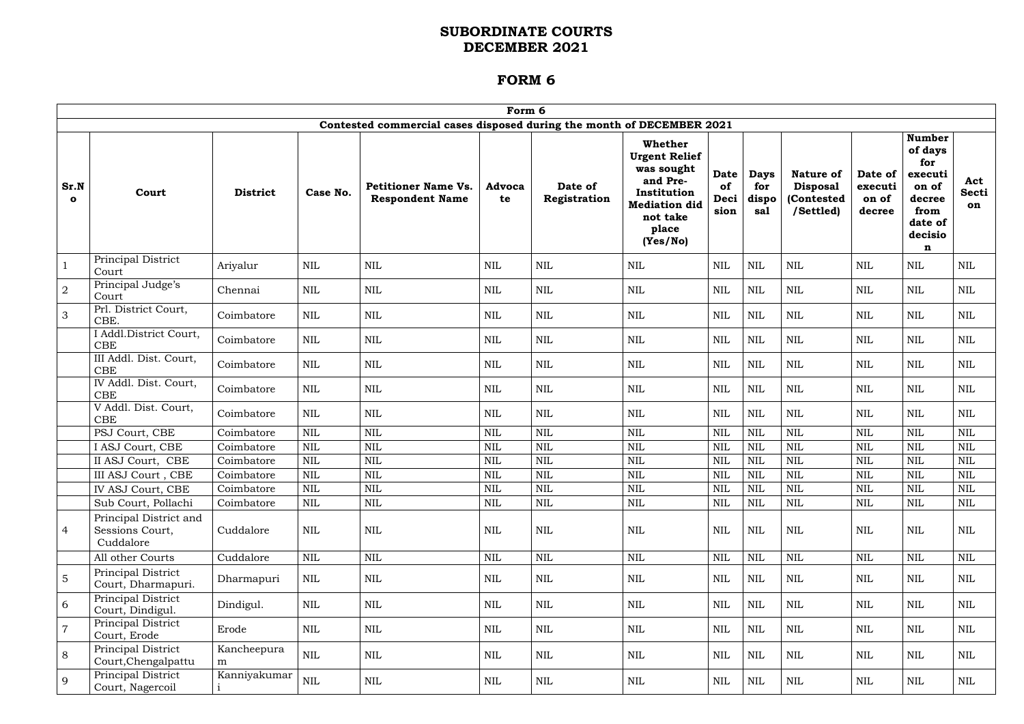|                      |                                                        |                  |              |                                                                       | Form 6              |                         |                                                                                                                                          |                            |                                    |                                                                |                                       |                                                                                                  |                           |
|----------------------|--------------------------------------------------------|------------------|--------------|-----------------------------------------------------------------------|---------------------|-------------------------|------------------------------------------------------------------------------------------------------------------------------------------|----------------------------|------------------------------------|----------------------------------------------------------------|---------------------------------------|--------------------------------------------------------------------------------------------------|---------------------------|
|                      |                                                        |                  |              | Contested commercial cases disposed during the month of DECEMBER 2021 |                     |                         |                                                                                                                                          |                            |                                    |                                                                |                                       |                                                                                                  |                           |
| Sr.N<br>$\mathbf{o}$ | Court                                                  | <b>District</b>  | Case No.     | <b>Petitioner Name Vs.</b><br><b>Respondent Name</b>                  | <b>Advoca</b><br>te | Date of<br>Registration | <b>Whether</b><br><b>Urgent Relief</b><br>was sought<br>and Pre-<br>Institution<br><b>Mediation did</b><br>not take<br>place<br>(Yes/No) | Date<br>of<br>Deci<br>sion | <b>Days</b><br>for<br>dispo<br>sal | <b>Nature of</b><br><b>Disposal</b><br>(Contested<br>/Settled) | Date of<br>executi<br>on of<br>decree | <b>Number</b><br>of days<br>for<br>executi<br>on of<br>decree<br>from<br>date of<br>decisio<br>n | Act<br><b>Secti</b><br>on |
|                      | Principal District<br>Court                            | Ariyalur         | $\mbox{NIL}$ | <b>NIL</b>                                                            | <b>NIL</b>          | $\mbox{NIL}$            | <b>NIL</b>                                                                                                                               | <b>NIL</b>                 | $\mbox{NIL}$                       | $\mbox{NIL}$                                                   | <b>NIL</b>                            | $\mbox{NIL}$                                                                                     | <b>NIL</b>                |
| $\overline{2}$       | Principal Judge's<br>Court                             | Chennai          | $\mbox{NIL}$ | <b>NIL</b>                                                            | <b>NIL</b>          | $\mbox{NIL}$            | <b>NIL</b>                                                                                                                               | <b>NIL</b>                 | <b>NIL</b>                         | <b>NIL</b>                                                     | NIL                                   | <b>NIL</b>                                                                                       | <b>NIL</b>                |
| 3                    | Prl. District Court,<br>CBE.                           | Coimbatore       | <b>NIL</b>   | <b>NIL</b>                                                            | <b>NIL</b>          | $\mbox{NIL}$            | <b>NIL</b>                                                                                                                               | <b>NIL</b>                 | $\mbox{NIL}$                       | <b>NIL</b>                                                     | NIL                                   | $\mbox{NIL}$                                                                                     | <b>NIL</b>                |
|                      | I Addl.District Court,<br><b>CBE</b>                   | Coimbatore       | <b>NIL</b>   | <b>NIL</b>                                                            | <b>NIL</b>          | $\mbox{NIL}$            | <b>NIL</b>                                                                                                                               | <b>NIL</b>                 | $\mbox{NIL}$                       | $\mbox{NIL}$                                                   | <b>NIL</b>                            | $\mbox{NIL}$                                                                                     | <b>NIL</b>                |
|                      | III Addl. Dist. Court,<br><b>CBE</b>                   | Coimbatore       | $\mbox{NIL}$ | <b>NIL</b>                                                            | <b>NIL</b>          | <b>NIL</b>              | <b>NIL</b>                                                                                                                               | <b>NIL</b>                 | $\mbox{NIL}$                       | <b>NIL</b>                                                     | <b>NIL</b>                            | $\mbox{NIL}$                                                                                     | <b>NIL</b>                |
|                      | IV Addl. Dist. Court,<br>CBE                           | Coimbatore       | $\mbox{NIL}$ | <b>NIL</b>                                                            | <b>NIL</b>          | $\mbox{NIL}$            | <b>NIL</b>                                                                                                                               | $\mbox{NIL}$               | $\mbox{NIL}$                       | <b>NIL</b>                                                     | <b>NIL</b>                            | <b>NIL</b>                                                                                       | <b>NIL</b>                |
|                      | V Addl. Dist. Court,<br>CBE                            | Coimbatore       | <b>NIL</b>   | <b>NIL</b>                                                            | <b>NIL</b>          | <b>NIL</b>              | NIL                                                                                                                                      | NIL                        | <b>NIL</b>                         | <b>NIL</b>                                                     | NIL                                   | NIL                                                                                              | NIL                       |
|                      | PSJ Court, CBE                                         | Coimbatore       | <b>NIL</b>   | <b>NIL</b>                                                            | <b>NIL</b>          | <b>NIL</b>              | <b>NIL</b>                                                                                                                               | <b>NIL</b>                 | $\mbox{NIL}$                       | <b>NIL</b>                                                     | <b>NIL</b>                            | $\text{NIL}$                                                                                     | <b>NIL</b>                |
|                      | I ASJ Court, CBE                                       | Coimbatore       | <b>NIL</b>   | <b>NIL</b>                                                            | <b>NIL</b>          | <b>NIL</b>              | <b>NIL</b>                                                                                                                               | <b>NIL</b>                 | <b>NIL</b>                         | $\text{NIL}$                                                   | <b>NIL</b>                            | <b>NIL</b>                                                                                       | $\text{NIL}$              |
|                      | II ASJ Court, CBE                                      | Coimbatore       | <b>NIL</b>   | <b>NIL</b>                                                            | <b>NIL</b>          | <b>NIL</b>              | <b>NIL</b>                                                                                                                               | <b>NIL</b>                 | <b>NIL</b>                         | <b>NIL</b>                                                     | <b>NIL</b>                            | <b>NIL</b>                                                                                       | <b>NIL</b>                |
|                      | III ASJ Court, CBE                                     | Coimbatore       | <b>NIL</b>   | $\mbox{NIL}$                                                          | <b>NIL</b>          | <b>NIL</b>              | <b>NIL</b>                                                                                                                               | $\mbox{NIL}$               | <b>NIL</b>                         | <b>NIL</b>                                                     | <b>NIL</b>                            | <b>NIL</b>                                                                                       | <b>NIL</b>                |
|                      | IV ASJ Court, CBE                                      | Coimbatore       | $\mbox{NIL}$ | $\mbox{NIL}$                                                          | <b>NIL</b>          | $\mbox{NIL}$            | $\mbox{NIL}$                                                                                                                             | <b>NIL</b>                 | $\mbox{NIL}$                       | $\mbox{NIL}$                                                   | <b>NIL</b>                            | $\mbox{NIL}$                                                                                     | $\mbox{NIL}$              |
|                      | Sub Court, Pollachi                                    | Coimbatore       | $\mbox{NIL}$ | $\mbox{NIL}$                                                          | <b>NIL</b>          | $\mbox{NIL}$            | $\mbox{NIL}$                                                                                                                             | $\mbox{NIL}$               | <b>NIL</b>                         | $\mbox{NIL}$                                                   | <b>NIL</b>                            | $\mbox{NIL}$                                                                                     | $\mbox{NIL}$              |
| 4                    | Principal District and<br>Sessions Court,<br>Cuddalore | Cuddalore        | $\mbox{NIL}$ | <b>NIL</b>                                                            | <b>NIL</b>          | $\mbox{NIL}$            | <b>NIL</b>                                                                                                                               | <b>NIL</b>                 | NIL                                | <b>NIL</b>                                                     | <b>NIL</b>                            | NIL                                                                                              | <b>NIL</b>                |
|                      | All other Courts                                       | Cuddalore        | $\mbox{NIL}$ | $\mbox{NIL}$                                                          | <b>NIL</b>          | $\mbox{NIL}$            | $\mbox{NIL}$                                                                                                                             | <b>NIL</b>                 | $\mbox{NIL}$                       | $\mbox{NIL}$                                                   | <b>NIL</b>                            | $\mbox{NIL}$                                                                                     | <b>NIL</b>                |
| 5                    | Principal District<br>Court, Dharmapuri.               | Dharmapuri       | NIL          | NIL                                                                   | NIL                 | <b>NIL</b>              | NIL                                                                                                                                      | NIL                        | NIL                                | <b>NIL</b>                                                     | NIL                                   | NIL                                                                                              | <b>NIL</b>                |
| 6                    | Principal District<br>Court, Dindigul.                 | Dindigul.        | <b>NIL</b>   | <b>NIL</b>                                                            | NIL                 | <b>NIL</b>              | <b>NIL</b>                                                                                                                               | <b>NIL</b>                 | NIL                                | <b>NIL</b>                                                     | NIL                                   | NIL                                                                                              | NIL                       |
| $\overline{7}$       | Principal District<br>Court, Erode                     | Erode            | $\mbox{NIL}$ | $\mbox{NIL}$                                                          | <b>NIL</b>          | $\mbox{NIL}$            | $\mbox{NIL}$                                                                                                                             | $\mbox{NIL}$               | $\mbox{NIL}$                       | $\mbox{NIL}$                                                   | NIL                                   | NIL                                                                                              | NIL                       |
| 8                    | Principal District<br>Court, Chengalpattu              | Kancheepura<br>m | <b>NIL</b>   | <b>NIL</b>                                                            | NIL                 | $\mbox{NIL}$            | <b>NIL</b>                                                                                                                               | <b>NIL</b>                 | NIL                                | <b>NIL</b>                                                     | NIL                                   | NIL                                                                                              | <b>NIL</b>                |
| 9                    | Principal District<br>Court, Nagercoil                 | Kanniyakumar     | $\mbox{NIL}$ | $\mbox{NIL}$                                                          | NIL                 | NIL                     | <b>NIL</b>                                                                                                                               | $\rm NIL$                  | NIL                                | NIL                                                            | NIL                                   | NIL                                                                                              | NIL                       |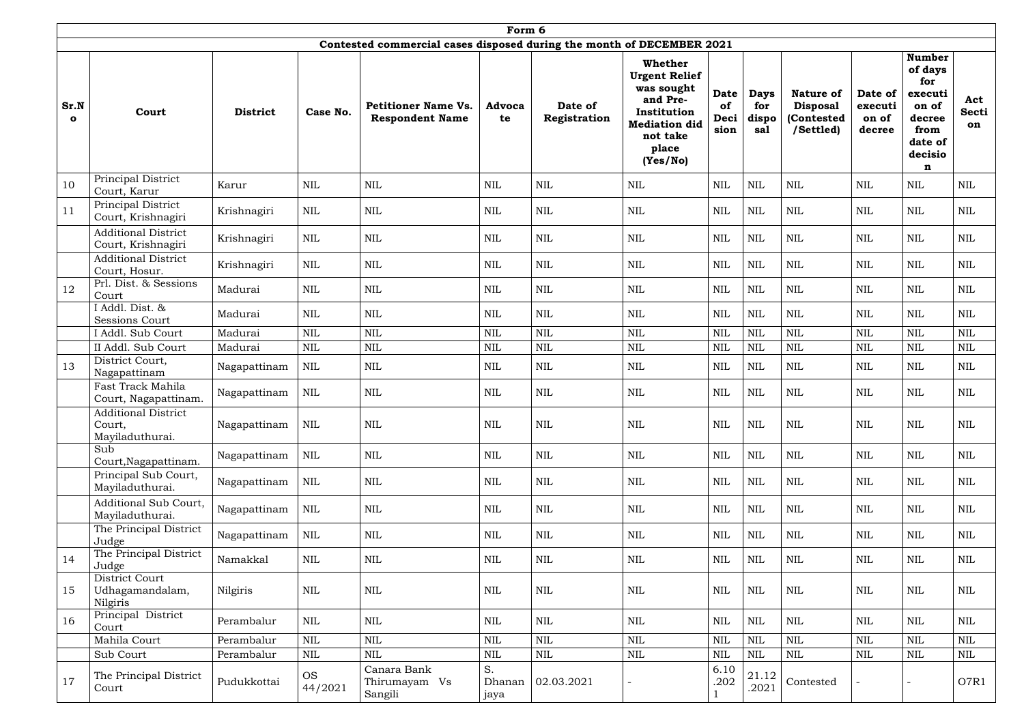|                      | Form 6                                                  |                 |                      |                                                                       |                      |                         |                                                                                                                                          |                                   |                                    |                                                                |                                       |                                                                                                  |                           |
|----------------------|---------------------------------------------------------|-----------------|----------------------|-----------------------------------------------------------------------|----------------------|-------------------------|------------------------------------------------------------------------------------------------------------------------------------------|-----------------------------------|------------------------------------|----------------------------------------------------------------|---------------------------------------|--------------------------------------------------------------------------------------------------|---------------------------|
|                      |                                                         |                 |                      | Contested commercial cases disposed during the month of DECEMBER 2021 |                      |                         |                                                                                                                                          |                                   |                                    |                                                                |                                       |                                                                                                  |                           |
| Sr.N<br>$\mathbf{o}$ | Court                                                   | <b>District</b> | Case No.             | <b>Petitioner Name Vs.</b><br><b>Respondent Name</b>                  | <b>Advoca</b><br>te  | Date of<br>Registration | <b>Whether</b><br><b>Urgent Relief</b><br>was sought<br>and Pre-<br>Institution<br><b>Mediation did</b><br>not take<br>place<br>(Yes/No) | <b>Date</b><br>of<br>Deci<br>sion | <b>Days</b><br>for<br>dispo<br>sal | <b>Nature of</b><br><b>Disposal</b><br>(Contested<br>/Settled) | Date of<br>executi<br>on of<br>decree | <b>Number</b><br>of days<br>for<br>executi<br>on of<br>decree<br>from<br>date of<br>decisio<br>n | Act<br><b>Secti</b><br>on |
| 10                   | Principal District<br>Court, Karur                      | Karur           | <b>NIL</b>           | <b>NIL</b>                                                            | <b>NIL</b>           | $\text{NIL}$            | $\mbox{NIL}$                                                                                                                             | <b>NIL</b>                        | <b>NIL</b>                         | $\mbox{NIL}$                                                   | <b>NIL</b>                            | $\mbox{NIL}$                                                                                     | NIL                       |
| 11                   | Principal District<br>Court, Krishnagiri                | Krishnagiri     | <b>NIL</b>           | <b>NIL</b>                                                            | <b>NIL</b>           | $\mbox{NIL}$            | <b>NIL</b>                                                                                                                               | <b>NIL</b>                        | $\mbox{NIL}$                       | $\mbox{NIL}$                                                   | <b>NIL</b>                            | <b>NIL</b>                                                                                       | NIL                       |
|                      | <b>Additional District</b><br>Court, Krishnagiri        | Krishnagiri     | <b>NIL</b>           | <b>NIL</b>                                                            | <b>NIL</b>           | $\mbox{NIL}$            | NIL                                                                                                                                      | <b>NIL</b>                        | <b>NIL</b>                         | $\mbox{NIL}$                                                   | <b>NIL</b>                            | $\mbox{NIL}$                                                                                     | $\mbox{NIL}$              |
|                      | <b>Additional District</b><br>Court, Hosur.             | Krishnagiri     | <b>NIL</b>           | <b>NIL</b>                                                            | <b>NIL</b>           | $\text{NIL}$            | <b>NIL</b>                                                                                                                               | <b>NIL</b>                        | <b>NIL</b>                         | $\mbox{NIL}$                                                   | <b>NIL</b>                            | $\mbox{NIL}$                                                                                     | NIL                       |
| 12                   | Prl. Dist. & Sessions<br>Court                          | Madurai         | <b>NIL</b>           | <b>NIL</b>                                                            | <b>NIL</b>           | $\mbox{NIL}$            | NIL                                                                                                                                      | <b>NIL</b>                        | $\mbox{NIL}$                       | $\mbox{NIL}$                                                   | <b>NIL</b>                            | $\mbox{NIL}$                                                                                     | $\mbox{NIL}$              |
|                      | I Addl. Dist. &<br><b>Sessions Court</b>                | Madurai         | <b>NIL</b>           | <b>NIL</b>                                                            | <b>NIL</b>           | <b>NIL</b>              | <b>NIL</b>                                                                                                                               | <b>NIL</b>                        | $\mbox{NIL}$                       | $\mbox{NIL}$                                                   | <b>NIL</b>                            | <b>NIL</b>                                                                                       | <b>NIL</b>                |
|                      | I Addl. Sub Court                                       | Madurai         | <b>NIL</b>           | <b>NIL</b>                                                            | <b>NIL</b>           | <b>NIL</b>              | <b>NIL</b>                                                                                                                               | <b>NIL</b>                        | $\mbox{NIL}$                       | <b>NIL</b>                                                     | <b>NIL</b>                            | <b>NIL</b>                                                                                       | <b>NIL</b>                |
|                      | II Addl. Sub Court                                      | Madurai         | <b>NIL</b>           | <b>NIL</b>                                                            | <b>NIL</b>           | $\mbox{NIL}$            | <b>NIL</b>                                                                                                                               | <b>NIL</b>                        | <b>NIL</b>                         | $\mbox{NIL}$                                                   | <b>NIL</b>                            | <b>NIL</b>                                                                                       | <b>NIL</b>                |
| 13                   | District Court,<br>Nagapattinam                         | Nagapattinam    | <b>NIL</b>           | <b>NIL</b>                                                            | <b>NIL</b>           | <b>NIL</b>              | <b>NIL</b>                                                                                                                               | NIL                               | <b>NIL</b>                         | NIL                                                            | <b>NIL</b>                            | $\mbox{NIL}$                                                                                     | $\mbox{NIL}$              |
|                      | Fast Track Mahila<br>Court, Nagapattinam.               | Nagapattinam    | <b>NIL</b>           | <b>NIL</b>                                                            | <b>NIL</b>           | $\mbox{NIL}$            | <b>NIL</b>                                                                                                                               | <b>NIL</b>                        | <b>NIL</b>                         | $\mbox{NIL}$                                                   | <b>NIL</b>                            | <b>NIL</b>                                                                                       | $\mbox{NIL}$              |
|                      | <b>Additional District</b><br>Court,<br>Mayiladuthurai. | Nagapattinam    | <b>NIL</b>           | <b>NIL</b>                                                            | <b>NIL</b>           | $\text{NIL}$            | <b>NIL</b>                                                                                                                               | <b>NIL</b>                        | <b>NIL</b>                         | $\mbox{NIL}$                                                   | <b>NIL</b>                            | <b>NIL</b>                                                                                       | NIL                       |
|                      | Sub<br>Court, Nagapattinam.                             | Nagapattinam    | $\mbox{NIL}$         | $\text{NIL}$                                                          | $\mbox{NIL}$         | $\mbox{NIL}$            | $\mbox{NIL}$                                                                                                                             | <b>NIL</b>                        | $\mbox{NIL}$                       | $\mbox{NIL}$                                                   | <b>NIL</b>                            | $\mbox{NIL}$                                                                                     | $\mbox{NIL}$              |
|                      | Principal Sub Court,<br>Mayiladuthurai.                 | Nagapattinam    | <b>NIL</b>           | <b>NIL</b>                                                            | $\mbox{NIL}$         | $\mbox{NIL}$            | $\mbox{NIL}$                                                                                                                             | <b>NIL</b>                        | $\mbox{NIL}$                       | $\mbox{NIL}$                                                   | NIL                                   | $\mbox{NIL}$                                                                                     | NIL                       |
|                      | Additional Sub Court,<br>Mayiladuthurai.                | Nagapattinam    | $\mbox{NIL}$         | $\mbox{NIL}$                                                          | <b>NIL</b>           | $\mbox{NIL}$            | $\mbox{NIL}$                                                                                                                             | <b>NIL</b>                        | NIL                                | $\mbox{NIL}$                                                   | NIL                                   | $\mbox{NIL}$                                                                                     | NIL                       |
|                      | The Principal District<br>Judge                         | Nagapattinam    | <b>NIL</b>           | <b>NIL</b>                                                            | <b>NIL</b>           | $\mbox{NIL}$            | <b>NIL</b>                                                                                                                               | <b>NIL</b>                        | NIL                                | $\mbox{NIL}$                                                   | NIL                                   | <b>NIL</b>                                                                                       | <b>NIL</b>                |
| 14                   | The Principal District<br>Judge                         | Namakkal        | NIL                  | $\mbox{NIL}$                                                          | NIL                  | $\mbox{NIL}$            | <b>NIL</b>                                                                                                                               | <b>NIL</b>                        | NIL                                | NIL                                                            | NIL                                   | $\mbox{NIL}$                                                                                     | NIL                       |
| 15                   | District Court<br>Udhagamandalam,<br>Nilgiris           | Nilgiris        | <b>NIL</b>           | $\text{NIL}$                                                          | $\mbox{NIL}$         | $\mbox{NIL}$            | <b>NIL</b>                                                                                                                               | <b>NIL</b>                        | $\mbox{NIL}$                       | $\mbox{NIL}$                                                   | <b>NIL</b>                            | $\mbox{NIL}$                                                                                     | $\mbox{NIL}$              |
| 16                   | Principal District<br>Court                             | Perambalur      | <b>NIL</b>           | $\text{NIL}$                                                          | $\mbox{NIL}$         | $\mbox{NIL}$            | $\mbox{NIL}$                                                                                                                             | <b>NIL</b>                        | $\mbox{NIL}$                       | $\mbox{NIL}$                                                   | <b>NIL</b>                            | $\mbox{NIL}$                                                                                     | $\mbox{NIL}$              |
|                      | Mahila Court                                            | Perambalur      | $\mbox{NIL}$         | <b>NIL</b>                                                            | $\mbox{NIL}$         | $\mbox{NIL}$            | <b>NIL</b>                                                                                                                               | <b>NIL</b>                        | <b>NIL</b>                         | $\mbox{NIL}$                                                   | $\text{NIL}$                          | <b>NIL</b>                                                                                       | <b>NIL</b>                |
|                      | Sub Court                                               | Perambalur      | <b>NIL</b>           | <b>NIL</b>                                                            | NIL                  | $\mbox{NIL}$            | $\mbox{NIL}$                                                                                                                             | <b>NIL</b>                        | <b>NIL</b>                         | $\mbox{NIL}$                                                   | <b>NIL</b>                            | <b>NIL</b>                                                                                       | $\mbox{NIL}$              |
| 17                   | The Principal District<br>Court                         | Pudukkottai     | <b>OS</b><br>44/2021 | Canara Bank<br>Thirumayam Vs<br>Sangili                               | S.<br>Dhanan<br>jaya | 02.03.2021              |                                                                                                                                          | 6.10<br>.202                      | 21.12<br>.2021                     | Contested                                                      |                                       | $\sim$                                                                                           | O7R1                      |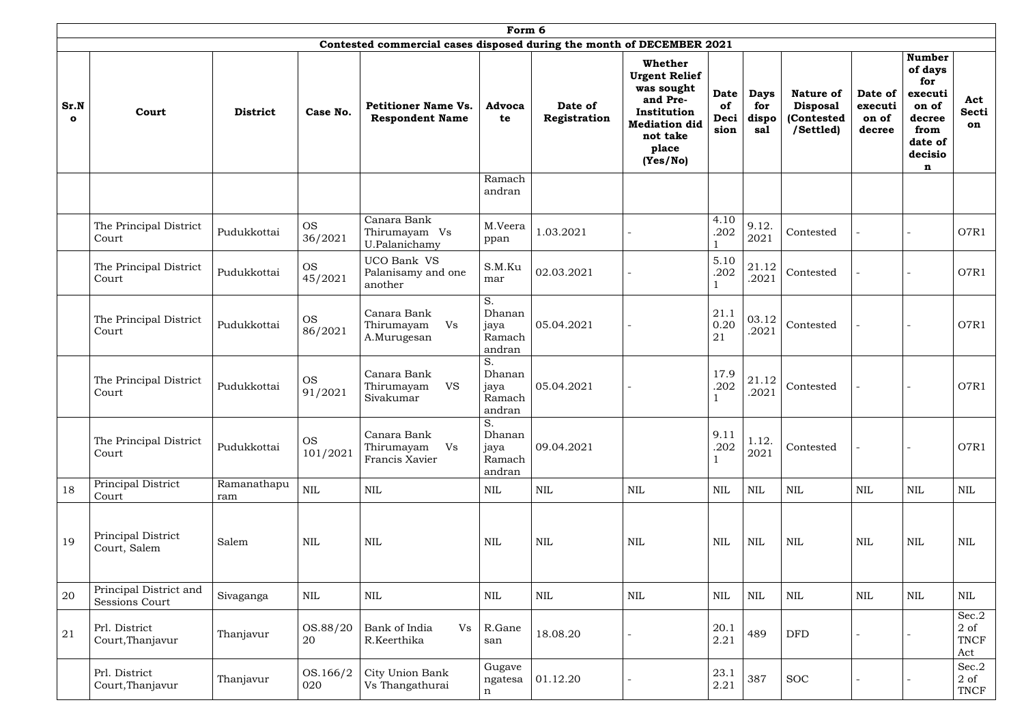|                     | Form 6                                          |                    |                       |                                                                       |                                          |                         |                                                                                                                                   |                                   |                                    |                                                                |                                       |                                                                                                  |                                  |
|---------------------|-------------------------------------------------|--------------------|-----------------------|-----------------------------------------------------------------------|------------------------------------------|-------------------------|-----------------------------------------------------------------------------------------------------------------------------------|-----------------------------------|------------------------------------|----------------------------------------------------------------|---------------------------------------|--------------------------------------------------------------------------------------------------|----------------------------------|
|                     |                                                 |                    |                       | Contested commercial cases disposed during the month of DECEMBER 2021 |                                          |                         |                                                                                                                                   |                                   |                                    |                                                                |                                       |                                                                                                  |                                  |
| Sr.N<br>$\mathbf o$ | Court                                           | <b>District</b>    | Case No.              | <b>Petitioner Name Vs.</b><br><b>Respondent Name</b>                  | <b>Advoca</b><br>te                      | Date of<br>Registration | Whether<br><b>Urgent Relief</b><br>was sought<br>and Pre-<br>Institution<br><b>Mediation did</b><br>not take<br>place<br>(Yes/No) | <b>Date</b><br>of<br>Deci<br>sion | <b>Days</b><br>for<br>dispo<br>sal | <b>Nature of</b><br><b>Disposal</b><br>(Contested<br>/Settled) | Date of<br>executi<br>on of<br>decree | <b>Number</b><br>of days<br>for<br>executi<br>on of<br>decree<br>from<br>date of<br>decisio<br>n | Act<br><b>Secti</b><br>on        |
|                     |                                                 |                    |                       |                                                                       | Ramach<br>andran                         |                         |                                                                                                                                   |                                   |                                    |                                                                |                                       |                                                                                                  |                                  |
|                     | The Principal District<br>Court                 | Pudukkottai        | <b>OS</b><br>36/2021  | Canara Bank<br>Thirumayam Vs<br>U.Palanichamy                         | M.Veera<br>ppan                          | 1.03.2021               |                                                                                                                                   | 4.10<br>.202                      | 9.12.<br>2021                      | Contested                                                      |                                       |                                                                                                  | O7R1                             |
|                     | The Principal District<br>Court                 | Pudukkottai        | <b>OS</b><br>45/2021  | UCO Bank VS<br>Palanisamy and one<br>another                          | S.M.Ku<br>mar                            | 02.03.2021              |                                                                                                                                   | 5.10<br>.202                      | 21.12<br>.2021                     | Contested                                                      |                                       |                                                                                                  | O7R1                             |
|                     | The Principal District<br>Court                 | Pudukkottai        | <b>OS</b><br>86/2021  | Canara Bank<br>Thirumayam<br>Vs<br>A.Murugesan                        | S.<br>Dhanan<br>jaya<br>Ramach<br>andran | 05.04.2021              |                                                                                                                                   | 21.1<br>0.20<br>21                | 03.12<br>.2021                     | Contested                                                      |                                       |                                                                                                  | O7R1                             |
|                     | The Principal District<br>Court                 | Pudukkottai        | <b>OS</b><br>91/2021  | Canara Bank<br>Thirumayam<br><b>VS</b><br>Sivakumar                   | S.<br>Dhanan<br>jaya<br>Ramach<br>andran | 05.04.2021              |                                                                                                                                   | 17.9<br>.202                      | 21.12<br>.2021                     | Contested                                                      |                                       |                                                                                                  | O7R1                             |
|                     | The Principal District<br>Court                 | Pudukkottai        | <b>OS</b><br>101/2021 | Canara Bank<br>Vs<br>Thirumayam<br>Francis Xavier                     | S.<br>Dhanan<br>jaya<br>Ramach<br>andran | 09.04.2021              |                                                                                                                                   | 9.11<br>.202                      | 1.12.<br>2021                      | Contested                                                      |                                       | ÷                                                                                                | O7R1                             |
| 18                  | Principal District<br>Court                     | Ramanathapu<br>ram | $\mbox{NIL}$          | $\mbox{NIL}$                                                          | <b>NIL</b>                               | $\mbox{NIL}$            | <b>NIL</b>                                                                                                                        | <b>NIL</b>                        | $\mbox{NIL}$                       | $\mbox{NIL}$                                                   | <b>NIL</b>                            | <b>NIL</b>                                                                                       | $\mbox{NIL}$                     |
| 19                  | Principal District<br>Court, Salem              | Salem              | <b>NIL</b>            | $\mbox{NIL}$                                                          | <b>NIL</b>                               | <b>NIL</b>              | <b>NIL</b>                                                                                                                        | <b>NIL</b>                        | <b>NIL</b>                         | $\mbox{NIL}$                                                   | <b>NIL</b>                            | <b>NIL</b>                                                                                       | $\mbox{NIL}$                     |
| 20                  | Principal District and<br><b>Sessions Court</b> | Sivaganga          | <b>NIL</b>            | <b>NIL</b>                                                            | <b>NIL</b>                               | <b>NIL</b>              | <b>NIL</b>                                                                                                                        | <b>NIL</b>                        | <b>NIL</b>                         | $\mbox{NIL}$                                                   | NIL                                   | NIL                                                                                              | $\mbox{NIL}$                     |
| 21                  | Prl. District<br>Court, Thanjavur               | Thanjavur          | OS.88/20<br>20        | Bank of India<br>Vs<br>R.Keerthika                                    | R.Gane<br>san                            | 18.08.20                |                                                                                                                                   | 20.1<br>2.21                      | 489                                | <b>DFD</b>                                                     |                                       |                                                                                                  | Sec.2<br>$2$ of<br>TNCF<br>Act   |
|                     | Prl. District<br>Court, Thanjavur               | Thanjavur          | OS.166/2<br>020       | City Union Bank<br>Vs Thangathurai                                    | Gugave<br>ngatesa<br>$\mathbf n$         | 01.12.20                |                                                                                                                                   | 23.1<br>2.21                      | 387                                | <b>SOC</b>                                                     |                                       | ÷                                                                                                | Sec.2<br>$2 \text{ of }$<br>TNCF |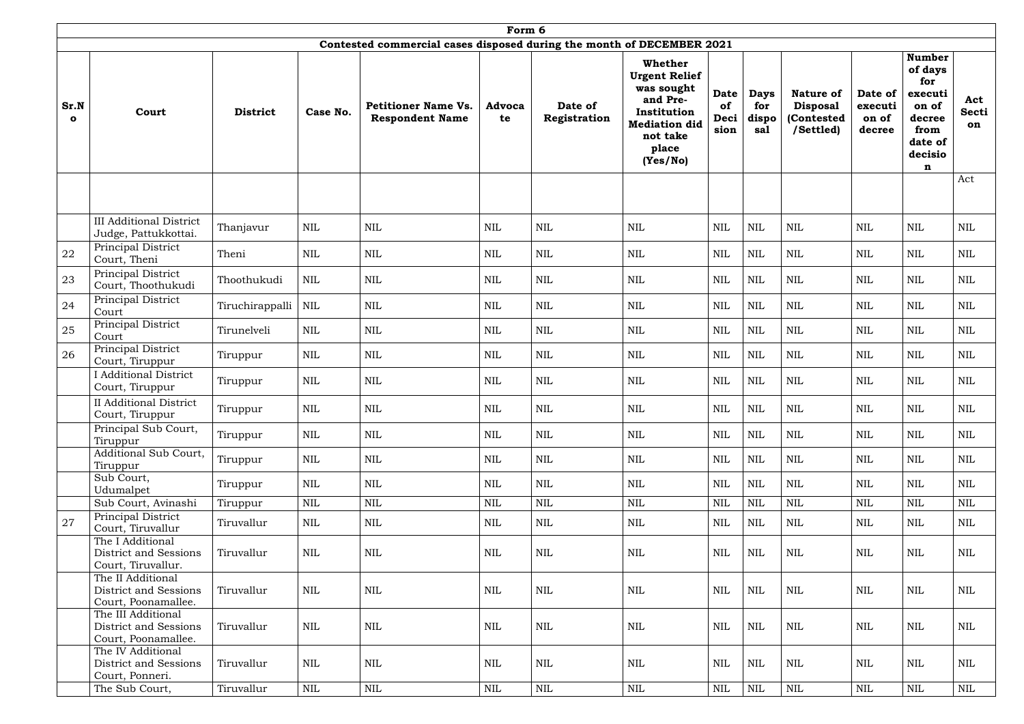|                      |                                                                          |                 |              |                                                                       | Form 6              |                         |                                                                                                                                   |                                   |                                    |                                                                |                                       |                                                                                                  |                           |
|----------------------|--------------------------------------------------------------------------|-----------------|--------------|-----------------------------------------------------------------------|---------------------|-------------------------|-----------------------------------------------------------------------------------------------------------------------------------|-----------------------------------|------------------------------------|----------------------------------------------------------------|---------------------------------------|--------------------------------------------------------------------------------------------------|---------------------------|
|                      |                                                                          |                 |              | Contested commercial cases disposed during the month of DECEMBER 2021 |                     |                         |                                                                                                                                   |                                   |                                    |                                                                |                                       |                                                                                                  |                           |
| Sr.N<br>$\mathbf{o}$ | Court                                                                    | <b>District</b> | Case No.     | <b>Petitioner Name Vs.</b><br><b>Respondent Name</b>                  | <b>Advoca</b><br>te | Date of<br>Registration | Whether<br><b>Urgent Relief</b><br>was sought<br>and Pre-<br>Institution<br><b>Mediation did</b><br>not take<br>place<br>(Yes/No) | <b>Date</b><br>of<br>Deci<br>sion | <b>Days</b><br>for<br>dispo<br>sal | <b>Nature of</b><br><b>Disposal</b><br>(Contested<br>/Settled) | Date of<br>executi<br>on of<br>decree | <b>Number</b><br>of days<br>for<br>executi<br>on of<br>decree<br>from<br>date of<br>decisio<br>n | Act<br><b>Secti</b><br>on |
|                      |                                                                          |                 |              |                                                                       |                     |                         |                                                                                                                                   |                                   |                                    |                                                                |                                       |                                                                                                  | Act                       |
|                      | <b>III Additional District</b><br>Judge, Pattukkottai.                   | Thanjavur       | <b>NIL</b>   | <b>NIL</b>                                                            | <b>NIL</b>          | <b>NIL</b>              | <b>NIL</b>                                                                                                                        | <b>NIL</b>                        | <b>NIL</b>                         | $\mbox{NIL}$                                                   | <b>NIL</b>                            | <b>NIL</b>                                                                                       | $\mbox{NIL}$              |
| 22                   | Principal District<br>Court, Theni                                       | Theni           | <b>NIL</b>   | $\mbox{NIL}$                                                          | <b>NIL</b>          | <b>NIL</b>              | <b>NIL</b>                                                                                                                        | <b>NIL</b>                        | <b>NIL</b>                         | $\mbox{NIL}$                                                   | <b>NIL</b>                            | <b>NIL</b>                                                                                       | <b>NIL</b>                |
| 23                   | Principal District<br>Court, Thoothukudi                                 | Thoothukudi     | <b>NIL</b>   | $\mbox{NIL}$                                                          | <b>NIL</b>          | <b>NIL</b>              | <b>NIL</b>                                                                                                                        | <b>NIL</b>                        | NIL                                | $\mbox{NIL}$                                                   | <b>NIL</b>                            | <b>NIL</b>                                                                                       | $\mbox{NIL}$              |
| 24                   | Principal District<br>Court                                              | Tiruchirappalli | NIL          | $\mbox{NIL}$                                                          | <b>NIL</b>          | <b>NIL</b>              | $\mbox{NIL}$                                                                                                                      | $\mbox{NIL}$                      | <b>NIL</b>                         | $\mbox{NIL}$                                                   | <b>NIL</b>                            | $\mbox{NIL}$                                                                                     | $\mbox{NIL}$              |
| 25                   | Principal District<br>Court                                              | Tirunelveli     | <b>NIL</b>   | $\mbox{NIL}$                                                          | <b>NIL</b>          | <b>NIL</b>              | <b>NIL</b>                                                                                                                        | $\mbox{NIL}$                      | $\mbox{NIL}$                       | $\mbox{NIL}$                                                   | <b>NIL</b>                            | <b>NIL</b>                                                                                       | $\mbox{NIL}$              |
| 26                   | Principal District<br>Court, Tiruppur                                    | Tiruppur        | <b>NIL</b>   | $\mbox{NIL}$                                                          | <b>NIL</b>          | <b>NIL</b>              | $\text{NIL}$                                                                                                                      | $\mbox{NIL}$                      | $\mbox{NIL}$                       | $\mbox{NIL}$                                                   | NIL                                   | $\mbox{NIL}$                                                                                     | <b>NIL</b>                |
|                      | <b>Additional District</b><br>Court, Tiruppur                            | Tiruppur        | <b>NIL</b>   | $\mbox{NIL}$                                                          | <b>NIL</b>          | <b>NIL</b>              | $\text{NIL}$                                                                                                                      | $\mbox{NIL}$                      | $\mbox{NIL}$                       | $\mbox{NIL}$                                                   | <b>NIL</b>                            | $\mbox{NIL}$                                                                                     | <b>NIL</b>                |
|                      | <b>II</b> Additional District<br>Court, Tiruppur                         | Tiruppur        | $\mbox{NIL}$ | NIL                                                                   | <b>NIL</b>          | $\mbox{NIL}$            | $\mbox{NIL}$                                                                                                                      | $\mbox{NIL}$                      | NIL                                | $\mbox{NIL}$                                                   | <b>NIL</b>                            | <b>NIL</b>                                                                                       | $\mbox{NIL}$              |
|                      | Principal Sub Court,<br>Tiruppur                                         | Tiruppur        | $\mbox{NIL}$ | $\mbox{NIL}$                                                          | $\mbox{NIL}$        | $\mbox{NIL}$            | $\mbox{NIL}$                                                                                                                      | NIL                               | $\mbox{NIL}$                       | $\mbox{NIL}$                                                   | <b>NIL</b>                            | NIL                                                                                              | $\mbox{NIL}$              |
|                      | Additional Sub Court,<br>Tiruppur                                        | Tiruppur        | <b>NIL</b>   | <b>NIL</b>                                                            | NIL                 | <b>NIL</b>              | <b>NIL</b>                                                                                                                        | <b>NIL</b>                        | <b>NIL</b>                         | <b>NIL</b>                                                     | NIL                                   | <b>NIL</b>                                                                                       | <b>NIL</b>                |
|                      | Sub Court,<br>Udumalpet                                                  | Tiruppur        | <b>NIL</b>   | <b>NIL</b>                                                            | <b>NIL</b>          | <b>NIL</b>              | <b>NIL</b>                                                                                                                        | $\mbox{NIL}$                      | $\mbox{NIL}$                       | $\mbox{NIL}$                                                   | NIL                                   | NIL                                                                                              | <b>NIL</b>                |
|                      | Sub Court, Avinashi                                                      | Tiruppur        | <b>NIL</b>   | <b>NIL</b>                                                            | <b>NIL</b>          | <b>NIL</b>              | <b>NIL</b>                                                                                                                        | $\mbox{NIL}$                      | $\mbox{NIL}$                       | $\mbox{NIL}$                                                   | NIL                                   | <b>NIL</b>                                                                                       | $\mbox{NIL}$              |
| 27                   | Principal District<br>Court, Tiruvallur                                  | Tiruvallur      | <b>NIL</b>   | $\mbox{NIL}$                                                          | NIL                 | <b>NIL</b>              | $\mbox{NIL}$                                                                                                                      | $\mbox{NIL}$                      | $\mbox{NIL}$                       | $\mbox{NIL}$                                                   | NIL                                   | NIL                                                                                              | $\mbox{NIL}$              |
|                      | The I Additional<br><b>District and Sessions</b><br>Court, Tiruvallur.   | Tiruvallur      | NIL          | $\mbox{NIL}$                                                          | NIL                 | $\mbox{NIL}$            | $\mbox{NIL}$                                                                                                                      | NIL                               | $\mbox{NIL}$                       | $\mbox{NIL}$                                                   | <b>NIL</b>                            | NIL                                                                                              | $\mbox{NIL}$              |
|                      | The II Additional<br><b>District and Sessions</b><br>Court, Poonamallee. | Tiruvallur      | <b>NIL</b>   | $\mbox{NIL}$                                                          | $\mbox{NIL}$        | $\mbox{NIL}$            | <b>NIL</b>                                                                                                                        | $\mbox{NIL}$                      | $\mbox{NIL}$                       | $\mbox{NIL}$                                                   | <b>NIL</b>                            | NIL                                                                                              | <b>NIL</b>                |
|                      | The III Additional<br>District and Sessions<br>Court, Poonamallee.       | Tiruvallur      | NIL          | $\mbox{NIL}$                                                          | $\mbox{NIL}$        | <b>NIL</b>              | $\mbox{NIL}$                                                                                                                      | $\mbox{NIL}$                      | $\mbox{NIL}$                       | $\mbox{NIL}$                                                   | <b>NIL</b>                            | <b>NIL</b>                                                                                       | <b>NIL</b>                |
|                      | The IV Additional<br><b>District and Sessions</b><br>Court, Ponneri.     | Tiruvallur      | NIL          | $\mbox{NIL}$                                                          | NIL                 | $\mbox{NIL}$            | <b>NIL</b>                                                                                                                        | NIL                               | <b>NIL</b>                         | $\mbox{NIL}$                                                   | NIL                                   | NIL                                                                                              | <b>NIL</b>                |
|                      | The Sub Court,                                                           | Tiruvallur      | $\mbox{NIL}$ | $\mbox{NIL}$                                                          | $\mbox{NIL}$        | <b>NIL</b>              | $\mbox{NIL}$                                                                                                                      | $\mbox{NIL}$                      | $\mbox{NIL}$                       | $\mbox{NIL}$                                                   | <b>NIL</b>                            | <b>NIL</b>                                                                                       | $\mbox{NIL}$              |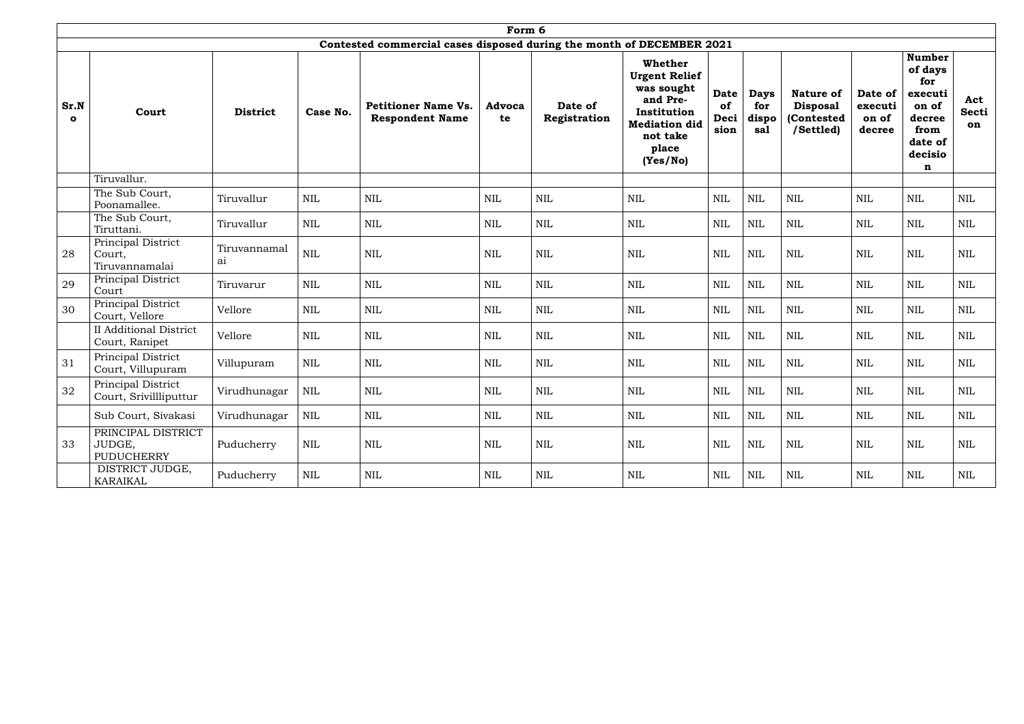|                      |                                                   |                                |              |                                                                       | Form 6              |                         |                                                                                                                                          |                                   |                                    |                                                                |                                       |                                                                                                  |                           |
|----------------------|---------------------------------------------------|--------------------------------|--------------|-----------------------------------------------------------------------|---------------------|-------------------------|------------------------------------------------------------------------------------------------------------------------------------------|-----------------------------------|------------------------------------|----------------------------------------------------------------|---------------------------------------|--------------------------------------------------------------------------------------------------|---------------------------|
|                      |                                                   |                                |              | Contested commercial cases disposed during the month of DECEMBER 2021 |                     |                         |                                                                                                                                          |                                   |                                    |                                                                |                                       |                                                                                                  |                           |
| Sr.N<br>$\mathbf{o}$ | Court                                             | <b>District</b>                | Case No.     | <b>Petitioner Name Vs.</b><br><b>Respondent Name</b>                  | <b>Advoca</b><br>te | Date of<br>Registration | <b>Whether</b><br><b>Urgent Relief</b><br>was sought<br>and Pre-<br>Institution<br><b>Mediation did</b><br>not take<br>place<br>(Yes/No) | <b>Date</b><br>of<br>Deci<br>sion | <b>Days</b><br>for<br>dispo<br>sal | <b>Nature of</b><br><b>Disposal</b><br>(Contested<br>/Settled) | Date of<br>executi<br>on of<br>decree | <b>Number</b><br>of days<br>for<br>executi<br>on of<br>decree<br>from<br>date of<br>decisio<br>n | Act<br><b>Secti</b><br>on |
|                      | Tiruvallur.                                       |                                |              |                                                                       |                     |                         |                                                                                                                                          |                                   |                                    |                                                                |                                       |                                                                                                  |                           |
|                      | The Sub Court,<br>Poonamallee.                    | Tiruvallur                     | <b>NIL</b>   | <b>NIL</b>                                                            | <b>NIL</b>          | $\mbox{NIL}$            | NIL                                                                                                                                      | <b>NIL</b>                        | $\mbox{NIL}$                       | $\mbox{NIL}$                                                   | NIL                                   | <b>NIL</b>                                                                                       | <b>NIL</b>                |
|                      | The Sub Court,<br>Tiruttani.                      | Tiruvallur                     | <b>NIL</b>   | $\mbox{NIL}$                                                          | <b>NIL</b>          | $\mbox{NIL}$            | $\mbox{NIL}$                                                                                                                             | <b>NIL</b>                        | <b>NIL</b>                         | $\mbox{NIL}$                                                   | <b>NIL</b>                            | <b>NIL</b>                                                                                       | <b>NIL</b>                |
| 28                   | Principal District<br>Court,<br>Tiruvannamalai    | Tiruvannamal<br>a <sub>1</sub> | $\mbox{NIL}$ | <b>NIL</b>                                                            | <b>NIL</b>          | $\text{NIL}$            | <b>NIL</b>                                                                                                                               | <b>NIL</b>                        | <b>NIL</b>                         | $\mbox{NIL}$                                                   | <b>NIL</b>                            | <b>NIL</b>                                                                                       | $\mbox{NIL}$              |
| 29                   | Principal District<br>Court                       | Tiruvarur                      | <b>NIL</b>   | <b>NIL</b>                                                            | <b>NIL</b>          | $\text{NIL}$            | NIL                                                                                                                                      | <b>NIL</b>                        | <b>NIL</b>                         | $\mbox{NIL}$                                                   | <b>NIL</b>                            | NIL                                                                                              | NIL                       |
| 30                   | Principal District<br>Court, Vellore              | Vellore                        | <b>NIL</b>   | NIL                                                                   | <b>NIL</b>          | <b>NIL</b>              | NIL                                                                                                                                      | <b>NIL</b>                        | <b>NIL</b>                         | <b>NIL</b>                                                     | <b>NIL</b>                            | <b>NIL</b>                                                                                       | $\mbox{NIL}$              |
|                      | <b>II</b> Additional District<br>Court, Ranipet   | Vellore                        | <b>NIL</b>   | <b>NIL</b>                                                            | <b>NIL</b>          | $\text{NIL}$            | <b>NIL</b>                                                                                                                               | <b>NIL</b>                        | <b>NIL</b>                         | $\mbox{NIL}$                                                   | <b>NIL</b>                            | <b>NIL</b>                                                                                       | $\mbox{NIL}$              |
| 31                   | Principal District<br>Court, Villupuram           | Villupuram                     | $\mbox{NIL}$ | $\mbox{NIL}$                                                          | <b>NIL</b>          | $\mbox{NIL}$            | $\mbox{NIL}$                                                                                                                             | <b>NIL</b>                        | <b>NIL</b>                         | $\mbox{NIL}$                                                   | <b>NIL</b>                            | <b>NIL</b>                                                                                       | $\mbox{NIL}$              |
| 32                   | Principal District<br>Court, Srivillliputtur      | Virudhunagar                   | $\mbox{NIL}$ | <b>NIL</b>                                                            | $\text{NIL}$        | $\mbox{NIL}$            | $\mbox{NIL}$                                                                                                                             | <b>NIL</b>                        | <b>NIL</b>                         | $\mbox{NIL}$                                                   | <b>NIL</b>                            | <b>NIL</b>                                                                                       | $\mbox{NIL}$              |
|                      | Sub Court, Sivakasi                               | Virudhunagar                   | <b>NIL</b>   | $\mbox{NIL}$                                                          | NIL                 | $\mbox{NIL}$            | $\mbox{NIL}$                                                                                                                             | <b>NIL</b>                        | $\mbox{NIL}$                       | $\mbox{NIL}$                                                   | <b>NIL</b>                            | <b>NIL</b>                                                                                       | $\mbox{NIL}$              |
| 33                   | PRINCIPAL DISTRICT<br>JUDGE,<br><b>PUDUCHERRY</b> | Puducherry                     | $\mbox{NIL}$ | $\mbox{NIL}$                                                          | $\mbox{NIL}$        | $\mbox{NIL}$            | $\mbox{NIL}$                                                                                                                             | $\mbox{NIL}$                      | $\mbox{NIL}$                       | $\mbox{NIL}$                                                   | <b>NIL</b>                            | <b>NIL</b>                                                                                       | $\mbox{NIL}$              |
|                      | DISTRICT JUDGE,<br>KARAIKAL                       | Puducherry                     | $\mbox{NIL}$ | $\mbox{NIL}$                                                          | $\mbox{NIL}$        | $\mbox{NIL}$            | $\mbox{NIL}$                                                                                                                             | $\rm NIL$                         | $\mbox{NIL}$                       | $\mbox{NIL}$                                                   | NIL                                   | $\mbox{NIL}$                                                                                     | NIL                       |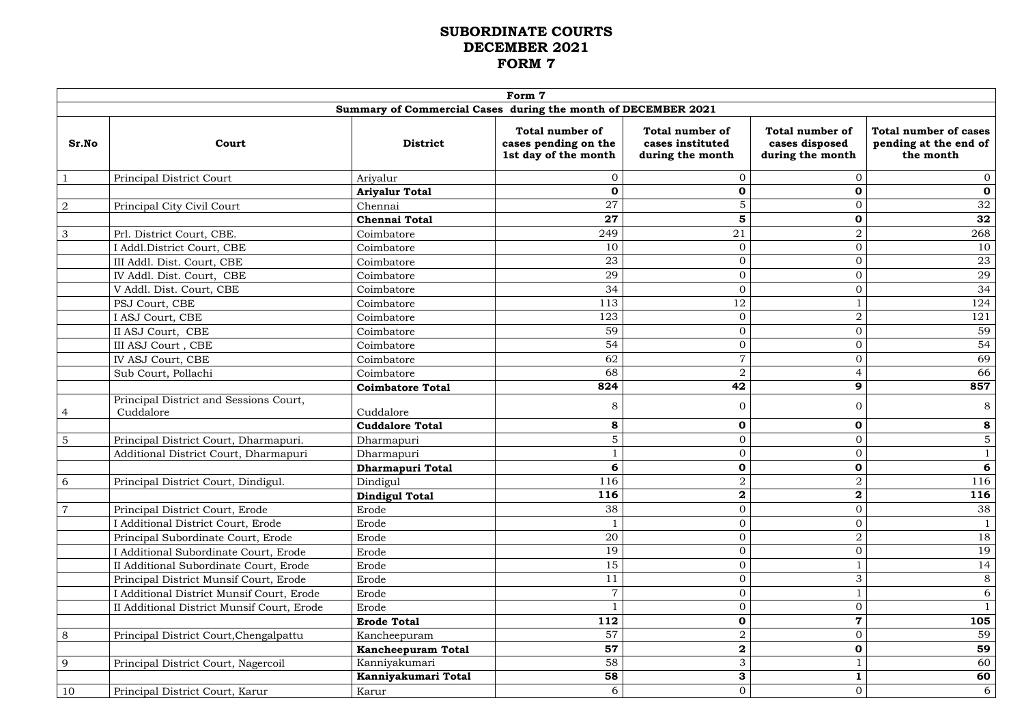# **SUBORDINATE COURTS DECEMBER 2021 FORM 7**

|                |                                                     |                                                               | Form 7                                                                 |                                                                |                                                              |                                                             |
|----------------|-----------------------------------------------------|---------------------------------------------------------------|------------------------------------------------------------------------|----------------------------------------------------------------|--------------------------------------------------------------|-------------------------------------------------------------|
|                |                                                     | Summary of Commercial Cases during the month of DECEMBER 2021 |                                                                        |                                                                |                                                              |                                                             |
| Sr.No          | Court                                               | <b>District</b>                                               | <b>Total number of</b><br>cases pending on the<br>1st day of the month | <b>Total number of</b><br>cases instituted<br>during the month | <b>Total number of</b><br>cases disposed<br>during the month | Total number of cases<br>pending at the end of<br>the month |
|                | Principal District Court                            | Ariyalur                                                      | $\mathbf{0}$                                                           | $\Omega$                                                       | $\mathbf{0}$                                                 | $\overline{0}$                                              |
|                |                                                     | <b>Ariyalur Total</b>                                         | $\mathbf 0$                                                            | $\mathbf 0$                                                    | $\mathbf 0$                                                  | $\mathbf{0}$                                                |
| $\overline{2}$ | Principal City Civil Court                          | Chennai                                                       | 27                                                                     | 5                                                              | $\overline{0}$                                               | 32                                                          |
|                |                                                     | <b>Chennai Total</b>                                          | 27                                                                     | 5                                                              | $\mathbf 0$                                                  | 32                                                          |
| 3              | Prl. District Court, CBE.                           | Coimbatore                                                    | 249                                                                    | 21                                                             | $\overline{2}$                                               | 268                                                         |
|                | I Addl.District Court, CBE                          | Coimbatore                                                    | 10                                                                     | $\mathbf{0}$                                                   | $\overline{0}$                                               | 10                                                          |
|                | III Addl. Dist. Court, CBE                          | Coimbatore                                                    | 23                                                                     | $\boldsymbol{0}$                                               | $\overline{0}$                                               | 23                                                          |
|                | IV Addl. Dist. Court, CBE                           | Coimbatore                                                    | 29                                                                     | $\overline{0}$                                                 | $\overline{0}$                                               | 29                                                          |
|                | V Addl. Dist. Court, CBE                            | Coimbatore                                                    | 34                                                                     | $\mathbf{0}$                                                   | $\overline{0}$                                               | 34                                                          |
|                | PSJ Court, CBE                                      | Coimbatore                                                    | 113                                                                    | 12                                                             |                                                              | 124                                                         |
|                | I ASJ Court, CBE                                    | Coimbatore                                                    | 123                                                                    | $\overline{0}$                                                 | $\overline{2}$                                               | 121                                                         |
|                | II ASJ Court, CBE                                   | Coimbatore                                                    | 59                                                                     | $\mathbf{0}$                                                   | $\overline{0}$                                               | 59                                                          |
|                | III ASJ Court, CBE                                  | Coimbatore                                                    | 54                                                                     | $\overline{0}$                                                 | $\overline{0}$                                               | 54                                                          |
|                | IV ASJ Court, CBE                                   | Coimbatore                                                    | 62                                                                     | $\overline{7}$                                                 | $\overline{0}$                                               | 69                                                          |
|                | Sub Court, Pollachi                                 | Coimbatore                                                    | 68                                                                     | $\overline{2}$                                                 | $\overline{4}$                                               | 66                                                          |
|                |                                                     | <b>Coimbatore Total</b>                                       | 824                                                                    | 42                                                             | 9                                                            | 857                                                         |
|                | Principal District and Sessions Court,<br>Cuddalore | Cuddalore                                                     | 8                                                                      | $\Omega$                                                       | $\overline{0}$                                               | 8                                                           |
|                |                                                     | <b>Cuddalore Total</b>                                        | 8                                                                      | $\mathbf 0$                                                    | $\mathbf 0$                                                  | 8                                                           |
| 5              | Principal District Court, Dharmapuri.               | Dharmapuri                                                    | $\overline{5}$                                                         | $\mathbf{0}$                                                   | $\overline{0}$                                               | $\overline{5}$                                              |
|                | Additional District Court, Dharmapuri               | Dharmapuri                                                    |                                                                        | $\mathbf{0}$                                                   | $\overline{0}$                                               |                                                             |
|                |                                                     | <b>Dharmapuri Total</b>                                       | 6                                                                      | $\mathbf 0$                                                    | $\mathbf 0$                                                  | 6                                                           |
| 6              | Principal District Court, Dindigul.                 | Dindigul                                                      | 116                                                                    | $\boldsymbol{2}$                                               | $\overline{2}$                                               | 116                                                         |
|                |                                                     | <b>Dindigul Total</b>                                         | 116                                                                    | $\bf{2}$                                                       | $\bf{2}$                                                     | 116                                                         |
|                | Principal District Court, Erode                     | Erode                                                         | 38                                                                     | $\mathbf{0}$                                                   | $\overline{0}$                                               | 38                                                          |
|                | I Additional District Court, Erode                  | Erode                                                         |                                                                        | $\overline{0}$                                                 | $\overline{0}$                                               |                                                             |
|                | Principal Subordinate Court, Erode                  | Erode                                                         | 20                                                                     | $\mathbf{0}$                                                   | $\overline{2}$                                               | 18                                                          |
|                | I Additional Subordinate Court, Erode               | Erode                                                         | 19                                                                     | $\mathbf{0}$                                                   | $\overline{0}$                                               | 19                                                          |
|                | II Additional Subordinate Court, Erode              | Erode                                                         | 15                                                                     | $\overline{0}$                                                 |                                                              | 14                                                          |
|                | Principal District Munsif Court, Erode              | Erode                                                         | 11                                                                     | $\mathbf{0}$                                                   | 3                                                            | 8                                                           |
|                | I Additional District Munsif Court, Erode           | Erode                                                         | $\overline{7}$                                                         | $\mathbf{0}$                                                   |                                                              | 6 <sup>1</sup>                                              |
|                | II Additional District Munsif Court, Erode          | Erode                                                         |                                                                        | $\overline{0}$                                                 | $\overline{0}$                                               |                                                             |
|                |                                                     | <b>Erode Total</b>                                            | 112                                                                    | $\mathbf 0$                                                    | $\overline{7}$                                               | 105                                                         |
| 8              | Principal District Court, Chengalpattu              | Kancheepuram                                                  | 57                                                                     | $\sqrt{2}$                                                     | $\overline{0}$                                               | 59                                                          |
|                |                                                     | <b>Kancheepuram Total</b>                                     | 57                                                                     | $\mathbf 2$                                                    | $\mathbf 0$                                                  | 59                                                          |
| 9              | Principal District Court, Nagercoil                 | Kanniyakumari                                                 | 58                                                                     | 3                                                              |                                                              | 60                                                          |
|                |                                                     | Kanniyakumari Total                                           | 58                                                                     | 3                                                              |                                                              | 60                                                          |
| 10             | Principal District Court, Karur                     | Karur                                                         | 6                                                                      | $\mathbf{0}$                                                   | $\overline{0}$                                               | 6                                                           |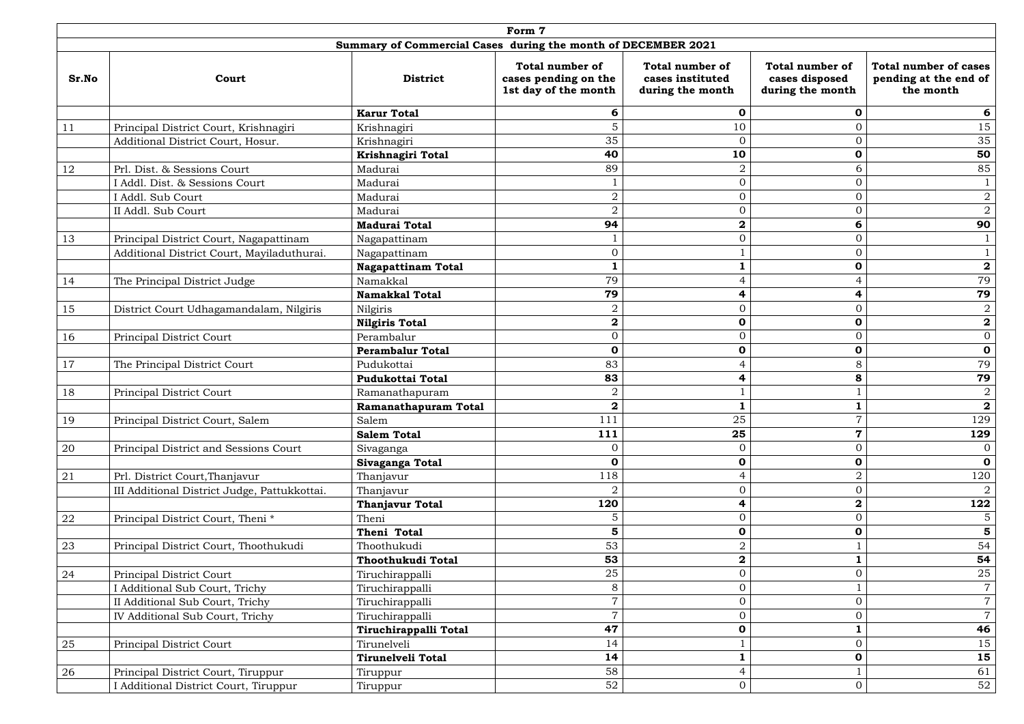|       |                                              |                                                               | Form 7                                                                 |                                                                |                                                              |                                                                    |
|-------|----------------------------------------------|---------------------------------------------------------------|------------------------------------------------------------------------|----------------------------------------------------------------|--------------------------------------------------------------|--------------------------------------------------------------------|
|       |                                              | Summary of Commercial Cases during the month of DECEMBER 2021 |                                                                        |                                                                |                                                              |                                                                    |
| Sr.No | Court                                        | <b>District</b>                                               | <b>Total number of</b><br>cases pending on the<br>1st day of the month | <b>Total number of</b><br>cases instituted<br>during the month | <b>Total number of</b><br>cases disposed<br>during the month | <b>Total number of cases</b><br>pending at the end of<br>the month |
|       |                                              | <b>Karur Total</b>                                            | 6                                                                      | $\mathbf 0$                                                    | O                                                            | 6                                                                  |
| 11    | Principal District Court, Krishnagiri        | Krishnagiri                                                   | 5                                                                      | 10                                                             | $\Omega$                                                     | 15                                                                 |
|       | Additional District Court, Hosur.            | Krishnagiri                                                   | 35                                                                     | $\overline{0}$                                                 | $\overline{0}$                                               | 35                                                                 |
|       |                                              | Krishnagiri Total                                             | 40                                                                     | 10                                                             | $\mathbf 0$                                                  | 50                                                                 |
| 12    | Prl. Dist. & Sessions Court                  | Madurai                                                       | 89                                                                     | $\overline{2}$                                                 | 6                                                            | 85                                                                 |
|       | Addl. Dist. & Sessions Court                 | Madurai                                                       |                                                                        | $\mathbf{0}$                                                   | $\overline{O}$                                               |                                                                    |
|       | Addl. Sub Court                              | Madurai                                                       | $\sqrt{2}$                                                             | $\boldsymbol{0}$                                               | $\overline{O}$                                               | $\boldsymbol{2}$                                                   |
|       | II Addl. Sub Court                           | Madurai                                                       | $\overline{2}$                                                         | $\boldsymbol{0}$                                               | $\overline{0}$                                               | $\overline{2}$                                                     |
|       |                                              | <b>Madurai Total</b>                                          | 94                                                                     | $\mathbf 2$                                                    | 6                                                            | 90                                                                 |
| 13    | Principal District Court, Nagapattinam       | Nagapattinam                                                  |                                                                        | $\boldsymbol{0}$                                               | $\overline{0}$                                               |                                                                    |
|       | Additional District Court, Mayiladuthurai.   | Nagapattinam                                                  | $\mathbf{0}$                                                           | $\mathbf 1$                                                    | $\overline{0}$                                               |                                                                    |
|       |                                              | <b>Nagapattinam Total</b>                                     |                                                                        |                                                                | $\mathbf 0$                                                  | $\mathbf 2$                                                        |
| 14    | The Principal District Judge                 | Namakkal                                                      | 79                                                                     | $\overline{4}$                                                 | 4                                                            | 79                                                                 |
|       |                                              | <b>Namakkal Total</b>                                         | 79                                                                     | 4                                                              | 4                                                            | 79                                                                 |
| 15    | District Court Udhagamandalam, Nilgiris      | Nilgiris                                                      | $\overline{2}$                                                         | $\overline{0}$                                                 | $\overline{O}$                                               | $\sqrt{2}$                                                         |
|       |                                              | <b>Nilgiris Total</b>                                         | $\bf{2}$                                                               | $\mathbf 0$                                                    | $\mathbf 0$                                                  | $\overline{\mathbf{2}}$                                            |
| 16    | Principal District Court                     | Perambalur                                                    | $\overline{0}$                                                         | $\boldsymbol{0}$                                               | $\overline{0}$                                               | $\overline{0}$                                                     |
|       |                                              | <b>Perambalur Total</b>                                       | $\mathbf 0$                                                            | $\mathbf 0$                                                    | $\mathbf 0$                                                  | $\mathbf 0$                                                        |
| 17    | The Principal District Court                 | Pudukottai                                                    | 83                                                                     | $\overline{4}$                                                 | 8                                                            | 79                                                                 |
|       |                                              | <b>Pudukottai Total</b>                                       | 83                                                                     | 4                                                              | 8                                                            | 79                                                                 |
| 18    | Principal District Court                     | Ramanathapuram                                                | $\overline{a}$                                                         |                                                                |                                                              | $\overline{2}$                                                     |
|       |                                              | Ramanathapuram Total                                          | $\Omega$                                                               | Ŧ                                                              |                                                              | $\overline{\mathbf{2}}$                                            |
| 19    | Principal District Court, Salem              | Salem                                                         | 111                                                                    | 25                                                             |                                                              | 129                                                                |
|       |                                              | <b>Salem Total</b>                                            | 111                                                                    | 25                                                             | 7                                                            | 129                                                                |
| 20    | Principal District and Sessions Court        | Sivaganga                                                     | $\mathbf{0}$                                                           | $\overline{0}$                                                 | $\overline{0}$                                               |                                                                    |
|       |                                              | Sivaganga Total                                               | $\mathbf 0$                                                            | $\mathbf 0$                                                    | $\mathbf 0$                                                  | $\mathbf 0$                                                        |
| 21    | Prl. District Court, Thanjavur               | Thanjavur                                                     | 118                                                                    | $\overline{4}$                                                 | $\overline{2}$                                               | 120                                                                |
|       | III Additional District Judge, Pattukkottai. | Thanjavur                                                     | $\overline{2}$                                                         | $\boldsymbol{0}$                                               | $\overline{0}$                                               | $\overline{2}$                                                     |
|       |                                              | <b>Thanjavur Total</b>                                        | 120                                                                    | 4                                                              | $\mathbf{2}$                                                 | 122                                                                |
| 22    | Principal District Court, Theni <sup>*</sup> | Theni                                                         | 5                                                                      | $\boldsymbol{0}$                                               | $\overline{0}$                                               | 5                                                                  |
|       |                                              | Theni Total                                                   | 5                                                                      | $\mathbf 0$                                                    | $\mathbf 0$                                                  | $\overline{\mathbf{5}}$                                            |
| 23    | Principal District Court, Thoothukudi        | Thoothukudi                                                   | 53                                                                     | $\overline{2}$                                                 |                                                              | 54                                                                 |
|       |                                              | Thoothukudi Total                                             | 53                                                                     | $\mathbf 2$                                                    |                                                              | 54                                                                 |
| 24    | Principal District Court                     | Tiruchirappalli                                               | 25                                                                     | $\boldsymbol{0}$                                               | $\overline{0}$                                               | 25                                                                 |
|       | Additional Sub Court, Trichy                 | Tiruchirappalli                                               | $8\,$                                                                  | $\boldsymbol{0}$                                               |                                                              | $\overline{7}$                                                     |
|       | II Additional Sub Court, Trichy              | Tiruchirappalli                                               | $\overline{7}$                                                         | $\boldsymbol{0}$                                               | $\overline{0}$                                               | $\overline{7}$                                                     |
|       | IV Additional Sub Court, Trichy              | Tiruchirappalli                                               | $\overline{7}$                                                         | $\boldsymbol{0}$                                               | $\overline{0}$                                               | $\overline{7}$                                                     |
|       |                                              | Tiruchirappalli Total                                         | 47                                                                     | $\mathbf 0$                                                    |                                                              | 46                                                                 |
| 25    | <b>Principal District Court</b>              | Tirunelveli                                                   | 14                                                                     |                                                                | $\overline{0}$                                               | 15                                                                 |
|       |                                              | Tirunelveli Total                                             | 14                                                                     | $\mathbf{1}$                                                   | $\mathbf 0$                                                  | 15                                                                 |
| 26    | Principal District Court, Tiruppur           | Tiruppur                                                      | 58                                                                     | $\overline{4}$                                                 |                                                              | 61                                                                 |
|       | Additional District Court, Tiruppur          | Tiruppur                                                      | 52                                                                     | $\boldsymbol{0}$                                               | $\overline{0}$                                               | 52                                                                 |